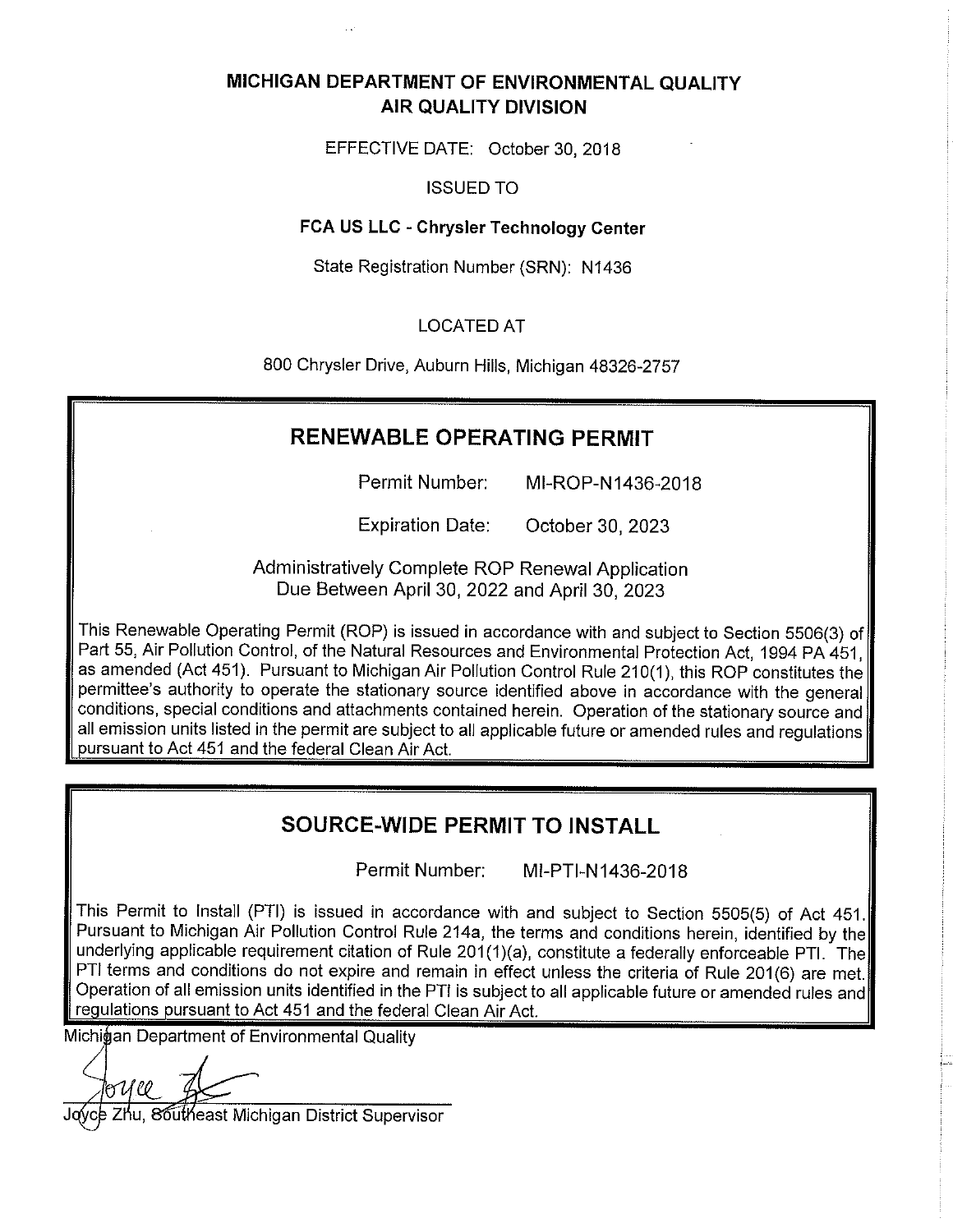## MICHIGAN DEPARTMENT OF ENVIRONMENTAL QUALITY **AIR QUALITY DIVISION**

EFFECTIVE DATE: October 30, 2018

**ISSUED TO** 

#### FCA US LLC - Chrysler Technology Center

State Registration Number (SRN): N1436

### **LOCATED AT**

800 Chrysler Drive, Auburn Hills, Michigan 48326-2757

## **RENEWABLE OPERATING PERMIT**

MI-ROP-N1436-2018 Permit Number:

**Expiration Date:** October 30, 2023

Administratively Complete ROP Renewal Application Due Between April 30, 2022 and April 30, 2023

This Renewable Operating Permit (ROP) is issued in accordance with and subject to Section 5506(3) of Part 55, Air Pollution Control, of the Natural Resources and Environmental Protection Act, 1994 PA 451, as amended (Act 451). Pursuant to Michigan Air Pollution Control Rule 210(1), this ROP constitutes the permittee's authority to operate the stationary source identified above in accordance with the general conditions, special conditions and attachments contained herein. Operation of the stationary source and all emission units listed in the permit are subject to all applicable future or amended rules and requlations pursuant to Act 451 and the federal Clean Air Act.

## **SOURCE-WIDE PERMIT TO INSTALL**

Permit Number: MI-PTI-N1436-2018

This Permit to Install (PTI) is issued in accordance with and subject to Section 5505(5) of Act 451. Pursuant to Michigan Air Pollution Control Rule 214a, the terms and conditions herein, identified by the underlying applicable requirement citation of Rule 201(1)(a), constitute a federally enforceable PTI. The PTI terms and conditions do not expire and remain in effect unless the criteria of Rule 201(6) are met. Operation of all emission units identified in the PTI is subject to all applicable future or amended rules and regulations pursuant to Act 451 and the federal Clean Air Act.

Michiģan Department of Environmental Quality

86utheast Michigan District Supervisor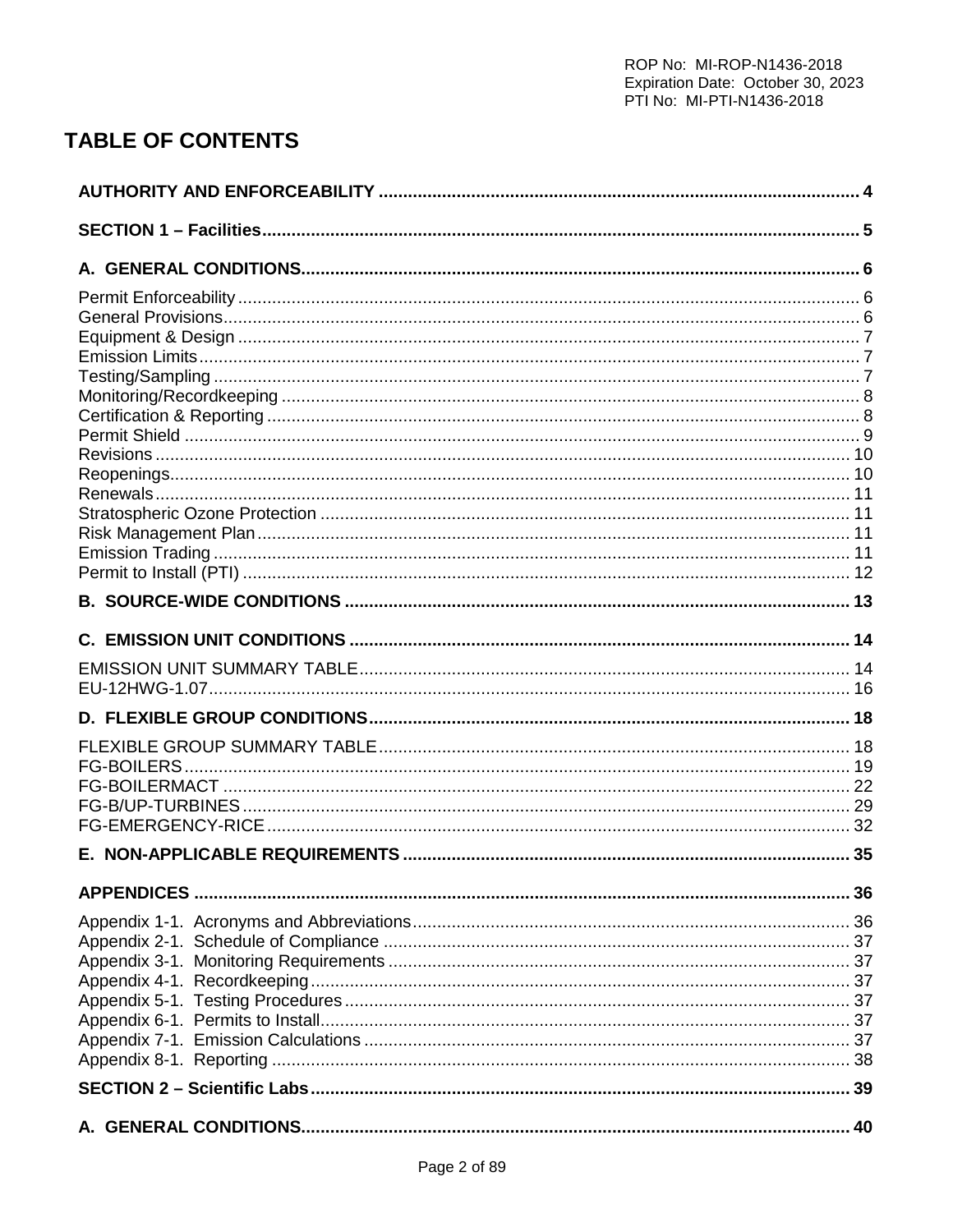# **TABLE OF CONTENTS**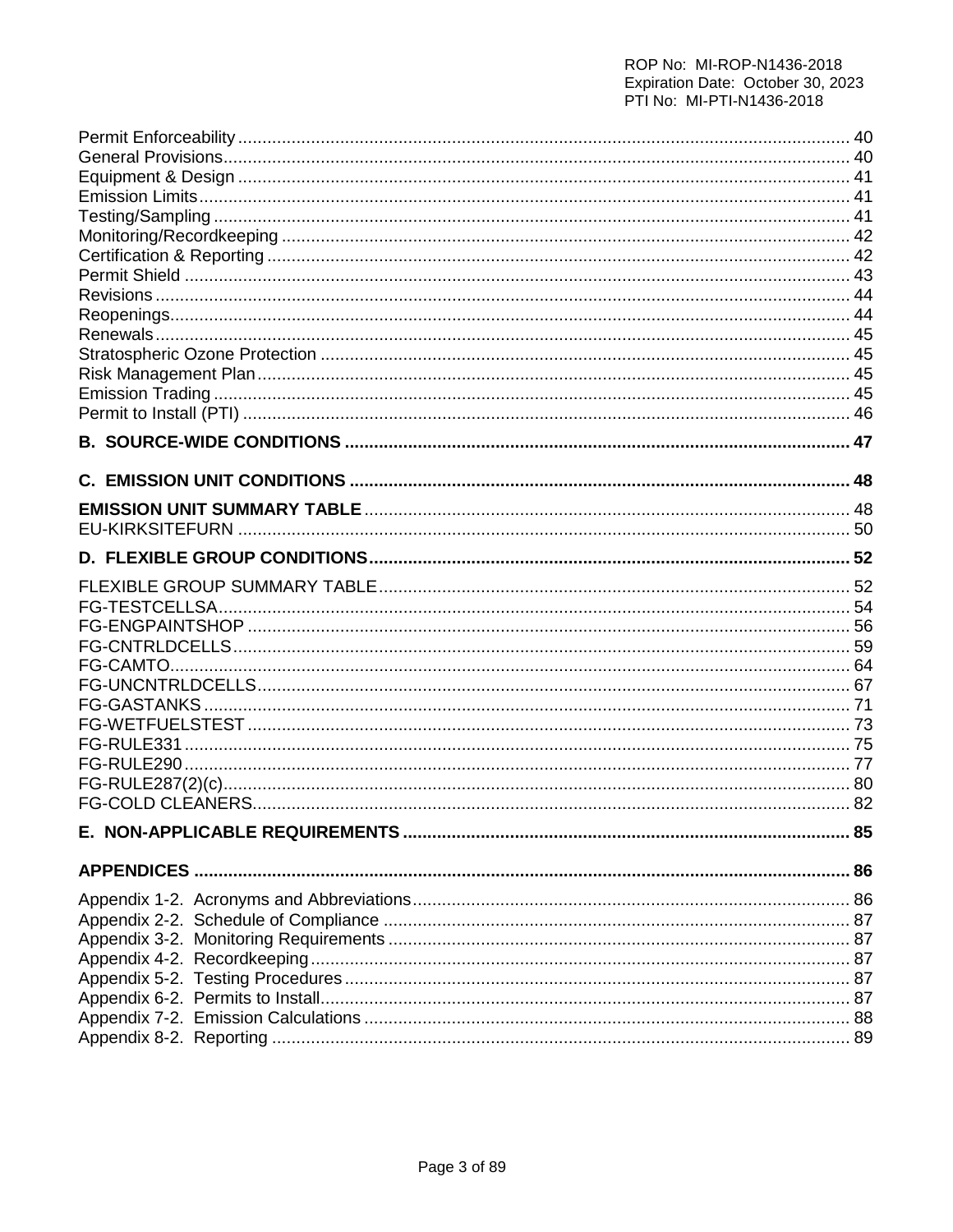# ROP No: MI-ROP-N1436-2018 Expiration Date: October 30, 2023<br>PTI No: MI-PTI-N1436-2018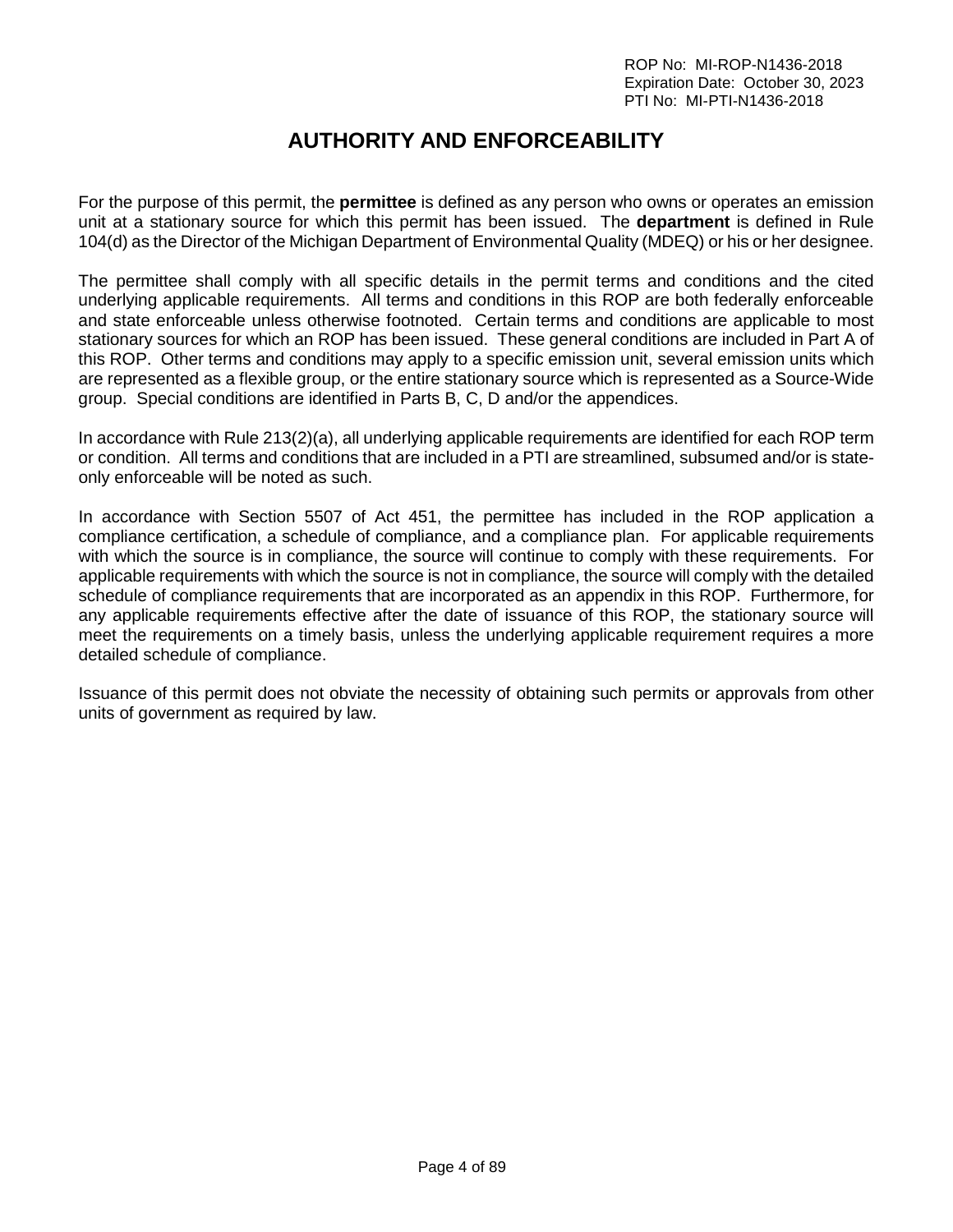# **AUTHORITY AND ENFORCEABILITY**

<span id="page-3-0"></span>For the purpose of this permit, the **permittee** is defined as any person who owns or operates an emission unit at a stationary source for which this permit has been issued. The **department** is defined in Rule 104(d) as the Director of the Michigan Department of Environmental Quality (MDEQ) or his or her designee.

The permittee shall comply with all specific details in the permit terms and conditions and the cited underlying applicable requirements. All terms and conditions in this ROP are both federally enforceable and state enforceable unless otherwise footnoted. Certain terms and conditions are applicable to most stationary sources for which an ROP has been issued. These general conditions are included in Part A of this ROP. Other terms and conditions may apply to a specific emission unit, several emission units which are represented as a flexible group, or the entire stationary source which is represented as a Source-Wide group. Special conditions are identified in Parts B, C, D and/or the appendices.

In accordance with Rule 213(2)(a), all underlying applicable requirements are identified for each ROP term or condition. All terms and conditions that are included in a PTI are streamlined, subsumed and/or is stateonly enforceable will be noted as such.

In accordance with Section 5507 of Act 451, the permittee has included in the ROP application a compliance certification, a schedule of compliance, and a compliance plan. For applicable requirements with which the source is in compliance, the source will continue to comply with these requirements. For applicable requirements with which the source is not in compliance, the source will comply with the detailed schedule of compliance requirements that are incorporated as an appendix in this ROP. Furthermore, for any applicable requirements effective after the date of issuance of this ROP, the stationary source will meet the requirements on a timely basis, unless the underlying applicable requirement requires a more detailed schedule of compliance.

Issuance of this permit does not obviate the necessity of obtaining such permits or approvals from other units of government as required by law.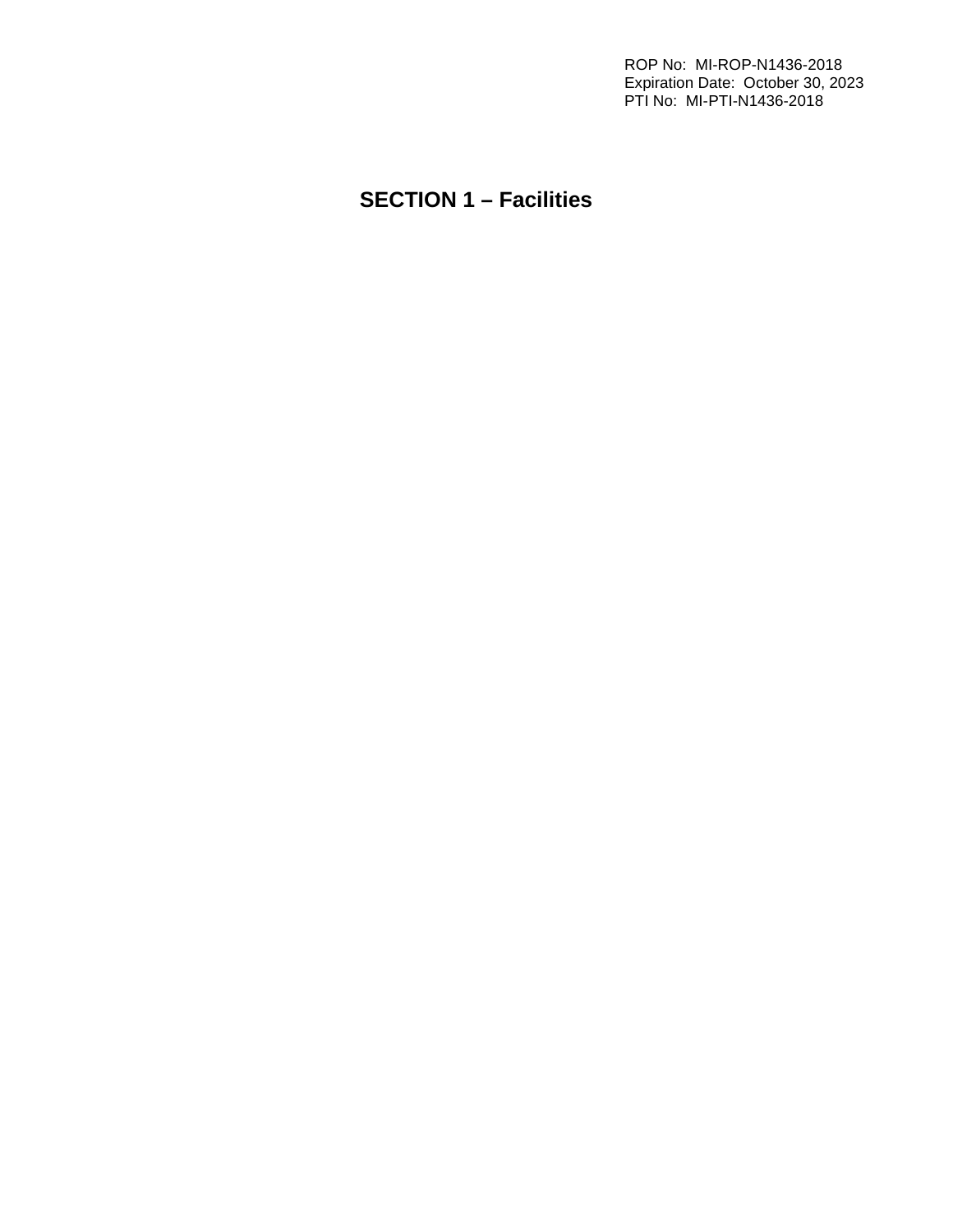ROP No: MI-ROP-N1436-2018 Expiration Date: October 30, 2023 PTI No: MI-PTI-N1436-2018

# <span id="page-4-0"></span>**SECTION 1 – Facilities**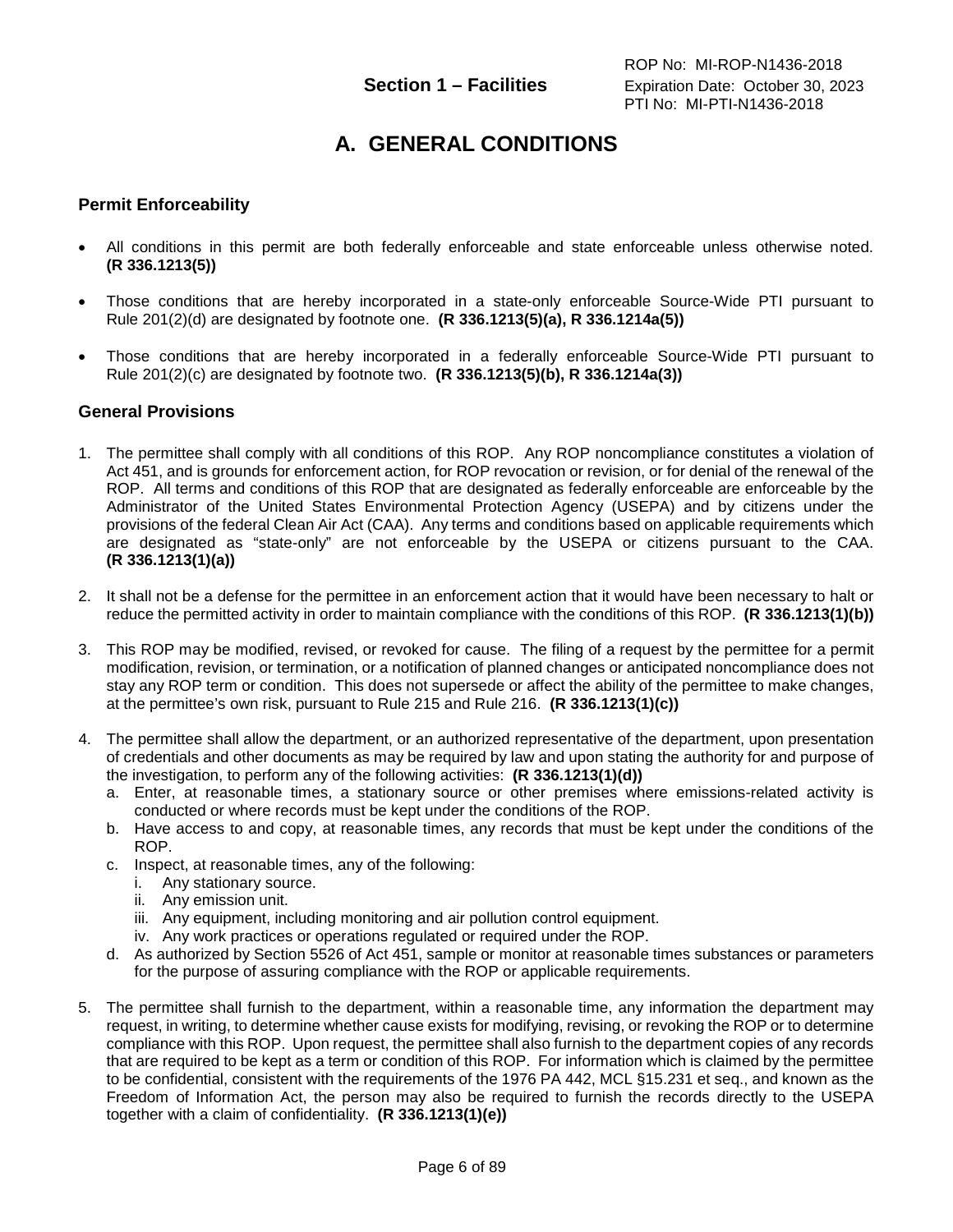# **A. GENERAL CONDITIONS**

#### <span id="page-5-1"></span><span id="page-5-0"></span>**Permit Enforceability**

- All conditions in this permit are both federally enforceable and state enforceable unless otherwise noted. **(R 336.1213(5))**
- Those conditions that are hereby incorporated in a state-only enforceable Source-Wide PTI pursuant to Rule 201(2)(d) are designated by footnote one. **(R 336.1213(5)(a), R 336.1214a(5))**
- Those conditions that are hereby incorporated in a federally enforceable Source-Wide PTI pursuant to Rule 201(2)(c) are designated by footnote two. **(R 336.1213(5)(b), R 336.1214a(3))**

#### <span id="page-5-2"></span>**General Provisions**

- 1. The permittee shall comply with all conditions of this ROP. Any ROP noncompliance constitutes a violation of Act 451, and is grounds for enforcement action, for ROP revocation or revision, or for denial of the renewal of the ROP. All terms and conditions of this ROP that are designated as federally enforceable are enforceable by the Administrator of the United States Environmental Protection Agency (USEPA) and by citizens under the provisions of the federal Clean Air Act (CAA). Any terms and conditions based on applicable requirements which are designated as "state-only" are not enforceable by the USEPA or citizens pursuant to the CAA. **(R 336.1213(1)(a))**
- 2. It shall not be a defense for the permittee in an enforcement action that it would have been necessary to halt or reduce the permitted activity in order to maintain compliance with the conditions of this ROP. **(R 336.1213(1)(b))**
- 3. This ROP may be modified, revised, or revoked for cause. The filing of a request by the permittee for a permit modification, revision, or termination, or a notification of planned changes or anticipated noncompliance does not stay any ROP term or condition. This does not supersede or affect the ability of the permittee to make changes, at the permittee's own risk, pursuant to Rule 215 and Rule 216. **(R 336.1213(1)(c))**
- 4. The permittee shall allow the department, or an authorized representative of the department, upon presentation of credentials and other documents as may be required by law and upon stating the authority for and purpose of the investigation, to perform any of the following activities: **(R 336.1213(1)(d))**
	- a. Enter, at reasonable times, a stationary source or other premises where emissions-related activity is conducted or where records must be kept under the conditions of the ROP.
	- b. Have access to and copy, at reasonable times, any records that must be kept under the conditions of the ROP.
	- c. Inspect, at reasonable times, any of the following:
		- i. Any stationary source.
		- ii. Any emission unit.
		- iii. Any equipment, including monitoring and air pollution control equipment.
		- iv. Any work practices or operations regulated or required under the ROP.
	- d. As authorized by Section 5526 of Act 451, sample or monitor at reasonable times substances or parameters for the purpose of assuring compliance with the ROP or applicable requirements.
- 5. The permittee shall furnish to the department, within a reasonable time, any information the department may request, in writing, to determine whether cause exists for modifying, revising, or revoking the ROP or to determine compliance with this ROP. Upon request, the permittee shall also furnish to the department copies of any records that are required to be kept as a term or condition of this ROP. For information which is claimed by the permittee to be confidential, consistent with the requirements of the 1976 PA 442, MCL §15.231 et seq., and known as the Freedom of Information Act, the person may also be required to furnish the records directly to the USEPA together with a claim of confidentiality. **(R 336.1213(1)(e))**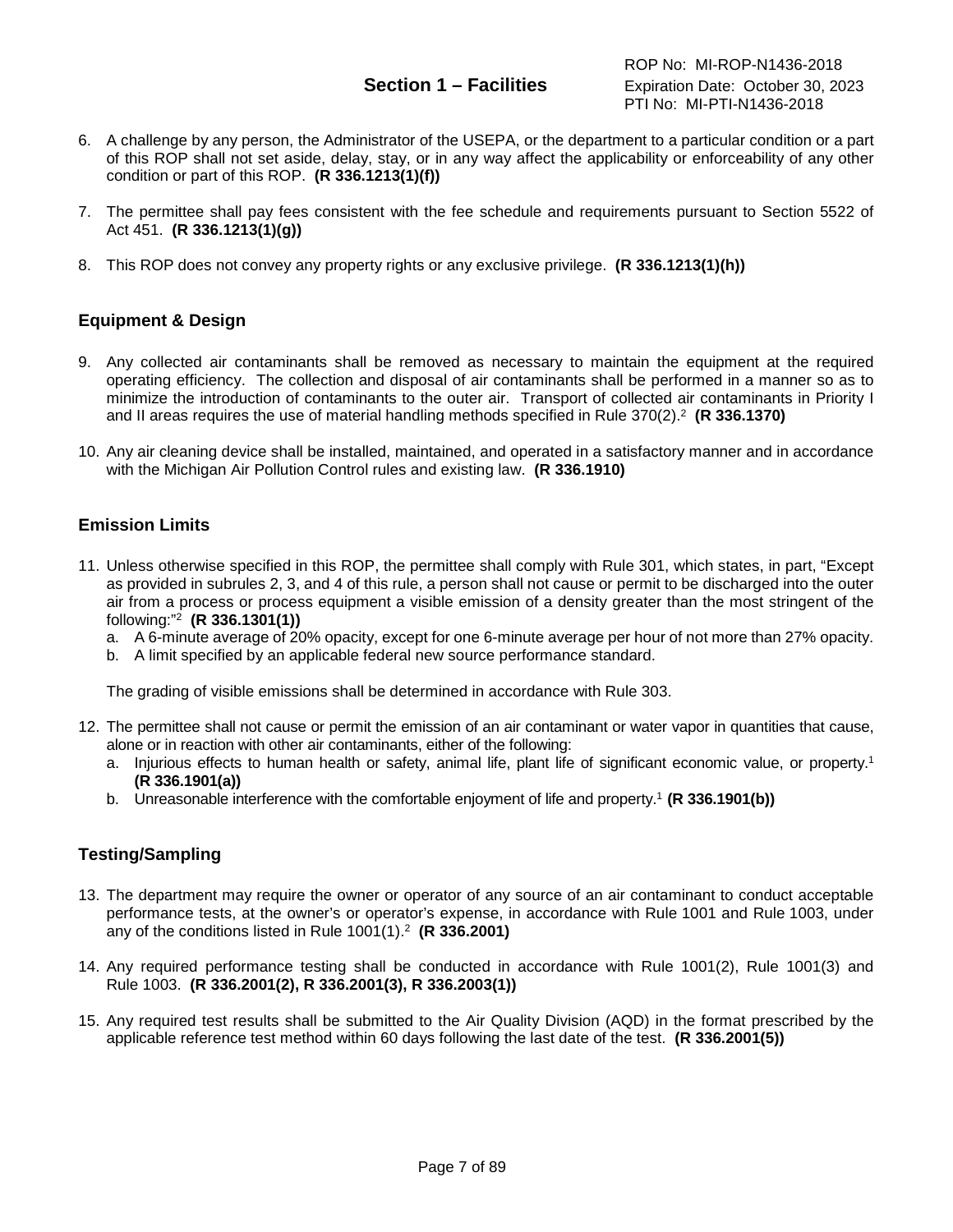- 6. A challenge by any person, the Administrator of the USEPA, or the department to a particular condition or a part of this ROP shall not set aside, delay, stay, or in any way affect the applicability or enforceability of any other condition or part of this ROP. **(R 336.1213(1)(f))**
- 7. The permittee shall pay fees consistent with the fee schedule and requirements pursuant to Section 5522 of Act 451. **(R 336.1213(1)(g))**
- 8. This ROP does not convey any property rights or any exclusive privilege. **(R 336.1213(1)(h))**

### <span id="page-6-0"></span>**Equipment & Design**

- 9. Any collected air contaminants shall be removed as necessary to maintain the equipment at the required operating efficiency. The collection and disposal of air contaminants shall be performed in a manner so as to minimize the introduction of contaminants to the outer air. Transport of collected air contaminants in Priority I and II areas requires the use of material handling methods specified in Rule 370(2).2 **(R 336.1370)**
- 10. Any air cleaning device shall be installed, maintained, and operated in a satisfactory manner and in accordance with the Michigan Air Pollution Control rules and existing law. **(R 336.1910)**

### <span id="page-6-1"></span>**Emission Limits**

- 11. Unless otherwise specified in this ROP, the permittee shall comply with Rule 301, which states, in part, "Except as provided in subrules 2, 3, and 4 of this rule, a person shall not cause or permit to be discharged into the outer air from a process or process equipment a visible emission of a density greater than the most stringent of the following:"2 **(R 336.1301(1))**
	- a. A 6-minute average of 20% opacity, except for one 6-minute average per hour of not more than 27% opacity.
	- b. A limit specified by an applicable federal new source performance standard.

The grading of visible emissions shall be determined in accordance with Rule 303.

- 12. The permittee shall not cause or permit the emission of an air contaminant or water vapor in quantities that cause, alone or in reaction with other air contaminants, either of the following:
	- a. Injurious effects to human health or safety, animal life, plant life of significant economic value, or property.<sup>1</sup> **(R 336.1901(a))**
	- b. Unreasonable interference with the comfortable enjoyment of life and property. <sup>1</sup> **(R 336.1901(b))**

### <span id="page-6-2"></span>**Testing/Sampling**

- 13. The department may require the owner or operator of any source of an air contaminant to conduct acceptable performance tests, at the owner's or operator's expense, in accordance with Rule 1001 and Rule 1003, under any of the conditions listed in Rule 1001(1).2 **(R 336.2001)**
- 14. Any required performance testing shall be conducted in accordance with Rule 1001(2), Rule 1001(3) and Rule 1003. **(R 336.2001(2), R 336.2001(3), R 336.2003(1))**
- 15. Any required test results shall be submitted to the Air Quality Division (AQD) in the format prescribed by the applicable reference test method within 60 days following the last date of the test. **(R 336.2001(5))**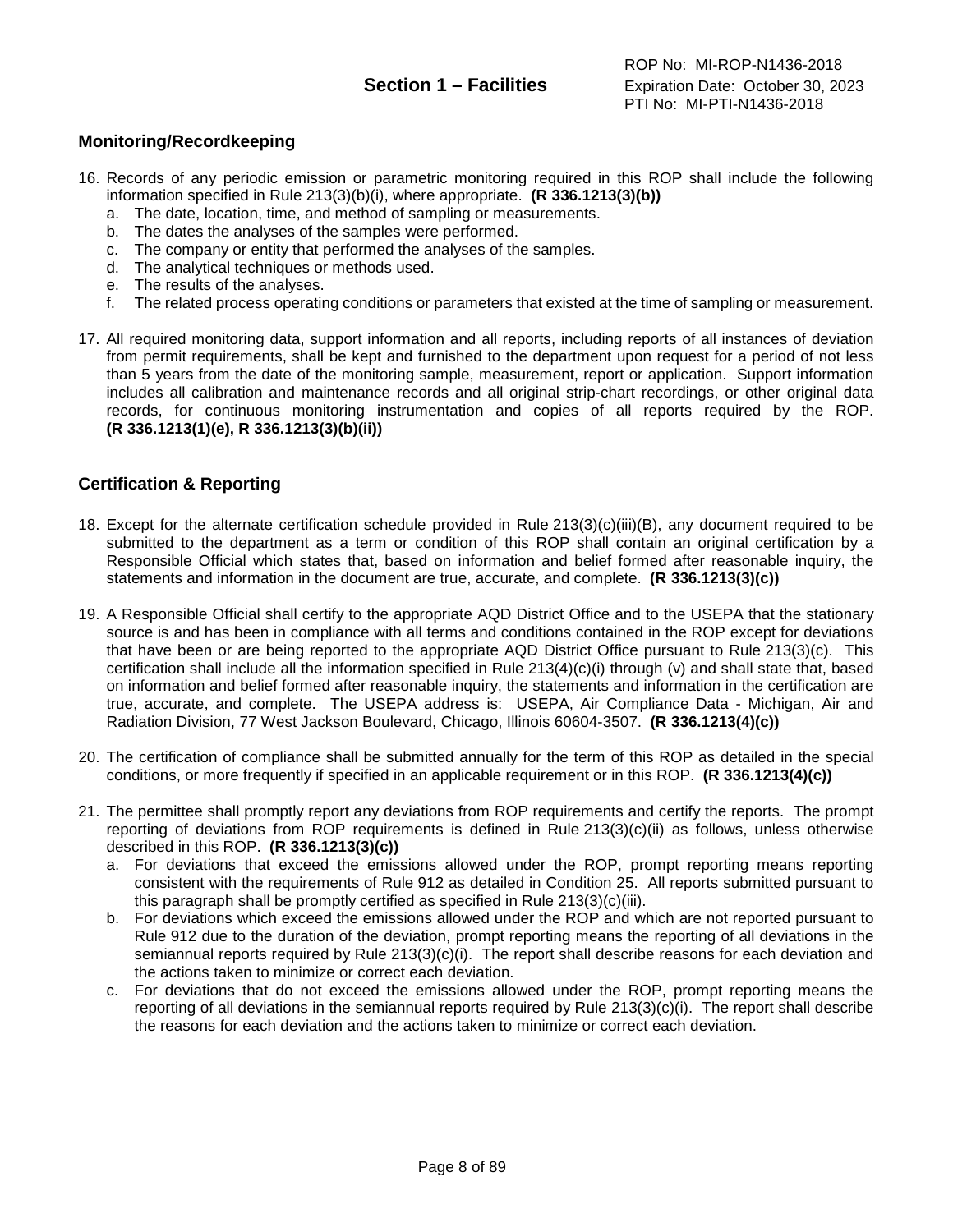### <span id="page-7-0"></span>**Monitoring/Recordkeeping**

- 16. Records of any periodic emission or parametric monitoring required in this ROP shall include the following information specified in Rule 213(3)(b)(i), where appropriate. **(R 336.1213(3)(b))**
	- a. The date, location, time, and method of sampling or measurements.
	- b. The dates the analyses of the samples were performed.
	- c. The company or entity that performed the analyses of the samples.
	- d. The analytical techniques or methods used.
	-
	- e. The results of the analyses.<br>f. The related process operating The related process operating conditions or parameters that existed at the time of sampling or measurement.
- 17. All required monitoring data, support information and all reports, including reports of all instances of deviation from permit requirements, shall be kept and furnished to the department upon request for a period of not less than 5 years from the date of the monitoring sample, measurement, report or application. Support information includes all calibration and maintenance records and all original strip-chart recordings, or other original data records, for continuous monitoring instrumentation and copies of all reports required by the ROP. **(R 336.1213(1)(e), R 336.1213(3)(b)(ii))**

### <span id="page-7-1"></span>**Certification & Reporting**

- 18. Except for the alternate certification schedule provided in Rule 213(3)(c)(iii)(B), any document required to be submitted to the department as a term or condition of this ROP shall contain an original certification by a Responsible Official which states that, based on information and belief formed after reasonable inquiry, the statements and information in the document are true, accurate, and complete. **(R 336.1213(3)(c))**
- 19. A Responsible Official shall certify to the appropriate AQD District Office and to the USEPA that the stationary source is and has been in compliance with all terms and conditions contained in the ROP except for deviations that have been or are being reported to the appropriate AQD District Office pursuant to Rule 213(3)(c). This certification shall include all the information specified in Rule 213(4)(c)(i) through (v) and shall state that, based on information and belief formed after reasonable inquiry, the statements and information in the certification are true, accurate, and complete. The USEPA address is: USEPA, Air Compliance Data - Michigan, Air and Radiation Division, 77 West Jackson Boulevard, Chicago, Illinois 60604-3507. **(R 336.1213(4)(c))**
- 20. The certification of compliance shall be submitted annually for the term of this ROP as detailed in the special conditions, or more frequently if specified in an applicable requirement or in this ROP. **(R 336.1213(4)(c))**
- 21. The permittee shall promptly report any deviations from ROP requirements and certify the reports. The prompt reporting of deviations from ROP requirements is defined in Rule 213(3)(c)(ii) as follows, unless otherwise described in this ROP. **(R 336.1213(3)(c))**
	- a. For deviations that exceed the emissions allowed under the ROP, prompt reporting means reporting consistent with the requirements of Rule 912 as detailed in Condition 25. All reports submitted pursuant to this paragraph shall be promptly certified as specified in Rule 213(3)(c)(iii).
	- b. For deviations which exceed the emissions allowed under the ROP and which are not reported pursuant to Rule 912 due to the duration of the deviation, prompt reporting means the reporting of all deviations in the semiannual reports required by Rule 213(3)(c)(i). The report shall describe reasons for each deviation and the actions taken to minimize or correct each deviation.
	- c. For deviations that do not exceed the emissions allowed under the ROP, prompt reporting means the reporting of all deviations in the semiannual reports required by Rule 213(3)(c)(i). The report shall describe the reasons for each deviation and the actions taken to minimize or correct each deviation.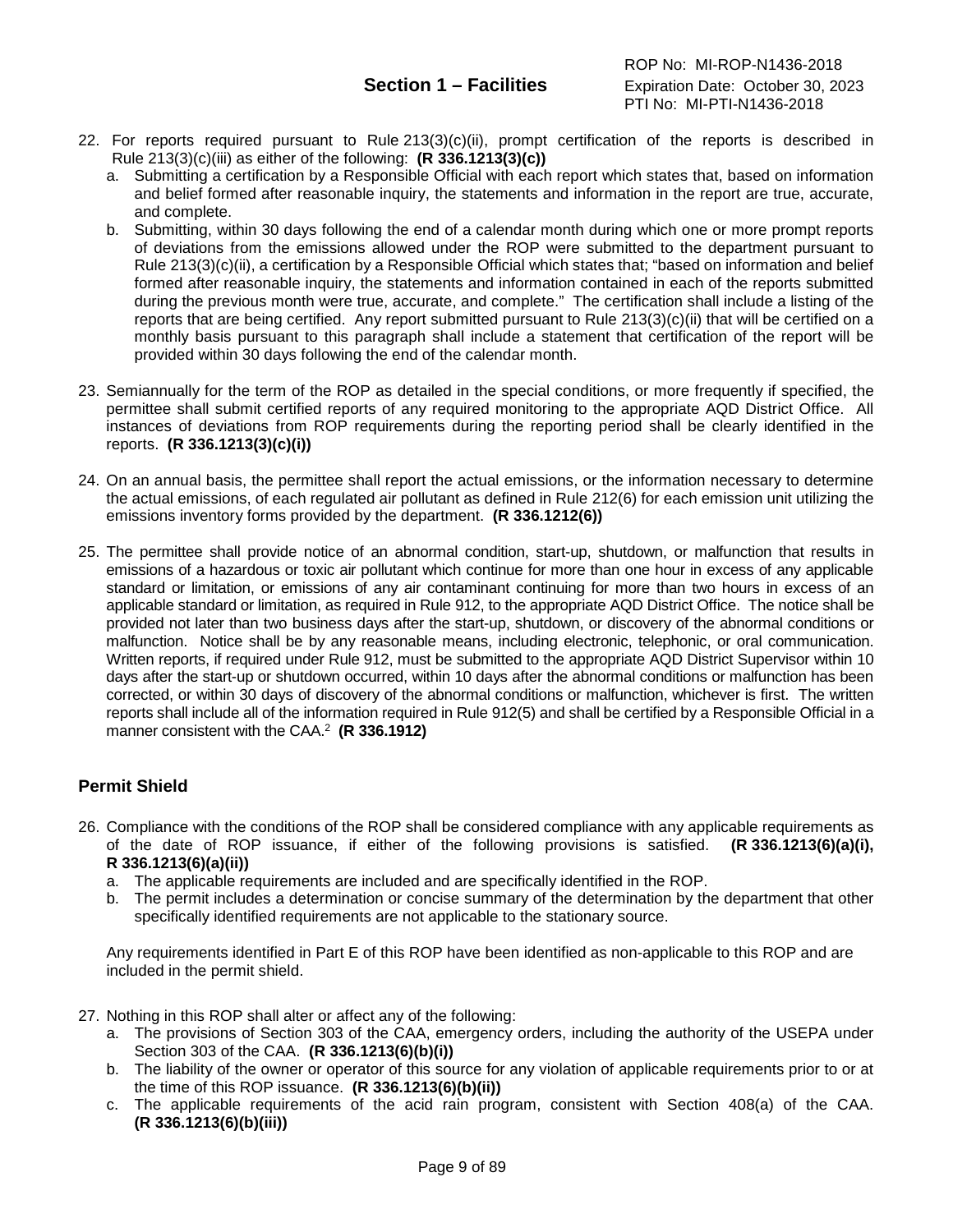- 22. For reports required pursuant to Rule 213(3)(c)(ii), prompt certification of the reports is described in Rule 213(3)(c)(iii) as either of the following: **(R 336.1213(3)(c))**
	- a. Submitting a certification by a Responsible Official with each report which states that, based on information and belief formed after reasonable inquiry, the statements and information in the report are true, accurate, and complete.
	- b. Submitting, within 30 days following the end of a calendar month during which one or more prompt reports of deviations from the emissions allowed under the ROP were submitted to the department pursuant to Rule 213(3)(c)(ii), a certification by a Responsible Official which states that; "based on information and belief formed after reasonable inquiry, the statements and information contained in each of the reports submitted during the previous month were true, accurate, and complete." The certification shall include a listing of the reports that are being certified. Any report submitted pursuant to Rule 213(3)(c)(ii) that will be certified on a monthly basis pursuant to this paragraph shall include a statement that certification of the report will be provided within 30 days following the end of the calendar month.
- 23. Semiannually for the term of the ROP as detailed in the special conditions, or more frequently if specified, the permittee shall submit certified reports of any required monitoring to the appropriate AQD District Office. All instances of deviations from ROP requirements during the reporting period shall be clearly identified in the reports. **(R 336.1213(3)(c)(i))**
- 24. On an annual basis, the permittee shall report the actual emissions, or the information necessary to determine the actual emissions, of each regulated air pollutant as defined in Rule 212(6) for each emission unit utilizing the emissions inventory forms provided by the department. **(R 336.1212(6))**
- 25. The permittee shall provide notice of an abnormal condition, start-up, shutdown, or malfunction that results in emissions of a hazardous or toxic air pollutant which continue for more than one hour in excess of any applicable standard or limitation, or emissions of any air contaminant continuing for more than two hours in excess of an applicable standard or limitation, as required in Rule 912, to the appropriate AQD District Office. The notice shall be provided not later than two business days after the start-up, shutdown, or discovery of the abnormal conditions or malfunction. Notice shall be by any reasonable means, including electronic, telephonic, or oral communication. Written reports, if required under Rule 912, must be submitted to the appropriate AQD District Supervisor within 10 days after the start-up or shutdown occurred, within 10 days after the abnormal conditions or malfunction has been corrected, or within 30 days of discovery of the abnormal conditions or malfunction, whichever is first. The written reports shall include all of the information required in Rule 912(5) and shall be certified by a Responsible Official in a manner consistent with the CAA.2 **(R 336.1912)**

### <span id="page-8-0"></span>**Permit Shield**

- 26. Compliance with the conditions of the ROP shall be considered compliance with any applicable requirements as of the date of ROP issuance, if either of the following provisions is satisfied. **(R 336.1213(6)(a)(i), R 336.1213(6)(a)(ii))**
	- a. The applicable requirements are included and are specifically identified in the ROP.
	- b. The permit includes a determination or concise summary of the determination by the department that other specifically identified requirements are not applicable to the stationary source.

Any requirements identified in Part E of this ROP have been identified as non-applicable to this ROP and are included in the permit shield.

- 27. Nothing in this ROP shall alter or affect any of the following:
	- a. The provisions of Section 303 of the CAA, emergency orders, including the authority of the USEPA under Section 303 of the CAA. **(R 336.1213(6)(b)(i))**
	- b. The liability of the owner or operator of this source for any violation of applicable requirements prior to or at the time of this ROP issuance. **(R 336.1213(6)(b)(ii))**
	- c. The applicable requirements of the acid rain program, consistent with Section 408(a) of the CAA. **(R 336.1213(6)(b)(iii))**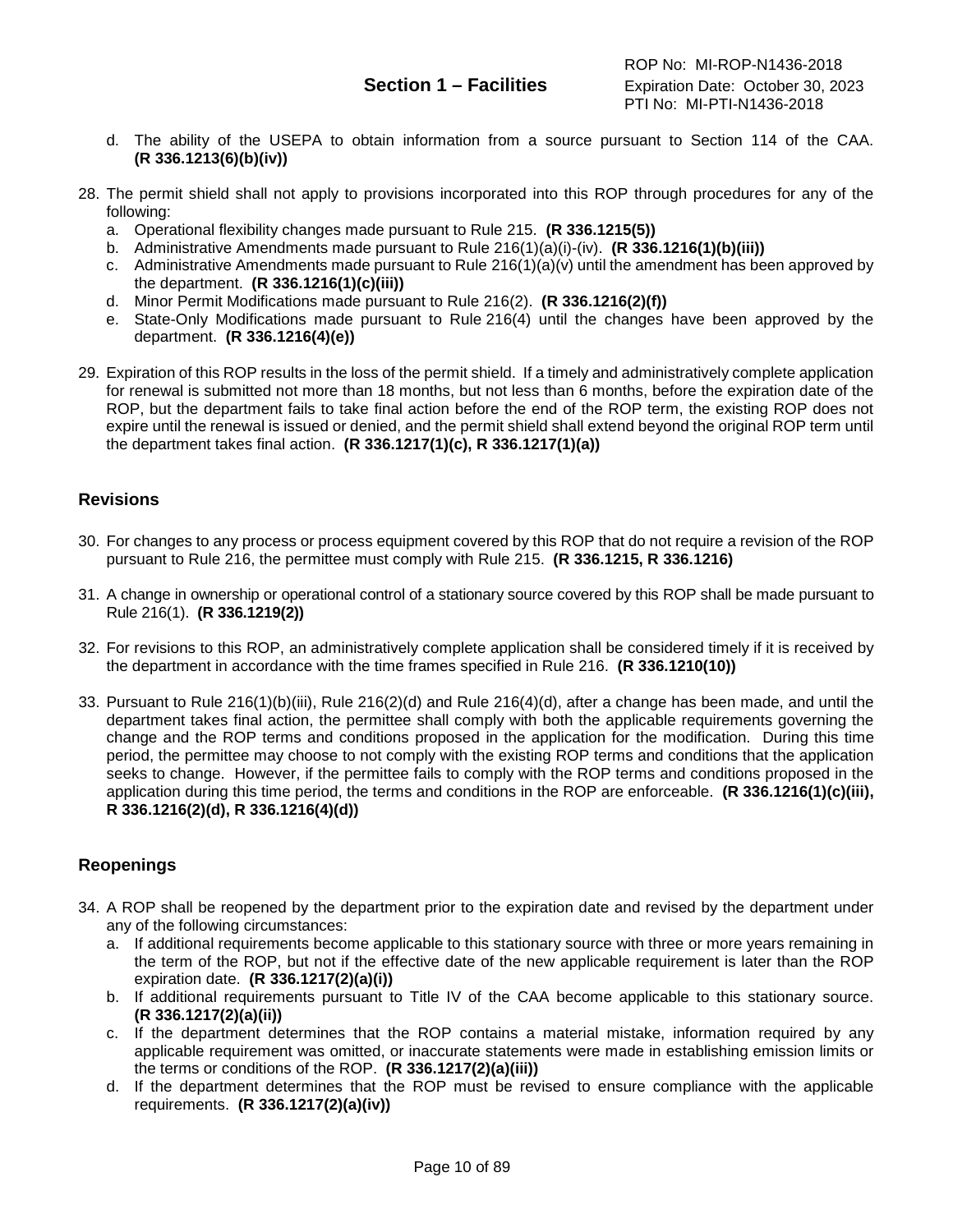- d. The ability of the USEPA to obtain information from a source pursuant to Section 114 of the CAA. **(R 336.1213(6)(b)(iv))**
- 28. The permit shield shall not apply to provisions incorporated into this ROP through procedures for any of the following:
	- a. Operational flexibility changes made pursuant to Rule 215. **(R 336.1215(5))**
	- b. Administrative Amendments made pursuant to Rule 216(1)(a)(i)-(iv). **(R 336.1216(1)(b)(iii))**
	- c. Administrative Amendments made pursuant to Rule  $216(1)(a)(v)$  until the amendment has been approved by the department. **(R 336.1216(1)(c)(iii))**
	- d. Minor Permit Modifications made pursuant to Rule 216(2). **(R 336.1216(2)(f))**
	- e. State-Only Modifications made pursuant to Rule 216(4) until the changes have been approved by the department. **(R 336.1216(4)(e))**
- 29. Expiration of this ROP results in the loss of the permit shield. If a timely and administratively complete application for renewal is submitted not more than 18 months, but not less than 6 months, before the expiration date of the ROP, but the department fails to take final action before the end of the ROP term, the existing ROP does not expire until the renewal is issued or denied, and the permit shield shall extend beyond the original ROP term until the department takes final action. **(R 336.1217(1)(c), R 336.1217(1)(a))**

#### <span id="page-9-0"></span>**Revisions**

- 30. For changes to any process or process equipment covered by this ROP that do not require a revision of the ROP pursuant to Rule 216, the permittee must comply with Rule 215. **(R 336.1215, R 336.1216)**
- 31. A change in ownership or operational control of a stationary source covered by this ROP shall be made pursuant to Rule 216(1). **(R 336.1219(2))**
- 32. For revisions to this ROP, an administratively complete application shall be considered timely if it is received by the department in accordance with the time frames specified in Rule 216. **(R 336.1210(10))**
- 33. Pursuant to Rule 216(1)(b)(iii), Rule 216(2)(d) and Rule 216(4)(d), after a change has been made, and until the department takes final action, the permittee shall comply with both the applicable requirements governing the change and the ROP terms and conditions proposed in the application for the modification. During this time period, the permittee may choose to not comply with the existing ROP terms and conditions that the application seeks to change. However, if the permittee fails to comply with the ROP terms and conditions proposed in the application during this time period, the terms and conditions in the ROP are enforceable. **(R 336.1216(1)(c)(iii), R 336.1216(2)(d), R 336.1216(4)(d))**

### <span id="page-9-1"></span>**Reopenings**

- 34. A ROP shall be reopened by the department prior to the expiration date and revised by the department under any of the following circumstances:
	- a. If additional requirements become applicable to this stationary source with three or more years remaining in the term of the ROP, but not if the effective date of the new applicable requirement is later than the ROP expiration date. **(R 336.1217(2)(a)(i))**
	- b. If additional requirements pursuant to Title IV of the CAA become applicable to this stationary source. **(R 336.1217(2)(a)(ii))**
	- c. If the department determines that the ROP contains a material mistake, information required by any applicable requirement was omitted, or inaccurate statements were made in establishing emission limits or the terms or conditions of the ROP. **(R 336.1217(2)(a)(iii))**
	- d. If the department determines that the ROP must be revised to ensure compliance with the applicable requirements. **(R 336.1217(2)(a)(iv))**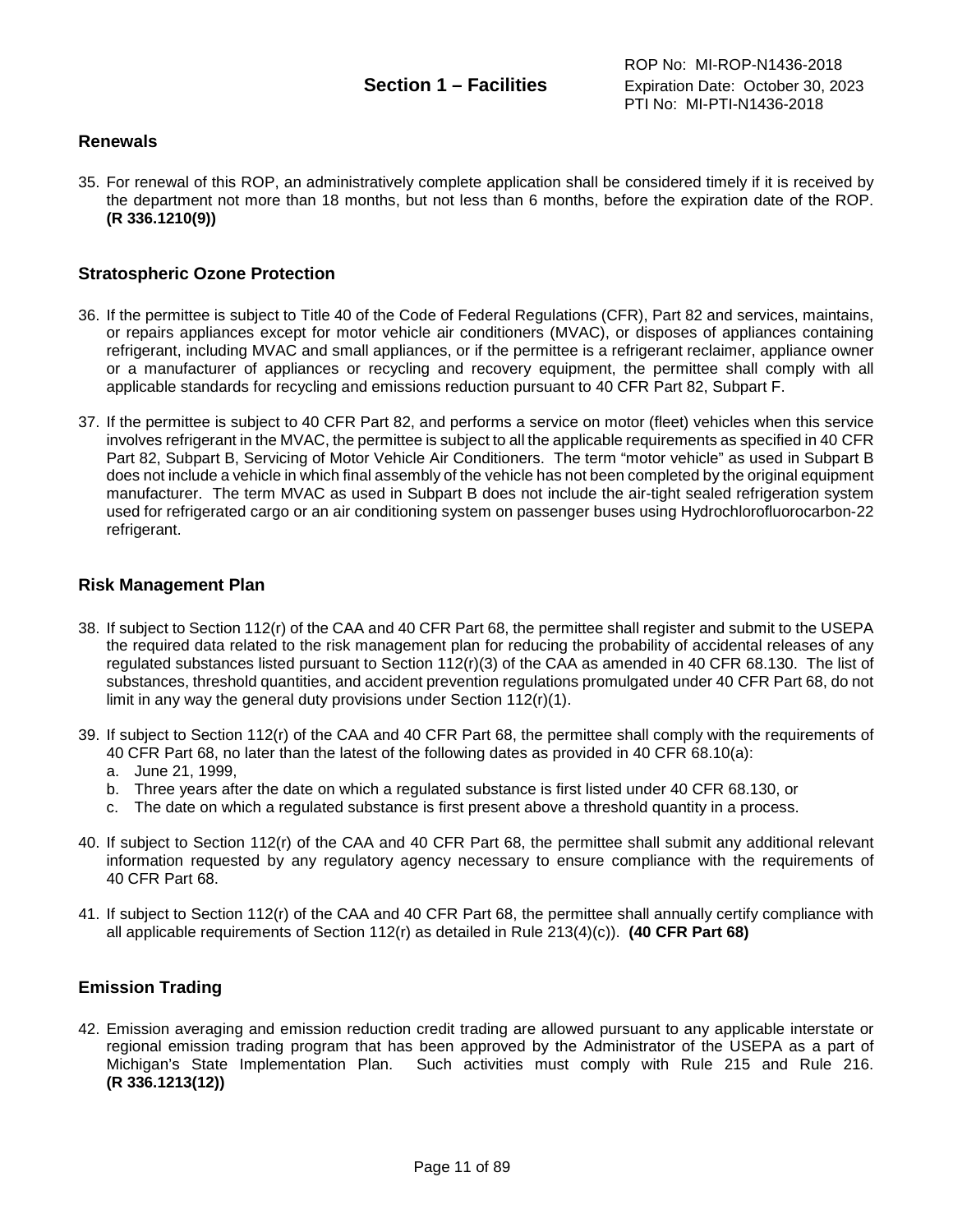#### <span id="page-10-0"></span>**Renewals**

35. For renewal of this ROP, an administratively complete application shall be considered timely if it is received by the department not more than 18 months, but not less than 6 months, before the expiration date of the ROP. **(R 336.1210(9))**

#### <span id="page-10-1"></span>**Stratospheric Ozone Protection**

- 36. If the permittee is subject to Title 40 of the Code of Federal Regulations (CFR), Part 82 and services, maintains, or repairs appliances except for motor vehicle air conditioners (MVAC), or disposes of appliances containing refrigerant, including MVAC and small appliances, or if the permittee is a refrigerant reclaimer, appliance owner or a manufacturer of appliances or recycling and recovery equipment, the permittee shall comply with all applicable standards for recycling and emissions reduction pursuant to 40 CFR Part 82, Subpart F.
- 37. If the permittee is subject to 40 CFR Part 82, and performs a service on motor (fleet) vehicles when this service involves refrigerant in the MVAC, the permittee is subject to all the applicable requirements as specified in 40 CFR Part 82, Subpart B, Servicing of Motor Vehicle Air Conditioners. The term "motor vehicle" as used in Subpart B does not include a vehicle in which final assembly of the vehicle has not been completed by the original equipment manufacturer. The term MVAC as used in Subpart B does not include the air-tight sealed refrigeration system used for refrigerated cargo or an air conditioning system on passenger buses using Hydrochlorofluorocarbon-22 refrigerant.

#### <span id="page-10-2"></span>**Risk Management Plan**

- 38. If subject to Section 112(r) of the CAA and 40 CFR Part 68, the permittee shall register and submit to the USEPA the required data related to the risk management plan for reducing the probability of accidental releases of any regulated substances listed pursuant to Section 112(r)(3) of the CAA as amended in 40 CFR 68.130. The list of substances, threshold quantities, and accident prevention regulations promulgated under 40 CFR Part 68, do not limit in any way the general duty provisions under Section 112(r)(1).
- 39. If subject to Section 112(r) of the CAA and 40 CFR Part 68, the permittee shall comply with the requirements of 40 CFR Part 68, no later than the latest of the following dates as provided in 40 CFR 68.10(a):
	- a. June 21, 1999,
	- b. Three years after the date on which a regulated substance is first listed under 40 CFR 68.130, or
	- c. The date on which a regulated substance is first present above a threshold quantity in a process.
- 40. If subject to Section 112(r) of the CAA and 40 CFR Part 68, the permittee shall submit any additional relevant information requested by any regulatory agency necessary to ensure compliance with the requirements of 40 CFR Part 68.
- 41. If subject to Section 112(r) of the CAA and 40 CFR Part 68, the permittee shall annually certify compliance with all applicable requirements of Section 112(r) as detailed in Rule 213(4)(c)). **(40 CFR Part 68)**

#### <span id="page-10-3"></span>**Emission Trading**

42. Emission averaging and emission reduction credit trading are allowed pursuant to any applicable interstate or regional emission trading program that has been approved by the Administrator of the USEPA as a part of Michigan's State Implementation Plan. Such activities must comply with Rule 215 and Rule 216. **(R 336.1213(12))**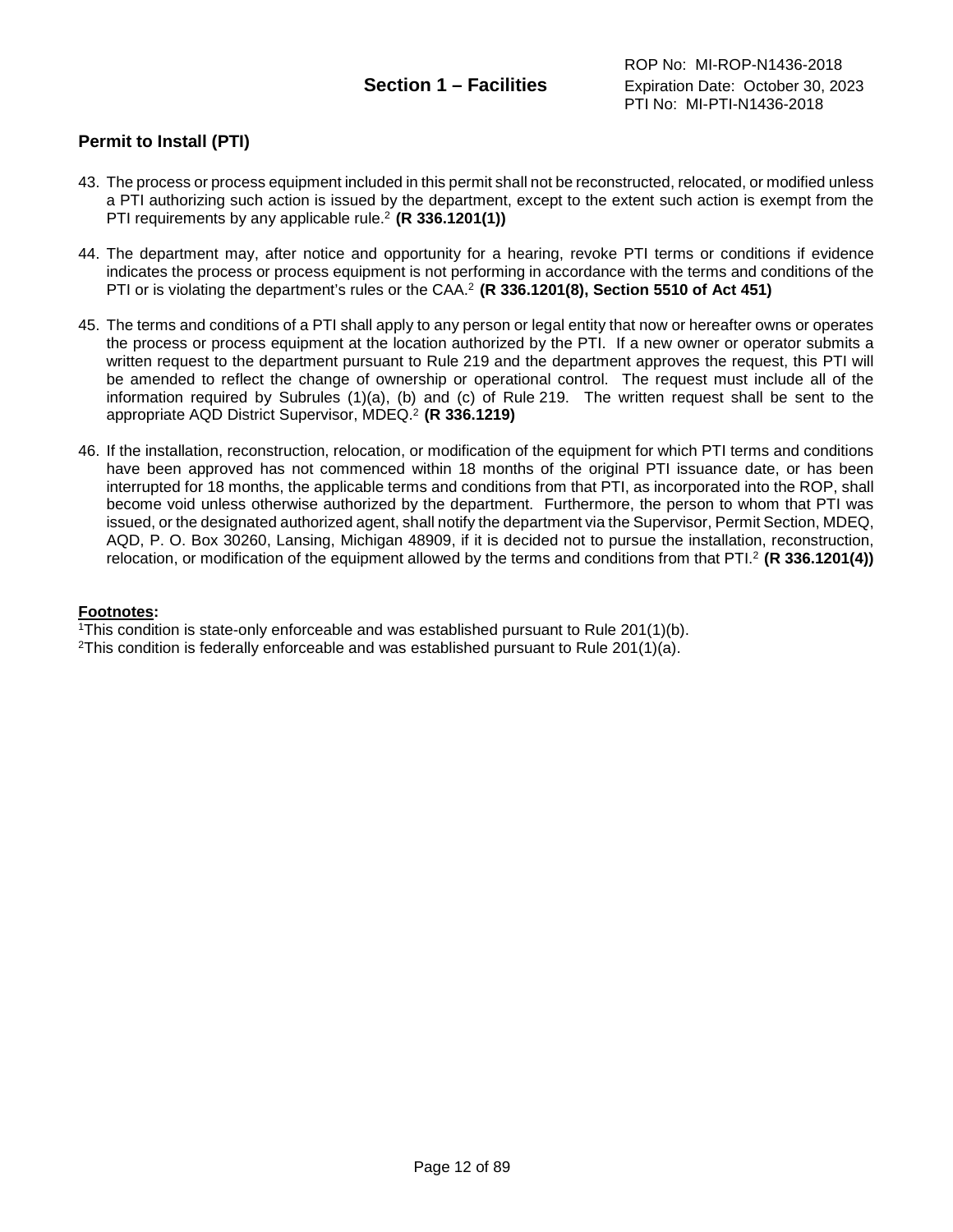### <span id="page-11-0"></span>**Permit to Install (PTI)**

- 43. The process or process equipment included in this permit shall not be reconstructed, relocated, or modified unless a PTI authorizing such action is issued by the department, except to the extent such action is exempt from the PTI requirements by any applicable rule.2 **(R 336.1201(1))**
- 44. The department may, after notice and opportunity for a hearing, revoke PTI terms or conditions if evidence indicates the process or process equipment is not performing in accordance with the terms and conditions of the PTI or is violating the department's rules or the CAA.2 **(R 336.1201(8), Section 5510 of Act 451)**
- 45. The terms and conditions of a PTI shall apply to any person or legal entity that now or hereafter owns or operates the process or process equipment at the location authorized by the PTI. If a new owner or operator submits a written request to the department pursuant to Rule 219 and the department approves the request, this PTI will be amended to reflect the change of ownership or operational control. The request must include all of the information required by Subrules (1)(a), (b) and (c) of Rule 219. The written request shall be sent to the appropriate AQD District Supervisor, MDEQ. <sup>2</sup> **(R 336.1219)**
- 46. If the installation, reconstruction, relocation, or modification of the equipment for which PTI terms and conditions have been approved has not commenced within 18 months of the original PTI issuance date, or has been interrupted for 18 months, the applicable terms and conditions from that PTI, as incorporated into the ROP, shall become void unless otherwise authorized by the department. Furthermore, the person to whom that PTI was issued, or the designated authorized agent, shall notify the department via the Supervisor, Permit Section, MDEQ, AQD, P. O. Box 30260, Lansing, Michigan 48909, if it is decided not to pursue the installation, reconstruction, relocation, or modification of the equipment allowed by the terms and conditions from that PTI.2 **(R 336.1201(4))**

#### **Footnotes:**

<sup>1</sup>This condition is state-only enforceable and was established pursuant to Rule  $201(1)(b)$ .

<sup>2</sup>This condition is federally enforceable and was established pursuant to Rule 201(1)(a).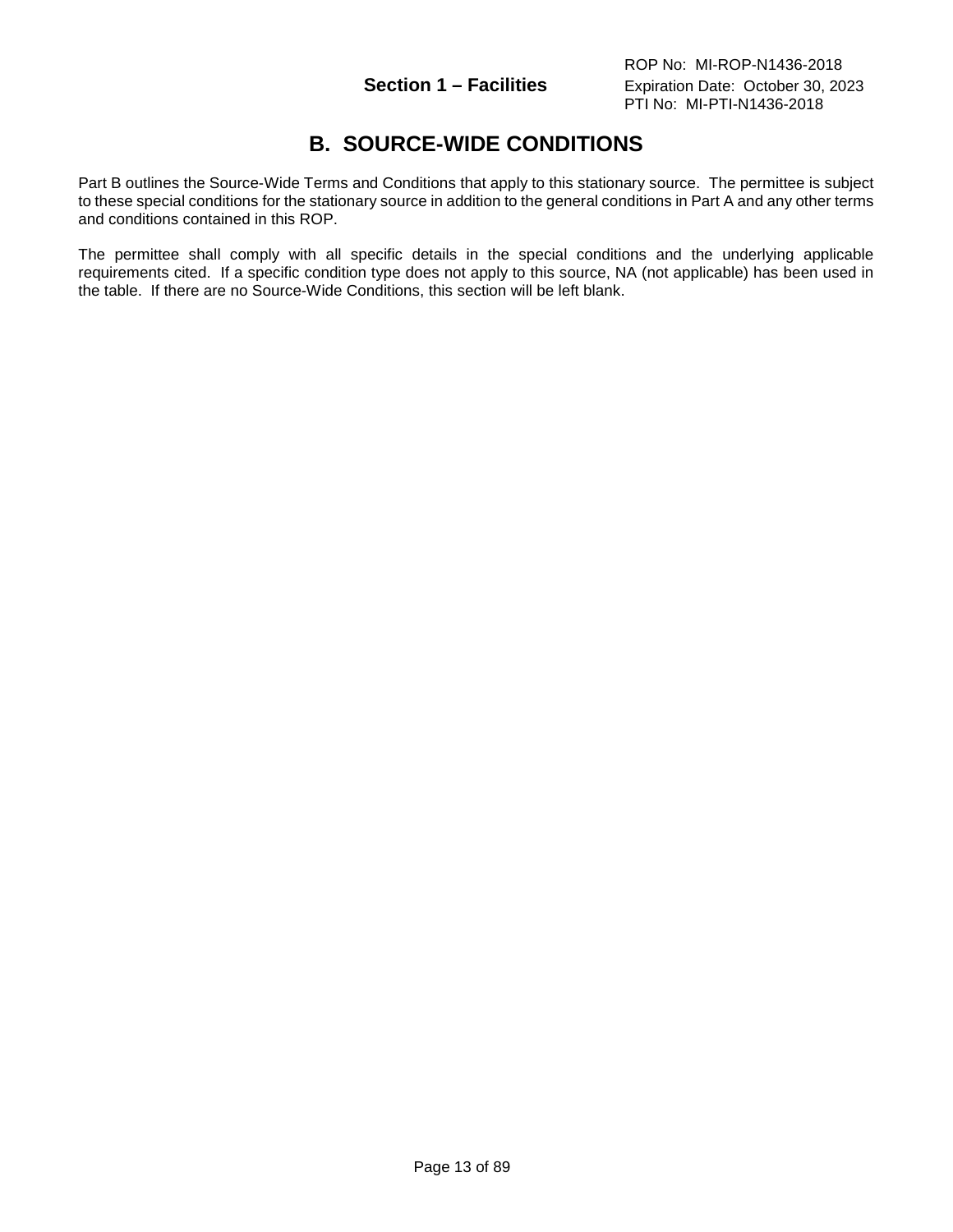# **B. SOURCE-WIDE CONDITIONS**

<span id="page-12-0"></span>Part B outlines the Source-Wide Terms and Conditions that apply to this stationary source. The permittee is subject to these special conditions for the stationary source in addition to the general conditions in Part A and any other terms and conditions contained in this ROP.

The permittee shall comply with all specific details in the special conditions and the underlying applicable requirements cited. If a specific condition type does not apply to this source, NA (not applicable) has been used in the table. If there are no Source-Wide Conditions, this section will be left blank.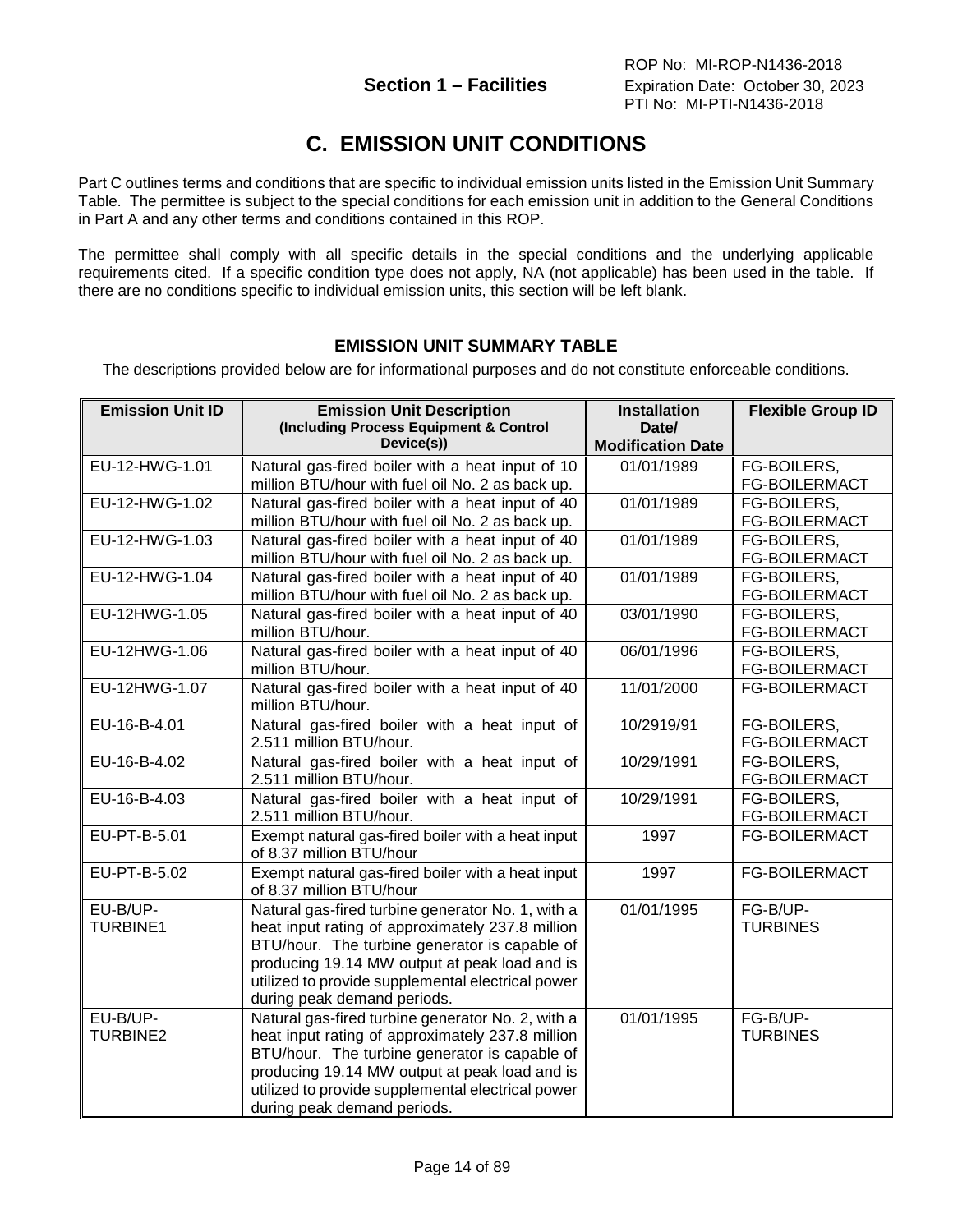# **C. EMISSION UNIT CONDITIONS**

<span id="page-13-0"></span>Part C outlines terms and conditions that are specific to individual emission units listed in the Emission Unit Summary Table. The permittee is subject to the special conditions for each emission unit in addition to the General Conditions in Part A and any other terms and conditions contained in this ROP.

The permittee shall comply with all specific details in the special conditions and the underlying applicable requirements cited. If a specific condition type does not apply, NA (not applicable) has been used in the table. If there are no conditions specific to individual emission units, this section will be left blank.

### **EMISSION UNIT SUMMARY TABLE**

<span id="page-13-1"></span>The descriptions provided below are for informational purposes and do not constitute enforceable conditions.

| <b>Emission Unit ID</b>     | <b>Emission Unit Description</b><br>(Including Process Equipment & Control<br>Device(s))                                                                                                                                                                                                    | <b>Installation</b><br>Date/<br><b>Modification Date</b> | <b>Flexible Group ID</b>            |
|-----------------------------|---------------------------------------------------------------------------------------------------------------------------------------------------------------------------------------------------------------------------------------------------------------------------------------------|----------------------------------------------------------|-------------------------------------|
| EU-12-HWG-1.01              | Natural gas-fired boiler with a heat input of 10<br>million BTU/hour with fuel oil No. 2 as back up.                                                                                                                                                                                        | 01/01/1989                                               | FG-BOILERS,<br>FG-BOILERMACT        |
| EU-12-HWG-1.02              | Natural gas-fired boiler with a heat input of 40<br>million BTU/hour with fuel oil No. 2 as back up.                                                                                                                                                                                        | 01/01/1989                                               | FG-BOILERS,<br>FG-BOILERMACT        |
| EU-12-HWG-1.03              | Natural gas-fired boiler with a heat input of 40<br>million BTU/hour with fuel oil No. 2 as back up.                                                                                                                                                                                        | 01/01/1989                                               | FG-BOILERS,<br><b>FG-BOILERMACT</b> |
| EU-12-HWG-1.04              | Natural gas-fired boiler with a heat input of 40<br>million BTU/hour with fuel oil No. 2 as back up.                                                                                                                                                                                        | 01/01/1989                                               | FG-BOILERS,<br>FG-BOILERMACT        |
| EU-12HWG-1.05               | Natural gas-fired boiler with a heat input of 40<br>million BTU/hour.                                                                                                                                                                                                                       | 03/01/1990                                               | FG-BOILERS,<br>FG-BOILERMACT        |
| EU-12HWG-1.06               | Natural gas-fired boiler with a heat input of 40<br>million BTU/hour.                                                                                                                                                                                                                       | 06/01/1996                                               | FG-BOILERS,<br><b>FG-BOILERMACT</b> |
| EU-12HWG-1.07               | Natural gas-fired boiler with a heat input of 40<br>million BTU/hour.                                                                                                                                                                                                                       | 11/01/2000                                               | FG-BOILERMACT                       |
| EU-16-B-4.01                | Natural gas-fired boiler with a heat input of<br>2.511 million BTU/hour.                                                                                                                                                                                                                    | 10/2919/91                                               | FG-BOILERS,<br><b>FG-BOILERMACT</b> |
| EU-16-B-4.02                | Natural gas-fired boiler with a heat input of<br>2.511 million BTU/hour.                                                                                                                                                                                                                    | 10/29/1991                                               | FG-BOILERS,<br><b>FG-BOILERMACT</b> |
| EU-16-B-4.03                | Natural gas-fired boiler with a heat input of<br>2.511 million BTU/hour.                                                                                                                                                                                                                    | 10/29/1991                                               | FG-BOILERS,<br><b>FG-BOILERMACT</b> |
| EU-PT-B-5.01                | Exempt natural gas-fired boiler with a heat input<br>of 8.37 million BTU/hour                                                                                                                                                                                                               | 1997                                                     | FG-BOILERMACT                       |
| EU-PT-B-5.02                | Exempt natural gas-fired boiler with a heat input<br>of 8.37 million BTU/hour                                                                                                                                                                                                               | 1997                                                     | <b>FG-BOILERMACT</b>                |
| EU-B/UP-<br><b>TURBINE1</b> | Natural gas-fired turbine generator No. 1, with a<br>heat input rating of approximately 237.8 million<br>BTU/hour. The turbine generator is capable of<br>producing 19.14 MW output at peak load and is<br>utilized to provide supplemental electrical power<br>during peak demand periods. | 01/01/1995                                               | FG-B/UP-<br><b>TURBINES</b>         |
| EU-B/UP-<br><b>TURBINE2</b> | Natural gas-fired turbine generator No. 2, with a<br>heat input rating of approximately 237.8 million<br>BTU/hour. The turbine generator is capable of<br>producing 19.14 MW output at peak load and is<br>utilized to provide supplemental electrical power<br>during peak demand periods. | 01/01/1995                                               | FG-B/UP-<br><b>TURBINES</b>         |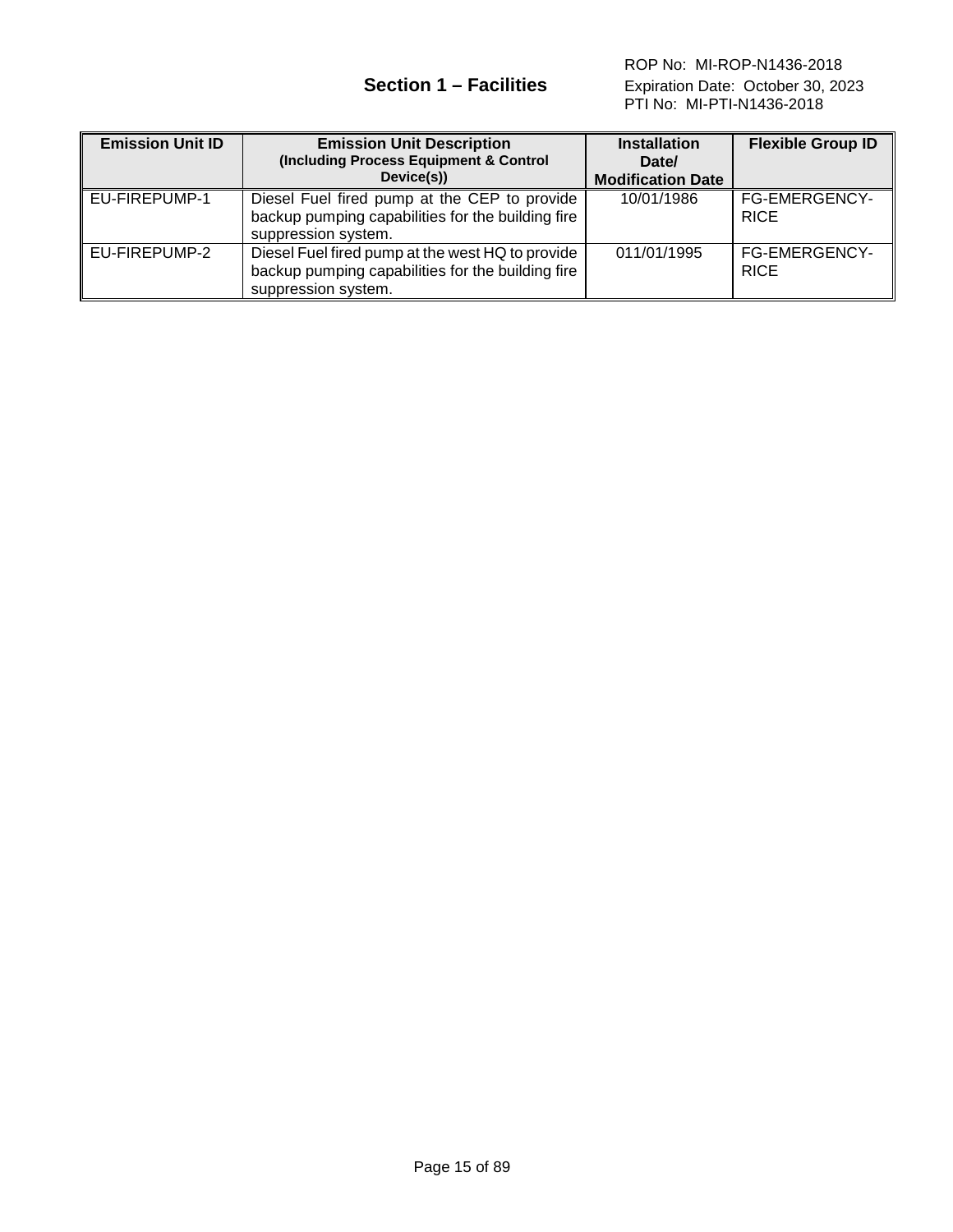| <b>Emission Unit ID</b> | <b>Emission Unit Description</b><br>(Including Process Equipment & Control<br>Device(s))                                     | <b>Installation</b><br>Date/<br><b>Modification Date</b> | <b>Flexible Group ID</b>            |
|-------------------------|------------------------------------------------------------------------------------------------------------------------------|----------------------------------------------------------|-------------------------------------|
| EU-FIREPUMP-1           | Diesel Fuel fired pump at the CEP to provide<br>backup pumping capabilities for the building fire<br>suppression system.     | 10/01/1986                                               | <b>FG-EMERGENCY-</b><br><b>RICE</b> |
| EU-FIREPUMP-2           | Diesel Fuel fired pump at the west HQ to provide<br>backup pumping capabilities for the building fire<br>suppression system. | 011/01/1995                                              | <b>FG-EMERGENCY-</b><br><b>RICE</b> |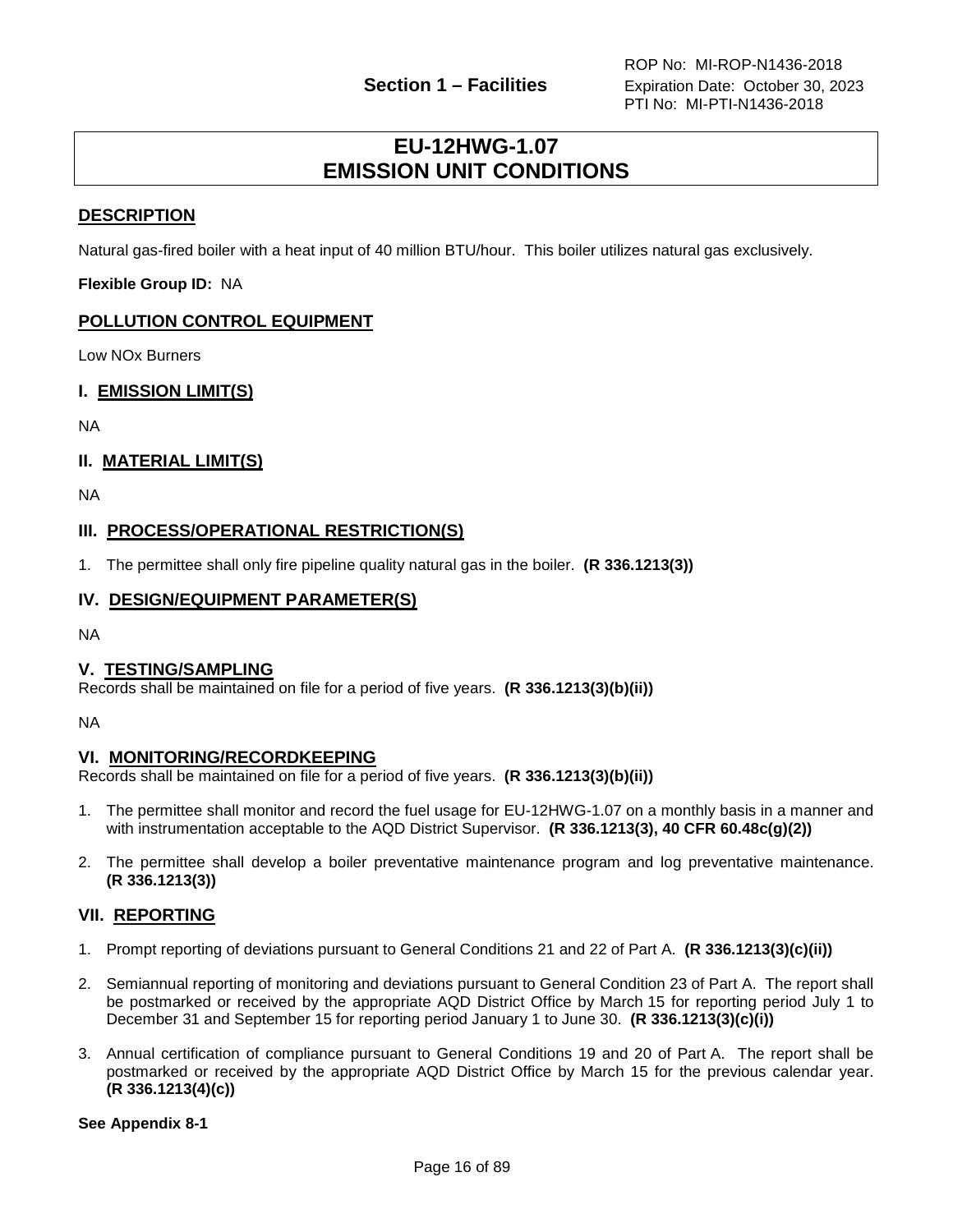## **EU-12HWG-1.07 EMISSION UNIT CONDITIONS**

#### <span id="page-15-0"></span>**DESCRIPTION**

Natural gas-fired boiler with a heat input of 40 million BTU/hour. This boiler utilizes natural gas exclusively.

**Flexible Group ID:** NA

#### **POLLUTION CONTROL EQUIPMENT**

Low NOx Burners

#### **I. EMISSION LIMIT(S)**

NA

#### **II. MATERIAL LIMIT(S)**

NA

#### **III. PROCESS/OPERATIONAL RESTRICTION(S)**

1. The permittee shall only fire pipeline quality natural gas in the boiler. **(R 336.1213(3))**

#### **IV. DESIGN/EQUIPMENT PARAMETER(S)**

NA

#### **V. TESTING/SAMPLING**

Records shall be maintained on file for a period of five years. **(R 336.1213(3)(b)(ii))**

NA

#### **VI. MONITORING/RECORDKEEPING**

Records shall be maintained on file for a period of five years. **(R 336.1213(3)(b)(ii))**

- 1. The permittee shall monitor and record the fuel usage for EU-12HWG-1.07 on a monthly basis in a manner and with instrumentation acceptable to the AQD District Supervisor. **(R 336.1213(3), 40 CFR 60.48c(g)(2))**
- 2. The permittee shall develop a boiler preventative maintenance program and log preventative maintenance. **(R 336.1213(3))**

#### **VII. REPORTING**

- 1. Prompt reporting of deviations pursuant to General Conditions 21 and 22 of Part A. **(R 336.1213(3)(c)(ii))**
- 2. Semiannual reporting of monitoring and deviations pursuant to General Condition 23 of Part A. The report shall be postmarked or received by the appropriate AQD District Office by March 15 for reporting period July 1 to December 31 and September 15 for reporting period January 1 to June 30. **(R 336.1213(3)(c)(i))**
- 3. Annual certification of compliance pursuant to General Conditions 19 and 20 of Part A. The report shall be postmarked or received by the appropriate AQD District Office by March 15 for the previous calendar year. **(R 336.1213(4)(c))**

**See Appendix 8-1**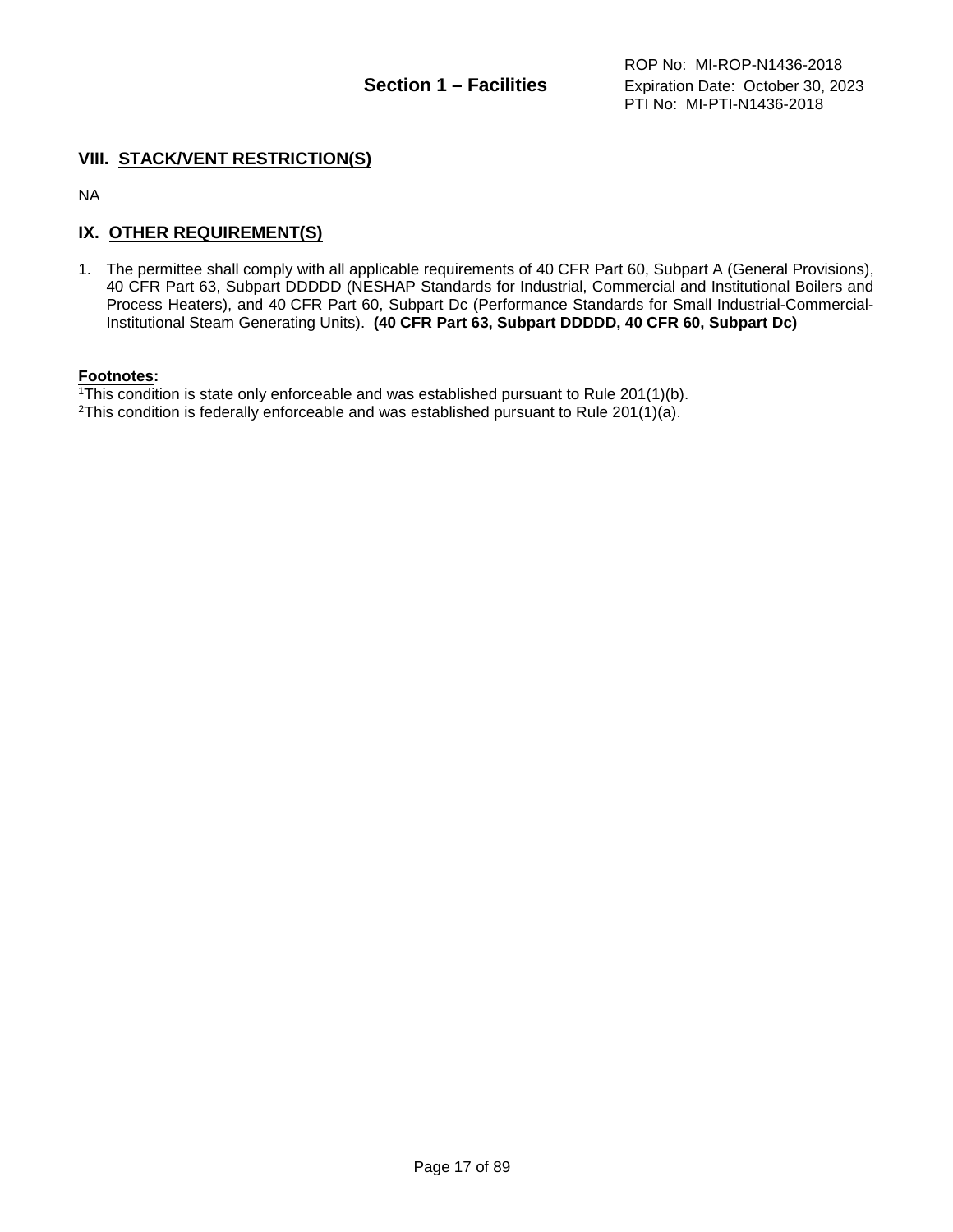#### **VIII. STACK/VENT RESTRICTION(S)**

NA

#### **IX. OTHER REQUIREMENT(S)**

1. The permittee shall comply with all applicable requirements of 40 CFR Part 60, Subpart A (General Provisions), 40 CFR Part 63, Subpart DDDDD (NESHAP Standards for Industrial, Commercial and Institutional Boilers and Process Heaters), and 40 CFR Part 60, Subpart Dc (Performance Standards for Small Industrial-Commercial-Institutional Steam Generating Units). **(40 CFR Part 63, Subpart DDDDD, 40 CFR 60, Subpart Dc)**

#### **Footnotes:**

1This condition is state only enforceable and was established pursuant to Rule 201(1)(b).

<sup>2</sup>This condition is federally enforceable and was established pursuant to Rule  $201(1)(a)$ .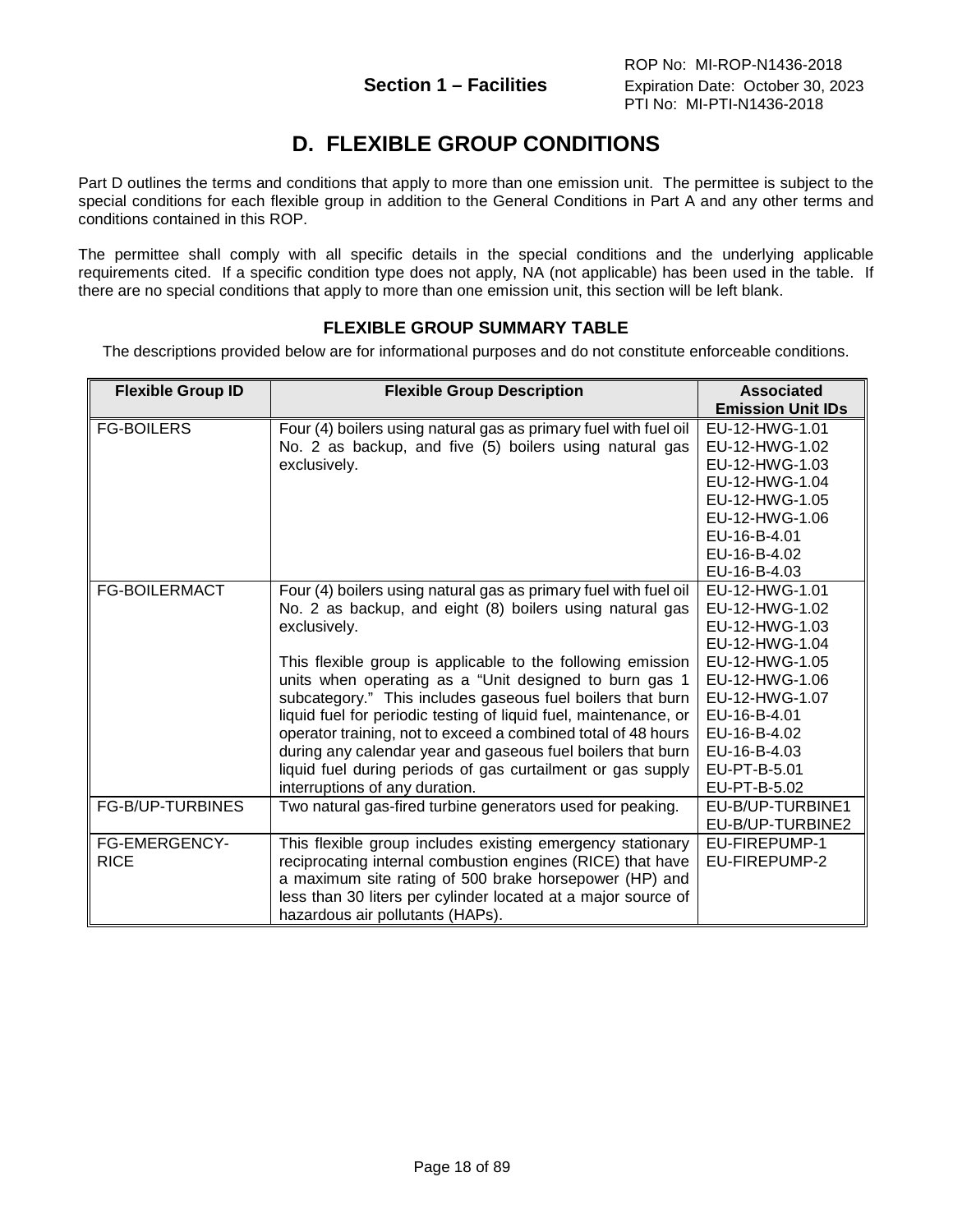# **D. FLEXIBLE GROUP CONDITIONS**

<span id="page-17-0"></span>Part D outlines the terms and conditions that apply to more than one emission unit. The permittee is subject to the special conditions for each flexible group in addition to the General Conditions in Part A and any other terms and conditions contained in this ROP.

<span id="page-17-1"></span>The permittee shall comply with all specific details in the special conditions and the underlying applicable requirements cited. If a specific condition type does not apply, NA (not applicable) has been used in the table. If there are no special conditions that apply to more than one emission unit, this section will be left blank.

#### **FLEXIBLE GROUP SUMMARY TABLE**

The descriptions provided below are for informational purposes and do not constitute enforceable conditions.

| <b>Flexible Group ID</b> | <b>Flexible Group Description</b>                                | <b>Associated</b>        |
|--------------------------|------------------------------------------------------------------|--------------------------|
|                          |                                                                  | <b>Emission Unit IDs</b> |
| <b>FG-BOILERS</b>        | Four (4) boilers using natural gas as primary fuel with fuel oil | EU-12-HWG-1.01           |
|                          | No. 2 as backup, and five (5) boilers using natural gas          | EU-12-HWG-1.02           |
|                          | exclusively.                                                     | EU-12-HWG-1.03           |
|                          |                                                                  | EU-12-HWG-1.04           |
|                          |                                                                  | EU-12-HWG-1.05           |
|                          |                                                                  | EU-12-HWG-1.06           |
|                          |                                                                  | EU-16-B-4.01             |
|                          |                                                                  | EU-16-B-4.02             |
|                          |                                                                  | EU-16-B-4.03             |
| <b>FG-BOILERMACT</b>     | Four (4) boilers using natural gas as primary fuel with fuel oil | EU-12-HWG-1.01           |
|                          | No. 2 as backup, and eight (8) boilers using natural gas         | EU-12-HWG-1.02           |
|                          | exclusively.                                                     | EU-12-HWG-1.03           |
|                          |                                                                  | EU-12-HWG-1.04           |
|                          | This flexible group is applicable to the following emission      | EU-12-HWG-1.05           |
|                          | units when operating as a "Unit designed to burn gas 1           | EU-12-HWG-1.06           |
|                          | subcategory." This includes gaseous fuel boilers that burn       | EU-12-HWG-1.07           |
|                          | liquid fuel for periodic testing of liquid fuel, maintenance, or | EU-16-B-4.01             |
|                          | operator training, not to exceed a combined total of 48 hours    | EU-16-B-4.02             |
|                          | during any calendar year and gaseous fuel boilers that burn      | EU-16-B-4.03             |
|                          | liquid fuel during periods of gas curtailment or gas supply      | EU-PT-B-5.01             |
|                          | interruptions of any duration.                                   | EU-PT-B-5.02             |
| FG-B/UP-TURBINES         | Two natural gas-fired turbine generators used for peaking.       | EU-B/UP-TURBINE1         |
|                          |                                                                  | EU-B/UP-TURBINE2         |
| <b>FG-EMERGENCY-</b>     | This flexible group includes existing emergency stationary       | EU-FIREPUMP-1            |
| <b>RICE</b>              | reciprocating internal combustion engines (RICE) that have       | EU-FIREPUMP-2            |
|                          | a maximum site rating of 500 brake horsepower (HP) and           |                          |
|                          | less than 30 liters per cylinder located at a major source of    |                          |
|                          | hazardous air pollutants (HAPs).                                 |                          |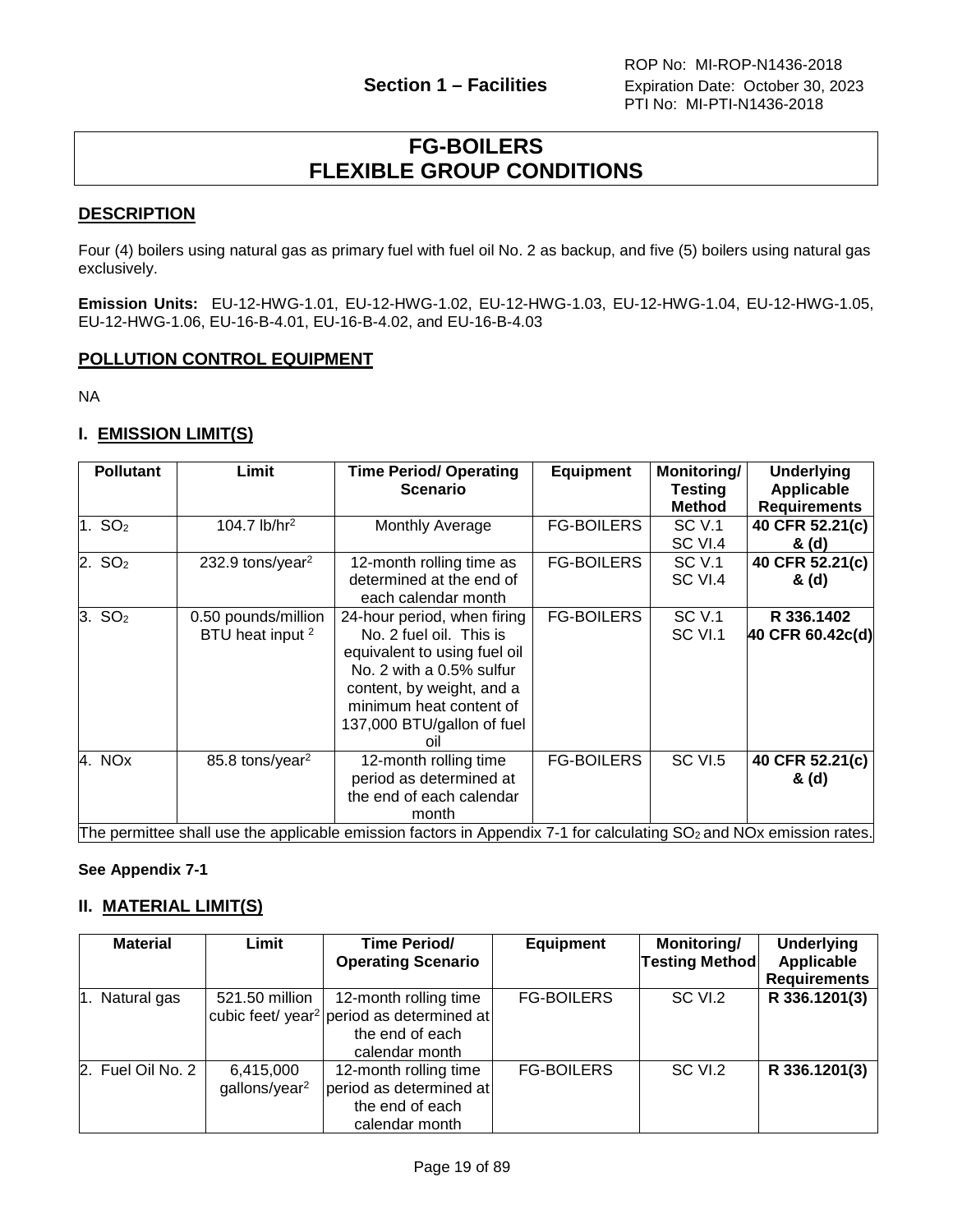## **FG-BOILERS FLEXIBLE GROUP CONDITIONS**

### <span id="page-18-0"></span>**DESCRIPTION**

Four (4) boilers using natural gas as primary fuel with fuel oil No. 2 as backup, and five (5) boilers using natural gas exclusively.

**Emission Units:** EU-12-HWG-1.01, EU-12-HWG-1.02, EU-12-HWG-1.03, EU-12-HWG-1.04, EU-12-HWG-1.05, EU-12-HWG-1.06, EU-16-B-4.01, EU-16-B-4.02, and EU-16-B-4.03

### **POLLUTION CONTROL EQUIPMENT**

NA

### **I. EMISSION LIMIT(S)**

|                    | <b>Pollutant</b> | Limit                                              | <b>Time Period/ Operating</b><br><b>Scenario</b>                                                                                                                                                                                    | <b>Equipment</b>  | Monitoring/<br><b>Testing</b><br><b>Method</b> | <b>Underlying</b><br>Applicable<br><b>Requirements</b> |
|--------------------|------------------|----------------------------------------------------|-------------------------------------------------------------------------------------------------------------------------------------------------------------------------------------------------------------------------------------|-------------------|------------------------------------------------|--------------------------------------------------------|
| 1. $SO2$           |                  | 104.7 $lb/hr2$                                     | Monthly Average                                                                                                                                                                                                                     | <b>FG-BOILERS</b> | <b>SC V.1</b><br>SC VI.4                       | 40 CFR 52.21(c)<br>& (d)                               |
| 2. SO <sub>2</sub> |                  | 232.9 tons/year <sup>2</sup>                       | 12-month rolling time as<br>determined at the end of<br>each calendar month                                                                                                                                                         | <b>FG-BOILERS</b> | <b>SC V.1</b><br>SC VI.4                       | 40 CFR 52.21(c)<br>& (d)                               |
| 3. SO <sub>2</sub> |                  | 0.50 pounds/million<br>BTU heat input <sup>2</sup> | 24-hour period, when firing<br>No. 2 fuel oil. This is<br>equivalent to using fuel oil<br>No. 2 with a 0.5% sulfur<br>content, by weight, and a<br>minimum heat content of<br>137,000 BTU/gallon of fuel<br>oil                     | <b>FG-BOILERS</b> | <b>SC V.1</b><br>SC VI.1                       | R 336.1402<br>40 CFR 60.42c(d)                         |
| 4. NOx             |                  | 85.8 tons/year <sup>2</sup>                        | 12-month rolling time<br>period as determined at<br>the end of each calendar<br>month<br>The permittee shall use the applicable emission factors in Appendix 7-1 for calculating SO <sub>2</sub> and NO <sub>3</sub> emission rates | <b>FG-BOILERS</b> | <b>SC VI.5</b>                                 | 40 CFR 52.21(c)<br>& (d)                               |

The permittee shall use the applicable emission factors in Appendix 7-1 for calculating SO<sub>2</sub> and NOx emission rates.

#### **See Appendix 7-1**

### **II. MATERIAL LIMIT(S)**

| <b>Material</b>   | Limit                                  | <b>Time Period/</b><br><b>Operating Scenario</b>                                                                    | <b>Equipment</b>  | Monitoring/<br><b>Testing Method</b> | <b>Underlying</b><br>Applicable<br><b>Requirements</b> |
|-------------------|----------------------------------------|---------------------------------------------------------------------------------------------------------------------|-------------------|--------------------------------------|--------------------------------------------------------|
| 1. Natural gas    | 521.50 million                         | 12-month rolling time<br>cubic feet/ year <sup>2</sup> period as determined at<br>the end of each<br>calendar month | <b>FG-BOILERS</b> | SC VI.2                              | R 336.1201(3)                                          |
| 2. Fuel Oil No. 2 | 6,415,000<br>gallons/year <sup>2</sup> | 12-month rolling time<br>period as determined at<br>the end of each<br>calendar month                               | <b>FG-BOILERS</b> | SC VI.2                              | R 336.1201(3)                                          |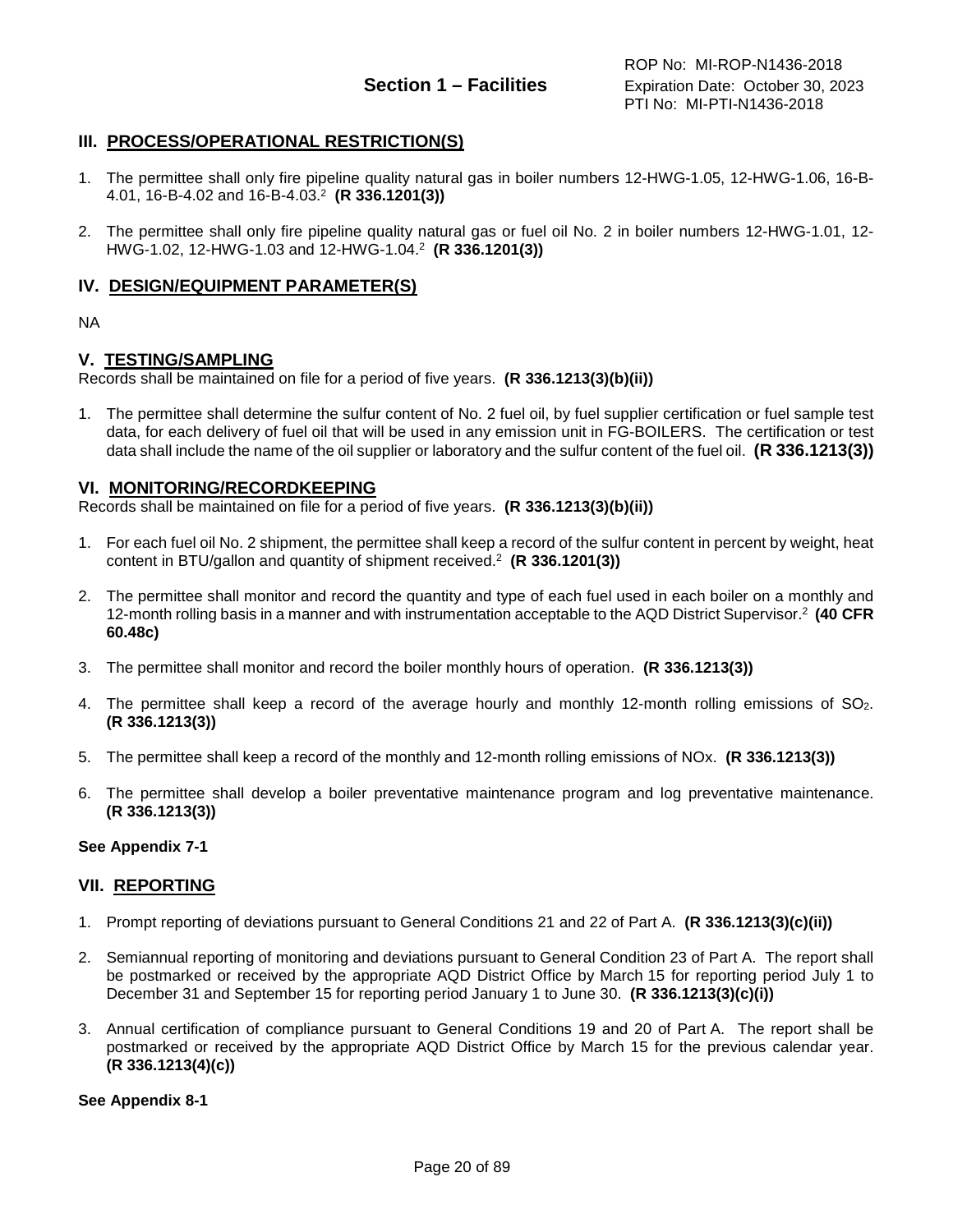#### **III. PROCESS/OPERATIONAL RESTRICTION(S)**

- 1. The permittee shall only fire pipeline quality natural gas in boiler numbers 12-HWG-1.05, 12-HWG-1.06, 16-B-4.01, 16-B-4.02 and 16-B-4.03.2 **(R 336.1201(3))**
- 2. The permittee shall only fire pipeline quality natural gas or fuel oil No. 2 in boiler numbers 12-HWG-1.01, 12- HWG-1.02, 12-HWG-1.03 and 12-HWG-1.04.2 **(R 336.1201(3))**

#### **IV. DESIGN/EQUIPMENT PARAMETER(S)**

NA

#### **V. TESTING/SAMPLING**

Records shall be maintained on file for a period of five years. **(R 336.1213(3)(b)(ii))**

1. The permittee shall determine the sulfur content of No. 2 fuel oil, by fuel supplier certification or fuel sample test data, for each delivery of fuel oil that will be used in any emission unit in FG-BOILERS. The certification or test data shall include the name of the oil supplier or laboratory and the sulfur content of the fuel oil. **(R 336.1213(3))**

#### **VI. MONITORING/RECORDKEEPING**

Records shall be maintained on file for a period of five years. **(R 336.1213(3)(b)(ii))**

- 1. For each fuel oil No. 2 shipment, the permittee shall keep a record of the sulfur content in percent by weight, heat content in BTU/gallon and quantity of shipment received.2 **(R 336.1201(3))**
- 2. The permittee shall monitor and record the quantity and type of each fuel used in each boiler on a monthly and 12-month rolling basis in a manner and with instrumentation acceptable to the AQD District Supervisor.2 **(40 CFR 60.48c)**
- 3. The permittee shall monitor and record the boiler monthly hours of operation. **(R 336.1213(3))**
- 4. The permittee shall keep a record of the average hourly and monthly 12-month rolling emissions of SO2. **(R 336.1213(3))**
- 5. The permittee shall keep a record of the monthly and 12-month rolling emissions of NOx. **(R 336.1213(3))**
- 6. The permittee shall develop a boiler preventative maintenance program and log preventative maintenance. **(R 336.1213(3))**

#### **See Appendix 7-1**

#### **VII. REPORTING**

- 1. Prompt reporting of deviations pursuant to General Conditions 21 and 22 of Part A. **(R 336.1213(3)(c)(ii))**
- 2. Semiannual reporting of monitoring and deviations pursuant to General Condition 23 of Part A. The report shall be postmarked or received by the appropriate AQD District Office by March 15 for reporting period July 1 to December 31 and September 15 for reporting period January 1 to June 30. **(R 336.1213(3)(c)(i))**
- 3. Annual certification of compliance pursuant to General Conditions 19 and 20 of Part A. The report shall be postmarked or received by the appropriate AQD District Office by March 15 for the previous calendar year. **(R 336.1213(4)(c))**

**See Appendix 8-1**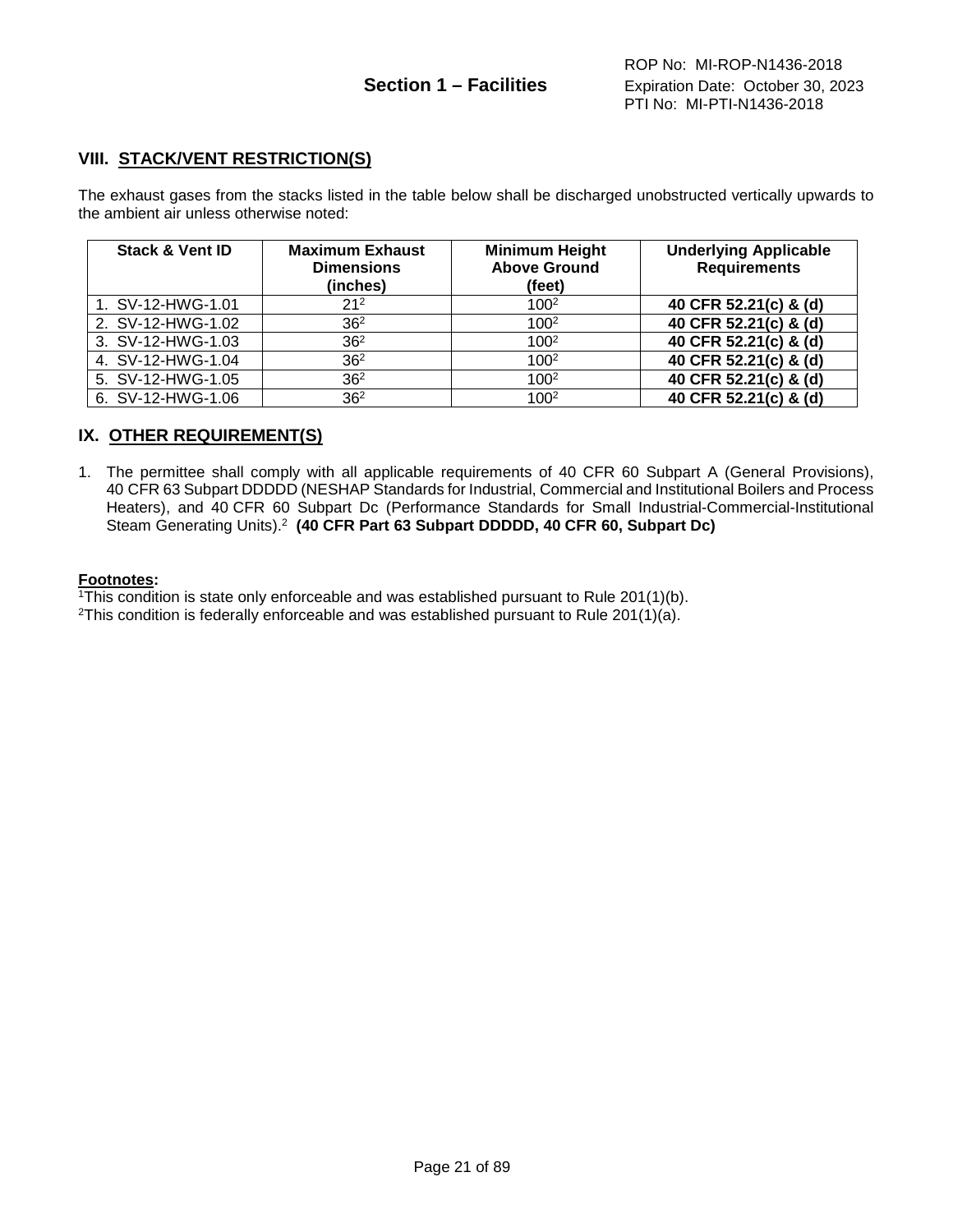#### **VIII. STACK/VENT RESTRICTION(S)**

The exhaust gases from the stacks listed in the table below shall be discharged unobstructed vertically upwards to the ambient air unless otherwise noted:

| <b>Stack &amp; Vent ID</b> | <b>Maximum Exhaust</b><br><b>Dimensions</b><br>(inches) | <b>Minimum Height</b><br><b>Above Ground</b><br>(feet) | <b>Underlying Applicable</b><br><b>Requirements</b> |
|----------------------------|---------------------------------------------------------|--------------------------------------------------------|-----------------------------------------------------|
| 1. SV-12-HWG-1.01          | 21 <sup>2</sup>                                         | 100 <sup>2</sup>                                       | 40 CFR 52.21(c) & (d)                               |
| 2. SV-12-HWG-1.02          | 36 <sup>2</sup>                                         | 100 <sup>2</sup>                                       | 40 CFR 52.21(c) & (d)                               |
| 3. SV-12-HWG-1.03          | 36 <sup>2</sup>                                         | 100 <sup>2</sup>                                       | 40 CFR 52.21(c) & (d)                               |
| 4. SV-12-HWG-1.04          | 36 <sup>2</sup>                                         | 100 <sup>2</sup>                                       | 40 CFR 52.21(c) & (d)                               |
| 5. SV-12-HWG-1.05          | 36 <sup>2</sup>                                         | 100 <sup>2</sup>                                       | 40 CFR 52.21(c) & (d)                               |
| 6. SV-12-HWG-1.06          | 36 <sup>2</sup>                                         | 100 <sup>2</sup>                                       | 40 CFR 52.21(c) & (d)                               |

#### **IX. OTHER REQUIREMENT(S)**

1. The permittee shall comply with all applicable requirements of 40 CFR 60 Subpart A (General Provisions), 40 CFR 63 Subpart DDDDD (NESHAP Standards for Industrial, Commercial and Institutional Boilers and Process Heaters), and 40 CFR 60 Subpart Dc (Performance Standards for Small Industrial-Commercial-Institutional Steam Generating Units).2 **(40 CFR Part 63 Subpart DDDDD, 40 CFR 60, Subpart Dc)**

#### **Footnotes:**

1This condition is state only enforceable and was established pursuant to Rule 201(1)(b). <sup>2</sup>This condition is federally enforceable and was established pursuant to Rule 201(1)(a).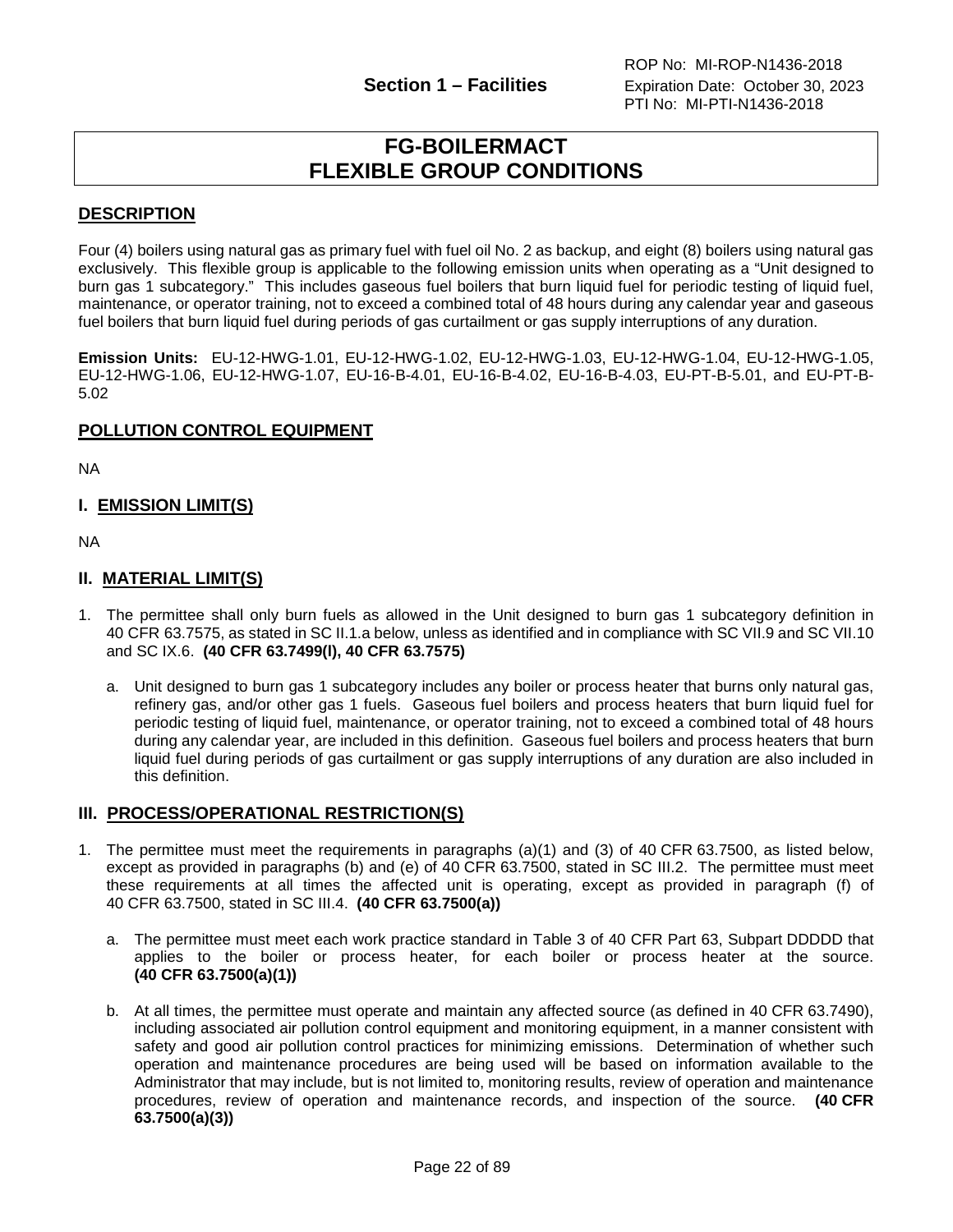## **FG-BOILERMACT FLEXIBLE GROUP CONDITIONS**

#### <span id="page-21-0"></span>**DESCRIPTION**

Four (4) boilers using natural gas as primary fuel with fuel oil No. 2 as backup, and eight (8) boilers using natural gas exclusively. This flexible group is applicable to the following emission units when operating as a "Unit designed to burn gas 1 subcategory." This includes gaseous fuel boilers that burn liquid fuel for periodic testing of liquid fuel, maintenance, or operator training, not to exceed a combined total of 48 hours during any calendar year and gaseous fuel boilers that burn liquid fuel during periods of gas curtailment or gas supply interruptions of any duration.

**Emission Units:** EU-12-HWG-1.01, EU-12-HWG-1.02, EU-12-HWG-1.03, EU-12-HWG-1.04, EU-12-HWG-1.05, EU-12-HWG-1.06, EU-12-HWG-1.07, EU-16-B-4.01, EU-16-B-4.02, EU-16-B-4.03, EU-PT-B-5.01, and EU-PT-B-5.02

#### **POLLUTION CONTROL EQUIPMENT**

NA

#### **I. EMISSION LIMIT(S)**

NA

#### **II. MATERIAL LIMIT(S)**

- 1. The permittee shall only burn fuels as allowed in the Unit designed to burn gas 1 subcategory definition in 40 CFR 63.7575, as stated in SC II.1.a below, unless as identified and in compliance with SC VII.9 and SC VII.10 and SC IX.6. **(40 CFR 63.7499(l), 40 CFR 63.7575)**
	- a. Unit designed to burn gas 1 subcategory includes any boiler or process heater that burns only natural gas, refinery gas, and/or other gas 1 fuels. Gaseous fuel boilers and process heaters that burn liquid fuel for periodic testing of liquid fuel, maintenance, or operator training, not to exceed a combined total of 48 hours during any calendar year, are included in this definition. Gaseous fuel boilers and process heaters that burn liquid fuel during periods of gas curtailment or gas supply interruptions of any duration are also included in this definition.

#### **III. PROCESS/OPERATIONAL RESTRICTION(S)**

- 1. The permittee must meet the requirements in paragraphs (a)(1) and (3) of 40 CFR 63.7500, as listed below, except as provided in paragraphs (b) and (e) of 40 CFR 63.7500, stated in SC III.2. The permittee must meet these requirements at all times the affected unit is operating, except as provided in paragraph (f) of 40 CFR 63.7500, stated in SC III.4. **(40 CFR 63.7500(a))**
	- a. The permittee must meet each work practice standard in Table 3 of 40 CFR Part 63, Subpart DDDDD that applies to the boiler or process heater, for each boiler or process heater at the source. **(40 CFR 63.7500(a)(1))**
	- b. At all times, the permittee must operate and maintain any affected source (as defined in 40 CFR 63.7490), including associated air pollution control equipment and monitoring equipment, in a manner consistent with safety and good air pollution control practices for minimizing emissions. Determination of whether such operation and maintenance procedures are being used will be based on information available to the Administrator that may include, but is not limited to, monitoring results, review of operation and maintenance procedures, review of operation and maintenance records, and inspection of the source. **(40 CFR 63.7500(a)(3))**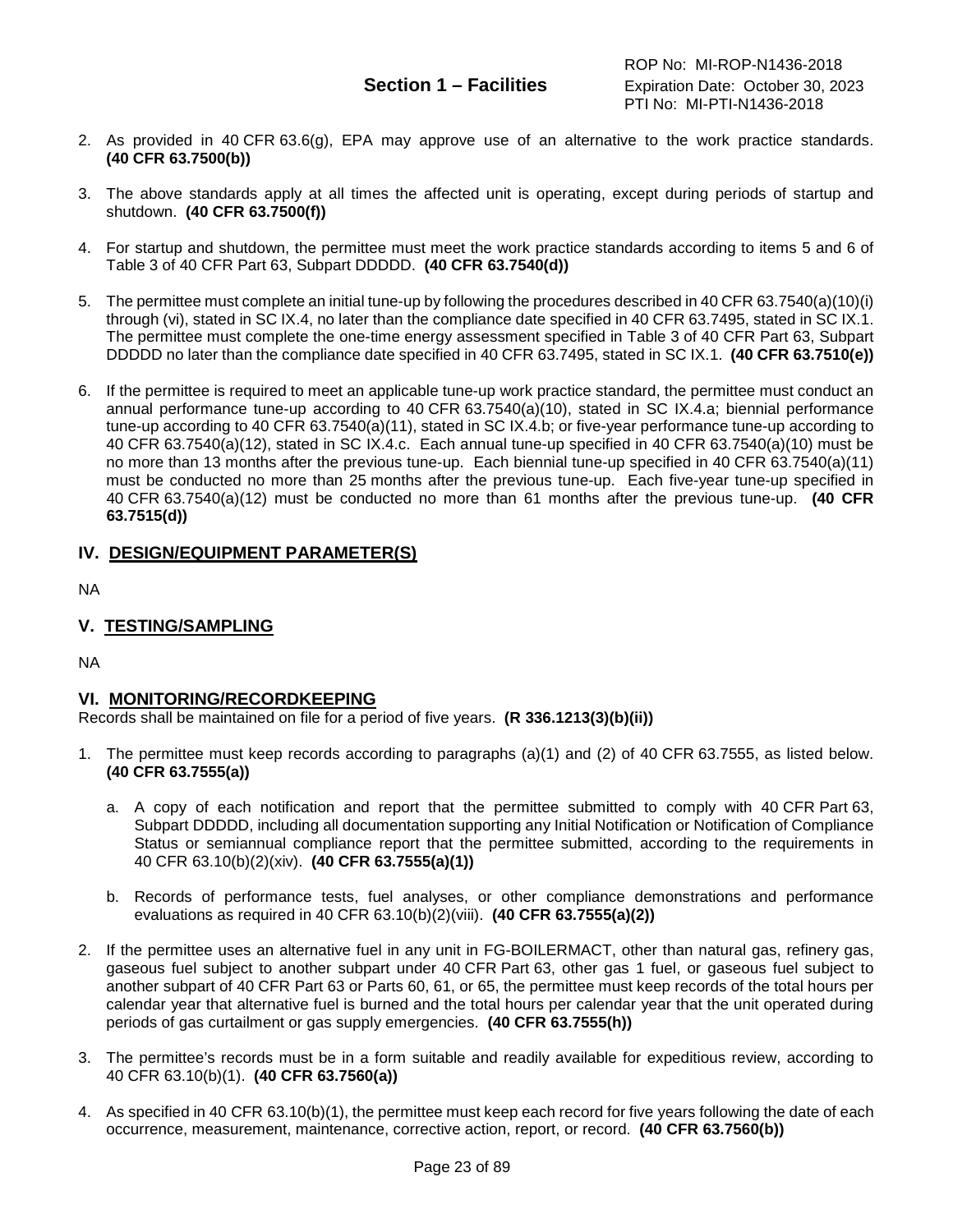- 2. As provided in 40 CFR 63.6(g), EPA may approve use of an alternative to the work practice standards. **(40 CFR 63.7500(b))**
- 3. The above standards apply at all times the affected unit is operating, except during periods of startup and shutdown. **(40 CFR 63.7500(f))**
- 4. For startup and shutdown, the permittee must meet the work practice standards according to items 5 and 6 of Table 3 of 40 CFR Part 63, Subpart DDDDD. **(40 CFR 63.7540(d))**
- 5. The permittee must complete an initial tune-up by following the procedures described in 40 CFR 63.7540(a)(10)(i) through (vi), stated in SC IX.4, no later than the compliance date specified in 40 CFR 63.7495, stated in SC IX.1. The permittee must complete the one-time energy assessment specified in Table 3 of 40 CFR Part 63, Subpart DDDDD no later than the compliance date specified in 40 CFR 63.7495, stated in SC IX.1. **(40 CFR 63.7510(e))**
- 6. If the permittee is required to meet an applicable tune-up work practice standard, the permittee must conduct an annual performance tune-up according to 40 CFR 63.7540(a)(10), stated in SC IX.4.a; biennial performance tune-up according to 40 CFR 63.7540(a)(11), stated in SC IX.4.b; or five-year performance tune-up according to 40 CFR 63.7540(a)(12), stated in SC IX.4.c. Each annual tune-up specified in 40 CFR 63.7540(a)(10) must be no more than 13 months after the previous tune-up. Each biennial tune-up specified in 40 CFR 63.7540(a)(11) must be conducted no more than 25 months after the previous tune-up. Each five-year tune-up specified in 40 CFR 63.7540(a)(12) must be conducted no more than 61 months after the previous tune-up. **(40 CFR 63.7515(d))**

#### **IV. DESIGN/EQUIPMENT PARAMETER(S)**

NA

#### **V. TESTING/SAMPLING**

NA

#### **VI. MONITORING/RECORDKEEPING**

Records shall be maintained on file for a period of five years. **(R 336.1213(3)(b)(ii))**

- 1. The permittee must keep records according to paragraphs (a)(1) and (2) of 40 CFR 63.7555, as listed below. **(40 CFR 63.7555(a))**
	- a. A copy of each notification and report that the permittee submitted to comply with 40 CFR Part 63, Subpart DDDDD, including all documentation supporting any Initial Notification or Notification of Compliance Status or semiannual compliance report that the permittee submitted, according to the requirements in 40 CFR 63.10(b)(2)(xiv). **(40 CFR 63.7555(a)(1))**
	- b. Records of performance tests, fuel analyses, or other compliance demonstrations and performance evaluations as required in 40 CFR 63.10(b)(2)(viii). **(40 CFR 63.7555(a)(2))**
- 2. If the permittee uses an alternative fuel in any unit in FG-BOILERMACT, other than natural gas, refinery gas, gaseous fuel subject to another subpart under 40 CFR Part 63, other gas 1 fuel, or gaseous fuel subject to another subpart of 40 CFR Part 63 or Parts 60, 61, or 65, the permittee must keep records of the total hours per calendar year that alternative fuel is burned and the total hours per calendar year that the unit operated during periods of gas curtailment or gas supply emergencies. **(40 CFR 63.7555(h))**
- 3. The permittee's records must be in a form suitable and readily available for expeditious review, according to 40 CFR 63.10(b)(1). **(40 CFR 63.7560(a))**
- 4. As specified in 40 CFR 63.10(b)(1), the permittee must keep each record for five years following the date of each occurrence, measurement, maintenance, corrective action, report, or record. **(40 CFR 63.7560(b))**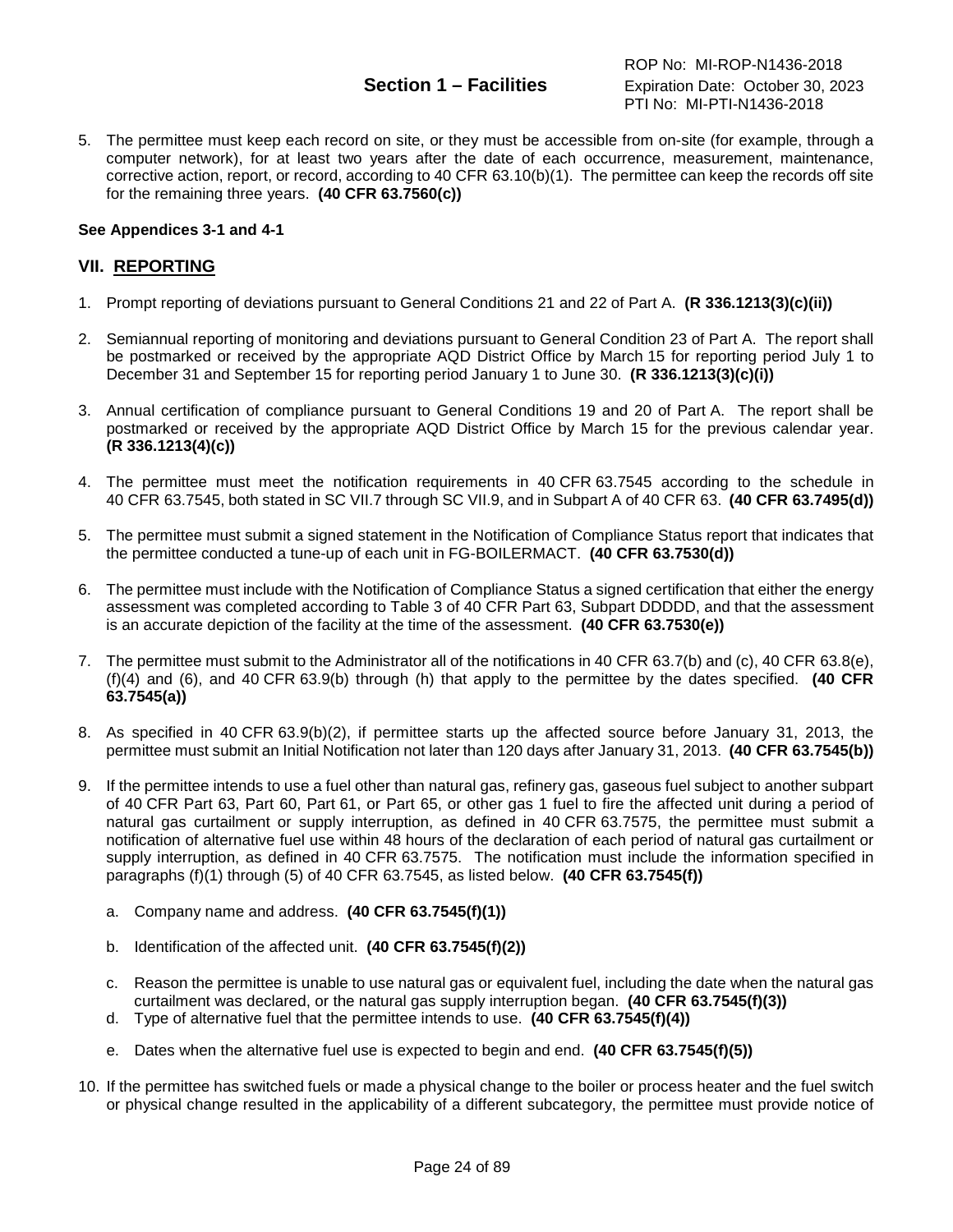5. The permittee must keep each record on site, or they must be accessible from on-site (for example, through a computer network), for at least two years after the date of each occurrence, measurement, maintenance, corrective action, report, or record, according to 40 CFR 63.10(b)(1). The permittee can keep the records off site for the remaining three years. **(40 CFR 63.7560(c))**

#### **See Appendices 3-1 and 4-1**

#### **VII. REPORTING**

- 1. Prompt reporting of deviations pursuant to General Conditions 21 and 22 of Part A. **(R 336.1213(3)(c)(ii))**
- 2. Semiannual reporting of monitoring and deviations pursuant to General Condition 23 of Part A. The report shall be postmarked or received by the appropriate AQD District Office by March 15 for reporting period July 1 to December 31 and September 15 for reporting period January 1 to June 30. **(R 336.1213(3)(c)(i))**
- 3. Annual certification of compliance pursuant to General Conditions 19 and 20 of Part A. The report shall be postmarked or received by the appropriate AQD District Office by March 15 for the previous calendar year. **(R 336.1213(4)(c))**
- 4. The permittee must meet the notification requirements in 40 CFR 63.7545 according to the schedule in 40 CFR 63.7545, both stated in SC VII.7 through SC VII.9, and in Subpart A of 40 CFR 63. **(40 CFR 63.7495(d))**
- 5. The permittee must submit a signed statement in the Notification of Compliance Status report that indicates that the permittee conducted a tune-up of each unit in FG-BOILERMACT. **(40 CFR 63.7530(d))**
- 6. The permittee must include with the Notification of Compliance Status a signed certification that either the energy assessment was completed according to Table 3 of 40 CFR Part 63, Subpart DDDDD, and that the assessment is an accurate depiction of the facility at the time of the assessment. **(40 CFR 63.7530(e))**
- 7. The permittee must submit to the Administrator all of the notifications in 40 CFR 63.7(b) and (c), 40 CFR 63.8(e), (f)(4) and (6), and 40 CFR 63.9(b) through (h) that apply to the permittee by the dates specified. **(40 CFR 63.7545(a))**
- 8. As specified in 40 CFR 63.9(b)(2), if permittee starts up the affected source before January 31, 2013, the permittee must submit an Initial Notification not later than 120 days after January 31, 2013. **(40 CFR 63.7545(b))**
- 9. If the permittee intends to use a fuel other than natural gas, refinery gas, gaseous fuel subject to another subpart of 40 CFR Part 63, Part 60, Part 61, or Part 65, or other gas 1 fuel to fire the affected unit during a period of natural gas curtailment or supply interruption, as defined in 40 CFR 63.7575, the permittee must submit a notification of alternative fuel use within 48 hours of the declaration of each period of natural gas curtailment or supply interruption, as defined in 40 CFR 63.7575. The notification must include the information specified in paragraphs (f)(1) through (5) of 40 CFR 63.7545, as listed below. **(40 CFR 63.7545(f))**
	- a. Company name and address. **(40 CFR 63.7545(f)(1))**
	- b. Identification of the affected unit. **(40 CFR 63.7545(f)(2))**
	- c. Reason the permittee is unable to use natural gas or equivalent fuel, including the date when the natural gas curtailment was declared, or the natural gas supply interruption began. **(40 CFR 63.7545(f)(3))**
	- d. Type of alternative fuel that the permittee intends to use. **(40 CFR 63.7545(f)(4))**
	- e. Dates when the alternative fuel use is expected to begin and end. **(40 CFR 63.7545(f)(5))**
- 10. If the permittee has switched fuels or made a physical change to the boiler or process heater and the fuel switch or physical change resulted in the applicability of a different subcategory, the permittee must provide notice of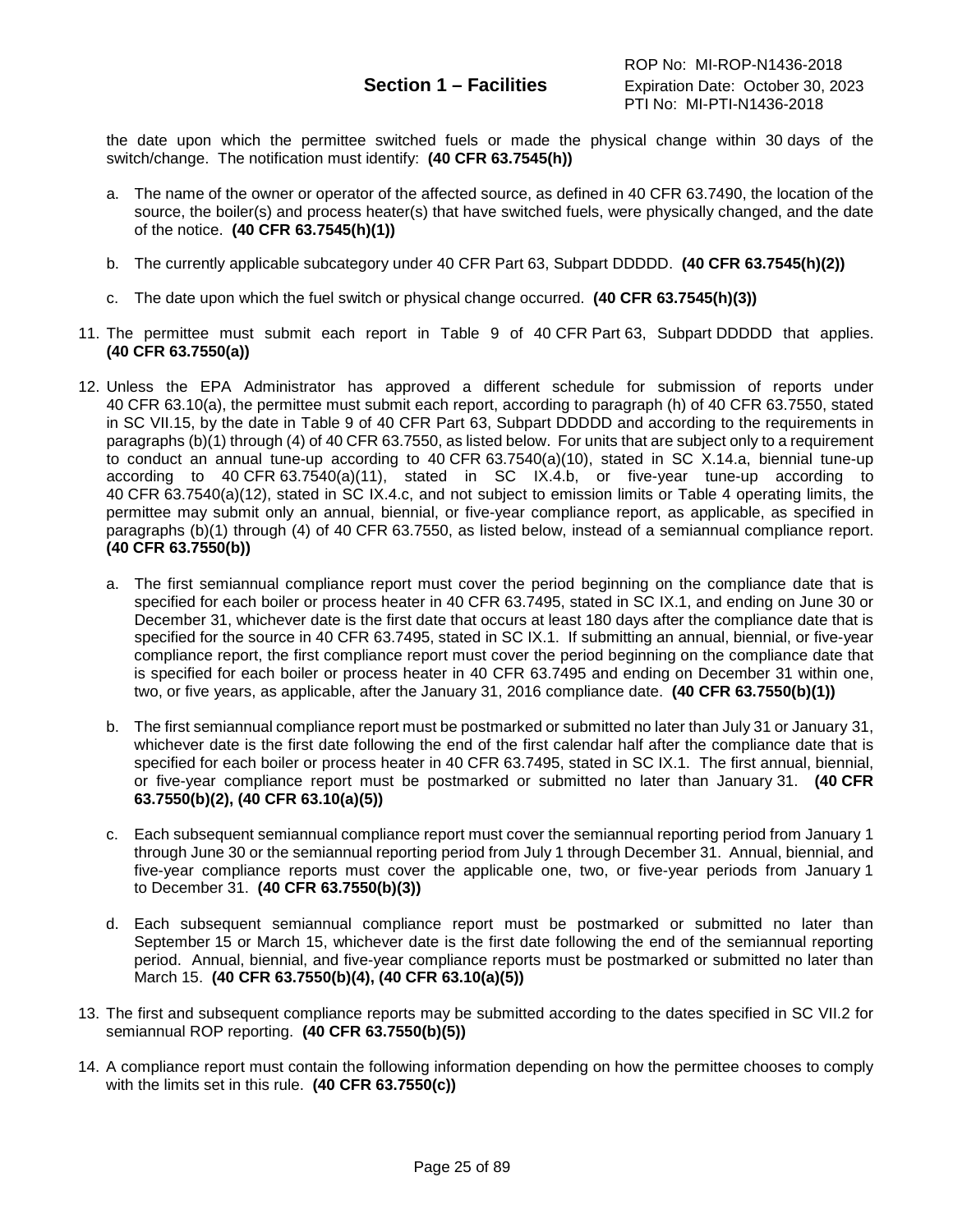the date upon which the permittee switched fuels or made the physical change within 30 days of the switch/change. The notification must identify: **(40 CFR 63.7545(h))**

- a. The name of the owner or operator of the affected source, as defined in 40 CFR 63.7490, the location of the source, the boiler(s) and process heater(s) that have switched fuels, were physically changed, and the date of the notice. **(40 CFR 63.7545(h)(1))**
- b. The currently applicable subcategory under 40 CFR Part 63, Subpart DDDDD. **(40 CFR 63.7545(h)(2))**
- c. The date upon which the fuel switch or physical change occurred. **(40 CFR 63.7545(h)(3))**
- 11. The permittee must submit each report in Table 9 of 40 CFR Part 63, Subpart DDDDD that applies. **(40 CFR 63.7550(a))**
- 12. Unless the EPA Administrator has approved a different schedule for submission of reports under 40 CFR 63.10(a), the permittee must submit each report, according to paragraph (h) of 40 CFR 63.7550, stated in SC VII.15, by the date in Table 9 of 40 CFR Part 63, Subpart DDDDD and according to the requirements in paragraphs (b)(1) through (4) of 40 CFR 63.7550, as listed below. For units that are subject only to a requirement to conduct an annual tune-up according to 40 CFR 63.7540(a)(10), stated in SC X.14.a, biennial tune-up according to 40 CFR 63.7540(a)(11), stated in SC IX.4.b, or five-year tune-up according to 40 CFR 63.7540(a)(12), stated in SC IX.4.c, and not subject to emission limits or Table 4 operating limits, the permittee may submit only an annual, biennial, or five-year compliance report, as applicable, as specified in paragraphs (b)(1) through (4) of 40 CFR 63.7550, as listed below, instead of a semiannual compliance report. **(40 CFR 63.7550(b))**
	- a. The first semiannual compliance report must cover the period beginning on the compliance date that is specified for each boiler or process heater in 40 CFR 63.7495, stated in SC IX.1, and ending on June 30 or December 31, whichever date is the first date that occurs at least 180 days after the compliance date that is specified for the source in 40 CFR 63.7495, stated in SC IX.1. If submitting an annual, biennial, or five-year compliance report, the first compliance report must cover the period beginning on the compliance date that is specified for each boiler or process heater in 40 CFR 63.7495 and ending on December 31 within one, two, or five years, as applicable, after the January 31, 2016 compliance date. **(40 CFR 63.7550(b)(1))**
	- b. The first semiannual compliance report must be postmarked or submitted no later than July 31 or January 31, whichever date is the first date following the end of the first calendar half after the compliance date that is specified for each boiler or process heater in 40 CFR 63.7495, stated in SC IX.1. The first annual, biennial, or five-year compliance report must be postmarked or submitted no later than January 31. **(40 CFR 63.7550(b)(2), (40 CFR 63.10(a)(5))**
	- c. Each subsequent semiannual compliance report must cover the semiannual reporting period from January 1 through June 30 or the semiannual reporting period from July 1 through December 31. Annual, biennial, and five-year compliance reports must cover the applicable one, two, or five-year periods from January 1 to December 31. **(40 CFR 63.7550(b)(3))**
	- d. Each subsequent semiannual compliance report must be postmarked or submitted no later than September 15 or March 15, whichever date is the first date following the end of the semiannual reporting period. Annual, biennial, and five-year compliance reports must be postmarked or submitted no later than March 15. **(40 CFR 63.7550(b)(4), (40 CFR 63.10(a)(5))**
- 13. The first and subsequent compliance reports may be submitted according to the dates specified in SC VII.2 for semiannual ROP reporting. **(40 CFR 63.7550(b)(5))**
- 14. A compliance report must contain the following information depending on how the permittee chooses to comply with the limits set in this rule. **(40 CFR 63.7550(c))**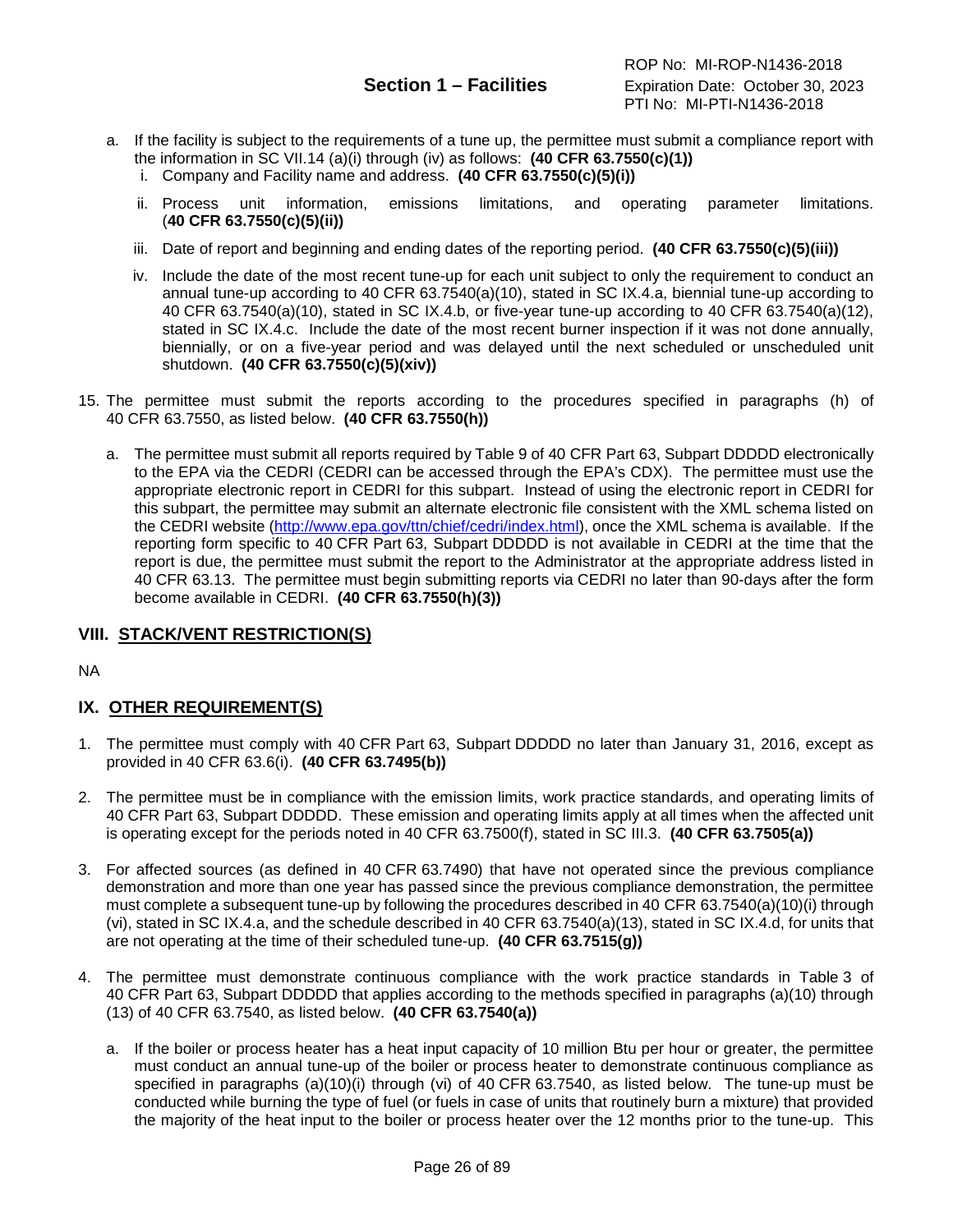ROP No: MI-ROP-N1436-2018 **Section 1 – Facilities** Expiration Date: October 30, 2023 PTI No: MI-PTI-N1436-2018

- a. If the facility is subject to the requirements of a tune up, the permittee must submit a compliance report with the information in SC VII.14 (a)(i) through (iv) as follows: **(40 CFR 63.7550(c)(1))**
	- i. Company and Facility name and address. **(40 CFR 63.7550(c)(5)(i))**
	- ii. Process unit information, emissions limitations, and operating parameter limitations. (**40 CFR 63.7550(c)(5)(ii))**
	- iii. Date of report and beginning and ending dates of the reporting period. **(40 CFR 63.7550(c)(5)(iii))**
	- iv. Include the date of the most recent tune-up for each unit subject to only the requirement to conduct an annual tune-up according to 40 CFR 63.7540(a)(10), stated in SC IX.4.a, biennial tune-up according to 40 CFR 63.7540(a)(10), stated in SC IX.4.b, or five-year tune-up according to 40 CFR 63.7540(a)(12), stated in SC IX.4.c. Include the date of the most recent burner inspection if it was not done annually, biennially, or on a five-year period and was delayed until the next scheduled or unscheduled unit shutdown. **(40 CFR 63.7550(c)(5)(xiv))**
- 15. The permittee must submit the reports according to the procedures specified in paragraphs (h) of 40 CFR 63.7550, as listed below. **(40 CFR 63.7550(h))**
	- a. The permittee must submit all reports required by Table 9 of 40 CFR Part 63, Subpart DDDDD electronically to the EPA via the CEDRI (CEDRI can be accessed through the EPA's CDX). The permittee must use the appropriate electronic report in CEDRI for this subpart. Instead of using the electronic report in CEDRI for this subpart, the permittee may submit an alternate electronic file consistent with the XML schema listed on the CEDRI website [\(http://www.epa.gov/ttn/chief/cedri/index.html\)](http://www.epa.gov/ttn/chief/cedri/index.html), once the XML schema is available. If the reporting form specific to 40 CFR Part 63, Subpart DDDDD is not available in CEDRI at the time that the report is due, the permittee must submit the report to the Administrator at the appropriate address listed in 40 CFR 63.13. The permittee must begin submitting reports via CEDRI no later than 90-days after the form become available in CEDRI. **(40 CFR 63.7550(h)(3))**

### **VIII. STACK/VENT RESTRICTION(S)**

NA

### **IX. OTHER REQUIREMENT(S)**

- 1. The permittee must comply with 40 CFR Part 63, Subpart DDDDD no later than January 31, 2016, except as provided in 40 CFR 63.6(i). **(40 CFR 63.7495(b))**
- 2. The permittee must be in compliance with the emission limits, work practice standards, and operating limits of 40 CFR Part 63, Subpart DDDDD. These emission and operating limits apply at all times when the affected unit is operating except for the periods noted in 40 CFR 63.7500(f), stated in SC III.3. **(40 CFR 63.7505(a))**
- 3. For affected sources (as defined in 40 CFR 63.7490) that have not operated since the previous compliance demonstration and more than one year has passed since the previous compliance demonstration, the permittee must complete a subsequent tune-up by following the procedures described in 40 CFR 63.7540(a)(10)(i) through (vi), stated in SC IX.4.a, and the schedule described in 40 CFR 63.7540(a)(13), stated in SC IX.4.d, for units that are not operating at the time of their scheduled tune-up. **(40 CFR 63.7515(g))**
- 4. The permittee must demonstrate continuous compliance with the work practice standards in Table 3 of 40 CFR Part 63, Subpart DDDDD that applies according to the methods specified in paragraphs (a)(10) through (13) of 40 CFR 63.7540, as listed below. **(40 CFR 63.7540(a))**
	- a. If the boiler or process heater has a heat input capacity of 10 million Btu per hour or greater, the permittee must conduct an annual tune-up of the boiler or process heater to demonstrate continuous compliance as specified in paragraphs (a)(10)(i) through (vi) of 40 CFR 63.7540, as listed below. The tune-up must be conducted while burning the type of fuel (or fuels in case of units that routinely burn a mixture) that provided the majority of the heat input to the boiler or process heater over the 12 months prior to the tune-up. This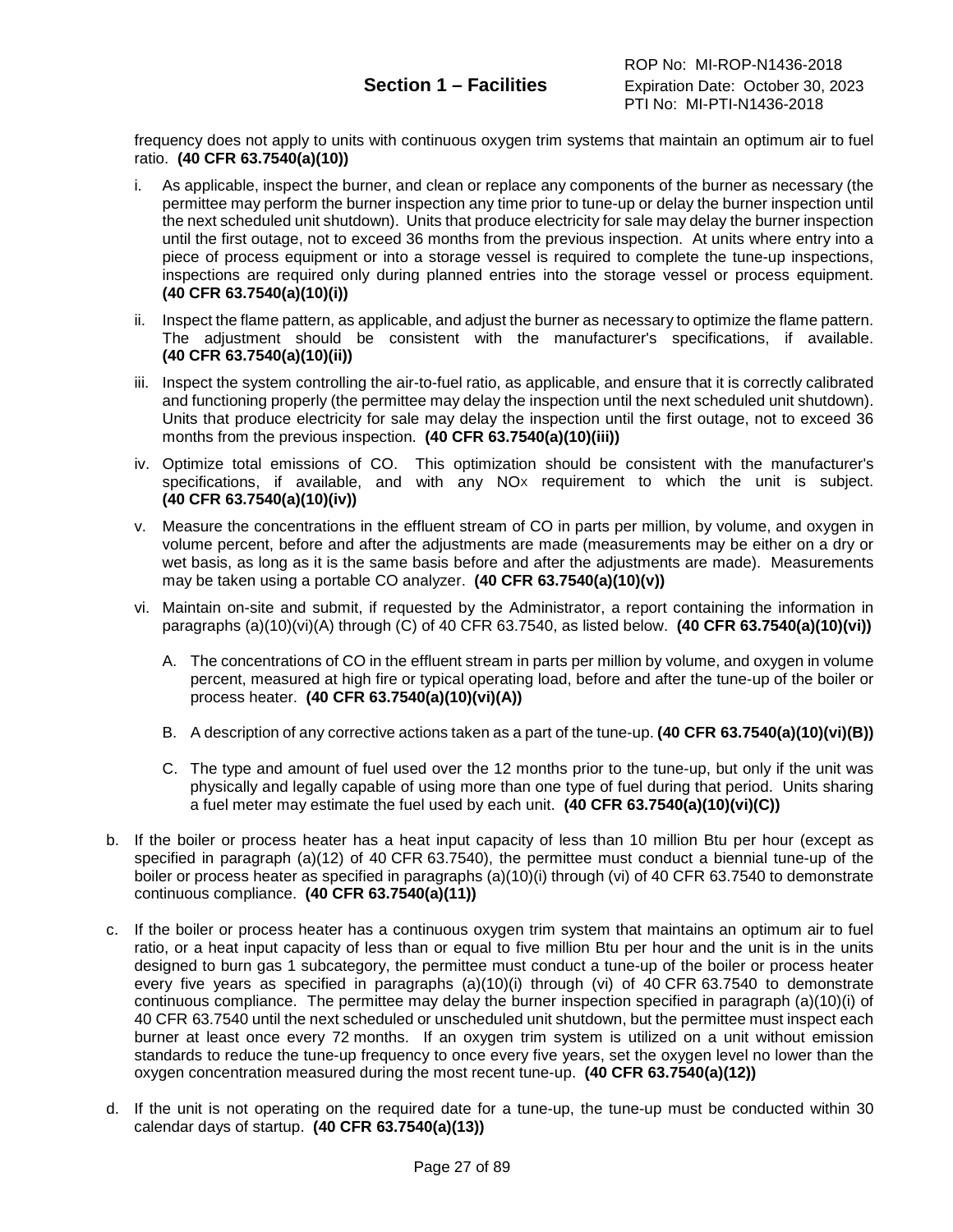frequency does not apply to units with continuous oxygen trim systems that maintain an optimum air to fuel ratio. **(40 CFR 63.7540(a)(10))**

- i. As applicable, inspect the burner, and clean or replace any components of the burner as necessary (the permittee may perform the burner inspection any time prior to tune-up or delay the burner inspection until the next scheduled unit shutdown). Units that produce electricity for sale may delay the burner inspection until the first outage, not to exceed 36 months from the previous inspection. At units where entry into a piece of process equipment or into a storage vessel is required to complete the tune-up inspections, inspections are required only during planned entries into the storage vessel or process equipment. **(40 CFR 63.7540(a)(10)(i))**
- ii. Inspect the flame pattern, as applicable, and adjust the burner as necessary to optimize the flame pattern. The adjustment should be consistent with the manufacturer's specifications, if available. **(40 CFR 63.7540(a)(10)(ii))**
- iii. Inspect the system controlling the air-to-fuel ratio, as applicable, and ensure that it is correctly calibrated and functioning properly (the permittee may delay the inspection until the next scheduled unit shutdown). Units that produce electricity for sale may delay the inspection until the first outage, not to exceed 36 months from the previous inspection. **(40 CFR 63.7540(a)(10)(iii))**
- iv. Optimize total emissions of CO. This optimization should be consistent with the manufacturer's specifications, if available, and with any NO<sub>x</sub> requirement to which the unit is subject. **(40 CFR 63.7540(a)(10)(iv))**
- v. Measure the concentrations in the effluent stream of CO in parts per million, by volume, and oxygen in volume percent, before and after the adjustments are made (measurements may be either on a dry or wet basis, as long as it is the same basis before and after the adjustments are made). Measurements may be taken using a portable CO analyzer. **(40 CFR 63.7540(a)(10)(v))**
- vi. Maintain on-site and submit, if requested by the Administrator, a report containing the information in paragraphs (a)(10)(vi)(A) through (C) of 40 CFR 63.7540, as listed below. **(40 CFR 63.7540(a)(10)(vi))**
	- A. The concentrations of CO in the effluent stream in parts per million by volume, and oxygen in volume percent, measured at high fire or typical operating load, before and after the tune-up of the boiler or process heater. **(40 CFR 63.7540(a)(10)(vi)(A))**
	- B. A description of any corrective actions taken as a part of the tune-up. **(40 CFR 63.7540(a)(10)(vi)(B))**
	- C. The type and amount of fuel used over the 12 months prior to the tune-up, but only if the unit was physically and legally capable of using more than one type of fuel during that period. Units sharing a fuel meter may estimate the fuel used by each unit. **(40 CFR 63.7540(a)(10)(vi)(C))**
- b. If the boiler or process heater has a heat input capacity of less than 10 million Btu per hour (except as specified in paragraph (a)(12) of 40 CFR 63.7540), the permittee must conduct a biennial tune-up of the boiler or process heater as specified in paragraphs (a)(10)(i) through (vi) of 40 CFR 63.7540 to demonstrate continuous compliance. **(40 CFR 63.7540(a)(11))**
- c. If the boiler or process heater has a continuous oxygen trim system that maintains an optimum air to fuel ratio, or a heat input capacity of less than or equal to five million Btu per hour and the unit is in the units designed to burn gas 1 subcategory, the permittee must conduct a tune-up of the boiler or process heater every five years as specified in paragraphs (a)(10)(i) through (vi) of 40 CFR 63.7540 to demonstrate continuous compliance. The permittee may delay the burner inspection specified in paragraph (a)(10)(i) of 40 CFR 63.7540 until the next scheduled or unscheduled unit shutdown, but the permittee must inspect each burner at least once every 72 months. If an oxygen trim system is utilized on a unit without emission standards to reduce the tune-up frequency to once every five years, set the oxygen level no lower than the oxygen concentration measured during the most recent tune-up. **(40 CFR 63.7540(a)(12))**
- d. If the unit is not operating on the required date for a tune-up, the tune-up must be conducted within 30 calendar days of startup. **(40 CFR 63.7540(a)(13))**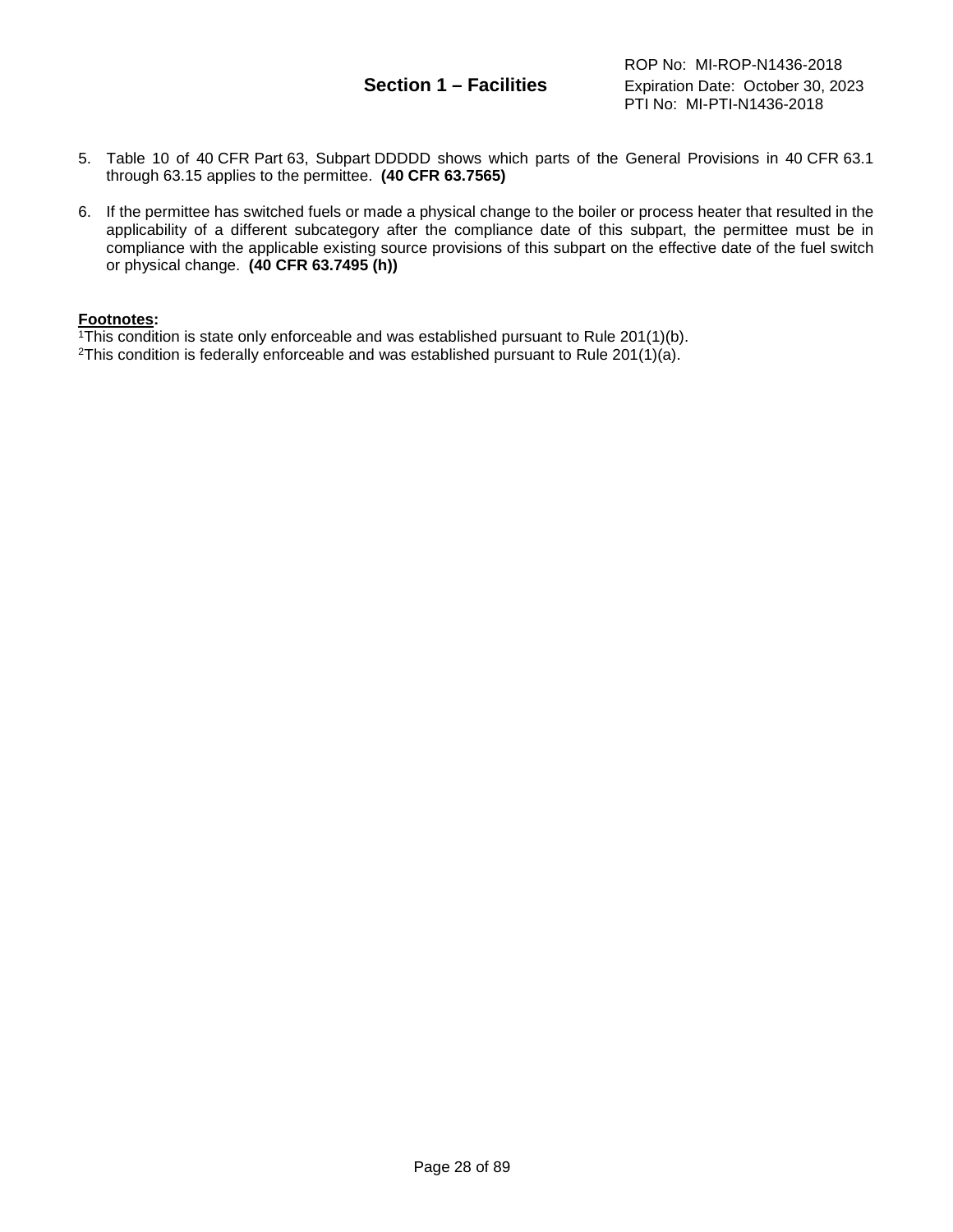- 5. Table 10 of 40 CFR Part 63, Subpart DDDDD shows which parts of the General Provisions in 40 CFR 63.1 through 63.15 applies to the permittee. **(40 CFR 63.7565)**
- 6. If the permittee has switched fuels or made a physical change to the boiler or process heater that resulted in the applicability of a different subcategory after the compliance date of this subpart, the permittee must be in compliance with the applicable existing source provisions of this subpart on the effective date of the fuel switch or physical change. **(40 CFR 63.7495 (h))**

#### **Footnotes:**

 $\overline{1}$ This condition is state only enforceable and was established pursuant to Rule 201(1)(b).

<sup>2</sup>This condition is federally enforceable and was established pursuant to Rule  $201(1)(a)$ .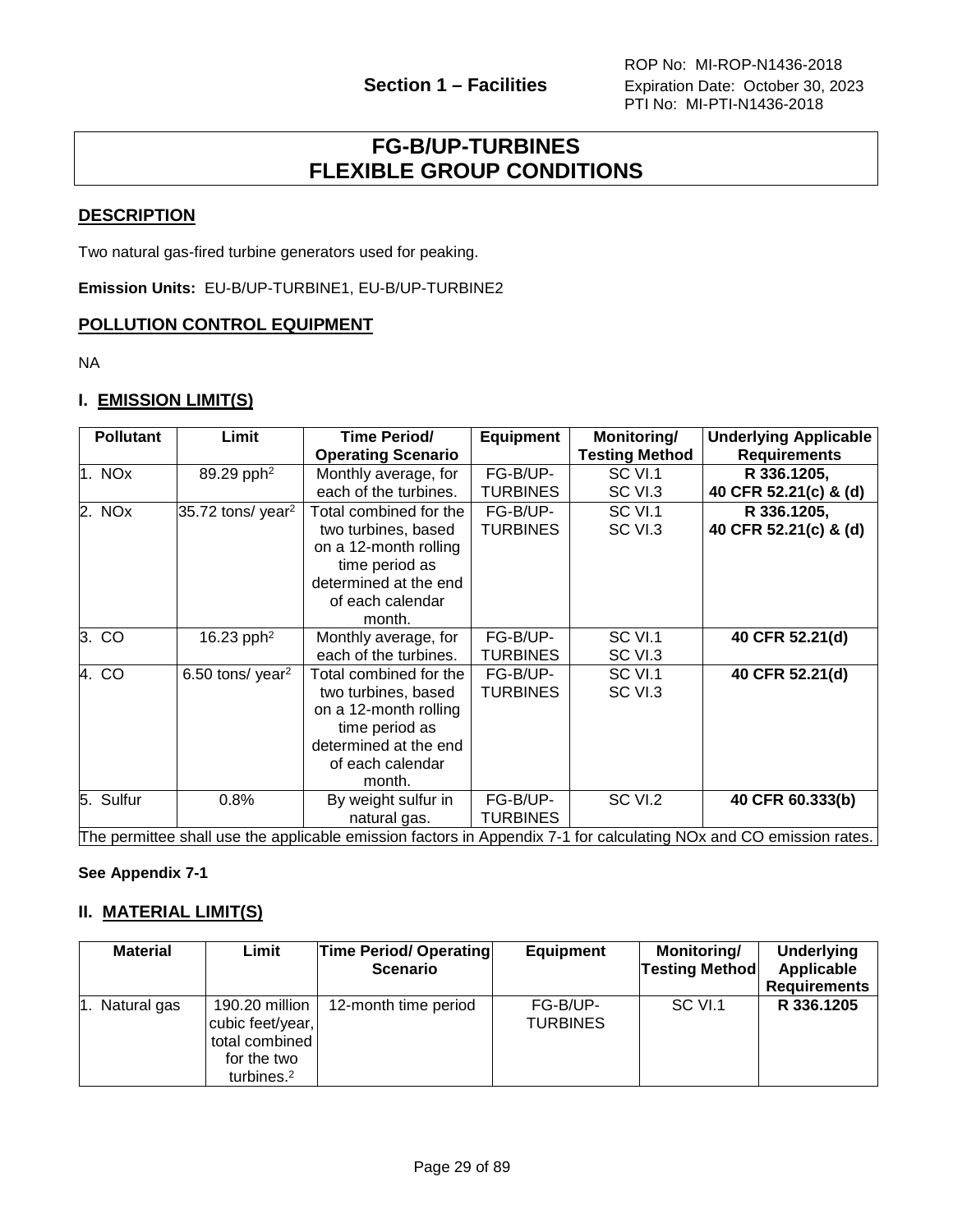## **FG-B/UP-TURBINES FLEXIBLE GROUP CONDITIONS**

#### <span id="page-28-0"></span>**DESCRIPTION**

Two natural gas-fired turbine generators used for peaking.

**Emission Units:** EU-B/UP-TURBINE1, EU-B/UP-TURBINE2

#### **POLLUTION CONTROL EQUIPMENT**

NA

#### **I. EMISSION LIMIT(S)**

| <b>Pollutant</b> | Limit                           | Time Period/<br><b>Operating Scenario</b>                                                                                                       | Equipment                   | Monitoring/<br><b>Testing Method</b> | <b>Underlying Applicable</b><br><b>Requirements</b>                                                                |
|------------------|---------------------------------|-------------------------------------------------------------------------------------------------------------------------------------------------|-----------------------------|--------------------------------------|--------------------------------------------------------------------------------------------------------------------|
| 1. NOx           | 89.29 pph <sup>2</sup>          | Monthly average, for<br>each of the turbines.                                                                                                   | FG-B/UP-<br><b>TURBINES</b> | SC VI.1<br>SC VI.3                   | R 336.1205,<br>40 CFR 52.21(c) & (d)                                                                               |
| 2. NOx           | $35.72$ tons/ year <sup>2</sup> | Total combined for the<br>two turbines, based<br>on a 12-month rolling<br>time period as<br>determined at the end<br>of each calendar<br>month. | FG-B/UP-<br><b>TURBINES</b> | SC VI.1<br>SC VI.3                   | R 336.1205,<br>40 CFR 52.21(c) & (d)                                                                               |
| 3. CO            | 16.23 pph <sup>2</sup>          | Monthly average, for<br>each of the turbines.                                                                                                   | FG-B/UP-<br>TURBINES        | SC VI.1<br>SC VI.3                   | 40 CFR 52.21(d)                                                                                                    |
| 4. CO            | 6.50 tons/ year <sup>2</sup>    | Total combined for the<br>two turbines, based<br>on a 12-month rolling<br>time period as<br>determined at the end<br>of each calendar<br>month. | FG-B/UP-<br><b>TURBINES</b> | SC VI.1<br>SC VI.3                   | 40 CFR 52.21(d)                                                                                                    |
| 5. Sulfur        | 0.8%                            | By weight sulfur in<br>natural gas.                                                                                                             | FG-B/UP-<br><b>TURBINES</b> | SC VI.2                              | 40 CFR 60.333(b)                                                                                                   |
|                  |                                 |                                                                                                                                                 |                             |                                      | The permittee shall use the applicable emission factors in Appendix 7-1 for calculating NOx and CO emission rates. |

**See Appendix 7-1**

#### **II. MATERIAL LIMIT(S)**

| <b>Material</b> | Limit                                                                                         | <b>Time Period/ Operating</b><br><b>Scenario</b> | <b>Equipment</b>            | Monitoring/<br><b>Testing Method</b> | <b>Underlying</b><br>Applicable<br><b>Requirements</b> |
|-----------------|-----------------------------------------------------------------------------------------------|--------------------------------------------------|-----------------------------|--------------------------------------|--------------------------------------------------------|
| 1. Natural gas  | 190.20 million<br>cubic feet/year,<br>total combined<br>for the two<br>turbines. <sup>2</sup> | 12-month time period                             | FG-B/UP-<br><b>TURBINES</b> | SC VI.1                              | R 336.1205                                             |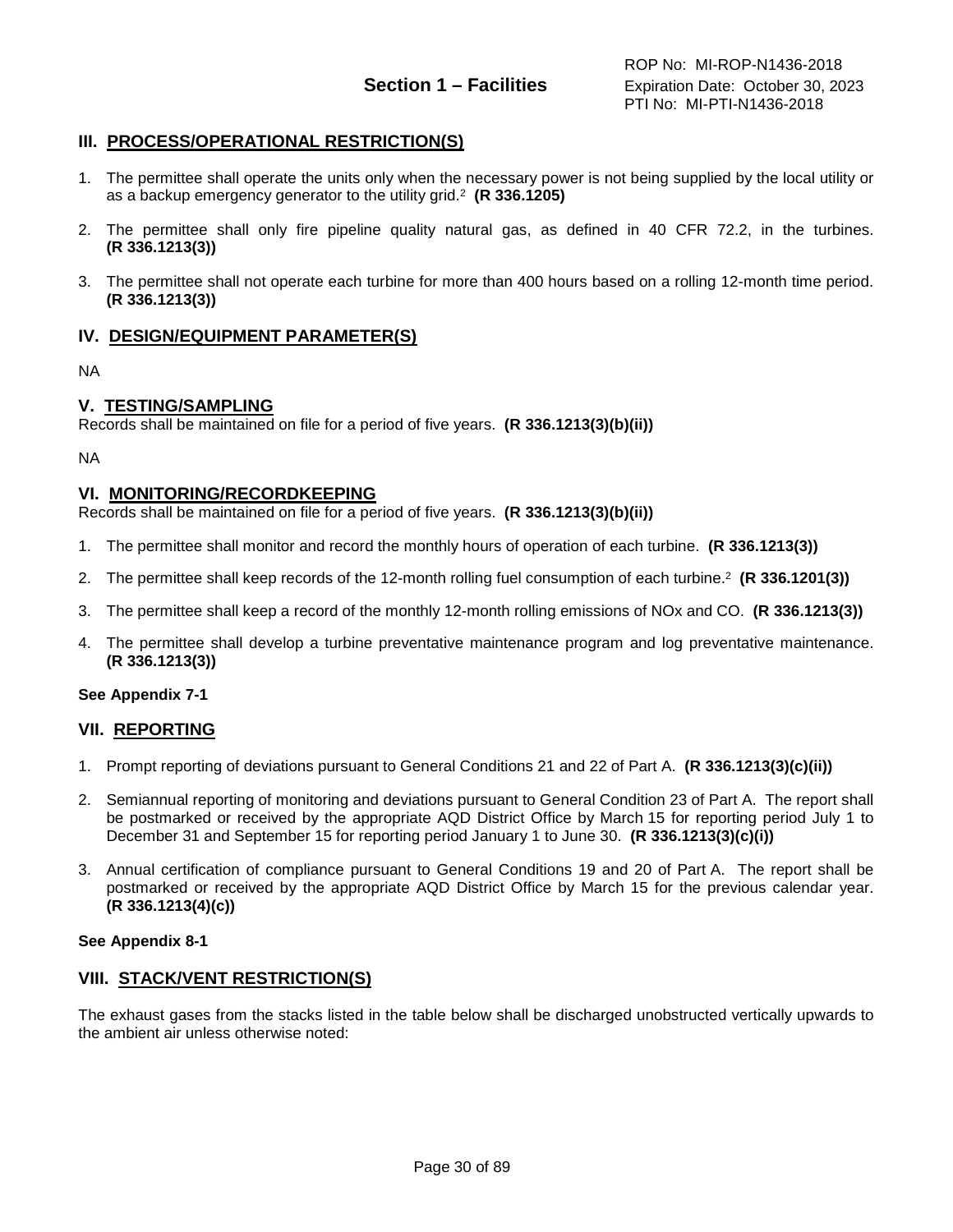#### **III. PROCESS/OPERATIONAL RESTRICTION(S)**

- 1. The permittee shall operate the units only when the necessary power is not being supplied by the local utility or as a backup emergency generator to the utility grid. 2 **(R 336.1205)**
- 2. The permittee shall only fire pipeline quality natural gas, as defined in 40 CFR 72.2, in the turbines. **(R 336.1213(3))**
- 3. The permittee shall not operate each turbine for more than 400 hours based on a rolling 12-month time period. **(R 336.1213(3))**

#### **IV. DESIGN/EQUIPMENT PARAMETER(S)**

NA

#### **V. TESTING/SAMPLING**

Records shall be maintained on file for a period of five years. **(R 336.1213(3)(b)(ii))**

NA

#### **VI. MONITORING/RECORDKEEPING**

Records shall be maintained on file for a period of five years. **(R 336.1213(3)(b)(ii))**

- 1. The permittee shall monitor and record the monthly hours of operation of each turbine. **(R 336.1213(3))**
- 2. The permittee shall keep records of the 12-month rolling fuel consumption of each turbine.2 **(R 336.1201(3))**
- 3. The permittee shall keep a record of the monthly 12-month rolling emissions of NOx and CO. **(R 336.1213(3))**
- 4. The permittee shall develop a turbine preventative maintenance program and log preventative maintenance. **(R 336.1213(3))**

#### **See Appendix 7-1**

#### **VII. REPORTING**

- 1. Prompt reporting of deviations pursuant to General Conditions 21 and 22 of Part A. **(R 336.1213(3)(c)(ii))**
- 2. Semiannual reporting of monitoring and deviations pursuant to General Condition 23 of Part A. The report shall be postmarked or received by the appropriate AQD District Office by March 15 for reporting period July 1 to December 31 and September 15 for reporting period January 1 to June 30. **(R 336.1213(3)(c)(i))**
- 3. Annual certification of compliance pursuant to General Conditions 19 and 20 of Part A. The report shall be postmarked or received by the appropriate AQD District Office by March 15 for the previous calendar year. **(R 336.1213(4)(c))**

#### **See Appendix 8-1**

#### **VIII. STACK/VENT RESTRICTION(S)**

The exhaust gases from the stacks listed in the table below shall be discharged unobstructed vertically upwards to the ambient air unless otherwise noted: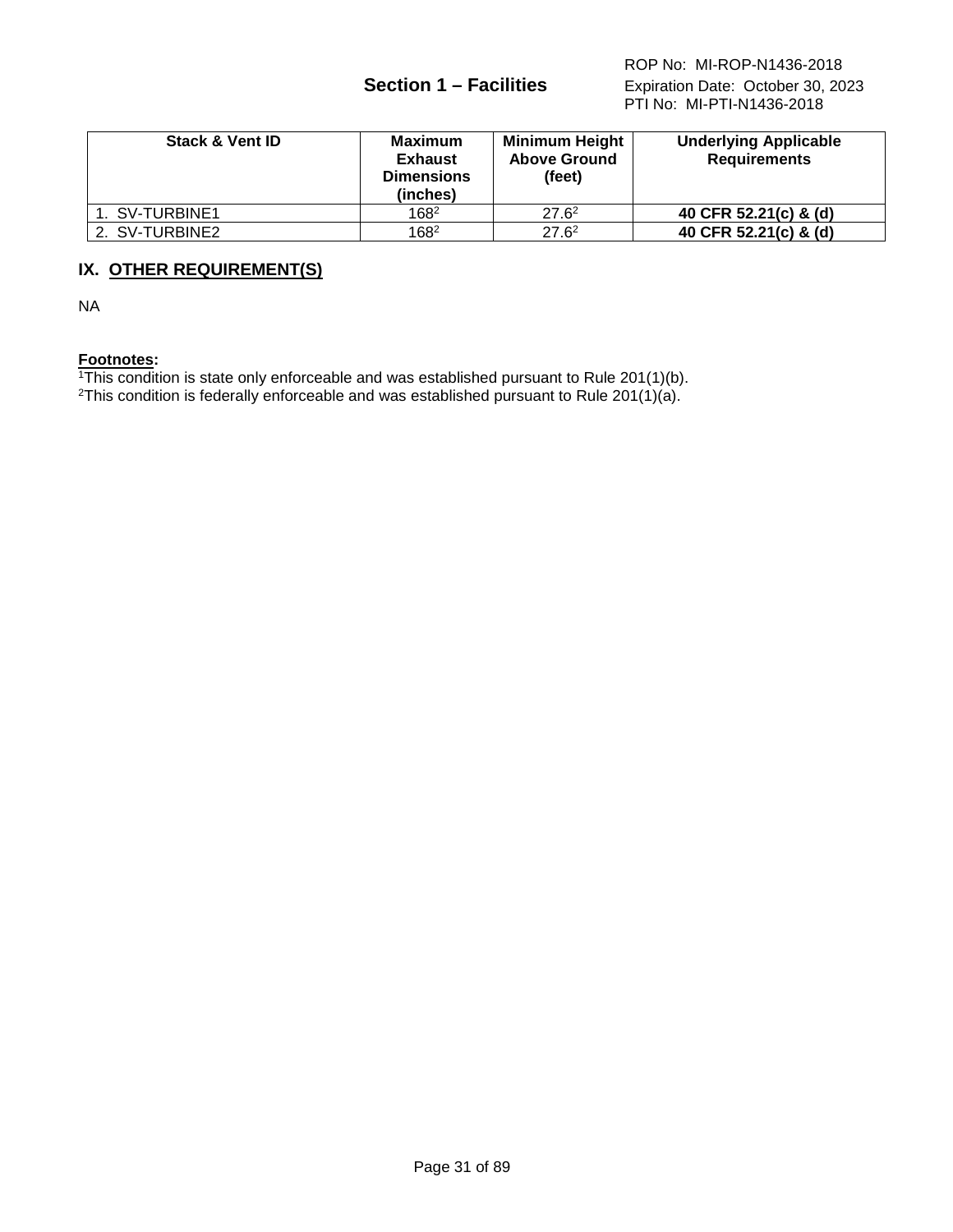| <b>Stack &amp; Vent ID</b> | Maximum<br><b>Exhaust</b><br><b>Dimensions</b><br>(inches) | <b>Minimum Height</b><br><b>Above Ground</b><br>(feet) | <b>Underlying Applicable</b><br><b>Requirements</b> |
|----------------------------|------------------------------------------------------------|--------------------------------------------------------|-----------------------------------------------------|
| 1. SV-TURBINE1             | 1682                                                       | $27.6^2$                                               | 40 CFR 52.21(c) & (d)                               |
| 2. SV-TURBINE2             | 1682                                                       | $27.6^2$                                               | 40 CFR 52.21(c) & (d)                               |

## **IX. OTHER REQUIREMENT(S)**

NA

#### **Footnotes:**

<sup>1</sup>This condition is state only enforceable and was established pursuant to Rule 201(1)(b).

<sup>2</sup>This condition is federally enforceable and was established pursuant to Rule 201(1)(a).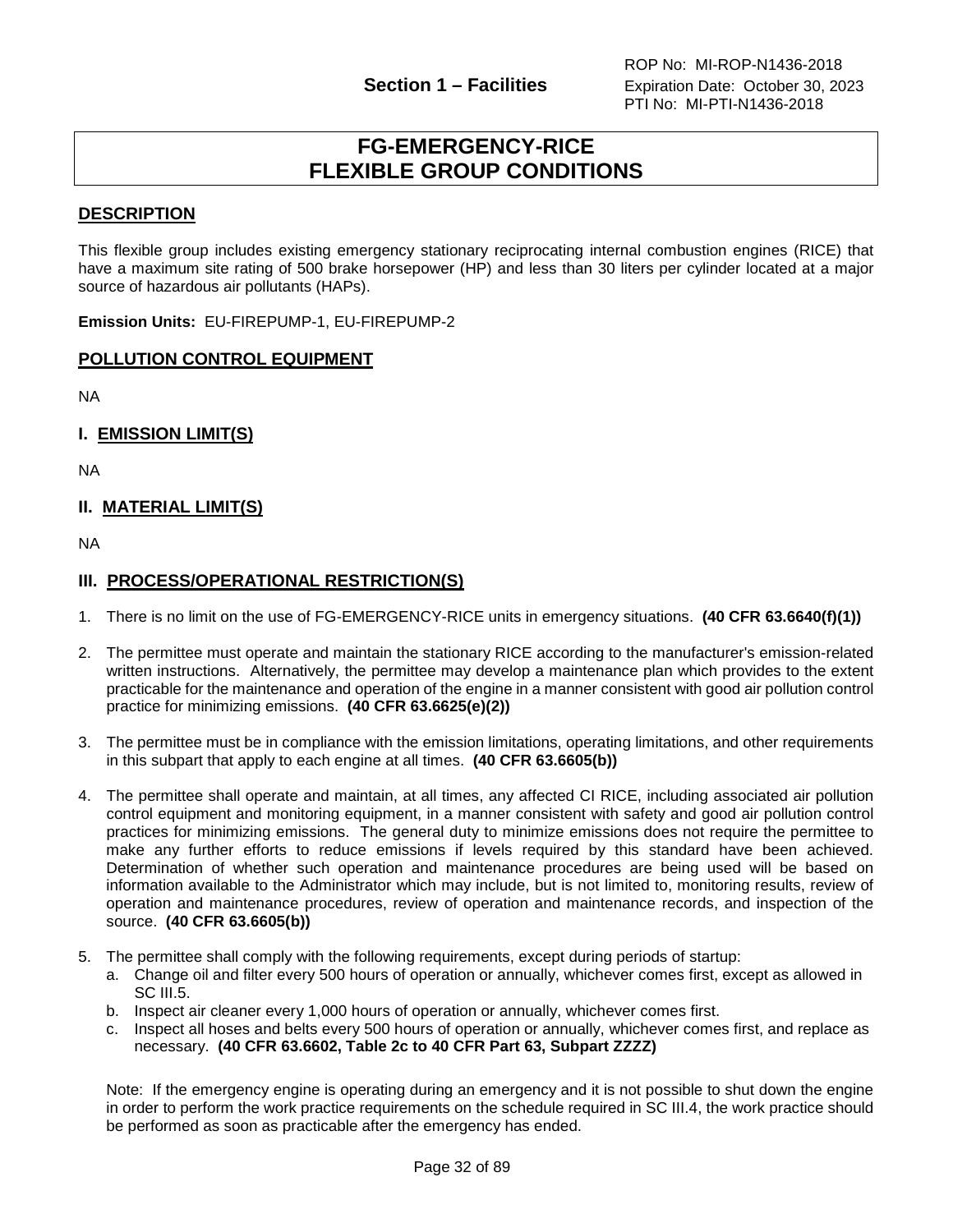## **FG-EMERGENCY-RICE FLEXIBLE GROUP CONDITIONS**

#### <span id="page-31-0"></span>**DESCRIPTION**

This flexible group includes existing emergency stationary reciprocating internal combustion engines (RICE) that have a maximum site rating of 500 brake horsepower (HP) and less than 30 liters per cylinder located at a major source of hazardous air pollutants (HAPs).

**Emission Units:** EU-FIREPUMP-1, EU-FIREPUMP-2

#### **POLLUTION CONTROL EQUIPMENT**

NA

**I. EMISSION LIMIT(S)**

NA

#### **II. MATERIAL LIMIT(S)**

NA

#### **III. PROCESS/OPERATIONAL RESTRICTION(S)**

- 1. There is no limit on the use of FG-EMERGENCY-RICE units in emergency situations. **(40 CFR 63.6640(f)(1))**
- 2. The permittee must operate and maintain the stationary RICE according to the manufacturer's emission-related written instructions. Alternatively, the permittee may develop a maintenance plan which provides to the extent practicable for the maintenance and operation of the engine in a manner consistent with good air pollution control practice for minimizing emissions. **(40 CFR 63.6625(e)(2))**
- 3. The permittee must be in compliance with the emission limitations, operating limitations, and other requirements in this subpart that apply to each engine at all times. **(40 CFR 63.6605(b))**
- 4. The permittee shall operate and maintain, at all times, any affected CI RICE, including associated air pollution control equipment and monitoring equipment, in a manner consistent with safety and good air pollution control practices for minimizing emissions. The general duty to minimize emissions does not require the permittee to make any further efforts to reduce emissions if levels required by this standard have been achieved. Determination of whether such operation and maintenance procedures are being used will be based on information available to the Administrator which may include, but is not limited to, monitoring results, review of operation and maintenance procedures, review of operation and maintenance records, and inspection of the source. **(40 CFR 63.6605(b))**
- 5. The permittee shall comply with the following requirements, except during periods of startup:
	- a. Change oil and filter every 500 hours of operation or annually, whichever comes first, except as allowed in SC III.5.
	- b. Inspect air cleaner every 1,000 hours of operation or annually, whichever comes first.
	- c. Inspect all hoses and belts every 500 hours of operation or annually, whichever comes first, and replace as necessary. **(40 CFR 63.6602, Table 2c to 40 CFR Part 63, Subpart ZZZZ)**

Note: If the emergency engine is operating during an emergency and it is not possible to shut down the engine in order to perform the work practice requirements on the schedule required in SC III.4, the work practice should be performed as soon as practicable after the emergency has ended.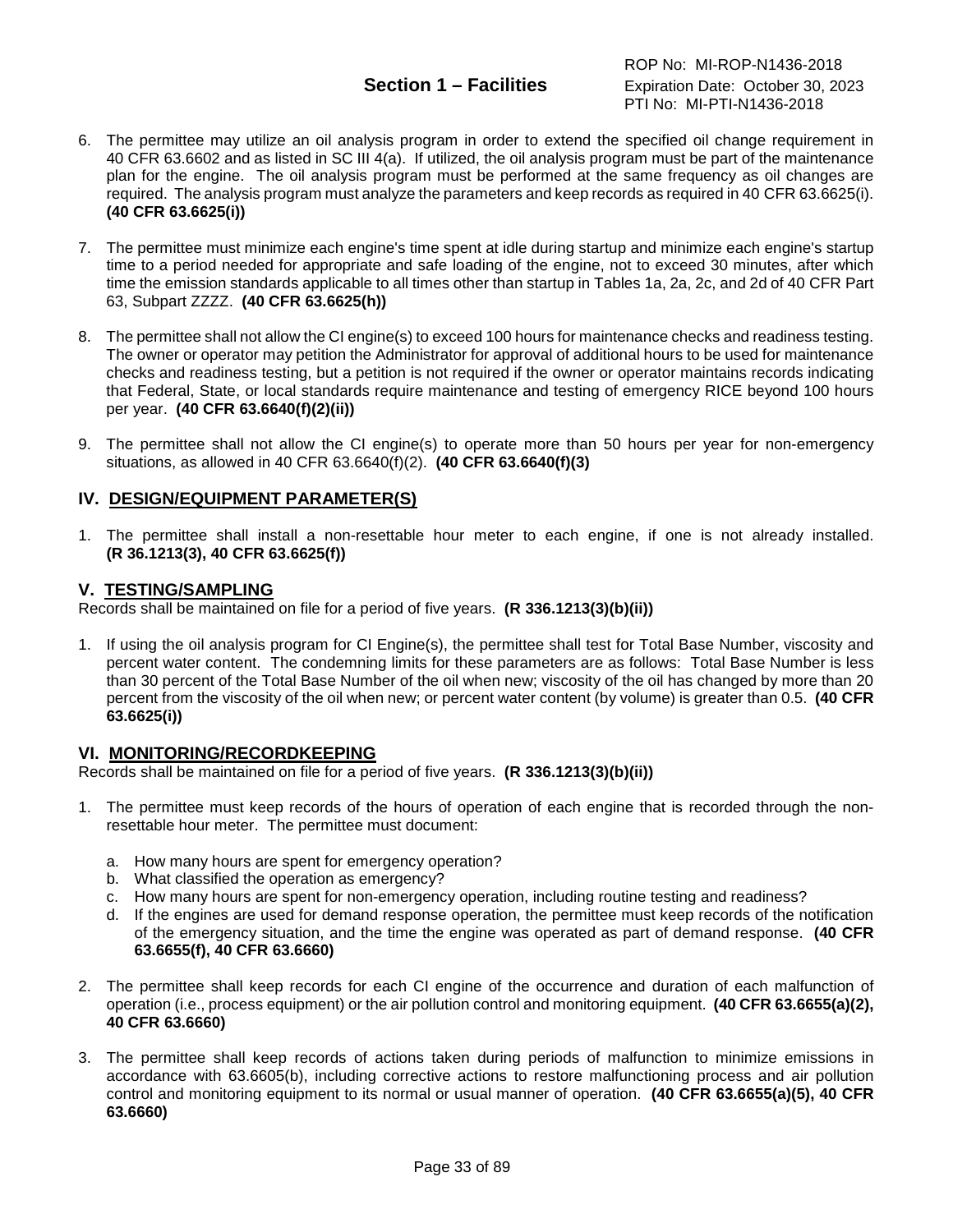ROP No: MI-ROP-N1436-2018 **Section 1 – Facilities** Expiration Date: October 30, 2023 PTI No: MI-PTI-N1436-2018

- 6. The permittee may utilize an oil analysis program in order to extend the specified oil change requirement in 40 CFR 63.6602 and as listed in SC III 4(a). If utilized, the oil analysis program must be part of the maintenance plan for the engine. The oil analysis program must be performed at the same frequency as oil changes are required. The analysis program must analyze the parameters and keep records as required in 40 CFR 63.6625(i). **(40 CFR 63.6625(i))**
- 7. The permittee must minimize each engine's time spent at idle during startup and minimize each engine's startup time to a period needed for appropriate and safe loading of the engine, not to exceed 30 minutes, after which time the emission standards applicable to all times other than startup in Tables 1a, 2a, 2c, and 2d of 40 CFR Part 63, Subpart ZZZZ. **(40 CFR 63.6625(h))**
- 8. The permittee shall not allow the CI engine(s) to exceed 100 hours for maintenance checks and readiness testing. The owner or operator may petition the Administrator for approval of additional hours to be used for maintenance checks and readiness testing, but a petition is not required if the owner or operator maintains records indicating that Federal, State, or local standards require maintenance and testing of emergency RICE beyond 100 hours per year. **(40 CFR 63.6640(f)(2)(ii))**
- 9. The permittee shall not allow the CI engine(s) to operate more than 50 hours per year for non-emergency situations, as allowed in 40 CFR 63.6640(f)(2). **(40 CFR 63.6640(f)(3)**

### **IV. DESIGN/EQUIPMENT PARAMETER(S)**

1. The permittee shall install a non-resettable hour meter to each engine, if one is not already installed. **(R 36.1213(3), 40 CFR 63.6625(f))**

#### **V. TESTING/SAMPLING**

Records shall be maintained on file for a period of five years. **(R 336.1213(3)(b)(ii))**

1. If using the oil analysis program for CI Engine(s), the permittee shall test for Total Base Number, viscosity and percent water content. The condemning limits for these parameters are as follows: Total Base Number is less than 30 percent of the Total Base Number of the oil when new; viscosity of the oil has changed by more than 20 percent from the viscosity of the oil when new; or percent water content (by volume) is greater than 0.5. **(40 CFR 63.6625(i))**

#### **VI. MONITORING/RECORDKEEPING**

Records shall be maintained on file for a period of five years. **(R 336.1213(3)(b)(ii))**

- 1. The permittee must keep records of the hours of operation of each engine that is recorded through the nonresettable hour meter. The permittee must document:
	- a. How many hours are spent for emergency operation?
	- b. What classified the operation as emergency?
	- c. How many hours are spent for non-emergency operation, including routine testing and readiness?
	- d. If the engines are used for demand response operation, the permittee must keep records of the notification of the emergency situation, and the time the engine was operated as part of demand response. **(40 CFR 63.6655(f), 40 CFR 63.6660)**
- 2. The permittee shall keep records for each CI engine of the occurrence and duration of each malfunction of operation (i.e., process equipment) or the air pollution control and monitoring equipment. **(40 CFR 63.6655(a)(2), 40 CFR 63.6660)**
- 3. The permittee shall keep records of actions taken during periods of malfunction to minimize emissions in accordance with 63.6605(b), including corrective actions to restore malfunctioning process and air pollution control and monitoring equipment to its normal or usual manner of operation. **(40 CFR 63.6655(a)(5), 40 CFR 63.6660)**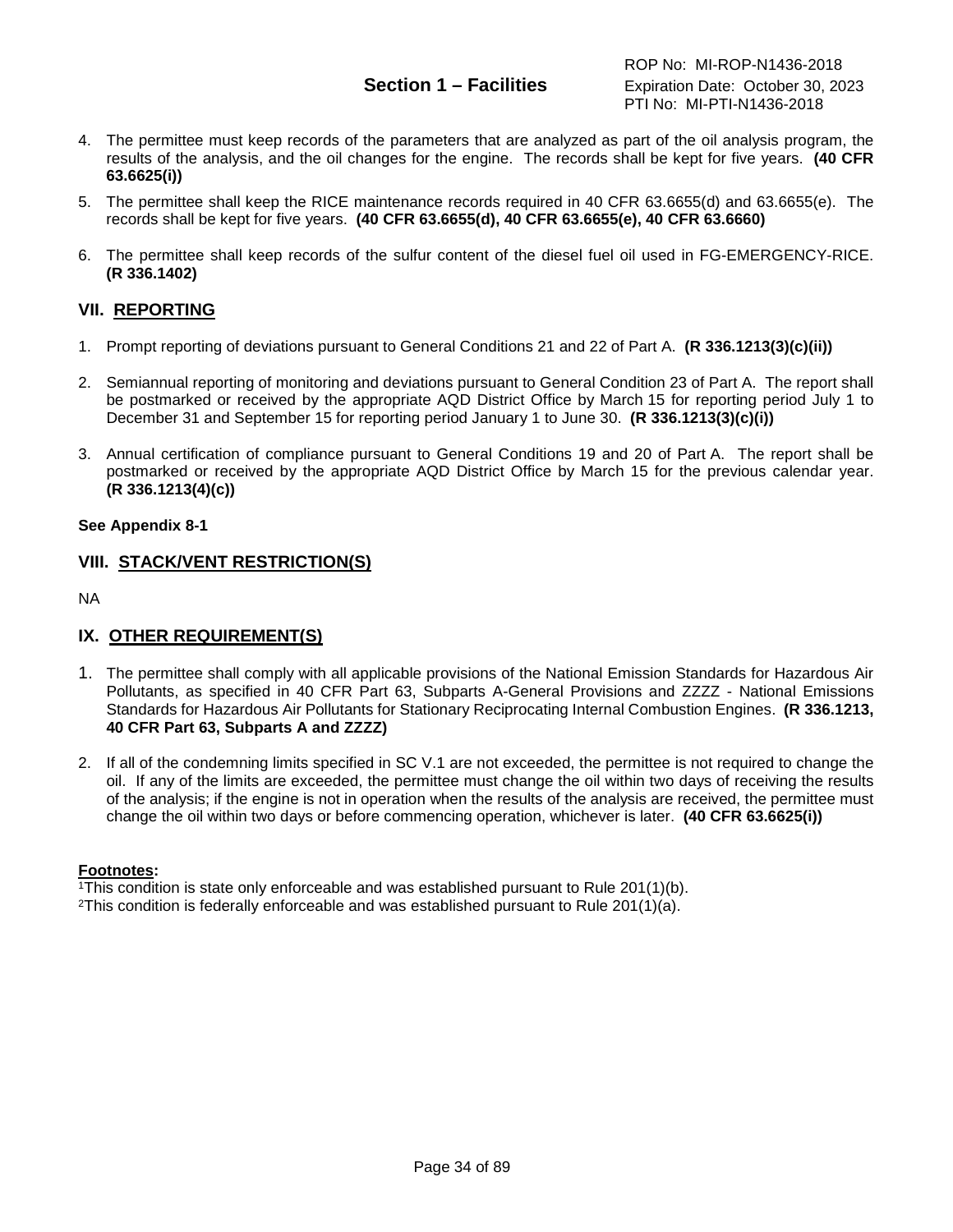ROP No: MI-ROP-N1436-2018 **Section 1 – Facilities** Expiration Date: October 30, 2023 PTI No: MI-PTI-N1436-2018

- 4. The permittee must keep records of the parameters that are analyzed as part of the oil analysis program, the results of the analysis, and the oil changes for the engine. The records shall be kept for five years. **(40 CFR 63.6625(i))**
- 5. The permittee shall keep the RICE maintenance records required in 40 CFR 63.6655(d) and 63.6655(e). The records shall be kept for five years. **(40 CFR 63.6655(d), 40 CFR 63.6655(e), 40 CFR 63.6660)**
- 6. The permittee shall keep records of the sulfur content of the diesel fuel oil used in FG-EMERGENCY-RICE. **(R 336.1402)**

### **VII. REPORTING**

- 1. Prompt reporting of deviations pursuant to General Conditions 21 and 22 of Part A. **(R 336.1213(3)(c)(ii))**
- 2. Semiannual reporting of monitoring and deviations pursuant to General Condition 23 of Part A. The report shall be postmarked or received by the appropriate AQD District Office by March 15 for reporting period July 1 to December 31 and September 15 for reporting period January 1 to June 30. **(R 336.1213(3)(c)(i))**
- 3. Annual certification of compliance pursuant to General Conditions 19 and 20 of Part A. The report shall be postmarked or received by the appropriate AQD District Office by March 15 for the previous calendar year. **(R 336.1213(4)(c))**

#### **See Appendix 8-1**

#### **VIII. STACK/VENT RESTRICTION(S)**

NA

### **IX. OTHER REQUIREMENT(S)**

- 1. The permittee shall comply with all applicable provisions of the National Emission Standards for Hazardous Air Pollutants, as specified in 40 CFR Part 63, Subparts A-General Provisions and ZZZZ - National Emissions Standards for Hazardous Air Pollutants for Stationary Reciprocating Internal Combustion Engines. **(R 336.1213, 40 CFR Part 63, Subparts A and ZZZZ)**
- 2. If all of the condemning limits specified in SC V.1 are not exceeded, the permittee is not required to change the oil. If any of the limits are exceeded, the permittee must change the oil within two days of receiving the results of the analysis; if the engine is not in operation when the results of the analysis are received, the permittee must change the oil within two days or before commencing operation, whichever is later. **(40 CFR 63.6625(i))**

#### **Footnotes:**

1This condition is state only enforceable and was established pursuant to Rule 201(1)(b).

<sup>2</sup>This condition is federally enforceable and was established pursuant to Rule 201(1)(a).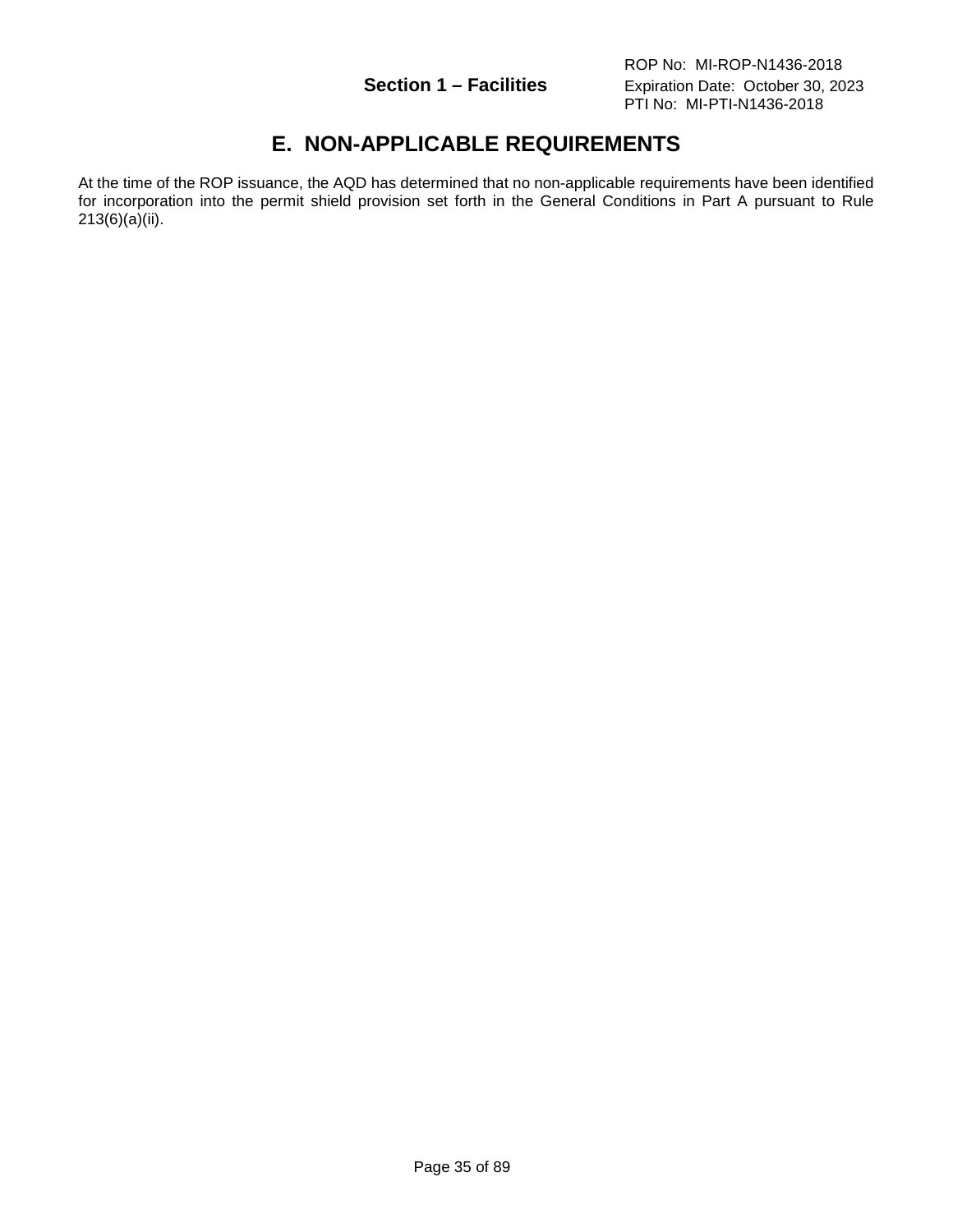# **E. NON-APPLICABLE REQUIREMENTS**

<span id="page-34-0"></span>At the time of the ROP issuance, the AQD has determined that no non-applicable requirements have been identified for incorporation into the permit shield provision set forth in the General Conditions in Part A pursuant to Rule 213(6)(a)(ii).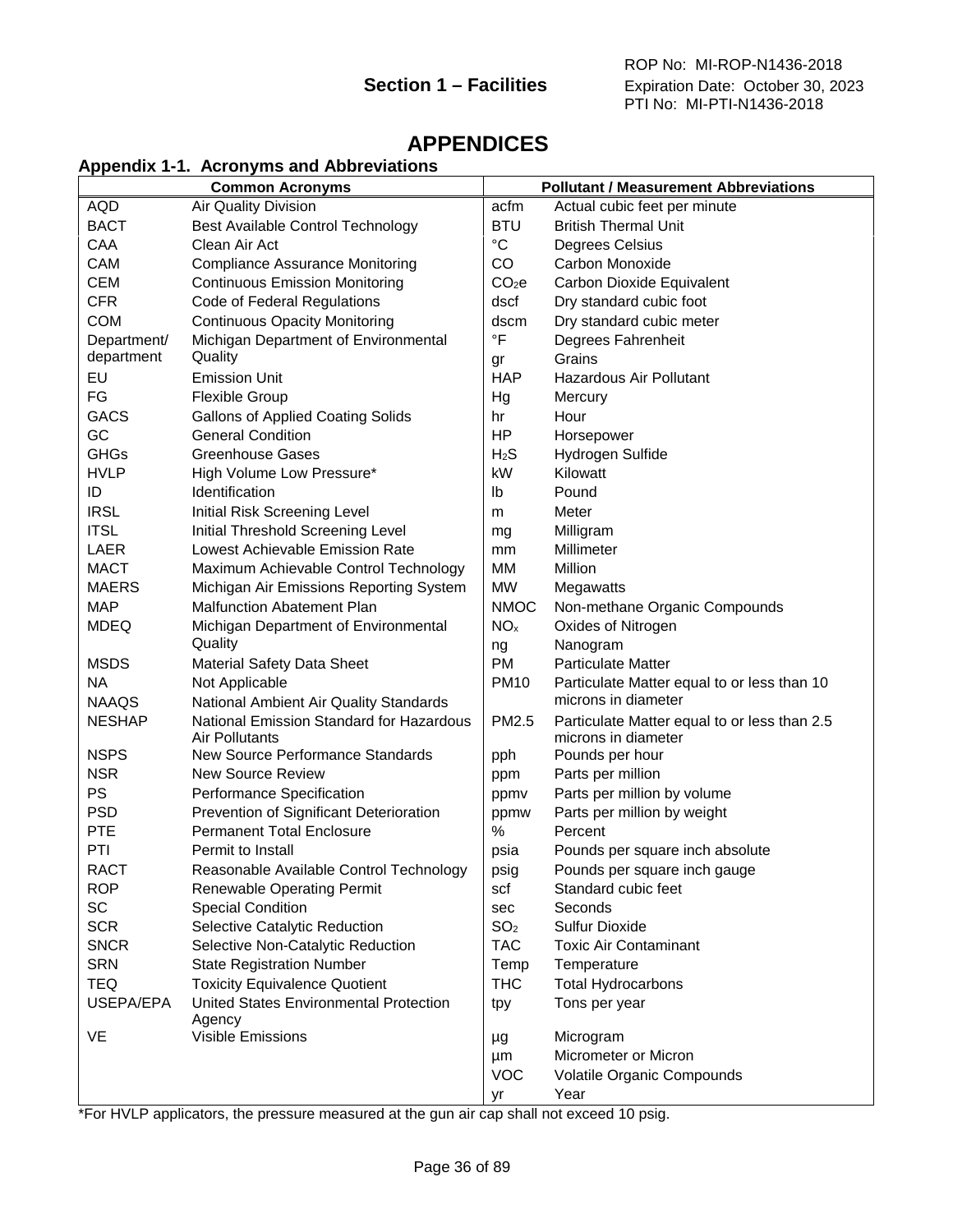## <span id="page-35-0"></span>**APPENDICES**

#### <span id="page-35-1"></span>**Appendix 1-1. Acronyms and Abbreviations**

|               | <b>Common Acronyms</b>                           |                   | <b>Pollutant / Measurement Abbreviations</b> |
|---------------|--------------------------------------------------|-------------------|----------------------------------------------|
| AQD           | Air Quality Division                             | acfm              | Actual cubic feet per minute                 |
| <b>BACT</b>   | Best Available Control Technology                | <b>BTU</b>        | <b>British Thermal Unit</b>                  |
| CAA           | Clean Air Act                                    | $^{\circ}C$       | Degrees Celsius                              |
| <b>CAM</b>    | <b>Compliance Assurance Monitoring</b>           | CO                | Carbon Monoxide                              |
| <b>CEM</b>    | <b>Continuous Emission Monitoring</b>            | CO <sub>2</sub> e | Carbon Dioxide Equivalent                    |
| <b>CFR</b>    | Code of Federal Regulations                      | dscf              | Dry standard cubic foot                      |
| <b>COM</b>    | <b>Continuous Opacity Monitoring</b>             | dscm              | Dry standard cubic meter                     |
| Department/   | Michigan Department of Environmental             | $\circ$ F         | Degrees Fahrenheit                           |
| department    | Quality                                          | gr                | Grains                                       |
| EU            | <b>Emission Unit</b>                             | <b>HAP</b>        | <b>Hazardous Air Pollutant</b>               |
| FG            | <b>Flexible Group</b>                            | Hg                | Mercury                                      |
| <b>GACS</b>   | <b>Gallons of Applied Coating Solids</b>         | hr                | Hour                                         |
| GC            | <b>General Condition</b>                         | HP                | Horsepower                                   |
| GHGs          | <b>Greenhouse Gases</b>                          | $H_2S$            | Hydrogen Sulfide                             |
| <b>HVLP</b>   | High Volume Low Pressure*                        | kW                | Kilowatt                                     |
| ID            | Identification                                   | Ib                | Pound                                        |
| <b>IRSL</b>   | Initial Risk Screening Level                     | m                 | Meter                                        |
| <b>ITSL</b>   | Initial Threshold Screening Level                | mg                | Milligram                                    |
| <b>LAER</b>   | Lowest Achievable Emission Rate                  | mm                | Millimeter                                   |
| <b>MACT</b>   | Maximum Achievable Control Technology            | MМ                | Million                                      |
| <b>MAERS</b>  | Michigan Air Emissions Reporting System          | <b>MW</b>         | Megawatts                                    |
| <b>MAP</b>    | <b>Malfunction Abatement Plan</b>                | <b>NMOC</b>       | Non-methane Organic Compounds                |
| <b>MDEQ</b>   | Michigan Department of Environmental             | NO <sub>x</sub>   | Oxides of Nitrogen                           |
|               | Quality                                          | ng                | Nanogram                                     |
| <b>MSDS</b>   | Material Safety Data Sheet                       | <b>PM</b>         | <b>Particulate Matter</b>                    |
| <b>NA</b>     | Not Applicable                                   | <b>PM10</b>       | Particulate Matter equal to or less than 10  |
| <b>NAAQS</b>  | National Ambient Air Quality Standards           |                   | microns in diameter                          |
| <b>NESHAP</b> | National Emission Standard for Hazardous         | PM2.5             | Particulate Matter equal to or less than 2.5 |
|               | <b>Air Pollutants</b>                            |                   | microns in diameter                          |
| <b>NSPS</b>   | New Source Performance Standards                 | pph               | Pounds per hour                              |
| <b>NSR</b>    | <b>New Source Review</b>                         | ppm               | Parts per million                            |
| <b>PS</b>     | Performance Specification                        | ppmv              | Parts per million by volume                  |
| <b>PSD</b>    | Prevention of Significant Deterioration          | ppmw              | Parts per million by weight                  |
| <b>PTE</b>    | <b>Permanent Total Enclosure</b>                 | %                 | Percent                                      |
| PTI           | Permit to Install                                | psia              | Pounds per square inch absolute              |
| <b>RACT</b>   | Reasonable Available Control Technology          | psig              | Pounds per square inch gauge                 |
| <b>ROP</b>    | Renewable Operating Permit                       | scf               | Standard cubic feet                          |
| SC            | <b>Special Condition</b>                         | sec               | Seconds                                      |
| <b>SCR</b>    | Selective Catalytic Reduction                    | SO <sub>2</sub>   | <b>Sulfur Dioxide</b>                        |
| <b>SNCR</b>   | Selective Non-Catalytic Reduction                | <b>TAC</b>        | <b>Toxic Air Contaminant</b>                 |
| <b>SRN</b>    | <b>State Registration Number</b>                 | Temp              | Temperature                                  |
| <b>TEQ</b>    | <b>Toxicity Equivalence Quotient</b>             | <b>THC</b>        | <b>Total Hydrocarbons</b>                    |
| USEPA/EPA     | United States Environmental Protection<br>Agency | tpy               | Tons per year                                |
| VE            | Visible Emissions                                | μg                | Microgram                                    |
|               |                                                  | μm                | Micrometer or Micron                         |
|               |                                                  | <b>VOC</b>        | Volatile Organic Compounds                   |
|               |                                                  | уr                | Year                                         |

\*For HVLP applicators, the pressure measured at the gun air cap shall not exceed 10 psig.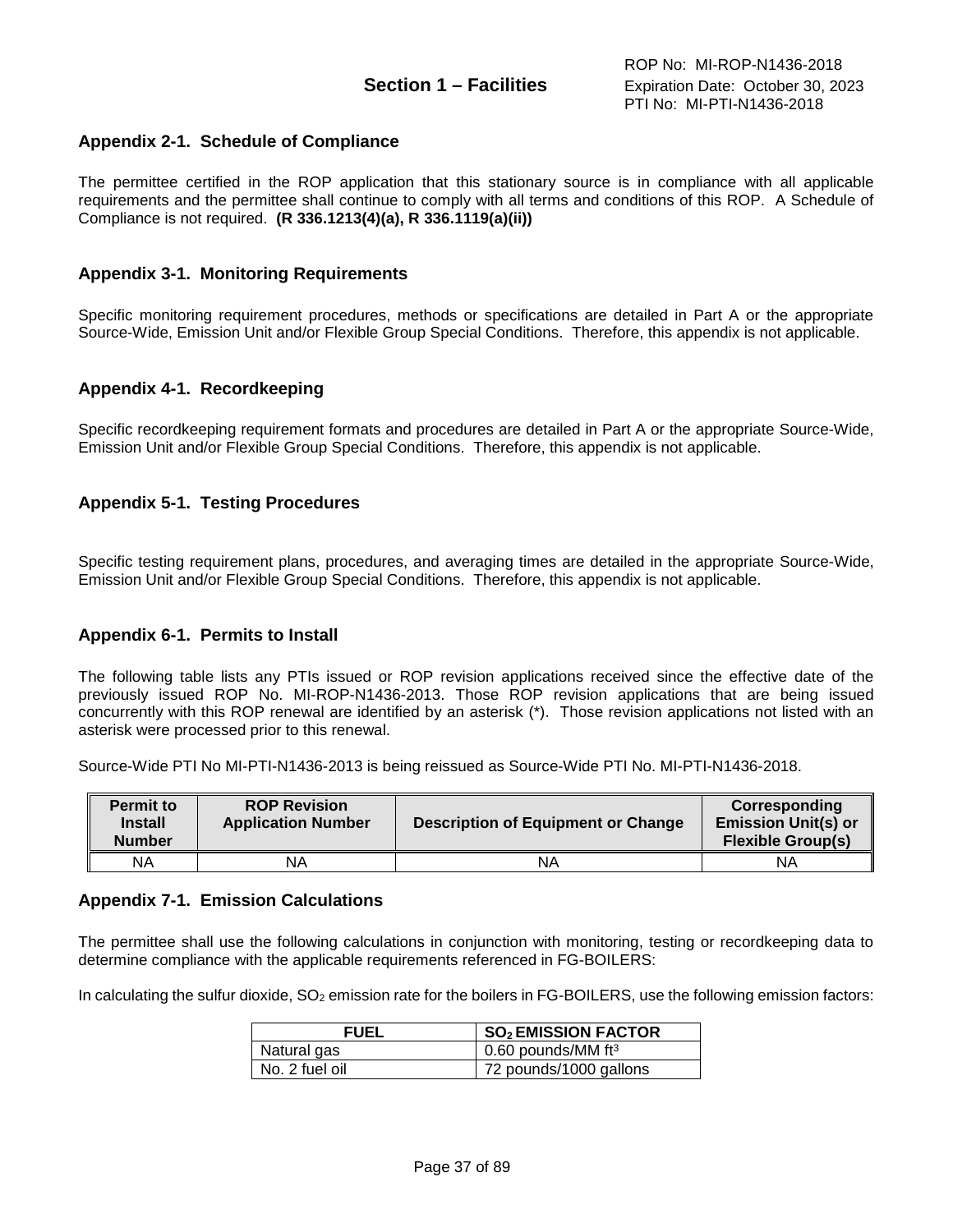# **Appendix 2-1. Schedule of Compliance**

The permittee certified in the ROP application that this stationary source is in compliance with all applicable requirements and the permittee shall continue to comply with all terms and conditions of this ROP. A Schedule of Compliance is not required. **(R 336.1213(4)(a), R 336.1119(a)(ii))**

## **Appendix 3-1. Monitoring Requirements**

Specific monitoring requirement procedures, methods or specifications are detailed in Part A or the appropriate Source-Wide, Emission Unit and/or Flexible Group Special Conditions. Therefore, this appendix is not applicable.

## **Appendix 4-1. Recordkeeping**

Specific recordkeeping requirement formats and procedures are detailed in Part A or the appropriate Source-Wide, Emission Unit and/or Flexible Group Special Conditions. Therefore, this appendix is not applicable.

## **Appendix 5-1. Testing Procedures**

Specific testing requirement plans, procedures, and averaging times are detailed in the appropriate Source-Wide, Emission Unit and/or Flexible Group Special Conditions. Therefore, this appendix is not applicable.

### **Appendix 6-1. Permits to Install**

The following table lists any PTIs issued or ROP revision applications received since the effective date of the previously issued ROP No. MI-ROP-N1436-2013. Those ROP revision applications that are being issued concurrently with this ROP renewal are identified by an asterisk (\*). Those revision applications not listed with an asterisk were processed prior to this renewal.

Source-Wide PTI No MI-PTI-N1436-2013 is being reissued as Source-Wide PTI No. MI-PTI-N1436-2018.

| <b>Permit to</b><br><b>Install</b><br><b>Number</b> | <b>ROP Revision</b><br><b>Application Number</b> | <b>Description of Equipment or Change</b> | Corresponding<br><b>Emission Unit(s) or</b><br><b>Flexible Group(s)</b> |
|-----------------------------------------------------|--------------------------------------------------|-------------------------------------------|-------------------------------------------------------------------------|
| ΝA                                                  | NΑ                                               | ΝA                                        | ΝA                                                                      |

### **Appendix 7-1. Emission Calculations**

The permittee shall use the following calculations in conjunction with monitoring, testing or recordkeeping data to determine compliance with the applicable requirements referenced in FG-BOILERS:

In calculating the sulfur dioxide, SO<sub>2</sub> emission rate for the boilers in FG-BOILERS, use the following emission factors:

| <b>FUEL</b>    | <b>SO<sub>2</sub> EMISSION FACTOR</b> |
|----------------|---------------------------------------|
| Natural gas    | 0.60 pounds/MM $ft3$                  |
| No. 2 fuel oil | 72 pounds/1000 gallons                |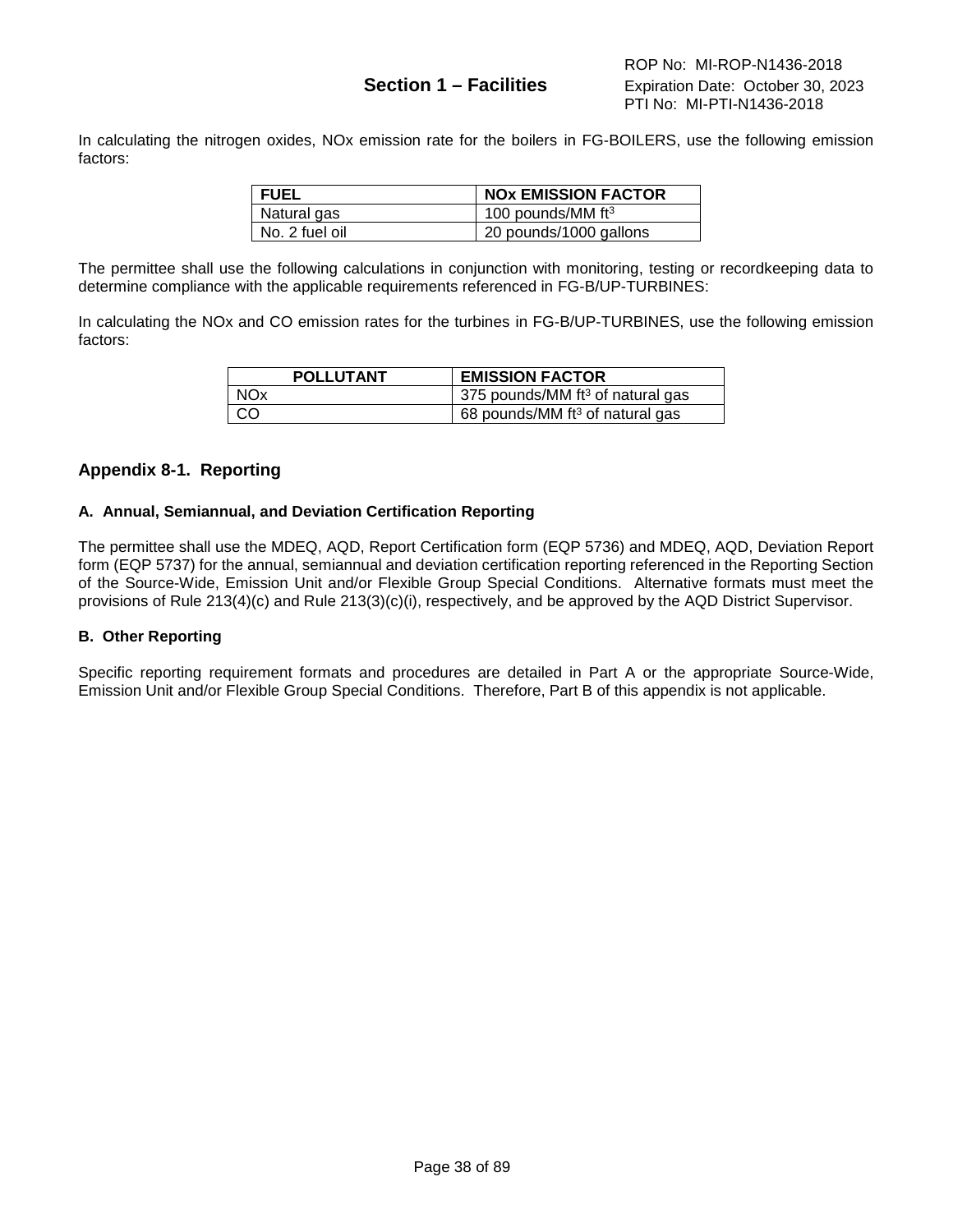In calculating the nitrogen oxides, NOx emission rate for the boilers in FG-BOILERS, use the following emission factors:

| <b>FUEL</b>    | <b>NOX EMISSION FACTOR</b> |
|----------------|----------------------------|
| Natural gas    | 100 pounds/MM $ft3$        |
| No. 2 fuel oil | 20 pounds/1000 gallons     |

The permittee shall use the following calculations in conjunction with monitoring, testing or recordkeeping data to determine compliance with the applicable requirements referenced in FG-B/UP-TURBINES:

In calculating the NOx and CO emission rates for the turbines in FG-B/UP-TURBINES, use the following emission factors:

| <b>POLLUTANT</b> | <b>EMISSION FACTOR</b>              |
|------------------|-------------------------------------|
| <b>NOx</b>       | 375 pounds/MM $ft^3$ of natural gas |
| <sub>CO</sub>    | 68 pounds/MM $ft^3$ of natural gas  |

## **Appendix 8-1. Reporting**

#### **A. Annual, Semiannual, and Deviation Certification Reporting**

The permittee shall use the MDEQ, AQD, Report Certification form (EQP 5736) and MDEQ, AQD, Deviation Report form (EQP 5737) for the annual, semiannual and deviation certification reporting referenced in the Reporting Section of the Source-Wide, Emission Unit and/or Flexible Group Special Conditions. Alternative formats must meet the provisions of Rule 213(4)(c) and Rule 213(3)(c)(i), respectively, and be approved by the AQD District Supervisor.

### **B. Other Reporting**

Specific reporting requirement formats and procedures are detailed in Part A or the appropriate Source-Wide, Emission Unit and/or Flexible Group Special Conditions. Therefore, Part B of this appendix is not applicable.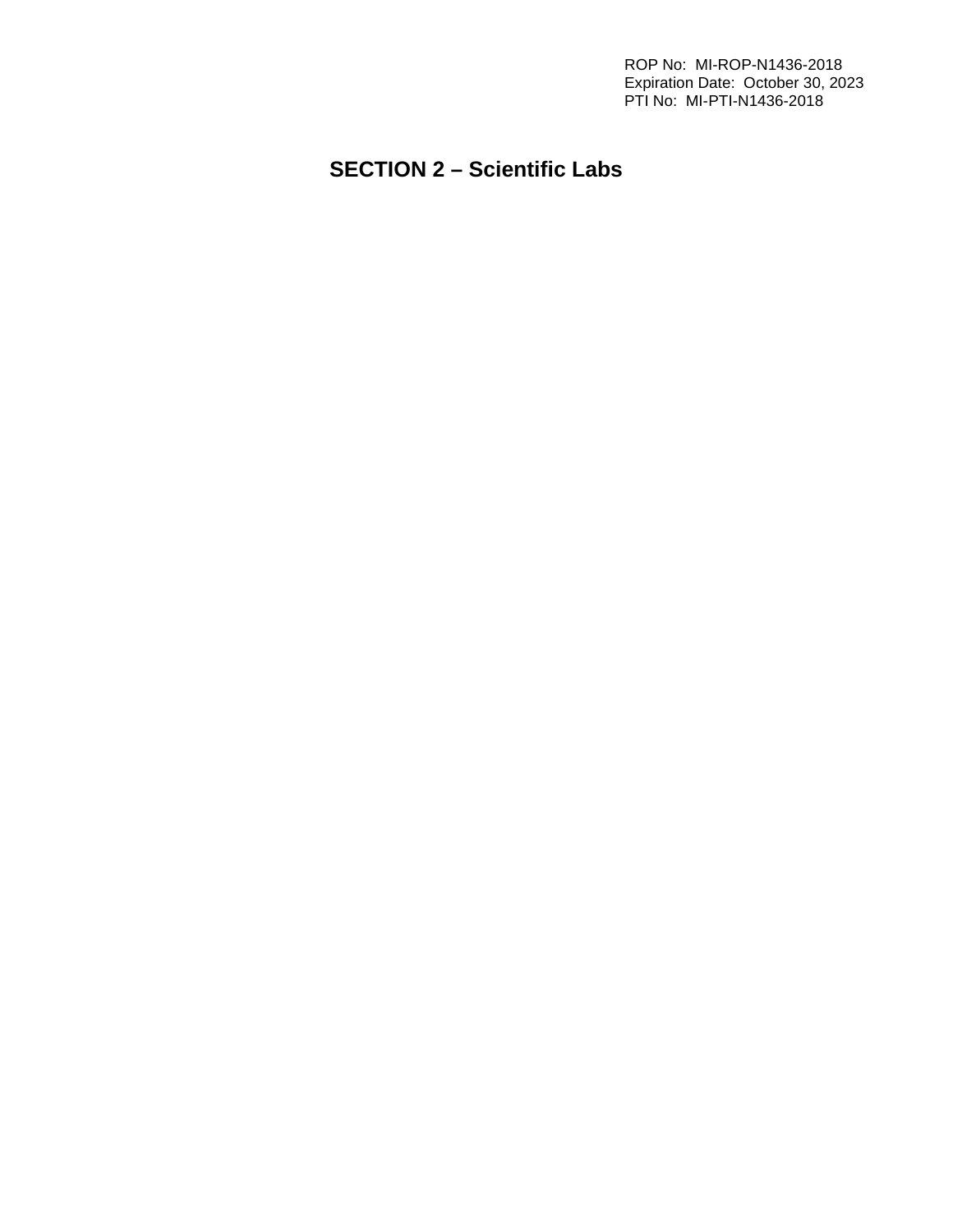ROP No: MI-ROP-N1436-2018 Expiration Date: October 30, 2023 PTI No: MI-PTI-N1436-2018

# **SECTION 2 – Scientific Labs**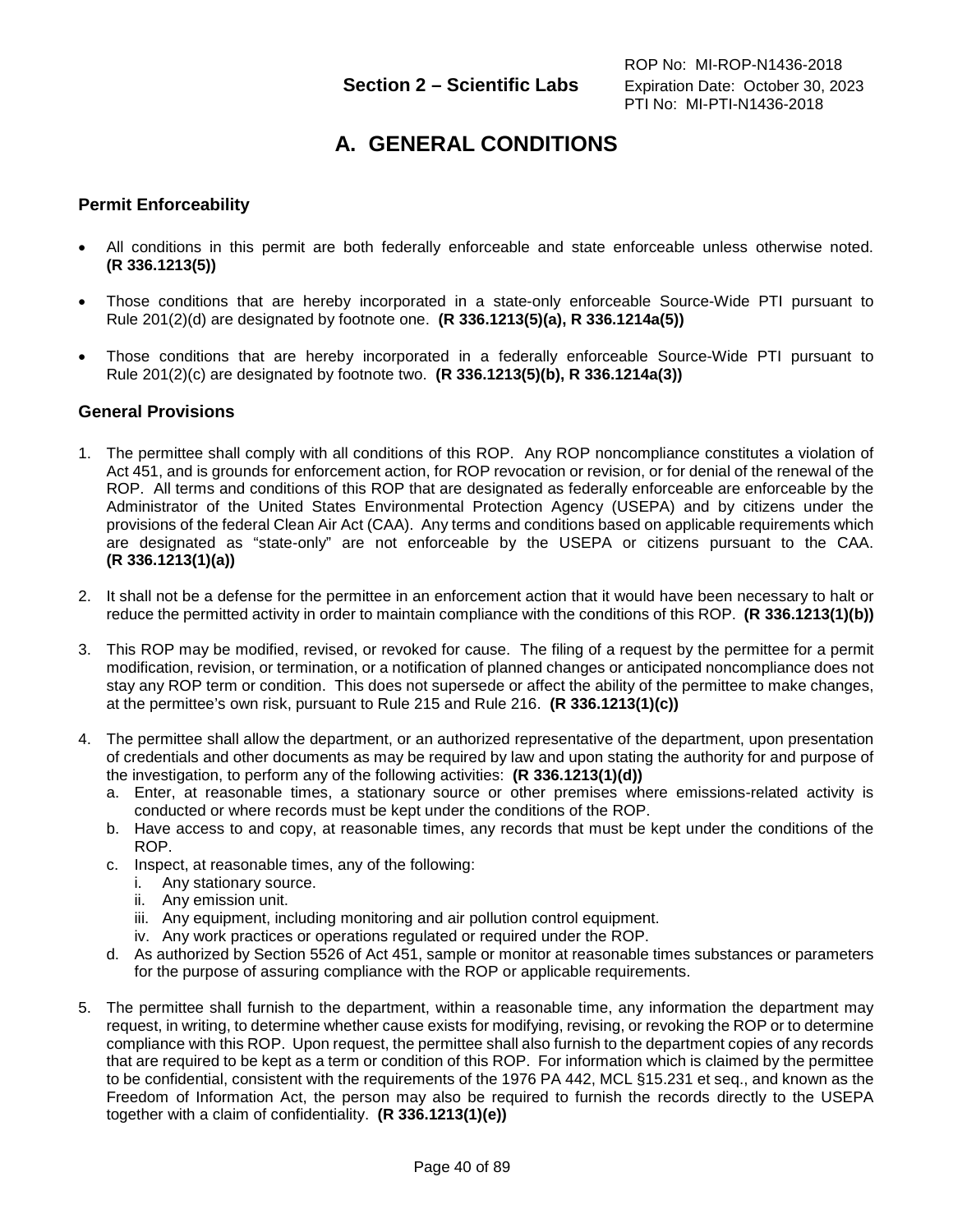# **A. GENERAL CONDITIONS**

# **Permit Enforceability**

- All conditions in this permit are both federally enforceable and state enforceable unless otherwise noted. **(R 336.1213(5))**
- Those conditions that are hereby incorporated in a state-only enforceable Source-Wide PTI pursuant to Rule 201(2)(d) are designated by footnote one. **(R 336.1213(5)(a), R 336.1214a(5))**
- Those conditions that are hereby incorporated in a federally enforceable Source-Wide PTI pursuant to Rule 201(2)(c) are designated by footnote two. **(R 336.1213(5)(b), R 336.1214a(3))**

## **General Provisions**

- 1. The permittee shall comply with all conditions of this ROP. Any ROP noncompliance constitutes a violation of Act 451, and is grounds for enforcement action, for ROP revocation or revision, or for denial of the renewal of the ROP. All terms and conditions of this ROP that are designated as federally enforceable are enforceable by the Administrator of the United States Environmental Protection Agency (USEPA) and by citizens under the provisions of the federal Clean Air Act (CAA). Any terms and conditions based on applicable requirements which are designated as "state-only" are not enforceable by the USEPA or citizens pursuant to the CAA. **(R 336.1213(1)(a))**
- 2. It shall not be a defense for the permittee in an enforcement action that it would have been necessary to halt or reduce the permitted activity in order to maintain compliance with the conditions of this ROP. **(R 336.1213(1)(b))**
- 3. This ROP may be modified, revised, or revoked for cause. The filing of a request by the permittee for a permit modification, revision, or termination, or a notification of planned changes or anticipated noncompliance does not stay any ROP term or condition. This does not supersede or affect the ability of the permittee to make changes, at the permittee's own risk, pursuant to Rule 215 and Rule 216. **(R 336.1213(1)(c))**
- 4. The permittee shall allow the department, or an authorized representative of the department, upon presentation of credentials and other documents as may be required by law and upon stating the authority for and purpose of the investigation, to perform any of the following activities: **(R 336.1213(1)(d))**
	- a. Enter, at reasonable times, a stationary source or other premises where emissions-related activity is conducted or where records must be kept under the conditions of the ROP.
	- b. Have access to and copy, at reasonable times, any records that must be kept under the conditions of the ROP.
	- c. Inspect, at reasonable times, any of the following:
		- i. Any stationary source.
		- ii. Any emission unit.
		- iii. Any equipment, including monitoring and air pollution control equipment.
		- iv. Any work practices or operations regulated or required under the ROP.
	- d. As authorized by Section 5526 of Act 451, sample or monitor at reasonable times substances or parameters for the purpose of assuring compliance with the ROP or applicable requirements.
- 5. The permittee shall furnish to the department, within a reasonable time, any information the department may request, in writing, to determine whether cause exists for modifying, revising, or revoking the ROP or to determine compliance with this ROP. Upon request, the permittee shall also furnish to the department copies of any records that are required to be kept as a term or condition of this ROP. For information which is claimed by the permittee to be confidential, consistent with the requirements of the 1976 PA 442, MCL §15.231 et seq., and known as the Freedom of Information Act, the person may also be required to furnish the records directly to the USEPA together with a claim of confidentiality. **(R 336.1213(1)(e))**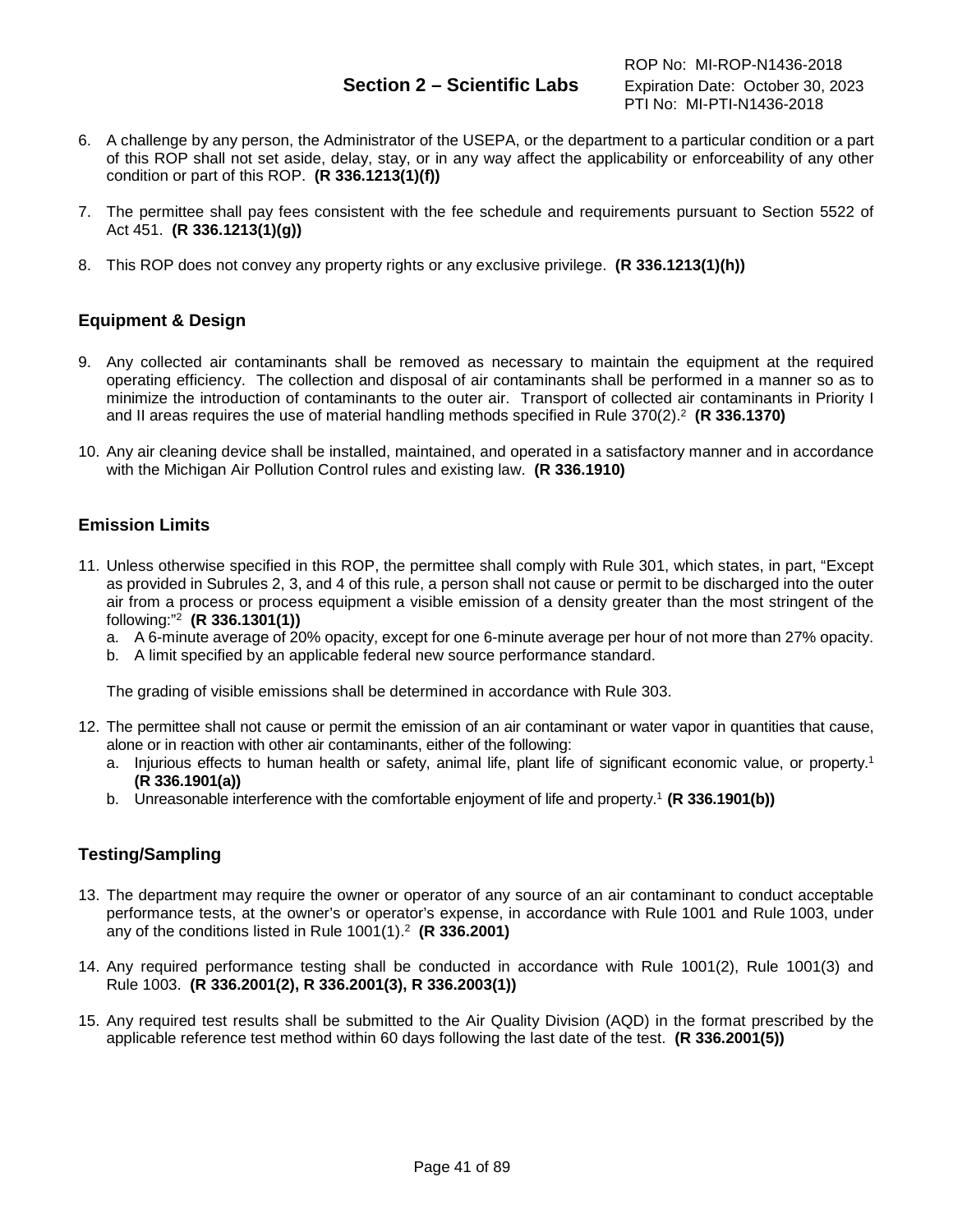- 6. A challenge by any person, the Administrator of the USEPA, or the department to a particular condition or a part of this ROP shall not set aside, delay, stay, or in any way affect the applicability or enforceability of any other condition or part of this ROP. **(R 336.1213(1)(f))**
- 7. The permittee shall pay fees consistent with the fee schedule and requirements pursuant to Section 5522 of Act 451. **(R 336.1213(1)(g))**
- 8. This ROP does not convey any property rights or any exclusive privilege. **(R 336.1213(1)(h))**

# **Equipment & Design**

- 9. Any collected air contaminants shall be removed as necessary to maintain the equipment at the required operating efficiency. The collection and disposal of air contaminants shall be performed in a manner so as to minimize the introduction of contaminants to the outer air. Transport of collected air contaminants in Priority I and II areas requires the use of material handling methods specified in Rule 370(2).2 **(R 336.1370)**
- 10. Any air cleaning device shall be installed, maintained, and operated in a satisfactory manner and in accordance with the Michigan Air Pollution Control rules and existing law. **(R 336.1910)**

# **Emission Limits**

- 11. Unless otherwise specified in this ROP, the permittee shall comply with Rule 301, which states, in part, "Except as provided in Subrules 2, 3, and 4 of this rule, a person shall not cause or permit to be discharged into the outer air from a process or process equipment a visible emission of a density greater than the most stringent of the following:"2 **(R 336.1301(1))**
	- a. A 6-minute average of 20% opacity, except for one 6-minute average per hour of not more than 27% opacity.
	- b. A limit specified by an applicable federal new source performance standard.

The grading of visible emissions shall be determined in accordance with Rule 303.

- 12. The permittee shall not cause or permit the emission of an air contaminant or water vapor in quantities that cause, alone or in reaction with other air contaminants, either of the following:
	- a. Injurious effects to human health or safety, animal life, plant life of significant economic value, or property.1 **(R 336.1901(a))**
	- b. Unreasonable interference with the comfortable enjoyment of life and property. <sup>1</sup> **(R 336.1901(b))**

## **Testing/Sampling**

- 13. The department may require the owner or operator of any source of an air contaminant to conduct acceptable performance tests, at the owner's or operator's expense, in accordance with Rule 1001 and Rule 1003, under any of the conditions listed in Rule 1001(1).2 **(R 336.2001)**
- 14. Any required performance testing shall be conducted in accordance with Rule 1001(2), Rule 1001(3) and Rule 1003. **(R 336.2001(2), R 336.2001(3), R 336.2003(1))**
- 15. Any required test results shall be submitted to the Air Quality Division (AQD) in the format prescribed by the applicable reference test method within 60 days following the last date of the test. **(R 336.2001(5))**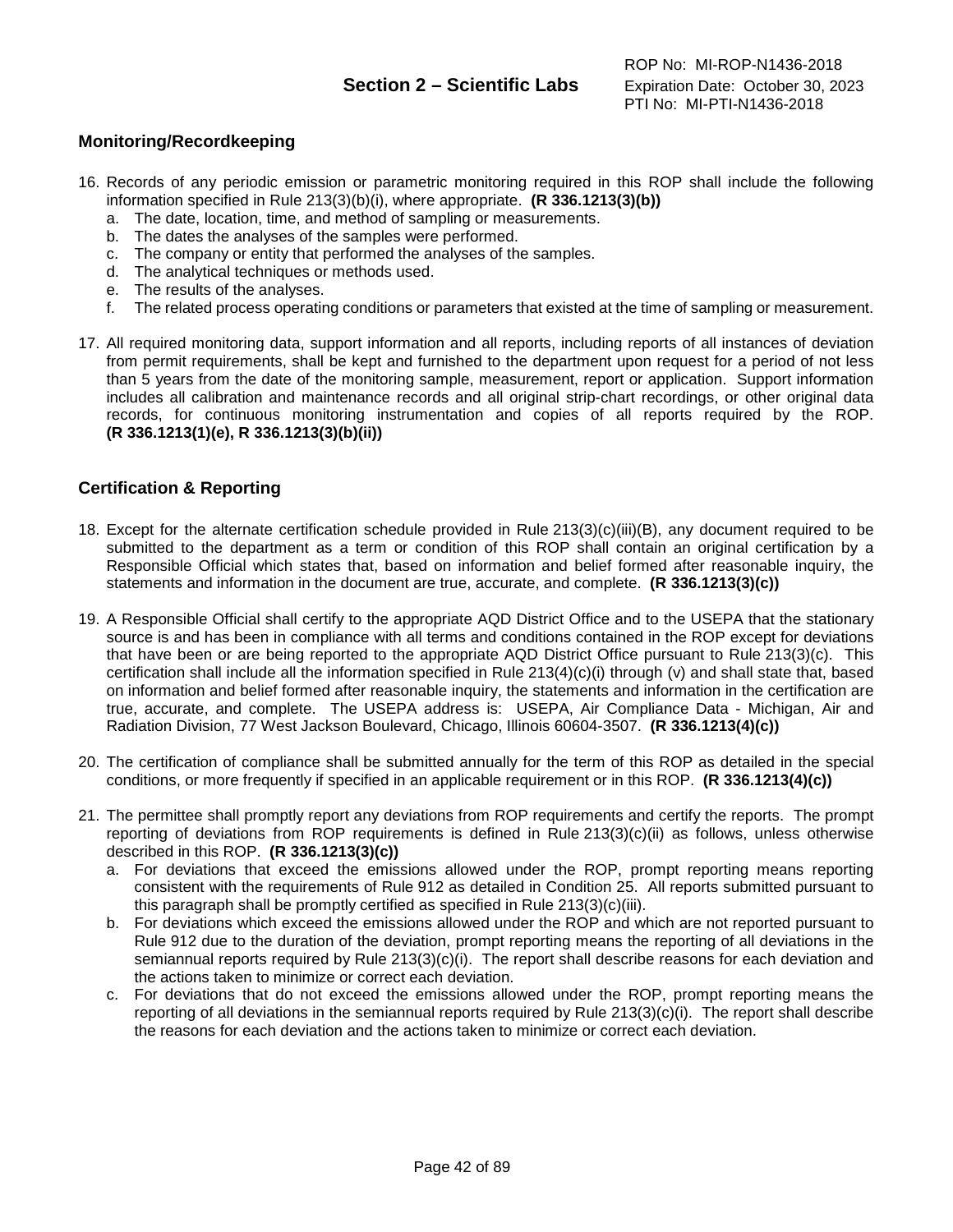# **Monitoring/Recordkeeping**

- 16. Records of any periodic emission or parametric monitoring required in this ROP shall include the following information specified in Rule 213(3)(b)(i), where appropriate. **(R 336.1213(3)(b))**
	- a. The date, location, time, and method of sampling or measurements.
	- b. The dates the analyses of the samples were performed.
	- c. The company or entity that performed the analyses of the samples.
	- d. The analytical techniques or methods used.
	- e. The results of the analyses.
	- f. The related process operating conditions or parameters that existed at the time of sampling or measurement.
- 17. All required monitoring data, support information and all reports, including reports of all instances of deviation from permit requirements, shall be kept and furnished to the department upon request for a period of not less than 5 years from the date of the monitoring sample, measurement, report or application. Support information includes all calibration and maintenance records and all original strip-chart recordings, or other original data records, for continuous monitoring instrumentation and copies of all reports required by the ROP. **(R 336.1213(1)(e), R 336.1213(3)(b)(ii))**

# **Certification & Reporting**

- 18. Except for the alternate certification schedule provided in Rule 213(3)(c)(iii)(B), any document required to be submitted to the department as a term or condition of this ROP shall contain an original certification by a Responsible Official which states that, based on information and belief formed after reasonable inquiry, the statements and information in the document are true, accurate, and complete. **(R 336.1213(3)(c))**
- 19. A Responsible Official shall certify to the appropriate AQD District Office and to the USEPA that the stationary source is and has been in compliance with all terms and conditions contained in the ROP except for deviations that have been or are being reported to the appropriate AQD District Office pursuant to Rule 213(3)(c). This certification shall include all the information specified in Rule 213(4)(c)(i) through (v) and shall state that, based on information and belief formed after reasonable inquiry, the statements and information in the certification are true, accurate, and complete. The USEPA address is: USEPA, Air Compliance Data - Michigan, Air and Radiation Division, 77 West Jackson Boulevard, Chicago, Illinois 60604-3507. **(R 336.1213(4)(c))**
- 20. The certification of compliance shall be submitted annually for the term of this ROP as detailed in the special conditions, or more frequently if specified in an applicable requirement or in this ROP. **(R 336.1213(4)(c))**
- 21. The permittee shall promptly report any deviations from ROP requirements and certify the reports. The prompt reporting of deviations from ROP requirements is defined in Rule 213(3)(c)(ii) as follows, unless otherwise described in this ROP. **(R 336.1213(3)(c))**
	- a. For deviations that exceed the emissions allowed under the ROP, prompt reporting means reporting consistent with the requirements of Rule 912 as detailed in Condition 25. All reports submitted pursuant to this paragraph shall be promptly certified as specified in Rule 213(3)(c)(iii).
	- b. For deviations which exceed the emissions allowed under the ROP and which are not reported pursuant to Rule 912 due to the duration of the deviation, prompt reporting means the reporting of all deviations in the semiannual reports required by Rule 213(3)(c)(i). The report shall describe reasons for each deviation and the actions taken to minimize or correct each deviation.
	- c. For deviations that do not exceed the emissions allowed under the ROP, prompt reporting means the reporting of all deviations in the semiannual reports required by Rule 213(3)(c)(i). The report shall describe the reasons for each deviation and the actions taken to minimize or correct each deviation.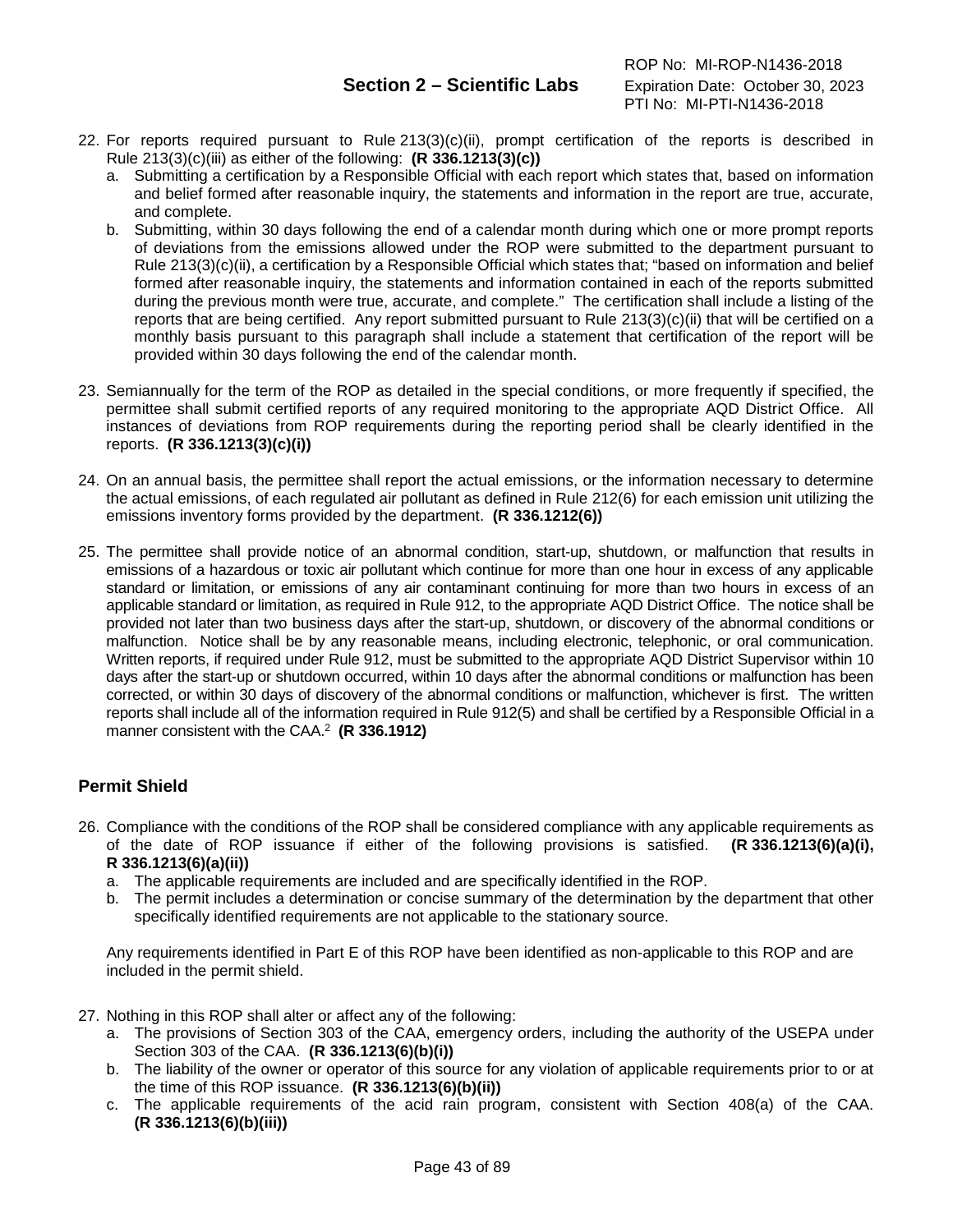- 22. For reports required pursuant to Rule 213(3)(c)(ii), prompt certification of the reports is described in Rule 213(3)(c)(iii) as either of the following: **(R 336.1213(3)(c))**
	- a. Submitting a certification by a Responsible Official with each report which states that, based on information and belief formed after reasonable inquiry, the statements and information in the report are true, accurate, and complete.
	- b. Submitting, within 30 days following the end of a calendar month during which one or more prompt reports of deviations from the emissions allowed under the ROP were submitted to the department pursuant to Rule 213(3)(c)(ii), a certification by a Responsible Official which states that; "based on information and belief formed after reasonable inquiry, the statements and information contained in each of the reports submitted during the previous month were true, accurate, and complete." The certification shall include a listing of the reports that are being certified. Any report submitted pursuant to Rule 213(3)(c)(ii) that will be certified on a monthly basis pursuant to this paragraph shall include a statement that certification of the report will be provided within 30 days following the end of the calendar month.
- 23. Semiannually for the term of the ROP as detailed in the special conditions, or more frequently if specified, the permittee shall submit certified reports of any required monitoring to the appropriate AQD District Office. All instances of deviations from ROP requirements during the reporting period shall be clearly identified in the reports. **(R 336.1213(3)(c)(i))**
- 24. On an annual basis, the permittee shall report the actual emissions, or the information necessary to determine the actual emissions, of each regulated air pollutant as defined in Rule 212(6) for each emission unit utilizing the emissions inventory forms provided by the department. **(R 336.1212(6))**
- 25. The permittee shall provide notice of an abnormal condition, start-up, shutdown, or malfunction that results in emissions of a hazardous or toxic air pollutant which continue for more than one hour in excess of any applicable standard or limitation, or emissions of any air contaminant continuing for more than two hours in excess of an applicable standard or limitation, as required in Rule 912, to the appropriate AQD District Office. The notice shall be provided not later than two business days after the start-up, shutdown, or discovery of the abnormal conditions or malfunction. Notice shall be by any reasonable means, including electronic, telephonic, or oral communication. Written reports, if required under Rule 912, must be submitted to the appropriate AQD District Supervisor within 10 days after the start-up or shutdown occurred, within 10 days after the abnormal conditions or malfunction has been corrected, or within 30 days of discovery of the abnormal conditions or malfunction, whichever is first. The written reports shall include all of the information required in Rule 912(5) and shall be certified by a Responsible Official in a manner consistent with the CAA. 2 **(R 336.1912)**

# **Permit Shield**

- 26. Compliance with the conditions of the ROP shall be considered compliance with any applicable requirements as of the date of ROP issuance if either of the following provisions is satisfied. **(R 336.1213(6)(a)(i), R 336.1213(6)(a)(ii))**
	- a. The applicable requirements are included and are specifically identified in the ROP.
	- b. The permit includes a determination or concise summary of the determination by the department that other specifically identified requirements are not applicable to the stationary source.

Any requirements identified in Part E of this ROP have been identified as non-applicable to this ROP and are included in the permit shield.

- 27. Nothing in this ROP shall alter or affect any of the following:
	- a. The provisions of Section 303 of the CAA, emergency orders, including the authority of the USEPA under Section 303 of the CAA. **(R 336.1213(6)(b)(i))**
	- b. The liability of the owner or operator of this source for any violation of applicable requirements prior to or at the time of this ROP issuance. **(R 336.1213(6)(b)(ii))**
	- c. The applicable requirements of the acid rain program, consistent with Section 408(a) of the CAA. **(R 336.1213(6)(b)(iii))**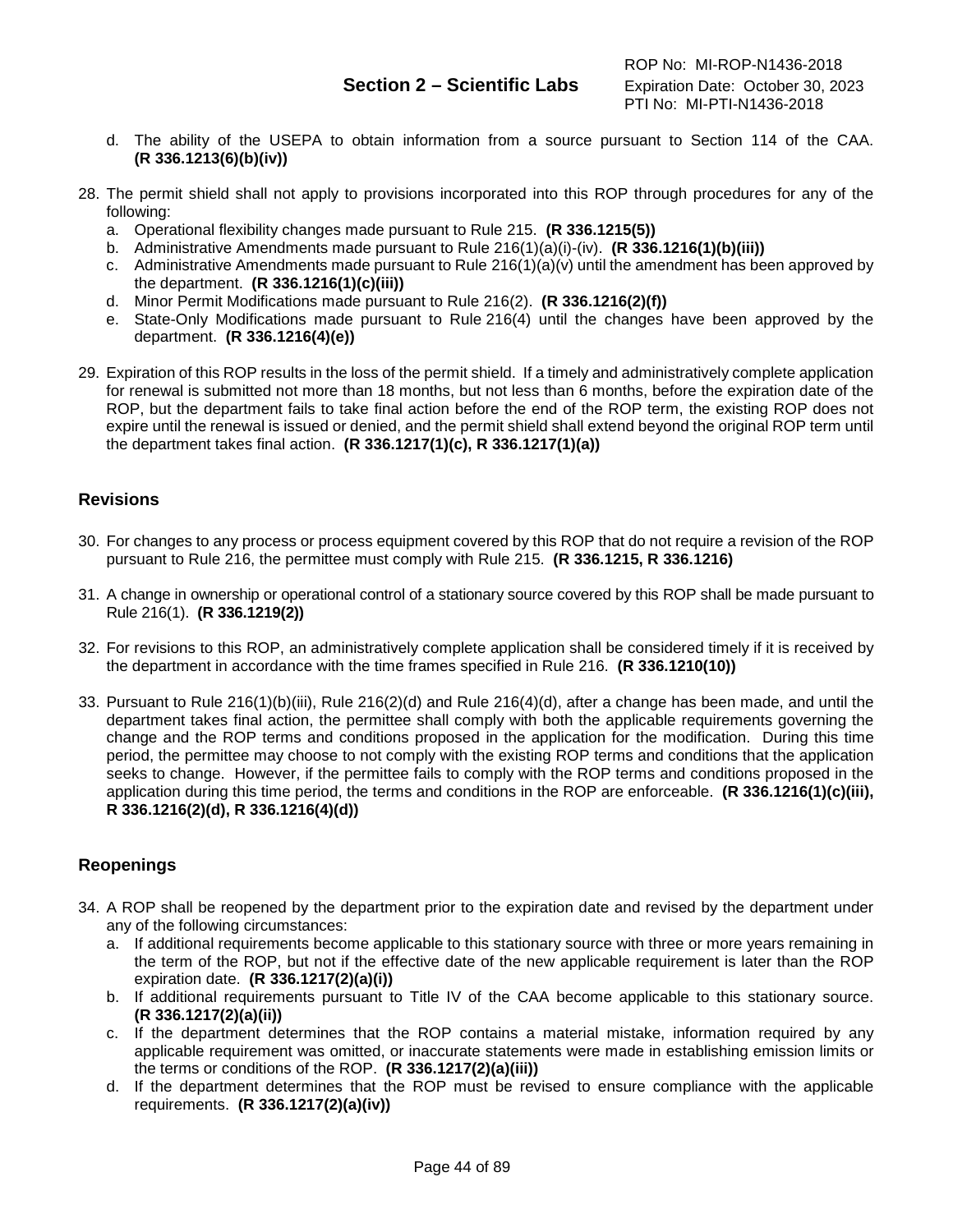- d. The ability of the USEPA to obtain information from a source pursuant to Section 114 of the CAA. **(R 336.1213(6)(b)(iv))**
- 28. The permit shield shall not apply to provisions incorporated into this ROP through procedures for any of the following:
	- a. Operational flexibility changes made pursuant to Rule 215. **(R 336.1215(5))**
	- b. Administrative Amendments made pursuant to Rule 216(1)(a)(i)-(iv). **(R 336.1216(1)(b)(iii))**
	- c. Administrative Amendments made pursuant to Rule  $216(1)(a)(v)$  until the amendment has been approved by the department. **(R 336.1216(1)(c)(iii))**
	- d. Minor Permit Modifications made pursuant to Rule 216(2). **(R 336.1216(2)(f))**
	- e. State-Only Modifications made pursuant to Rule 216(4) until the changes have been approved by the department. **(R 336.1216(4)(e))**
- 29. Expiration of this ROP results in the loss of the permit shield. If a timely and administratively complete application for renewal is submitted not more than 18 months, but not less than 6 months, before the expiration date of the ROP, but the department fails to take final action before the end of the ROP term, the existing ROP does not expire until the renewal is issued or denied, and the permit shield shall extend beyond the original ROP term until the department takes final action. **(R 336.1217(1)(c), R 336.1217(1)(a))**

# **Revisions**

- 30. For changes to any process or process equipment covered by this ROP that do not require a revision of the ROP pursuant to Rule 216, the permittee must comply with Rule 215. **(R 336.1215, R 336.1216)**
- 31. A change in ownership or operational control of a stationary source covered by this ROP shall be made pursuant to Rule 216(1). **(R 336.1219(2))**
- 32. For revisions to this ROP, an administratively complete application shall be considered timely if it is received by the department in accordance with the time frames specified in Rule 216. **(R 336.1210(10))**
- 33. Pursuant to Rule 216(1)(b)(iii), Rule 216(2)(d) and Rule 216(4)(d), after a change has been made, and until the department takes final action, the permittee shall comply with both the applicable requirements governing the change and the ROP terms and conditions proposed in the application for the modification. During this time period, the permittee may choose to not comply with the existing ROP terms and conditions that the application seeks to change. However, if the permittee fails to comply with the ROP terms and conditions proposed in the application during this time period, the terms and conditions in the ROP are enforceable. **(R 336.1216(1)(c)(iii), R 336.1216(2)(d), R 336.1216(4)(d))**

# **Reopenings**

- 34. A ROP shall be reopened by the department prior to the expiration date and revised by the department under any of the following circumstances:
	- a. If additional requirements become applicable to this stationary source with three or more years remaining in the term of the ROP, but not if the effective date of the new applicable requirement is later than the ROP expiration date. **(R 336.1217(2)(a)(i))**
	- b. If additional requirements pursuant to Title IV of the CAA become applicable to this stationary source. **(R 336.1217(2)(a)(ii))**
	- c. If the department determines that the ROP contains a material mistake, information required by any applicable requirement was omitted, or inaccurate statements were made in establishing emission limits or the terms or conditions of the ROP. **(R 336.1217(2)(a)(iii))**
	- d. If the department determines that the ROP must be revised to ensure compliance with the applicable requirements. **(R 336.1217(2)(a)(iv))**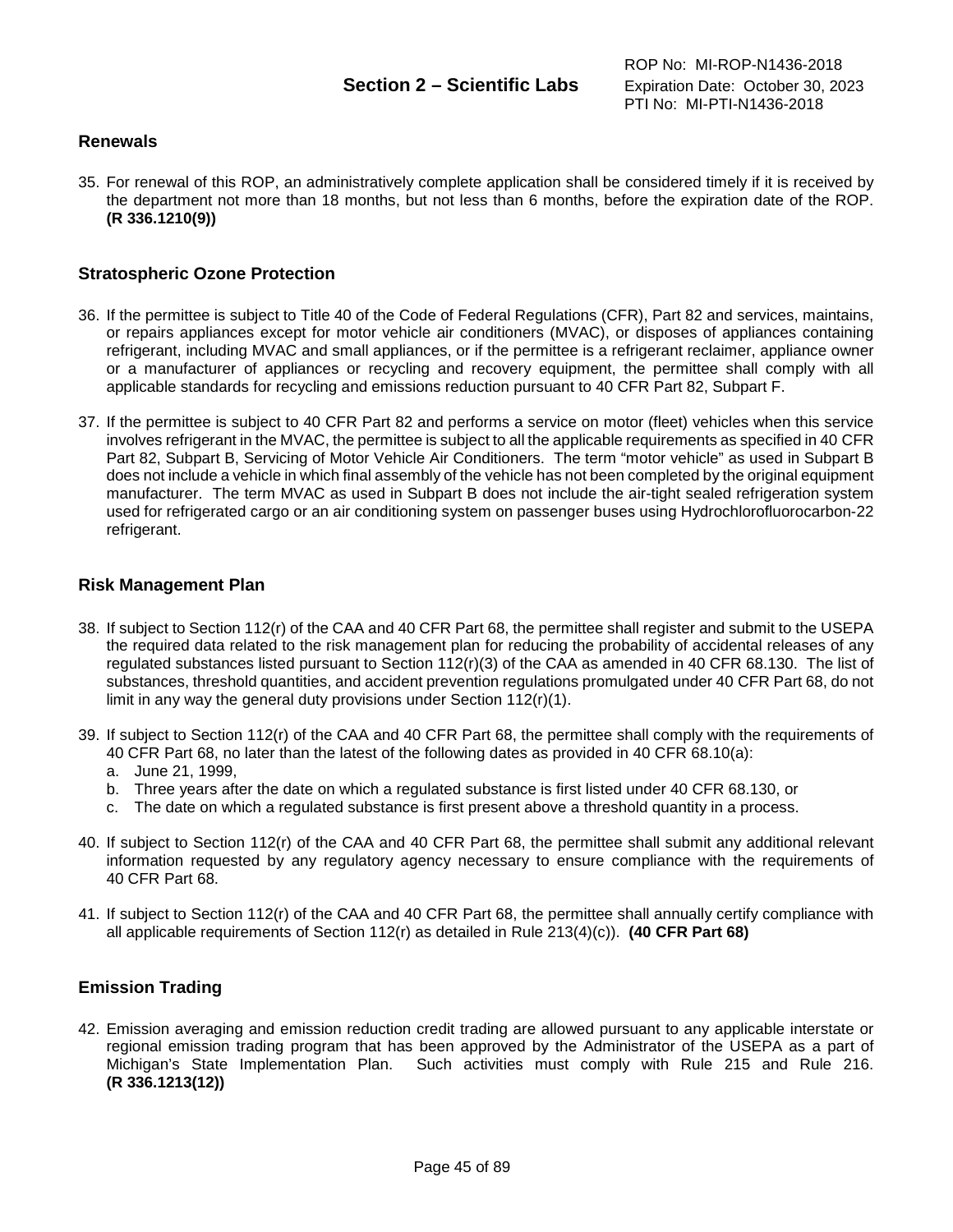## **Renewals**

35. For renewal of this ROP, an administratively complete application shall be considered timely if it is received by the department not more than 18 months, but not less than 6 months, before the expiration date of the ROP. **(R 336.1210(9))**

# **Stratospheric Ozone Protection**

- 36. If the permittee is subject to Title 40 of the Code of Federal Regulations (CFR), Part 82 and services, maintains, or repairs appliances except for motor vehicle air conditioners (MVAC), or disposes of appliances containing refrigerant, including MVAC and small appliances, or if the permittee is a refrigerant reclaimer, appliance owner or a manufacturer of appliances or recycling and recovery equipment, the permittee shall comply with all applicable standards for recycling and emissions reduction pursuant to 40 CFR Part 82, Subpart F.
- 37. If the permittee is subject to 40 CFR Part 82 and performs a service on motor (fleet) vehicles when this service involves refrigerant in the MVAC, the permittee is subject to all the applicable requirements as specified in 40 CFR Part 82, Subpart B, Servicing of Motor Vehicle Air Conditioners. The term "motor vehicle" as used in Subpart B does not include a vehicle in which final assembly of the vehicle has not been completed by the original equipment manufacturer. The term MVAC as used in Subpart B does not include the air-tight sealed refrigeration system used for refrigerated cargo or an air conditioning system on passenger buses using Hydrochlorofluorocarbon-22 refrigerant.

## **Risk Management Plan**

- 38. If subject to Section 112(r) of the CAA and 40 CFR Part 68, the permittee shall register and submit to the USEPA the required data related to the risk management plan for reducing the probability of accidental releases of any regulated substances listed pursuant to Section 112(r)(3) of the CAA as amended in 40 CFR 68.130. The list of substances, threshold quantities, and accident prevention regulations promulgated under 40 CFR Part 68, do not limit in any way the general duty provisions under Section 112(r)(1).
- 39. If subject to Section 112(r) of the CAA and 40 CFR Part 68, the permittee shall comply with the requirements of 40 CFR Part 68, no later than the latest of the following dates as provided in 40 CFR 68.10(a):
	- a. June 21, 1999,
	- b. Three years after the date on which a regulated substance is first listed under 40 CFR 68.130, or
	- c. The date on which a regulated substance is first present above a threshold quantity in a process.
- 40. If subject to Section 112(r) of the CAA and 40 CFR Part 68, the permittee shall submit any additional relevant information requested by any regulatory agency necessary to ensure compliance with the requirements of 40 CFR Part 68.
- 41. If subject to Section 112(r) of the CAA and 40 CFR Part 68, the permittee shall annually certify compliance with all applicable requirements of Section 112(r) as detailed in Rule 213(4)(c)). **(40 CFR Part 68)**

## **Emission Trading**

42. Emission averaging and emission reduction credit trading are allowed pursuant to any applicable interstate or regional emission trading program that has been approved by the Administrator of the USEPA as a part of Michigan's State Implementation Plan. Such activities must comply with Rule 215 and Rule 216. **(R 336.1213(12))**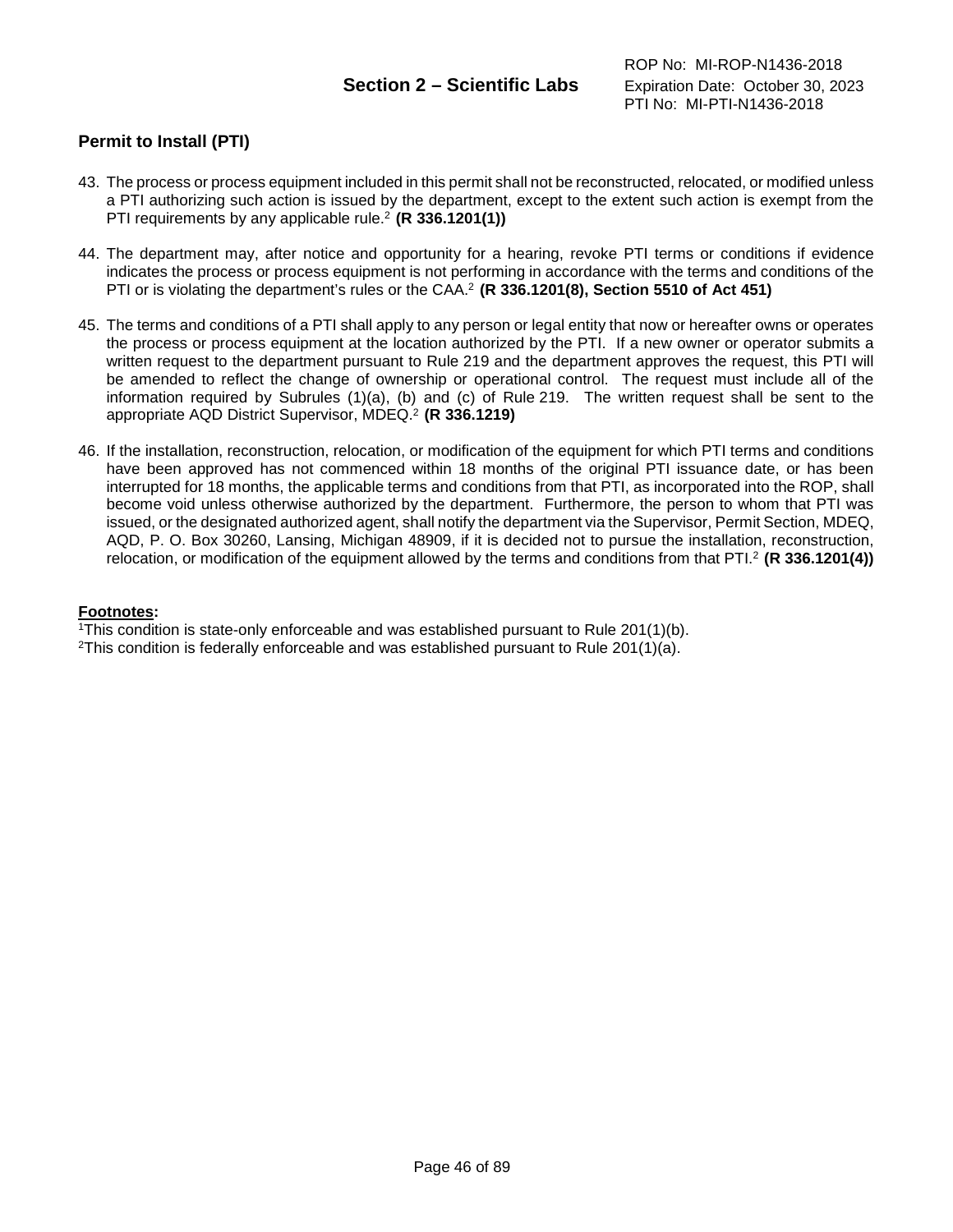# **Permit to Install (PTI)**

- 43. The process or process equipment included in this permit shall not be reconstructed, relocated, or modified unless a PTI authorizing such action is issued by the department, except to the extent such action is exempt from the PTI requirements by any applicable rule.2 **(R 336.1201(1))**
- 44. The department may, after notice and opportunity for a hearing, revoke PTI terms or conditions if evidence indicates the process or process equipment is not performing in accordance with the terms and conditions of the PTI or is violating the department's rules or the CAA.2 **(R 336.1201(8), Section 5510 of Act 451)**
- 45. The terms and conditions of a PTI shall apply to any person or legal entity that now or hereafter owns or operates the process or process equipment at the location authorized by the PTI. If a new owner or operator submits a written request to the department pursuant to Rule 219 and the department approves the request, this PTI will be amended to reflect the change of ownership or operational control. The request must include all of the information required by Subrules (1)(a), (b) and (c) of Rule 219. The written request shall be sent to the appropriate AQD District Supervisor, MDEQ. <sup>2</sup> **(R 336.1219)**
- 46. If the installation, reconstruction, relocation, or modification of the equipment for which PTI terms and conditions have been approved has not commenced within 18 months of the original PTI issuance date, or has been interrupted for 18 months, the applicable terms and conditions from that PTI, as incorporated into the ROP, shall become void unless otherwise authorized by the department. Furthermore, the person to whom that PTI was issued, or the designated authorized agent, shall notify the department via the Supervisor, Permit Section, MDEQ, AQD, P. O. Box 30260, Lansing, Michigan 48909, if it is decided not to pursue the installation, reconstruction, relocation, or modification of the equipment allowed by the terms and conditions from that PTI.2 **(R 336.1201(4))**

### **Footnotes:**

<sup>1</sup>This condition is state-only enforceable and was established pursuant to Rule  $201(1)(b)$ .

<sup>2</sup>This condition is federally enforceable and was established pursuant to Rule 201(1)(a).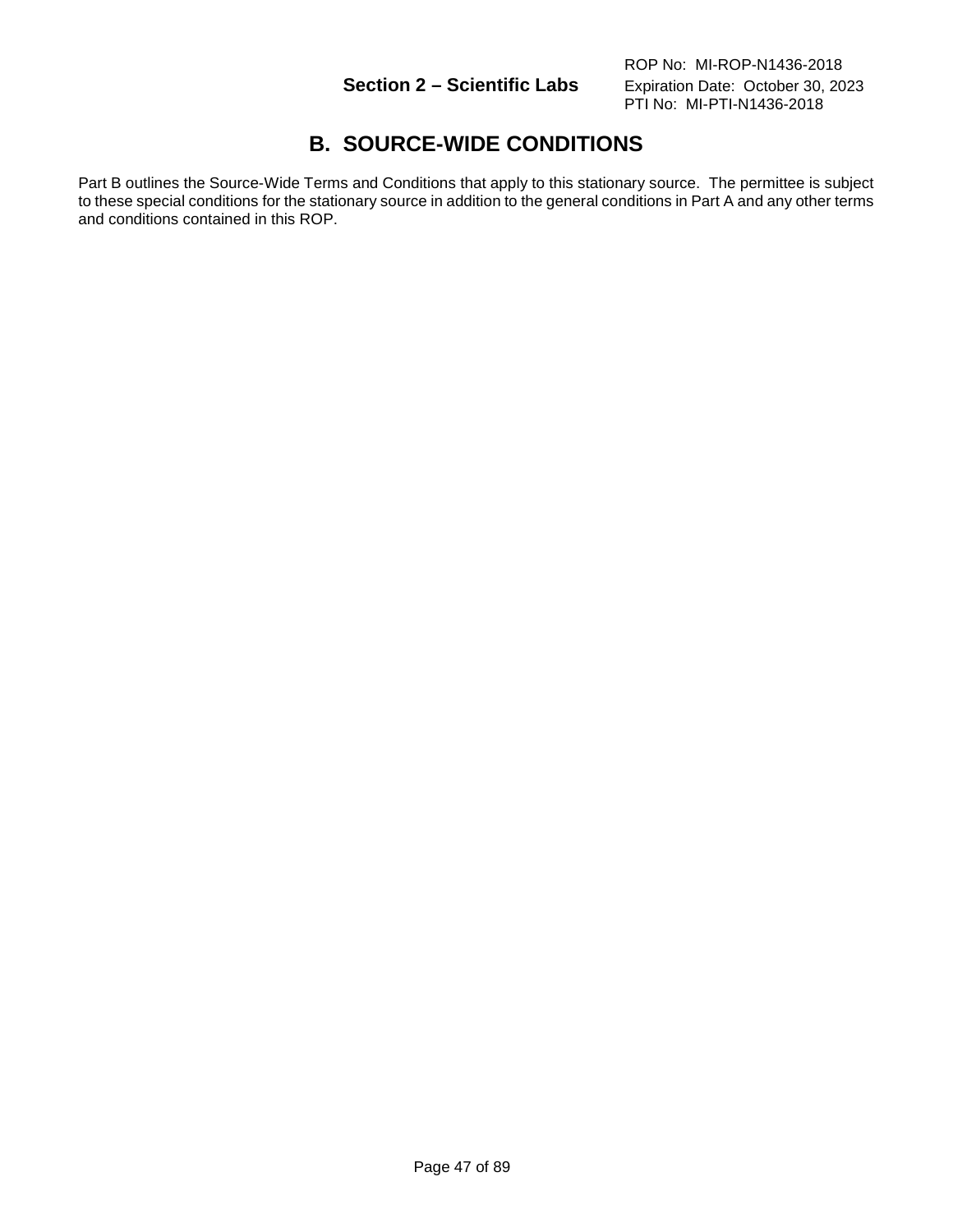# **B. SOURCE-WIDE CONDITIONS**

Part B outlines the Source-Wide Terms and Conditions that apply to this stationary source. The permittee is subject to these special conditions for the stationary source in addition to the general conditions in Part A and any other terms and conditions contained in this ROP.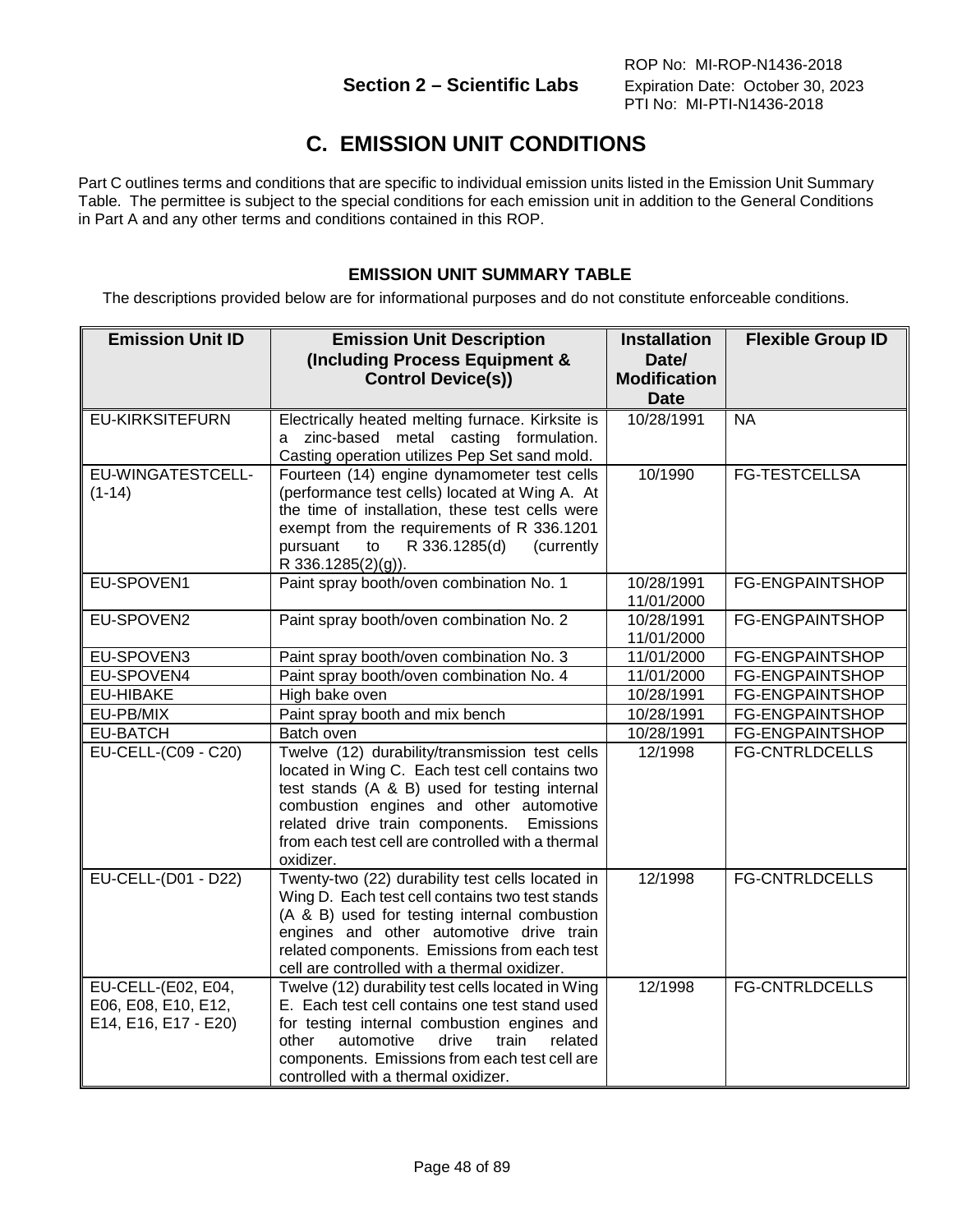# **C. EMISSION UNIT CONDITIONS**

Part C outlines terms and conditions that are specific to individual emission units listed in the Emission Unit Summary Table. The permittee is subject to the special conditions for each emission unit in addition to the General Conditions in Part A and any other terms and conditions contained in this ROP.

# **EMISSION UNIT SUMMARY TABLE**

The descriptions provided below are for informational purposes and do not constitute enforceable conditions.

| <b>Emission Unit ID</b>                                           | <b>Emission Unit Description</b><br>(Including Process Equipment &<br><b>Control Device(s))</b>                                                                                                                                                                                                                | <b>Installation</b><br>Date/<br><b>Modification</b><br><b>Date</b> | <b>Flexible Group ID</b> |
|-------------------------------------------------------------------|----------------------------------------------------------------------------------------------------------------------------------------------------------------------------------------------------------------------------------------------------------------------------------------------------------------|--------------------------------------------------------------------|--------------------------|
| <b>EU-KIRKSITEFURN</b>                                            | Electrically heated melting furnace. Kirksite is<br>a zinc-based metal casting formulation.<br>Casting operation utilizes Pep Set sand mold.                                                                                                                                                                   | 10/28/1991                                                         | <b>NA</b>                |
| EU-WINGATESTCELL-<br>$(1-14)$                                     | Fourteen (14) engine dynamometer test cells<br>(performance test cells) located at Wing A. At<br>the time of installation, these test cells were<br>exempt from the requirements of R 336.1201<br>R 336.1285(d)<br>pursuant<br>to<br>(currently<br>R 336.1285(2)(g)).                                          | 10/1990                                                            | <b>FG-TESTCELLSA</b>     |
| EU-SPOVEN1                                                        | Paint spray booth/oven combination No. 1                                                                                                                                                                                                                                                                       | 10/28/1991<br>11/01/2000                                           | <b>FG-ENGPAINTSHOP</b>   |
| EU-SPOVEN2                                                        | Paint spray booth/oven combination No. 2                                                                                                                                                                                                                                                                       | 10/28/1991<br>11/01/2000                                           | FG-ENGPAINTSHOP          |
| EU-SPOVEN3                                                        | Paint spray booth/oven combination No. 3                                                                                                                                                                                                                                                                       | 11/01/2000                                                         | FG-ENGPAINTSHOP          |
| EU-SPOVEN4                                                        | Paint spray booth/oven combination No. 4                                                                                                                                                                                                                                                                       | 11/01/2000                                                         | FG-ENGPAINTSHOP          |
| <b>EU-HIBAKE</b>                                                  | High bake oven                                                                                                                                                                                                                                                                                                 | 10/28/1991                                                         | FG-ENGPAINTSHOP          |
| EU-PB/MIX                                                         | Paint spray booth and mix bench                                                                                                                                                                                                                                                                                | 10/28/1991                                                         | FG-ENGPAINTSHOP          |
| <b>EU-BATCH</b>                                                   | Batch oven                                                                                                                                                                                                                                                                                                     | 10/28/1991                                                         | FG-ENGPAINTSHOP          |
| <b>EU-CELL-(C09 - C20)</b>                                        | Twelve (12) durability/transmission test cells<br>located in Wing C. Each test cell contains two<br>test stands (A & B) used for testing internal<br>combustion engines and other automotive<br>related drive train components.<br>Emissions<br>from each test cell are controlled with a thermal<br>oxidizer. | 12/1998                                                            | <b>FG-CNTRLDCELLS</b>    |
| EU-CELL-(D01 - D22)                                               | Twenty-two (22) durability test cells located in<br>Wing D. Each test cell contains two test stands<br>(A & B) used for testing internal combustion<br>engines and other automotive drive train<br>related components. Emissions from each test<br>cell are controlled with a thermal oxidizer.                | 12/1998                                                            | <b>FG-CNTRLDCELLS</b>    |
| EU-CELL-(E02, E04,<br>E06, E08, E10, E12,<br>E14, E16, E17 - E20) | Twelve (12) durability test cells located in Wing<br>E. Each test cell contains one test stand used<br>for testing internal combustion engines and<br>other<br>automotive<br>drive<br>train<br>related<br>components. Emissions from each test cell are<br>controlled with a thermal oxidizer.                 | 12/1998                                                            | <b>FG-CNTRLDCELLS</b>    |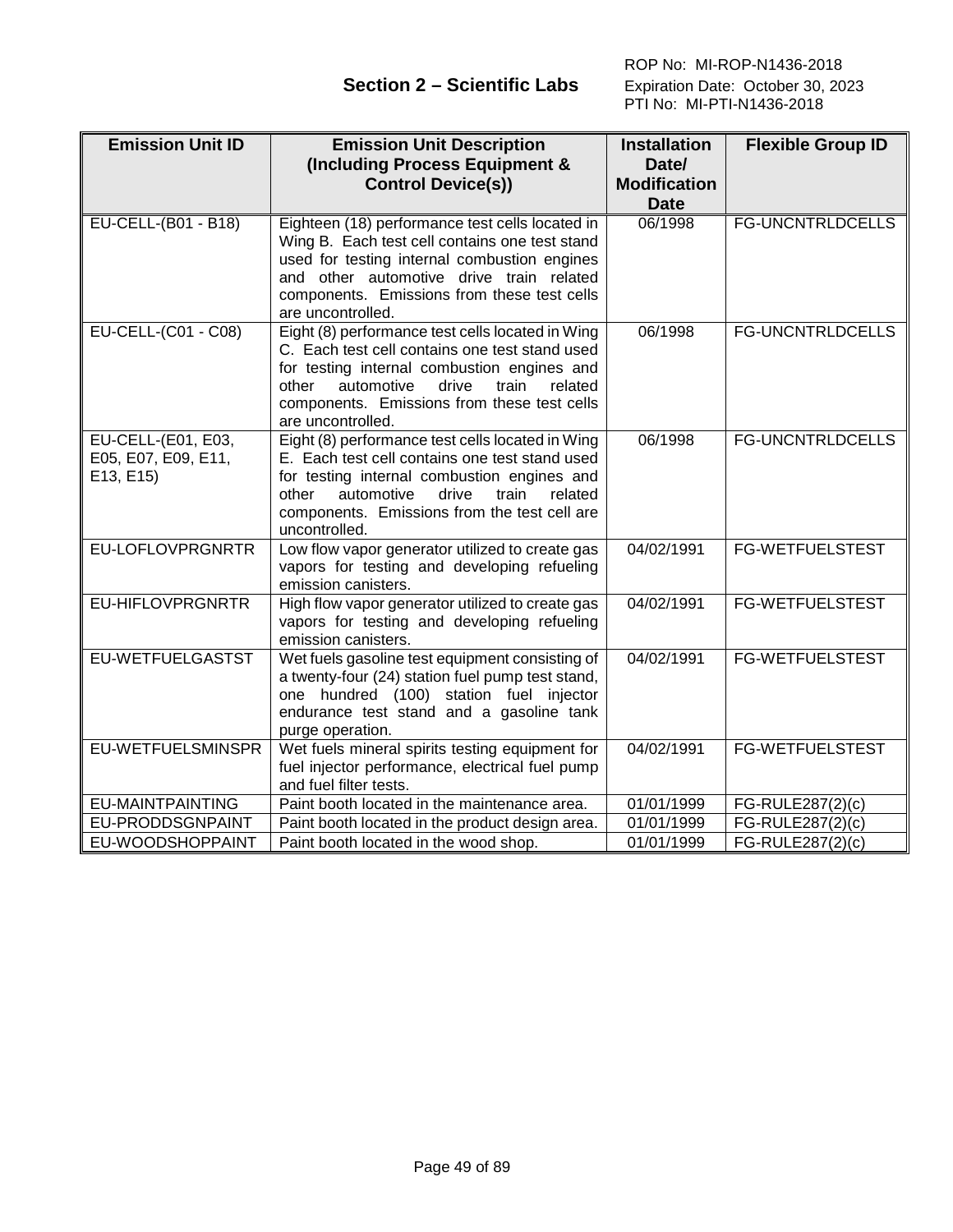| <b>Emission Unit ID</b>                                | <b>Emission Unit Description</b>                                                                                                                                                                                                                                          | <b>Installation</b>                | <b>Flexible Group ID</b> |
|--------------------------------------------------------|---------------------------------------------------------------------------------------------------------------------------------------------------------------------------------------------------------------------------------------------------------------------------|------------------------------------|--------------------------|
|                                                        | (Including Process Equipment &                                                                                                                                                                                                                                            | Date/                              |                          |
|                                                        | <b>Control Device(s))</b>                                                                                                                                                                                                                                                 | <b>Modification</b><br><b>Date</b> |                          |
| <b>EU-CELL-(B01 - B18)</b>                             | Eighteen (18) performance test cells located in<br>Wing B. Each test cell contains one test stand<br>used for testing internal combustion engines<br>and other automotive drive train related<br>components. Emissions from these test cells<br>are uncontrolled.         | 06/1998                            | <b>FG-UNCNTRLDCELLS</b>  |
| EU-CELL-(C01 - C08)                                    | Eight (8) performance test cells located in Wing<br>C. Each test cell contains one test stand used<br>for testing internal combustion engines and<br>other<br>automotive<br>drive<br>train<br>related<br>components. Emissions from these test cells<br>are uncontrolled. | 06/1998                            | <b>FG-UNCNTRLDCELLS</b>  |
| EU-CELL-(E01, E03,<br>E05, E07, E09, E11,<br>E13, E15) | Eight (8) performance test cells located in Wing<br>E. Each test cell contains one test stand used<br>for testing internal combustion engines and<br>other<br>automotive<br>drive<br>train<br>related<br>components. Emissions from the test cell are<br>uncontrolled.    | 06/1998                            | <b>FG-UNCNTRLDCELLS</b>  |
| EU-LOFLOVPRGNRTR                                       | Low flow vapor generator utilized to create gas<br>vapors for testing and developing refueling<br>emission canisters.                                                                                                                                                     | 04/02/1991                         | FG-WETFUELSTEST          |
| <b>EU-HIFLOVPRGNRTR</b>                                | High flow vapor generator utilized to create gas<br>vapors for testing and developing refueling<br>emission canisters.                                                                                                                                                    | 04/02/1991                         | <b>FG-WETFUELSTEST</b>   |
| EU-WETFUELGASTST                                       | Wet fuels gasoline test equipment consisting of<br>a twenty-four (24) station fuel pump test stand,<br>one hundred (100) station fuel injector<br>endurance test stand and a gasoline tank<br>purge operation.                                                            | 04/02/1991                         | <b>FG-WETFUELSTEST</b>   |
| <b>EU-WETFUELSMINSPR</b>                               | Wet fuels mineral spirits testing equipment for<br>fuel injector performance, electrical fuel pump<br>and fuel filter tests.                                                                                                                                              | 04/02/1991                         | <b>FG-WETFUELSTEST</b>   |
| <b>EU-MAINTPAINTING</b>                                | Paint booth located in the maintenance area.                                                                                                                                                                                                                              | 01/01/1999                         | FG-RULE287(2)(c)         |
| EU-PRODDSGNPAINT                                       | Paint booth located in the product design area.                                                                                                                                                                                                                           | 01/01/1999                         | FG-RULE287(2)(c)         |
| EU-WOODSHOPPAINT                                       | Paint booth located in the wood shop.                                                                                                                                                                                                                                     | 01/01/1999                         | FG-RULE287(2)(c)         |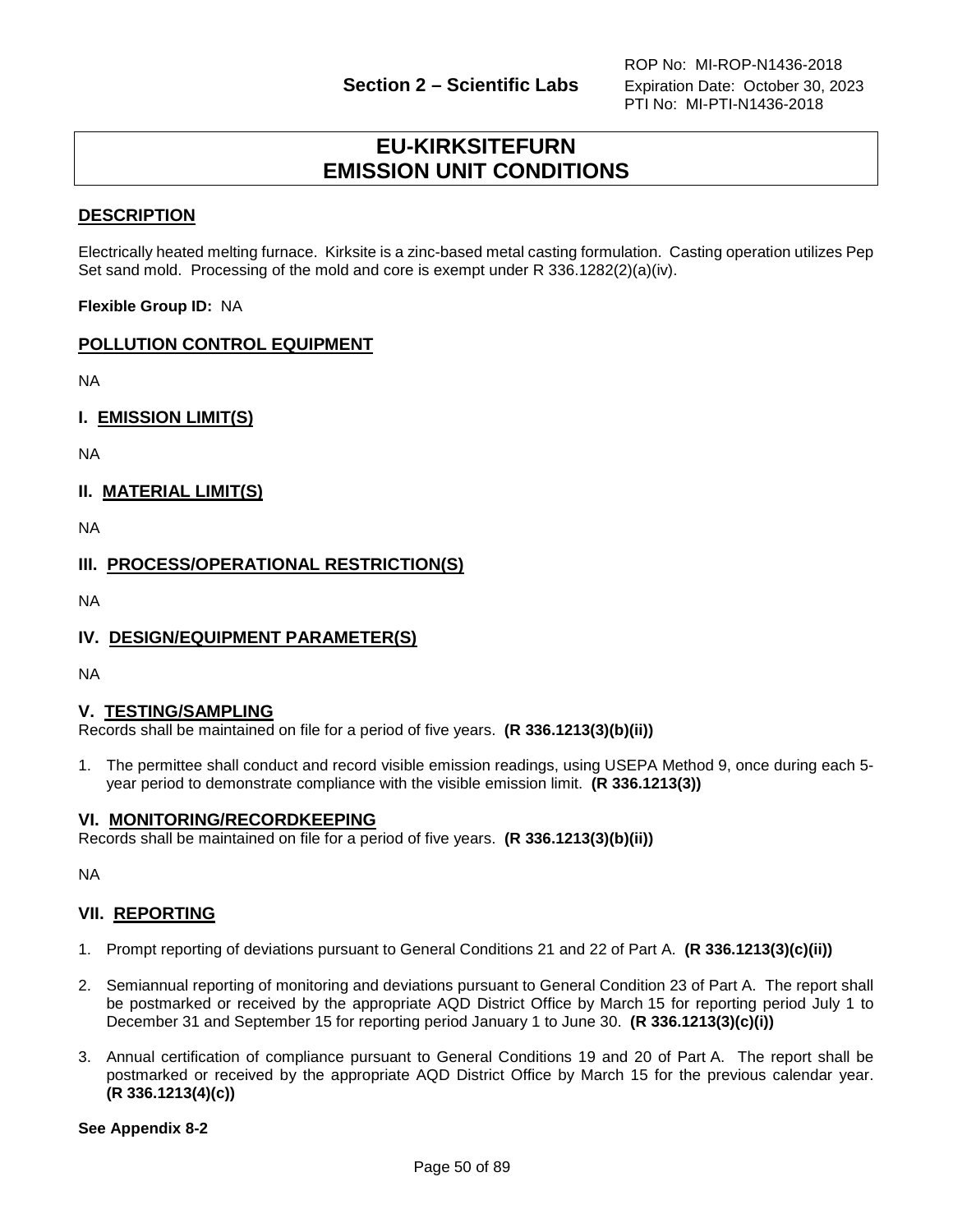# **EU-KIRKSITEFURN EMISSION UNIT CONDITIONS**

## **DESCRIPTION**

Electrically heated melting furnace. Kirksite is a zinc-based metal casting formulation. Casting operation utilizes Pep Set sand mold. Processing of the mold and core is exempt under R 336.1282(2)(a)(iv).

**Flexible Group ID:** NA

# **POLLUTION CONTROL EQUIPMENT**

NA

**I. EMISSION LIMIT(S)**

NA

**II. MATERIAL LIMIT(S)**

NA

**III. PROCESS/OPERATIONAL RESTRICTION(S)**

NA

## **IV. DESIGN/EQUIPMENT PARAMETER(S)**

NA

### **V. TESTING/SAMPLING**

Records shall be maintained on file for a period of five years. **(R 336.1213(3)(b)(ii))**

1. The permittee shall conduct and record visible emission readings, using USEPA Method 9, once during each 5 year period to demonstrate compliance with the visible emission limit. **(R 336.1213(3))**

### **VI. MONITORING/RECORDKEEPING**

Records shall be maintained on file for a period of five years. **(R 336.1213(3)(b)(ii))**

NA

## **VII. REPORTING**

- 1. Prompt reporting of deviations pursuant to General Conditions 21 and 22 of Part A. **(R 336.1213(3)(c)(ii))**
- 2. Semiannual reporting of monitoring and deviations pursuant to General Condition 23 of Part A. The report shall be postmarked or received by the appropriate AQD District Office by March 15 for reporting period July 1 to December 31 and September 15 for reporting period January 1 to June 30. **(R 336.1213(3)(c)(i))**
- 3. Annual certification of compliance pursuant to General Conditions 19 and 20 of Part A. The report shall be postmarked or received by the appropriate AQD District Office by March 15 for the previous calendar year. **(R 336.1213(4)(c))**

**See Appendix 8-2**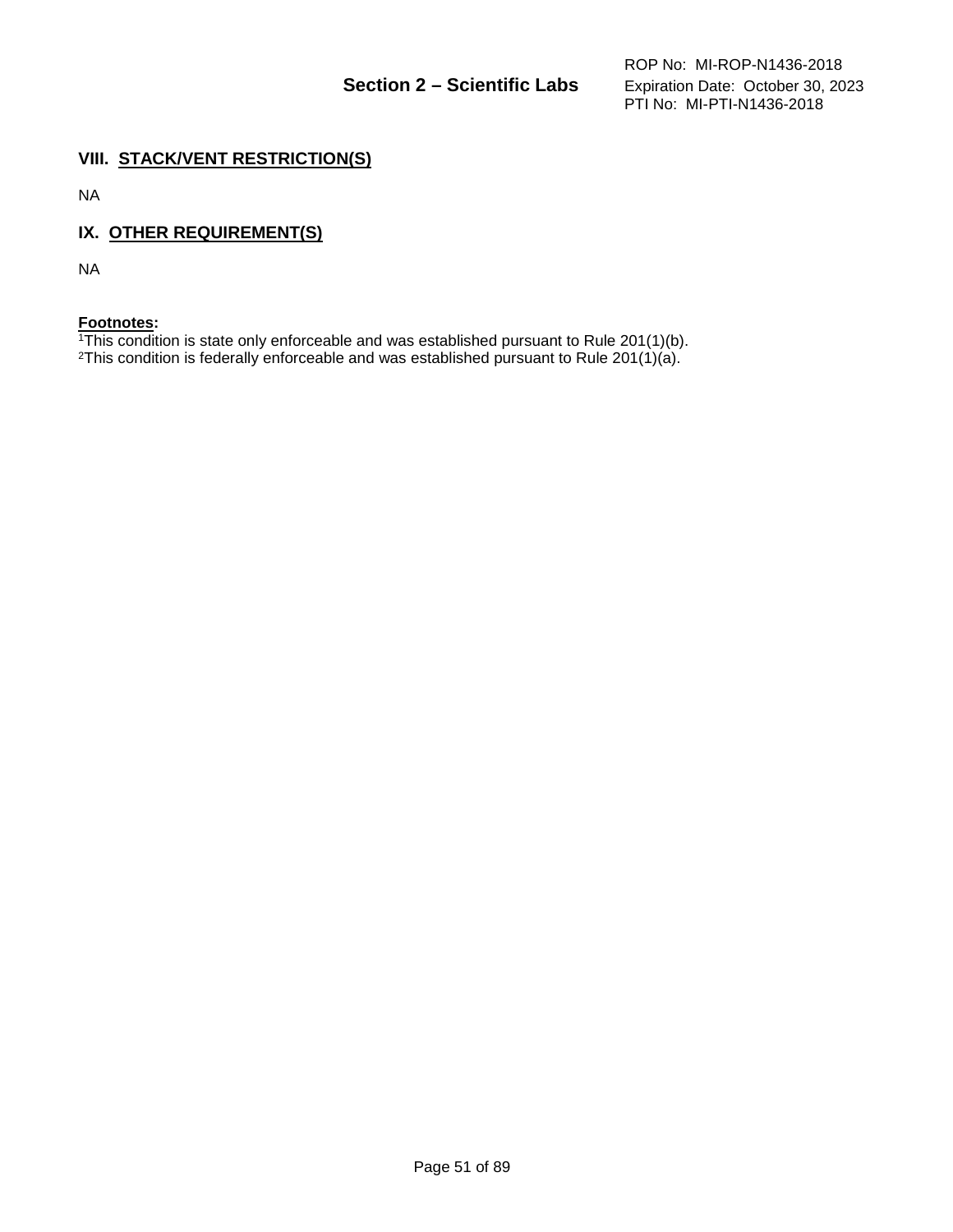# **VIII. STACK/VENT RESTRICTION(S)**

NA

# **IX. OTHER REQUIREMENT(S)**

NA

### **Footnotes:**

 $1$ <sup>1</sup>This condition is state only enforceable and was established pursuant to Rule 201(1)(b). 2This condition is federally enforceable and was established pursuant to Rule 201(1)(a).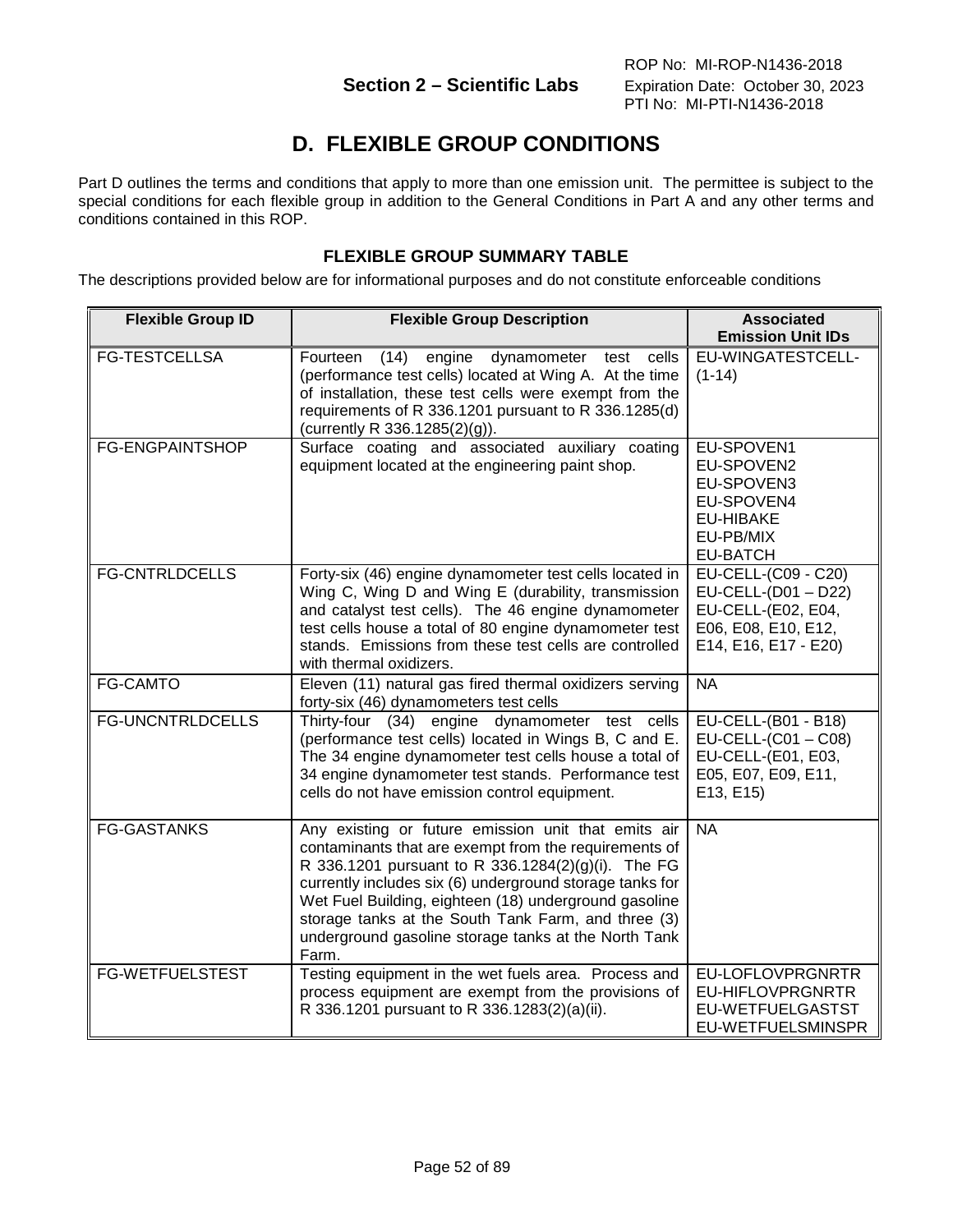# **D. FLEXIBLE GROUP CONDITIONS**

Part D outlines the terms and conditions that apply to more than one emission unit. The permittee is subject to the special conditions for each flexible group in addition to the General Conditions in Part A and any other terms and conditions contained in this ROP.

# **FLEXIBLE GROUP SUMMARY TABLE**

The descriptions provided below are for informational purposes and do not constitute enforceable conditions

| <b>Flexible Group ID</b> | <b>Flexible Group Description</b>                                                                                                                                                                                                                                                                                                                                                                               | <b>Associated</b><br><b>Emission Unit IDs</b>                                                                   |
|--------------------------|-----------------------------------------------------------------------------------------------------------------------------------------------------------------------------------------------------------------------------------------------------------------------------------------------------------------------------------------------------------------------------------------------------------------|-----------------------------------------------------------------------------------------------------------------|
| <b>FG-TESTCELLSA</b>     | engine<br>Fourteen<br>(14)<br>dynamometer test<br>cells<br>(performance test cells) located at Wing A. At the time<br>of installation, these test cells were exempt from the<br>requirements of R 336.1201 pursuant to R 336.1285(d)<br>(currently R 336.1285(2)(g)).                                                                                                                                           | EU-WINGATESTCELL-<br>$(1-14)$                                                                                   |
| <b>FG-ENGPAINTSHOP</b>   | Surface coating and associated auxiliary coating<br>equipment located at the engineering paint shop.                                                                                                                                                                                                                                                                                                            | EU-SPOVEN1<br>EU-SPOVEN2<br>EU-SPOVEN3<br>EU-SPOVEN4<br><b>EU-HIBAKE</b><br>EU-PB/MIX<br><b>EU-BATCH</b>        |
| <b>FG-CNTRLDCELLS</b>    | Forty-six (46) engine dynamometer test cells located in<br>Wing C, Wing D and Wing E (durability, transmission<br>and catalyst test cells). The 46 engine dynamometer<br>test cells house a total of 80 engine dynamometer test<br>stands. Emissions from these test cells are controlled<br>with thermal oxidizers.                                                                                            | EU-CELL-(C09 - C20)<br>EU-CELL-(D01 - D22)<br>EU-CELL-(E02, E04,<br>E06, E08, E10, E12,<br>E14, E16, E17 - E20) |
| <b>FG-CAMTO</b>          | Eleven (11) natural gas fired thermal oxidizers serving<br>forty-six (46) dynamometers test cells                                                                                                                                                                                                                                                                                                               | <b>NA</b>                                                                                                       |
| <b>FG-UNCNTRLDCELLS</b>  | Thirty-four $(34)$<br>engine<br>dynamometer test cells<br>(performance test cells) located in Wings B, C and E.<br>The 34 engine dynamometer test cells house a total of<br>34 engine dynamometer test stands. Performance test<br>cells do not have emission control equipment.                                                                                                                                | EU-CELL-(B01 - B18)<br>$EU-CELL-(C01 - C08)$<br>EU-CELL-(E01, E03,<br>E05, E07, E09, E11,<br>E13, E15)          |
| <b>FG-GASTANKS</b>       | Any existing or future emission unit that emits air<br>contaminants that are exempt from the requirements of<br>R 336.1201 pursuant to R 336.1284(2)(g)(i). The FG<br>currently includes six (6) underground storage tanks for<br>Wet Fuel Building, eighteen (18) underground gasoline<br>storage tanks at the South Tank Farm, and three (3)<br>underground gasoline storage tanks at the North Tank<br>Farm. | <b>NA</b>                                                                                                       |
| <b>FG-WETFUELSTEST</b>   | Testing equipment in the wet fuels area. Process and<br>process equipment are exempt from the provisions of<br>R 336.1201 pursuant to R 336.1283(2)(a)(ii).                                                                                                                                                                                                                                                     | EU-LOFLOVPRGNRTR<br>EU-HIFLOVPRGNRTR<br>EU-WETFUELGASTST<br>EU-WETFUELSMINSPR                                   |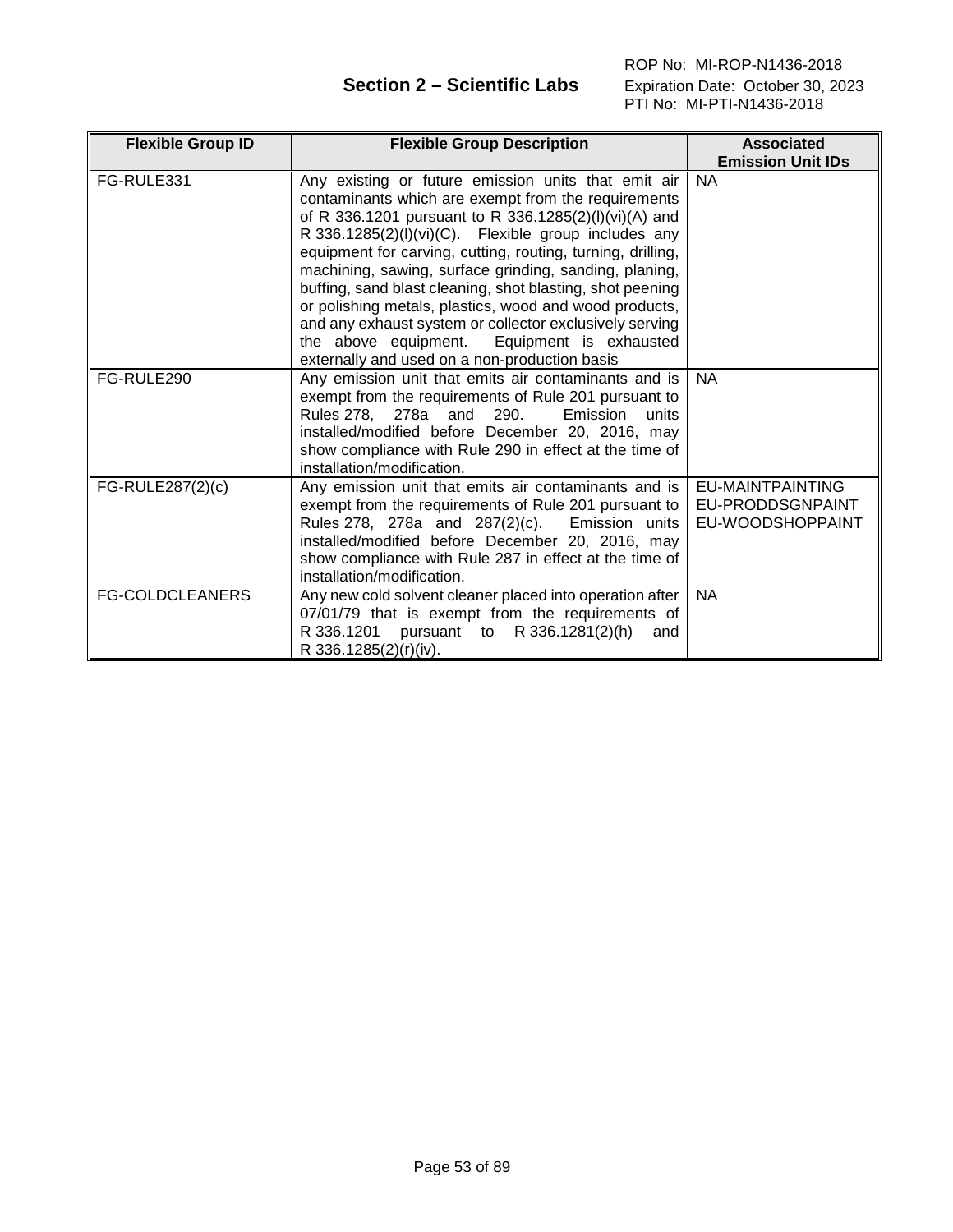ROP No: MI-ROP-N1436-2018  **Section 2 – Scientific Labs** Expiration Date: October 30, 2023 PTI No: MI-PTI-N1436-2018

| <b>Flexible Group ID</b> | <b>Flexible Group Description</b>                                                                                                                                                                                                                                                                                                                                                                                                                                                                                                                                                                                                         | <b>Associated</b>                                               |
|--------------------------|-------------------------------------------------------------------------------------------------------------------------------------------------------------------------------------------------------------------------------------------------------------------------------------------------------------------------------------------------------------------------------------------------------------------------------------------------------------------------------------------------------------------------------------------------------------------------------------------------------------------------------------------|-----------------------------------------------------------------|
|                          |                                                                                                                                                                                                                                                                                                                                                                                                                                                                                                                                                                                                                                           | <b>Emission Unit IDs</b>                                        |
| FG-RULE331               | Any existing or future emission units that emit air<br>contaminants which are exempt from the requirements<br>of R 336.1201 pursuant to R 336.1285(2)(I)(vi)(A) and<br>R 336.1285(2)(I)(vi)(C). Flexible group includes any<br>equipment for carving, cutting, routing, turning, drilling,<br>machining, sawing, surface grinding, sanding, planing,<br>buffing, sand blast cleaning, shot blasting, shot peening<br>or polishing metals, plastics, wood and wood products,<br>and any exhaust system or collector exclusively serving<br>the above equipment.<br>Equipment is exhausted<br>externally and used on a non-production basis | <b>NA</b>                                                       |
| FG-RULE290               | Any emission unit that emits air contaminants and is<br>exempt from the requirements of Rule 201 pursuant to<br>Rules 278, 278a and<br>290.<br>Emission<br>units<br>installed/modified before December 20, 2016, may<br>show compliance with Rule 290 in effect at the time of<br>installation/modification.                                                                                                                                                                                                                                                                                                                              | <b>NA</b>                                                       |
| FG-RULE287(2)(c)         | Any emission unit that emits air contaminants and is<br>exempt from the requirements of Rule 201 pursuant to<br>Rules 278, 278a and 287(2)(c).<br>Emission units<br>installed/modified before December 20, 2016, may<br>show compliance with Rule 287 in effect at the time of<br>installation/modification.                                                                                                                                                                                                                                                                                                                              | <b>EU-MAINTPAINTING</b><br>EU-PRODDSGNPAINT<br>EU-WOODSHOPPAINT |
| <b>FG-COLDCLEANERS</b>   | Any new cold solvent cleaner placed into operation after<br>07/01/79 that is exempt from the requirements of<br>R 336.1201 pursuant to R 336.1281(2)(h)<br>and<br>R 336.1285(2)(r)(iv).                                                                                                                                                                                                                                                                                                                                                                                                                                                   | <b>NA</b>                                                       |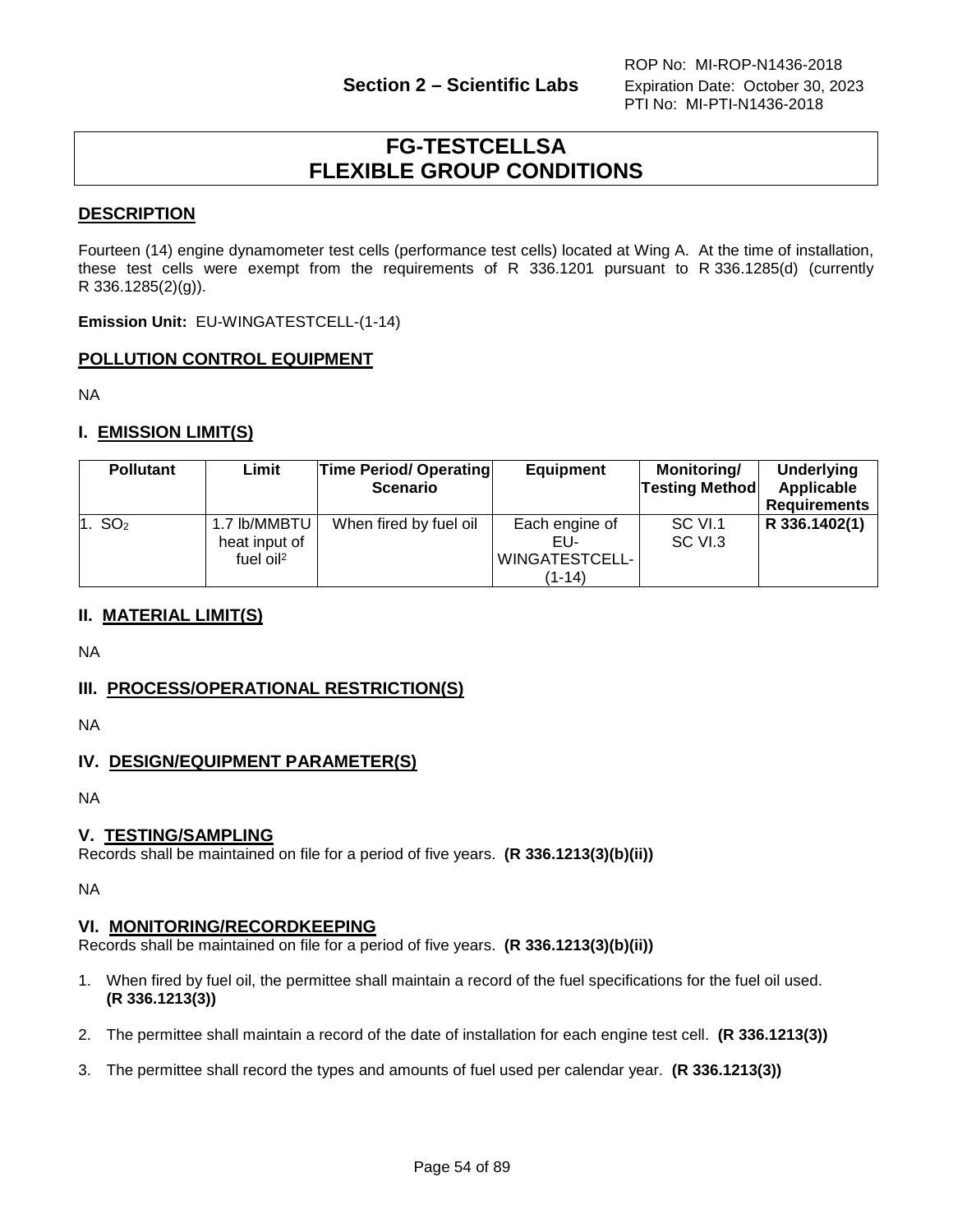# **FG-TESTCELLSA FLEXIBLE GROUP CONDITIONS**

# **DESCRIPTION**

Fourteen (14) engine dynamometer test cells (performance test cells) located at Wing A. At the time of installation, these test cells were exempt from the requirements of R 336.1201 pursuant to R 336.1285(d) (currently R 336.1285(2)(g)).

**Emission Unit:** EU-WINGATESTCELL-(1-14)

# **POLLUTION CONTROL EQUIPMENT**

NA

# **I. EMISSION LIMIT(S)**

| <b>Pollutant</b>   | Limit                                                     | <b>Time Period/ Operating</b><br><b>Scenario</b> | <b>Equipment</b>                                             | <b>Monitoring/</b><br><b>Testing Method</b> | <b>Underlying</b><br>Applicable<br><b>Requirements</b> |
|--------------------|-----------------------------------------------------------|--------------------------------------------------|--------------------------------------------------------------|---------------------------------------------|--------------------------------------------------------|
| 1. SO <sub>2</sub> | 1.7 lb/MMBTU<br>heat input of<br>fuel $o$ il <sup>2</sup> | When fired by fuel oil                           | Each engine of<br>EU-<br><b>WINGATESTCELL-</b><br>$(1 - 14)$ | SC VI.1<br>SC VI.3                          | R 336.1402(1)                                          |

# **II. MATERIAL LIMIT(S)**

NA

# **III. PROCESS/OPERATIONAL RESTRICTION(S)**

NA

# **IV. DESIGN/EQUIPMENT PARAMETER(S)**

NA

## **V. TESTING/SAMPLING**

Records shall be maintained on file for a period of five years. **(R 336.1213(3)(b)(ii))**

NA

## **VI. MONITORING/RECORDKEEPING**

Records shall be maintained on file for a period of five years. **(R 336.1213(3)(b)(ii))**

- 1. When fired by fuel oil, the permittee shall maintain a record of the fuel specifications for the fuel oil used. **(R 336.1213(3))**
- 2. The permittee shall maintain a record of the date of installation for each engine test cell. **(R 336.1213(3))**
- 3. The permittee shall record the types and amounts of fuel used per calendar year. **(R 336.1213(3))**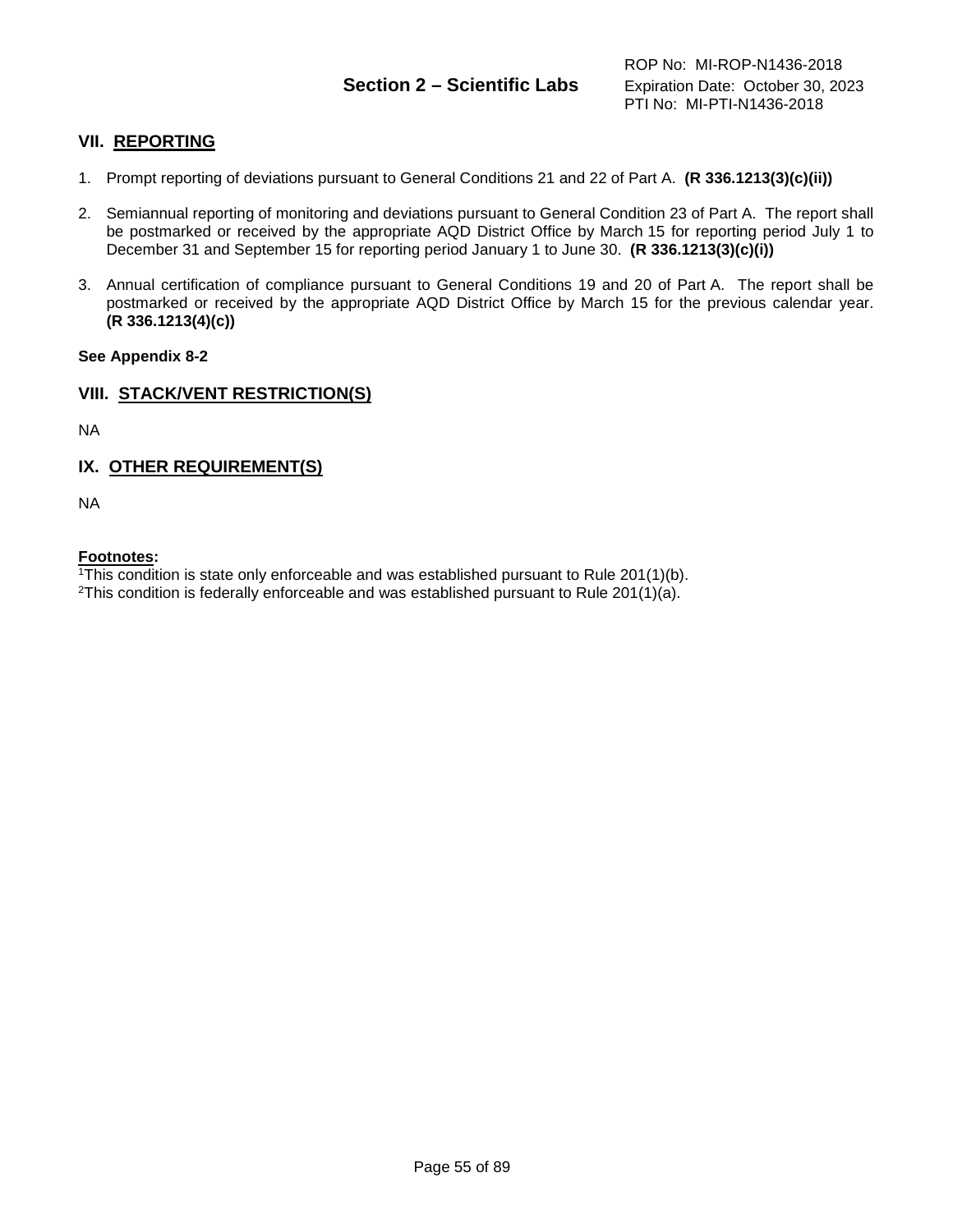# **Section 2 – Scientific Labs** Expiration Date: October 30, 2023

# **VII. REPORTING**

- 1. Prompt reporting of deviations pursuant to General Conditions 21 and 22 of Part A. **(R 336.1213(3)(c)(ii))**
- 2. Semiannual reporting of monitoring and deviations pursuant to General Condition 23 of Part A. The report shall be postmarked or received by the appropriate AQD District Office by March 15 for reporting period July 1 to December 31 and September 15 for reporting period January 1 to June 30. **(R 336.1213(3)(c)(i))**
- 3. Annual certification of compliance pursuant to General Conditions 19 and 20 of Part A. The report shall be postmarked or received by the appropriate AQD District Office by March 15 for the previous calendar year. **(R 336.1213(4)(c))**

## **See Appendix 8-2**

## **VIII. STACK/VENT RESTRICTION(S)**

NA

# **IX. OTHER REQUIREMENT(S)**

NA

## **Footnotes:**

1This condition is state only enforceable and was established pursuant to Rule 201(1)(b).

<sup>2</sup>This condition is federally enforceable and was established pursuant to Rule 201(1)(a).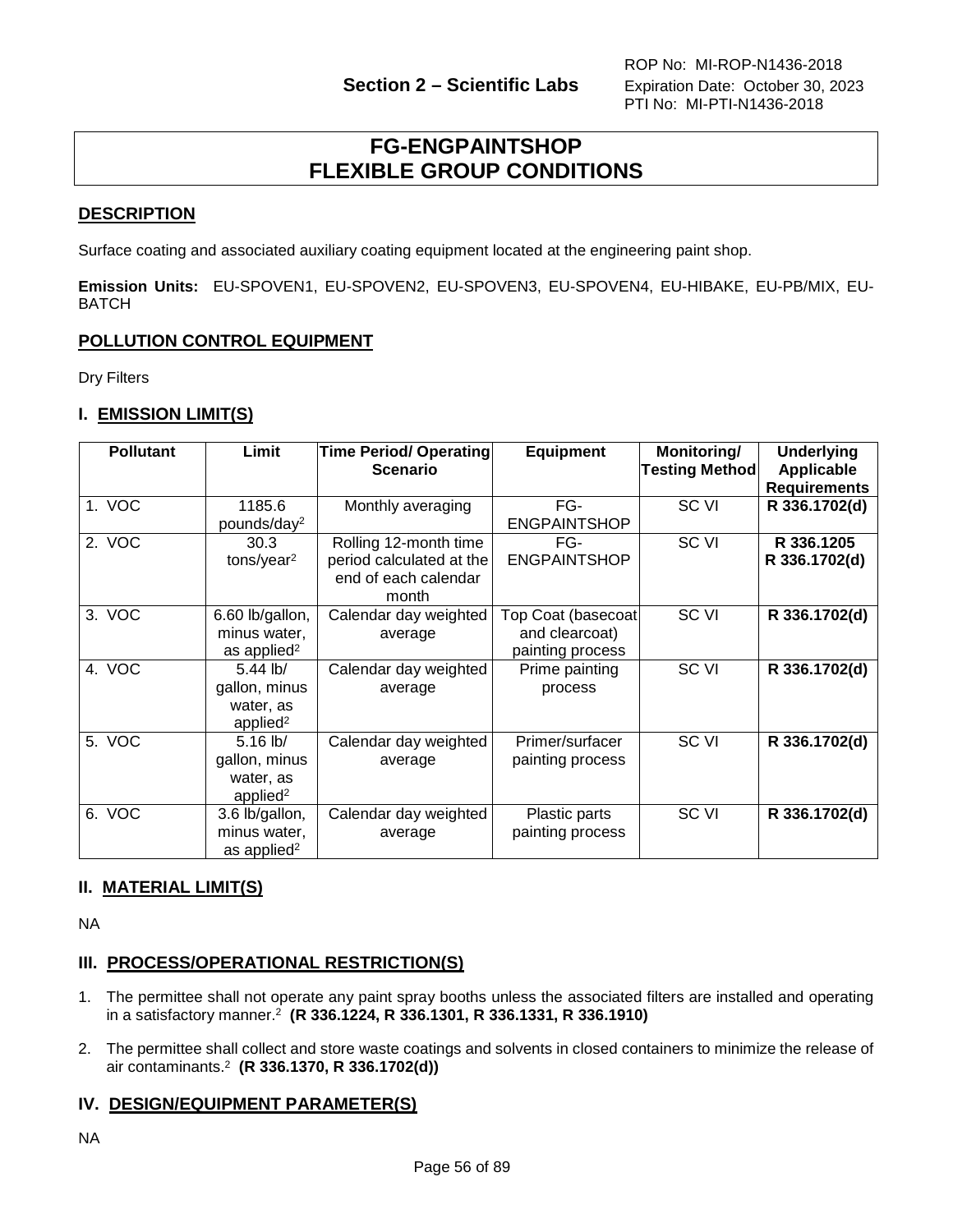# **FG-ENGPAINTSHOP FLEXIBLE GROUP CONDITIONS**

# **DESCRIPTION**

Surface coating and associated auxiliary coating equipment located at the engineering paint shop.

**Emission Units:** EU-SPOVEN1, EU-SPOVEN2, EU-SPOVEN3, EU-SPOVEN4, EU-HIBAKE, EU-PB/MIX, EU-**BATCH** 

# **POLLUTION CONTROL EQUIPMENT**

Dry Filters

# **I. EMISSION LIMIT(S)**

| <b>Pollutant</b> | Limit                   | Time Period/ Operating<br><b>Scenario</b> | <b>Equipment</b>          | Monitoring/<br><b>Testing Method</b> | <b>Underlying</b><br><b>Applicable</b> |
|------------------|-------------------------|-------------------------------------------|---------------------------|--------------------------------------|----------------------------------------|
|                  |                         |                                           |                           |                                      | <b>Requirements</b>                    |
| 1. VOC           | 1185.6                  | Monthly averaging                         | FG-                       | SC VI                                | R 336.1702(d)                          |
|                  | pounds/day <sup>2</sup> |                                           | <b>ENGPAINTSHOP</b>       |                                      |                                        |
| 2. VOC           | 30.3                    | Rolling 12-month time                     | FG-                       | SC VI                                | R 336.1205                             |
|                  | tons/year <sup>2</sup>  | period calculated at the                  | <b>ENGPAINTSHOP</b>       |                                      | R 336.1702(d)                          |
|                  |                         | end of each calendar                      |                           |                                      |                                        |
|                  |                         | month                                     |                           |                                      |                                        |
| 3. VOC           | 6.60 lb/gallon,         | Calendar day weighted                     | <b>Top Coat (basecoat</b> | SC VI                                | R 336.1702(d)                          |
|                  | minus water,            | average                                   | and clearcoat)            |                                      |                                        |
|                  | as applied <sup>2</sup> |                                           | painting process          |                                      |                                        |
| 4. VOC           | $5.44$ lb/              | Calendar day weighted                     | Prime painting            | SC <sub>VI</sub>                     | R 336.1702(d)                          |
|                  | gallon, minus           | average                                   | process                   |                                      |                                        |
|                  | water, as               |                                           |                           |                                      |                                        |
|                  | applied <sup>2</sup>    |                                           |                           |                                      |                                        |
| 5. VOC           | $5.16$ lb/              | Calendar day weighted                     | Primer/surfacer           | SC VI                                | R 336.1702(d)                          |
|                  | gallon, minus           | average                                   | painting process          |                                      |                                        |
|                  | water, as               |                                           |                           |                                      |                                        |
|                  | applied <sup>2</sup>    |                                           |                           |                                      |                                        |
| 6. VOC           | 3.6 lb/gallon,          | Calendar day weighted                     | Plastic parts             | SC VI                                | R 336.1702(d)                          |
|                  | minus water,            | average                                   | painting process          |                                      |                                        |
|                  | as applied <sup>2</sup> |                                           |                           |                                      |                                        |

# **II. MATERIAL LIMIT(S)**

NA

# **III. PROCESS/OPERATIONAL RESTRICTION(S)**

- 1. The permittee shall not operate any paint spray booths unless the associated filters are installed and operating in a satisfactory manner.2 **(R 336.1224, R 336.1301, R 336.1331, R 336.1910)**
- 2. The permittee shall collect and store waste coatings and solvents in closed containers to minimize the release of air contaminants.2 **(R 336.1370, R 336.1702(d))**

# **IV. DESIGN/EQUIPMENT PARAMETER(S)**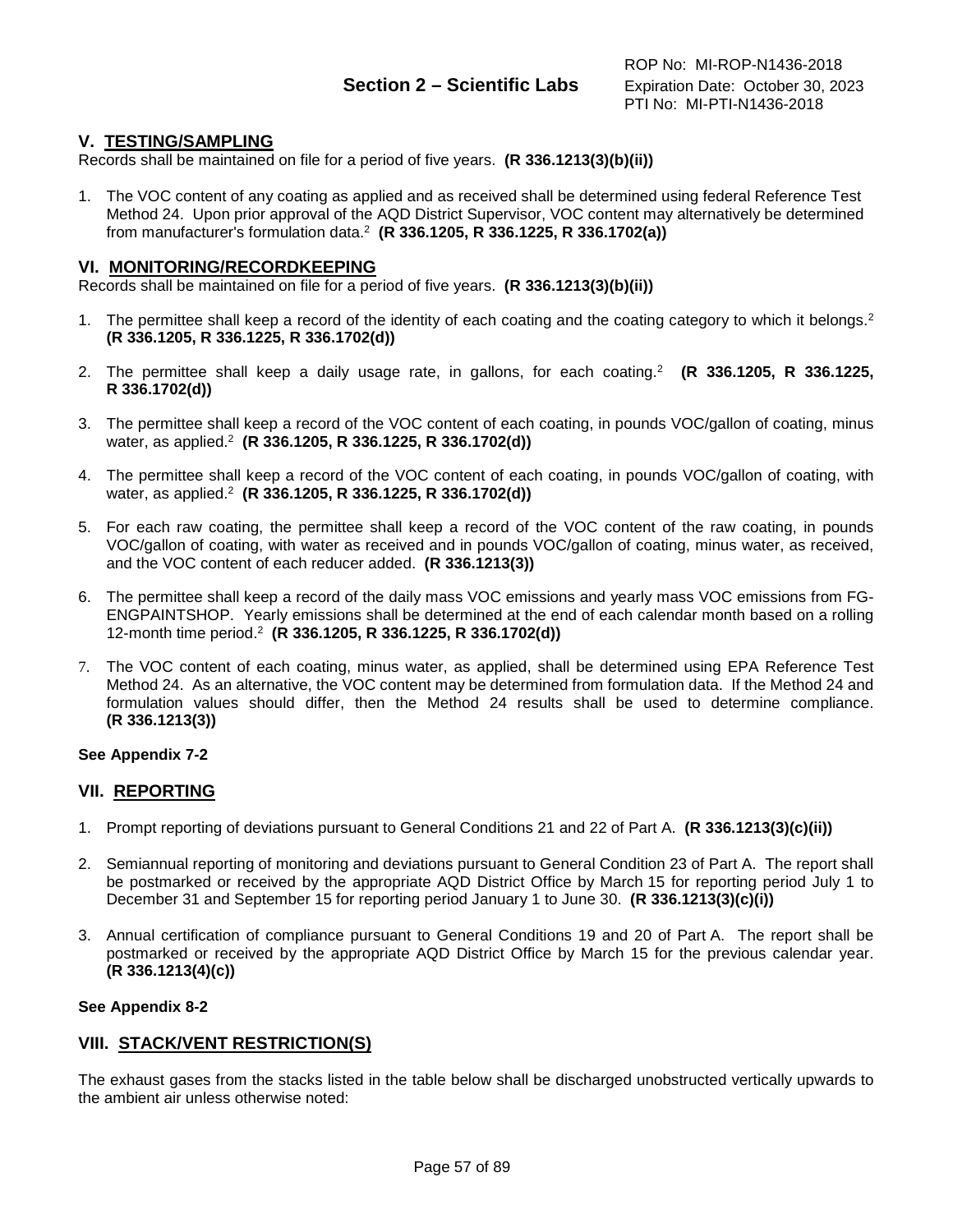# **V. TESTING/SAMPLING**

Records shall be maintained on file for a period of five years. **(R 336.1213(3)(b)(ii))**

1. The VOC content of any coating as applied and as received shall be determined using federal Reference Test Method 24. Upon prior approval of the AQD District Supervisor, VOC content may alternatively be determined from manufacturer's formulation data.2 **(R 336.1205, R 336.1225, R 336.1702(a))**

### **VI. MONITORING/RECORDKEEPING**

Records shall be maintained on file for a period of five years. **(R 336.1213(3)(b)(ii))**

- 1. The permittee shall keep a record of the identity of each coating and the coating category to which it belongs.<sup>2</sup> **(R 336.1205, R 336.1225, R 336.1702(d))**
- 2. The permittee shall keep a daily usage rate, in gallons, for each coating.2 **(R 336.1205, R 336.1225, R 336.1702(d))**
- 3. The permittee shall keep a record of the VOC content of each coating, in pounds VOC/gallon of coating, minus water, as applied.2 **(R 336.1205, R 336.1225, R 336.1702(d))**
- 4. The permittee shall keep a record of the VOC content of each coating, in pounds VOC/gallon of coating, with water, as applied.2 **(R 336.1205, R 336.1225, R 336.1702(d))**
- 5. For each raw coating, the permittee shall keep a record of the VOC content of the raw coating, in pounds VOC/gallon of coating, with water as received and in pounds VOC/gallon of coating, minus water, as received, and the VOC content of each reducer added. **(R 336.1213(3))**
- 6. The permittee shall keep a record of the daily mass VOC emissions and yearly mass VOC emissions from FG-ENGPAINTSHOP. Yearly emissions shall be determined at the end of each calendar month based on a rolling 12-month time period.2 **(R 336.1205, R 336.1225, R 336.1702(d))**
- 7. The VOC content of each coating, minus water, as applied, shall be determined using EPA Reference Test Method 24. As an alternative, the VOC content may be determined from formulation data. If the Method 24 and formulation values should differ, then the Method 24 results shall be used to determine compliance. **(R 336.1213(3))**

### **See Appendix 7-2**

## **VII. REPORTING**

- 1. Prompt reporting of deviations pursuant to General Conditions 21 and 22 of Part A. **(R 336.1213(3)(c)(ii))**
- 2. Semiannual reporting of monitoring and deviations pursuant to General Condition 23 of Part A. The report shall be postmarked or received by the appropriate AQD District Office by March 15 for reporting period July 1 to December 31 and September 15 for reporting period January 1 to June 30. **(R 336.1213(3)(c)(i))**
- 3. Annual certification of compliance pursuant to General Conditions 19 and 20 of Part A. The report shall be postmarked or received by the appropriate AQD District Office by March 15 for the previous calendar year. **(R 336.1213(4)(c))**

### **See Appendix 8-2**

## **VIII. STACK/VENT RESTRICTION(S)**

The exhaust gases from the stacks listed in the table below shall be discharged unobstructed vertically upwards to the ambient air unless otherwise noted: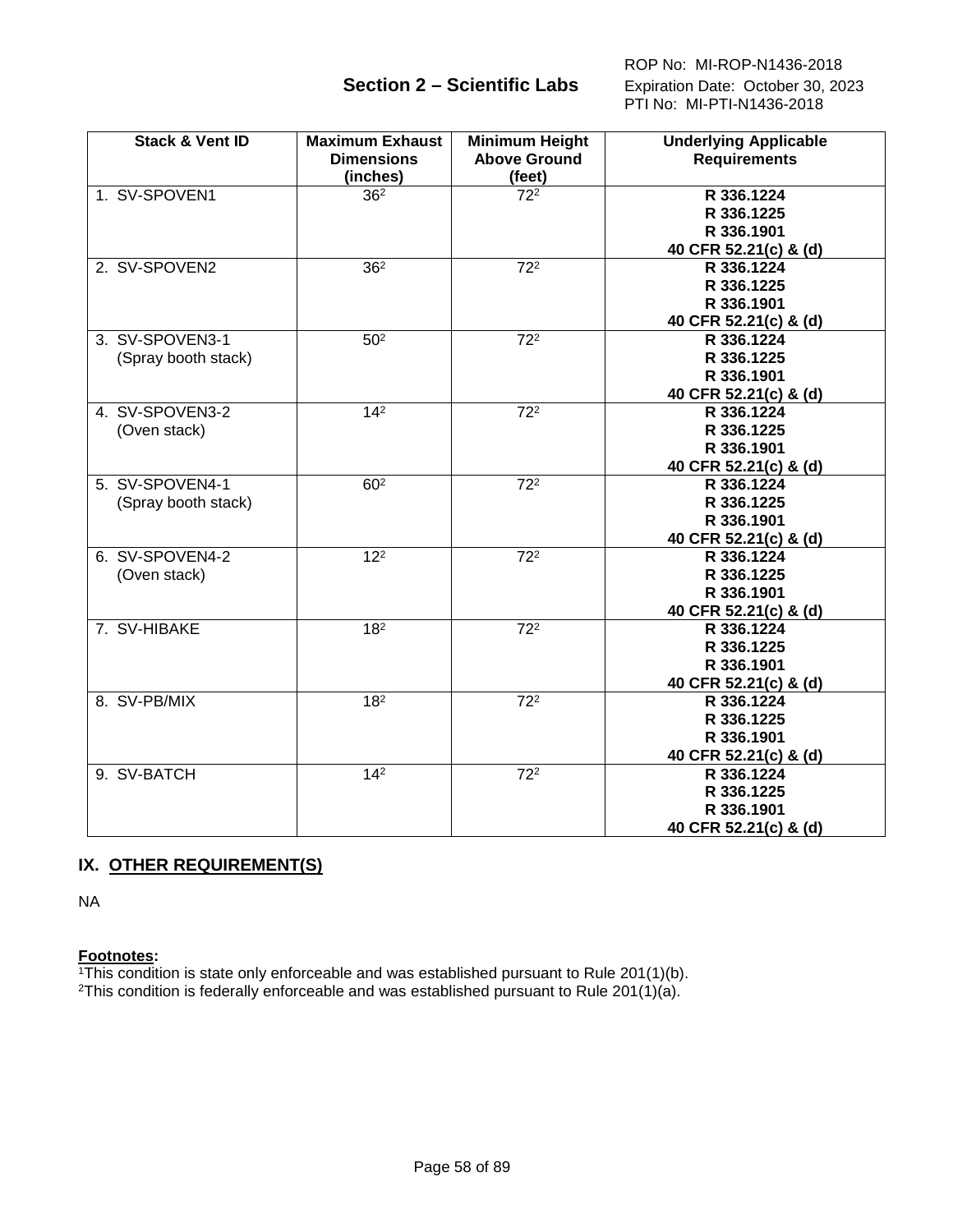ROP No: MI-ROP-N1436-2018  **Section 2 – Scientific Labs** Expiration Date: October 30, 2023 PTI No: MI-PTI-N1436-2018

| <b>Stack &amp; Vent ID</b>             | <b>Maximum Exhaust</b><br><b>Dimensions</b><br>(inches) | <b>Minimum Height</b><br><b>Above Ground</b><br>(feet) | <b>Underlying Applicable</b><br><b>Requirements</b>             |
|----------------------------------------|---------------------------------------------------------|--------------------------------------------------------|-----------------------------------------------------------------|
| 1. SV-SPOVEN1                          | 36 <sup>2</sup>                                         | 72 <sup>2</sup>                                        | R 336.1224<br>R 336.1225<br>R 336.1901<br>40 CFR 52.21(c) & (d) |
| 2. SV-SPOVEN2                          | 36 <sup>2</sup>                                         | $\overline{72^2}$                                      | R 336.1224<br>R 336.1225<br>R 336.1901<br>40 CFR 52.21(c) & (d) |
| 3. SV-SPOVEN3-1<br>(Spray booth stack) | 50 <sup>2</sup>                                         | $\overline{72^2}$                                      | R 336.1224<br>R 336.1225<br>R 336.1901<br>40 CFR 52.21(c) & (d) |
| 4. SV-SPOVEN3-2<br>(Oven stack)        | $\overline{14^2}$                                       | $\overline{72^2}$                                      | R 336.1224<br>R 336.1225<br>R 336.1901<br>40 CFR 52.21(c) & (d) |
| 5. SV-SPOVEN4-1<br>(Spray booth stack) | 60 <sup>2</sup>                                         | 72 <sup>2</sup>                                        | R 336.1224<br>R 336.1225<br>R 336.1901<br>40 CFR 52.21(c) & (d) |
| 6. SV-SPOVEN4-2<br>(Oven stack)        | $\overline{12^2}$                                       | $\overline{72^2}$                                      | R 336.1224<br>R 336.1225<br>R 336.1901<br>40 CFR 52.21(c) & (d) |
| 7. SV-HIBAKE                           | $\overline{18^2}$                                       | $\overline{72^2}$                                      | R 336.1224<br>R 336.1225<br>R 336.1901<br>40 CFR 52.21(c) & (d) |
| 8. SV-PB/MIX                           | 18 <sup>2</sup>                                         | $72^2$                                                 | R 336.1224<br>R 336.1225<br>R 336.1901<br>40 CFR 52.21(c) & (d) |
| 9. SV-BATCH                            | $\overline{14^2}$                                       | $\overline{72^2}$                                      | R 336.1224<br>R 336.1225<br>R 336.1901<br>40 CFR 52.21(c) & (d) |

# **IX. OTHER REQUIREMENT(S)**

NA

### **Footnotes:**

1This condition is state only enforceable and was established pursuant to Rule 201(1)(b).

<sup>2</sup>This condition is federally enforceable and was established pursuant to Rule 201(1)(a).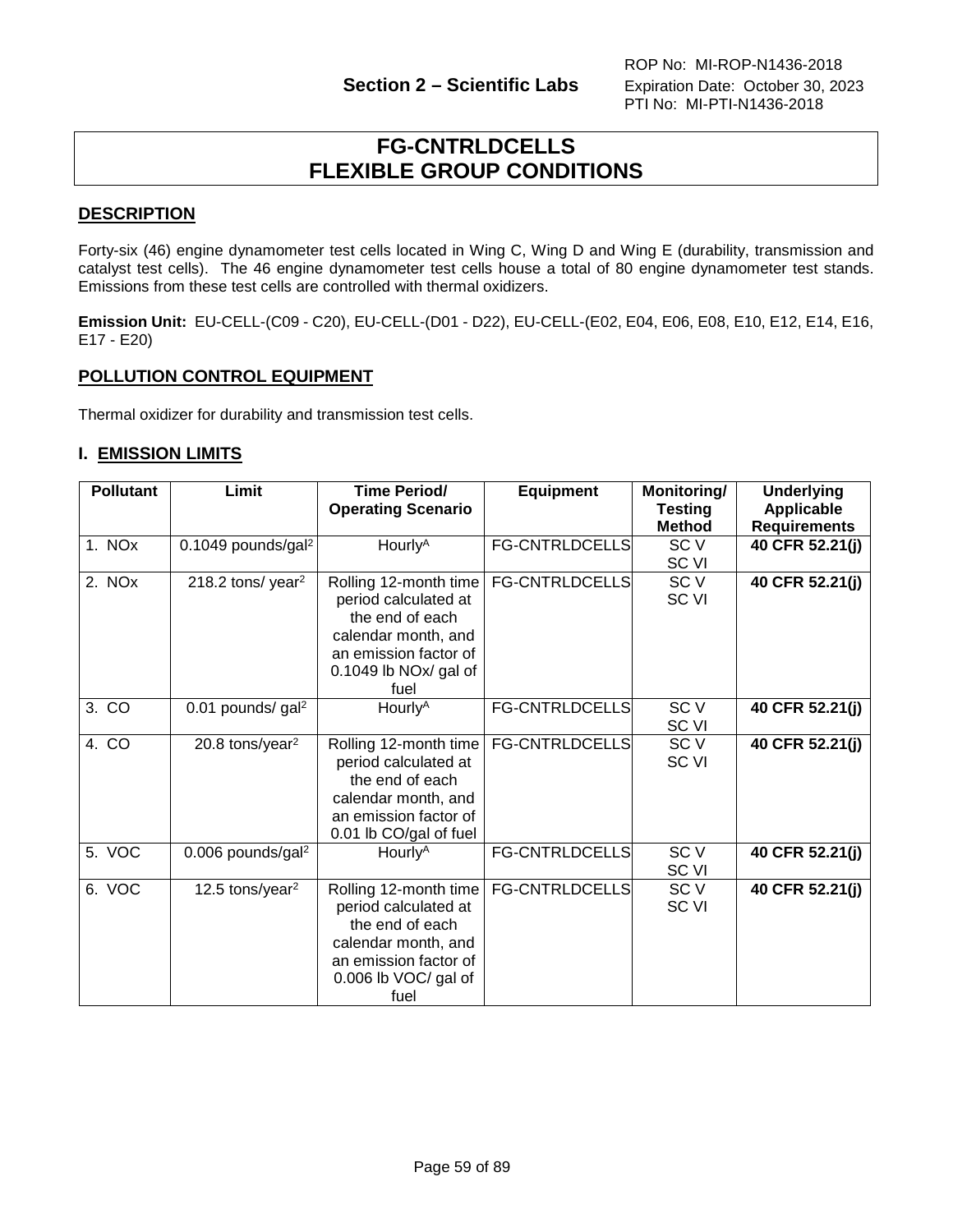# **FG-CNTRLDCELLS FLEXIBLE GROUP CONDITIONS**

# **DESCRIPTION**

Forty-six (46) engine dynamometer test cells located in Wing C, Wing D and Wing E (durability, transmission and catalyst test cells). The 46 engine dynamometer test cells house a total of 80 engine dynamometer test stands. Emissions from these test cells are controlled with thermal oxidizers.

**Emission Unit:** EU-CELL-(C09 - C20), EU-CELL-(D01 - D22), EU-CELL-(E02, E04, E06, E08, E10, E12, E14, E16, E17 - E20)

## **POLLUTION CONTROL EQUIPMENT**

Thermal oxidizer for durability and transmission test cells.

## **I. EMISSION LIMITS**

| <b>Pollutant</b> | Limit                          | <b>Time Period/</b><br><b>Operating Scenario</b>                                                                                                   | <b>Equipment</b>      | Monitoring/<br><b>Testing</b><br><b>Method</b> | <b>Underlying</b><br><b>Applicable</b><br><b>Requirements</b> |
|------------------|--------------------------------|----------------------------------------------------------------------------------------------------------------------------------------------------|-----------------------|------------------------------------------------|---------------------------------------------------------------|
| 1. NOx           | 0.1049 pounds/gal <sup>2</sup> | Hourly <sup>A</sup>                                                                                                                                | <b>FG-CNTRLDCELLS</b> | SC <sub>V</sub><br>SC VI                       | 40 CFR 52.21(j)                                               |
| 2. NOx           | 218.2 tons/year <sup>2</sup>   | Rolling 12-month time<br>period calculated at<br>the end of each<br>calendar month, and<br>an emission factor of<br>0.1049 lb $NOX$ gal of<br>fuel | FG-CNTRLDCELLS        | SC <sub>V</sub><br>SC VI                       | 40 CFR 52.21(j)                                               |
| 3. CO            | 0.01 pounds/ gal <sup>2</sup>  | Hourly <sup>A</sup>                                                                                                                                | <b>FG-CNTRLDCELLS</b> | SC <sub>V</sub><br>SC VI                       | 40 CFR 52.21(j)                                               |
| 4. CO            | 20.8 tons/year <sup>2</sup>    | Rolling 12-month time<br>period calculated at<br>the end of each<br>calendar month, and<br>an emission factor of<br>0.01 lb CO/gal of fuel         | <b>FG-CNTRLDCELLS</b> | SC <sub>V</sub><br>SC VI                       | 40 CFR 52.21(j)                                               |
| 5. VOC           | 0.006 pounds/gal <sup>2</sup>  | Hourly <sup>A</sup>                                                                                                                                | <b>FG-CNTRLDCELLS</b> | SC <sub>V</sub><br>SC VI                       | 40 CFR 52.21(j)                                               |
| 6. VOC           | 12.5 tons/year <sup>2</sup>    | Rolling 12-month time<br>period calculated at<br>the end of each<br>calendar month, and<br>an emission factor of<br>0.006 lb VOC/ gal of<br>fuel   | <b>FG-CNTRLDCELLS</b> | SC <sub>V</sub><br>SC VI                       | 40 CFR 52.21(j)                                               |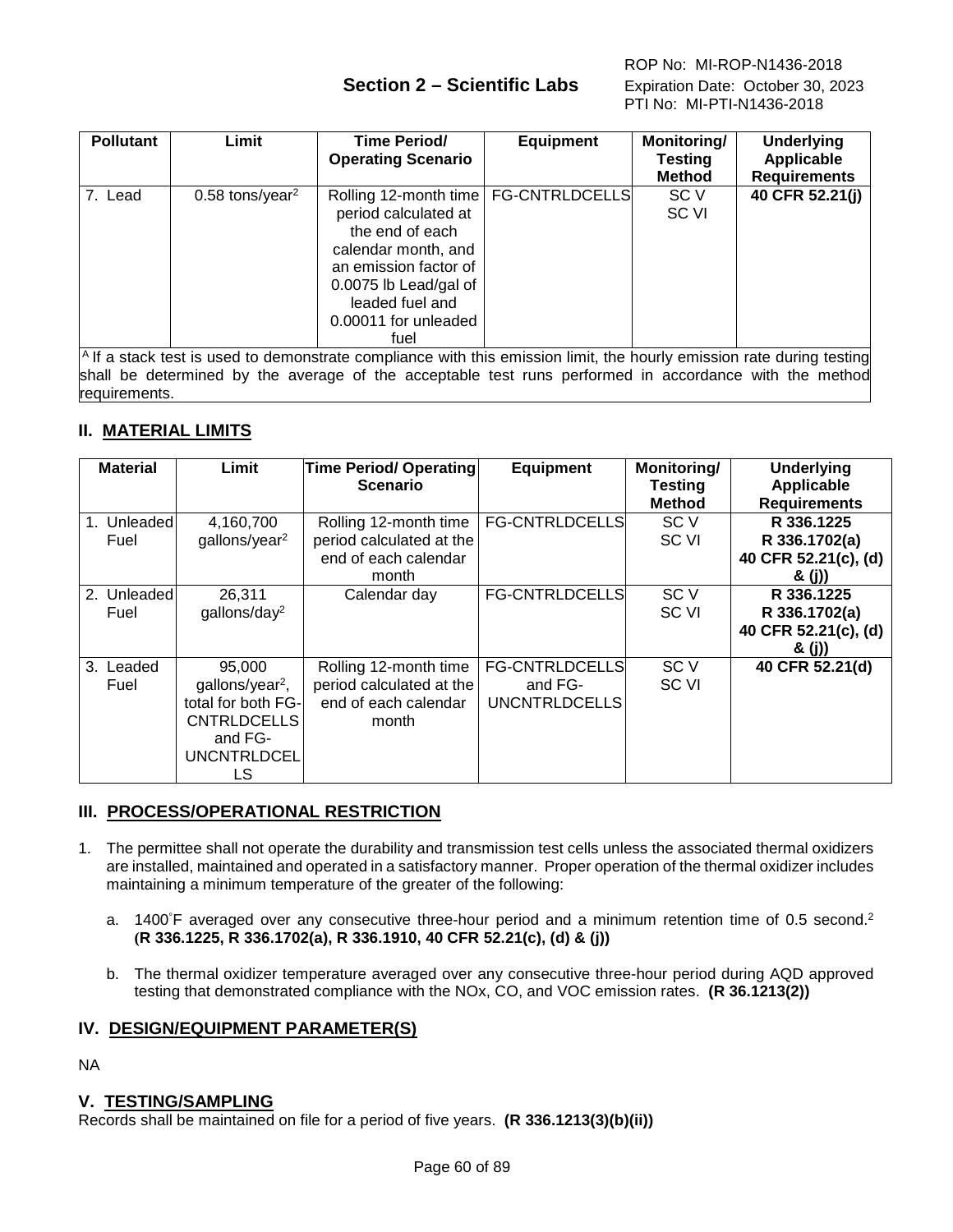# **Section 2 – Scientific Labs** Expiration Date: October 30, 2023

| <b>Pollutant</b> | Limit                         | Time Period/<br><b>Operating Scenario</b>                                                                                                                                                                     | <b>Equipment</b> | Monitoring/<br><b>Testing</b><br><b>Method</b> | <b>Underlying</b><br><b>Applicable</b><br><b>Requirements</b> |
|------------------|-------------------------------|---------------------------------------------------------------------------------------------------------------------------------------------------------------------------------------------------------------|------------------|------------------------------------------------|---------------------------------------------------------------|
| 7. Lead          | $0.58$ tons/year <sup>2</sup> | Rolling 12-month time   FG-CNTRLDCELLS<br>period calculated at<br>the end of each<br>calendar month, and<br>an emission factor of<br>0.0075 lb Lead/gal of<br>leaded fuel and<br>0.00011 for unleaded<br>fuel |                  | SC V<br>SC VI                                  | 40 CFR 52.21(j)                                               |
|                  |                               | $\vert$ <sup>A</sup> If a stack test is used to demonstrate compliance with this emission limit, the hourly emission rate during testing                                                                      |                  |                                                |                                                               |

shall be determined by the average of the acceptable test runs performed in accordance with the method requirements.

# **II. MATERIAL LIMITS**

| <b>Material</b>             | Limit                                                                                                              | <b>Time Period/ Operating</b><br><b>Scenario</b>                                   | <b>Equipment</b>                                         | Monitoring/<br><b>Testing</b><br><b>Method</b> | <b>Underlying</b><br><b>Applicable</b><br><b>Requirements</b> |
|-----------------------------|--------------------------------------------------------------------------------------------------------------------|------------------------------------------------------------------------------------|----------------------------------------------------------|------------------------------------------------|---------------------------------------------------------------|
| Unleaded<br>$1_{-}$<br>Fuel | 4,160,700<br>gallons/year <sup>2</sup>                                                                             | Rolling 12-month time<br>period calculated at the<br>end of each calendar<br>month | <b>FG-CNTRLDCELLS</b>                                    | SC <sub>V</sub><br>SC VI                       | R 336.1225<br>R 336.1702(a)<br>40 CFR 52.21(c), (d)<br>& (j)) |
| 2. Unleaded<br>Fuel         | 26,311<br>gallons/day <sup>2</sup>                                                                                 | Calendar day                                                                       | <b>FG-CNTRLDCELLS</b>                                    | SC V<br>SC VI                                  | R 336.1225<br>R 336.1702(a)<br>40 CFR 52.21(c), (d)<br>& (j)) |
| 3. Leaded<br>Fuel           | 95,000<br>gallons/year <sup>2</sup> ,<br>total for both FG-<br><b>CNTRLDCELLS</b><br>and FG-<br>UNCNTRLDCEL<br>LS. | Rolling 12-month time<br>period calculated at the<br>end of each calendar<br>month | <b>FG-CNTRLDCELLS</b><br>and FG-<br><b>UNCNTRLDCELLS</b> | SC <sub>V</sub><br>SC <sub>VI</sub>            | 40 CFR 52.21(d)                                               |

# **III. PROCESS/OPERATIONAL RESTRICTION**

- 1. The permittee shall not operate the durability and transmission test cells unless the associated thermal oxidizers are installed, maintained and operated in a satisfactory manner. Proper operation of the thermal oxidizer includes maintaining a minimum temperature of the greater of the following:
	- a. 1400°F averaged over any consecutive three-hour period and a minimum retention time of 0.5 second.<sup>2</sup> **(R 336.1225, R 336.1702(a), R 336.1910, 40 CFR 52.21(c), (d) & (j))**
	- b. The thermal oxidizer temperature averaged over any consecutive three-hour period during AQD approved testing that demonstrated compliance with the NOx, CO, and VOC emission rates. **(R 36.1213(2))**

# **IV. DESIGN/EQUIPMENT PARAMETER(S)**

NA

# **V. TESTING/SAMPLING**

Records shall be maintained on file for a period of five years. **(R 336.1213(3)(b)(ii))**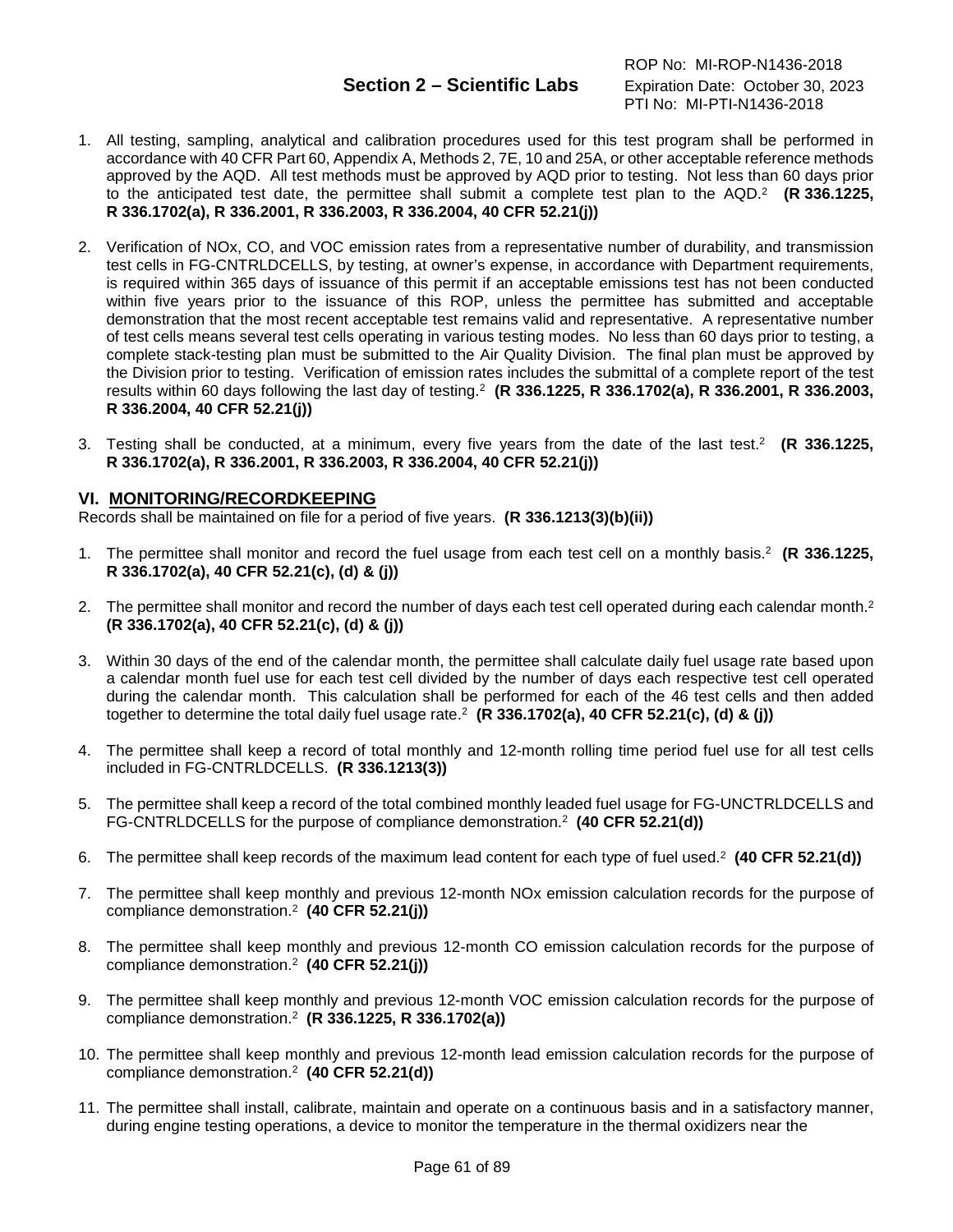- 1. All testing, sampling, analytical and calibration procedures used for this test program shall be performed in accordance with 40 CFR Part 60, Appendix A, Methods 2, 7E, 10 and 25A, or other acceptable reference methods approved by the AQD. All test methods must be approved by AQD prior to testing. Not less than 60 days prior to the anticipated test date, the permittee shall submit a complete test plan to the AQD.2 **(R 336.1225, R 336.1702(a), R 336.2001, R 336.2003, R 336.2004, 40 CFR 52.21(j))**
- 2. Verification of NOx, CO, and VOC emission rates from a representative number of durability, and transmission test cells in FG-CNTRLDCELLS, by testing, at owner's expense, in accordance with Department requirements, is required within 365 days of issuance of this permit if an acceptable emissions test has not been conducted within five years prior to the issuance of this ROP, unless the permittee has submitted and acceptable demonstration that the most recent acceptable test remains valid and representative. A representative number of test cells means several test cells operating in various testing modes. No less than 60 days prior to testing, a complete stack-testing plan must be submitted to the Air Quality Division. The final plan must be approved by the Division prior to testing. Verification of emission rates includes the submittal of a complete report of the test results within 60 days following the last day of testing.2 **(R 336.1225, R 336.1702(a), R 336.2001, R 336.2003, R 336.2004, 40 CFR 52.21(j))**
- 3. Testing shall be conducted, at a minimum, every five years from the date of the last test.2 **(R 336.1225, R 336.1702(a), R 336.2001, R 336.2003, R 336.2004, 40 CFR 52.21(j))**

## **VI. MONITORING/RECORDKEEPING**

Records shall be maintained on file for a period of five years. **(R 336.1213(3)(b)(ii))**

- 1. The permittee shall monitor and record the fuel usage from each test cell on a monthly basis.2 **(R 336.1225, R 336.1702(a), 40 CFR 52.21(c), (d) & (j))**
- 2. The permittee shall monitor and record the number of days each test cell operated during each calendar month.2 **(R 336.1702(a), 40 CFR 52.21(c), (d) & (j))**
- 3. Within 30 days of the end of the calendar month, the permittee shall calculate daily fuel usage rate based upon a calendar month fuel use for each test cell divided by the number of days each respective test cell operated during the calendar month. This calculation shall be performed for each of the 46 test cells and then added together to determine the total daily fuel usage rate.2 **(R 336.1702(a), 40 CFR 52.21(c), (d) & (j))**
- 4. The permittee shall keep a record of total monthly and 12-month rolling time period fuel use for all test cells included in FG-CNTRLDCELLS. **(R 336.1213(3))**
- 5. The permittee shall keep a record of the total combined monthly leaded fuel usage for FG-UNCTRLDCELLS and FG-CNTRLDCELLS for the purpose of compliance demonstration.2 **(40 CFR 52.21(d))**
- 6. The permittee shall keep records of the maximum lead content for each type of fuel used. 2 **(40 CFR 52.21(d))**
- 7. The permittee shall keep monthly and previous 12-month NOx emission calculation records for the purpose of compliance demonstration.2 **(40 CFR 52.21(j))**
- 8. The permittee shall keep monthly and previous 12-month CO emission calculation records for the purpose of compliance demonstration.2 **(40 CFR 52.21(j))**
- 9. The permittee shall keep monthly and previous 12-month VOC emission calculation records for the purpose of compliance demonstration.2 **(R 336.1225, R 336.1702(a))**
- 10. The permittee shall keep monthly and previous 12-month lead emission calculation records for the purpose of compliance demonstration.2 **(40 CFR 52.21(d))**
- 11. The permittee shall install, calibrate, maintain and operate on a continuous basis and in a satisfactory manner, during engine testing operations, a device to monitor the temperature in the thermal oxidizers near the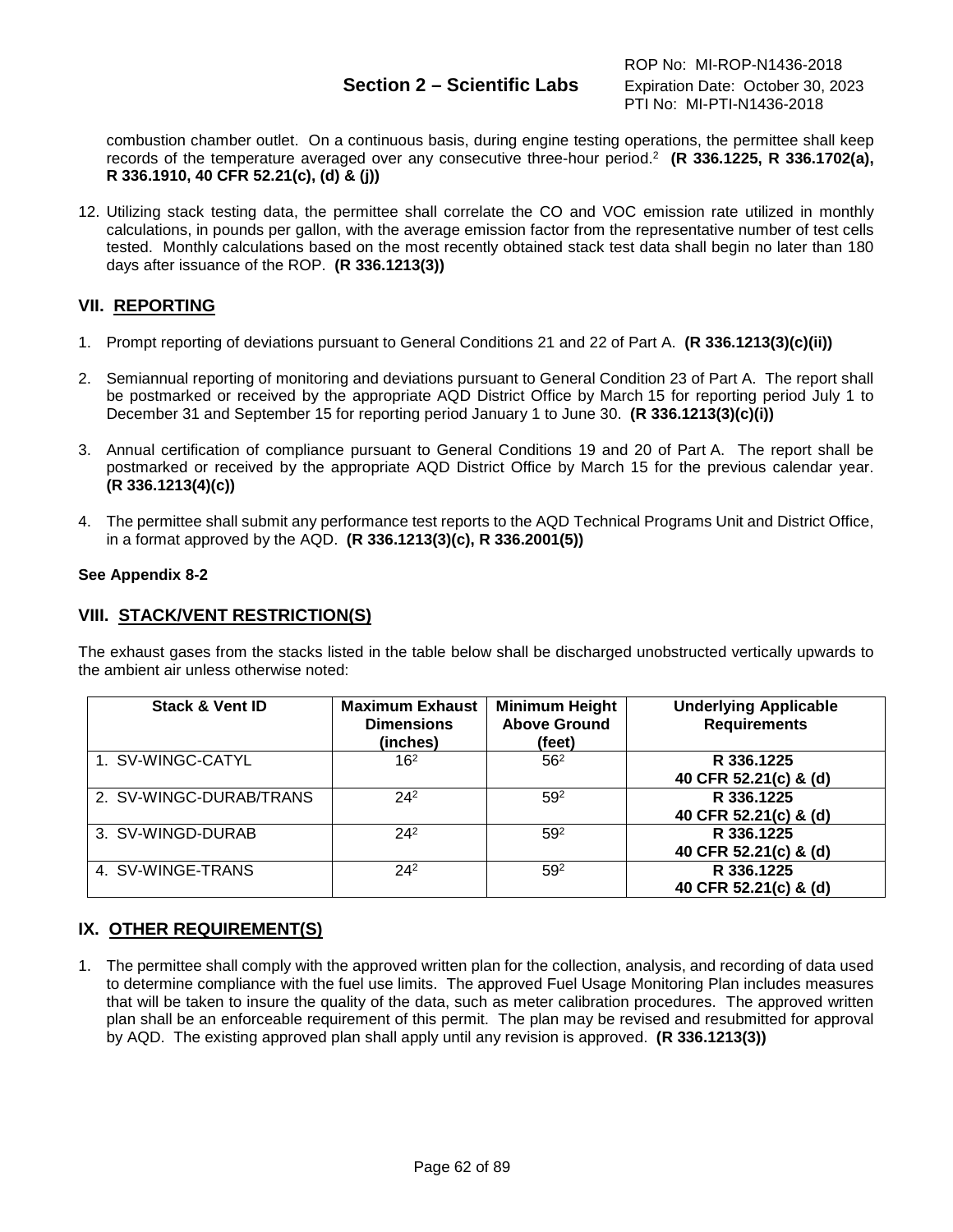# **Section 2 – Scientific Labs** Expiration Date: October 30, 2023

combustion chamber outlet. On a continuous basis, during engine testing operations, the permittee shall keep records of the temperature averaged over any consecutive three-hour period.2 **(R 336.1225, R 336.1702(a), R 336.1910, 40 CFR 52.21(c), (d) & (j))**

12. Utilizing stack testing data, the permittee shall correlate the CO and VOC emission rate utilized in monthly calculations, in pounds per gallon, with the average emission factor from the representative number of test cells tested. Monthly calculations based on the most recently obtained stack test data shall begin no later than 180 days after issuance of the ROP. **(R 336.1213(3))**

# **VII. REPORTING**

- 1. Prompt reporting of deviations pursuant to General Conditions 21 and 22 of Part A. **(R 336.1213(3)(c)(ii))**
- 2. Semiannual reporting of monitoring and deviations pursuant to General Condition 23 of Part A. The report shall be postmarked or received by the appropriate AQD District Office by March 15 for reporting period July 1 to December 31 and September 15 for reporting period January 1 to June 30. **(R 336.1213(3)(c)(i))**
- 3. Annual certification of compliance pursuant to General Conditions 19 and 20 of Part A. The report shall be postmarked or received by the appropriate AQD District Office by March 15 for the previous calendar year. **(R 336.1213(4)(c))**
- 4. The permittee shall submit any performance test reports to the AQD Technical Programs Unit and District Office, in a format approved by the AQD. **(R 336.1213(3)(c), R 336.2001(5))**

## **See Appendix 8-2**

## **VIII. STACK/VENT RESTRICTION(S)**

The exhaust gases from the stacks listed in the table below shall be discharged unobstructed vertically upwards to the ambient air unless otherwise noted:

| <b>Stack &amp; Vent ID</b> | <b>Maximum Exhaust</b><br><b>Dimensions</b><br>(inches) | <b>Minimum Height</b><br><b>Above Ground</b><br>(feet) | <b>Underlying Applicable</b><br><b>Requirements</b> |
|----------------------------|---------------------------------------------------------|--------------------------------------------------------|-----------------------------------------------------|
| 1. SV-WINGC-CATYL          | 16 <sup>2</sup>                                         | 56 <sup>2</sup>                                        | R 336.1225<br>40 CFR 52.21(c) & (d)                 |
| 2. SV-WINGC-DURAB/TRANS    | $24^{2}$                                                | 592                                                    | R 336.1225<br>40 CFR 52.21(c) & (d)                 |
| 3. SV-WINGD-DURAB          | $24^{2}$                                                | 592                                                    | R 336.1225<br>40 CFR 52.21(c) & (d)                 |
| 4. SV-WINGE-TRANS          | $24^{2}$                                                | 59 <sup>2</sup>                                        | R 336.1225<br>40 CFR 52.21(c) & (d)                 |

# **IX. OTHER REQUIREMENT(S)**

1. The permittee shall comply with the approved written plan for the collection, analysis, and recording of data used to determine compliance with the fuel use limits. The approved Fuel Usage Monitoring Plan includes measures that will be taken to insure the quality of the data, such as meter calibration procedures. The approved written plan shall be an enforceable requirement of this permit. The plan may be revised and resubmitted for approval by AQD. The existing approved plan shall apply until any revision is approved. **(R 336.1213(3))**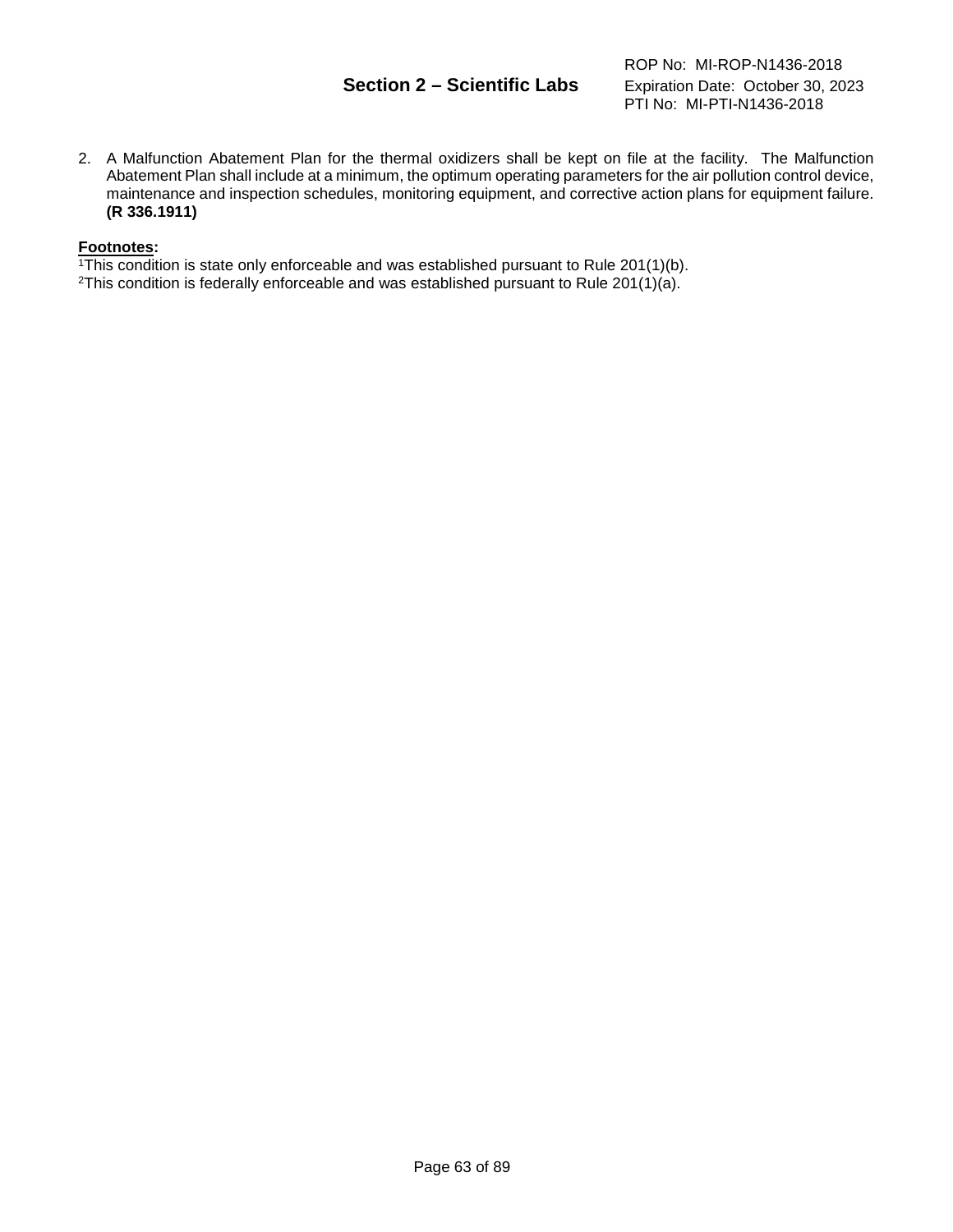# **Section 2 – Scientific Labs** Expiration Date: October 30, 2023

ROP No: MI-ROP-N1436-2018 PTI No: MI-PTI-N1436-2018

2. A Malfunction Abatement Plan for the thermal oxidizers shall be kept on file at the facility. The Malfunction Abatement Plan shall include at a minimum, the optimum operating parameters for the air pollution control device, maintenance and inspection schedules, monitoring equipment, and corrective action plans for equipment failure. **(R 336.1911)**

## **Footnotes:**

 $1$ <sup>1</sup>This condition is state only enforceable and was established pursuant to Rule 201(1)(b).

2This condition is federally enforceable and was established pursuant to Rule 201(1)(a).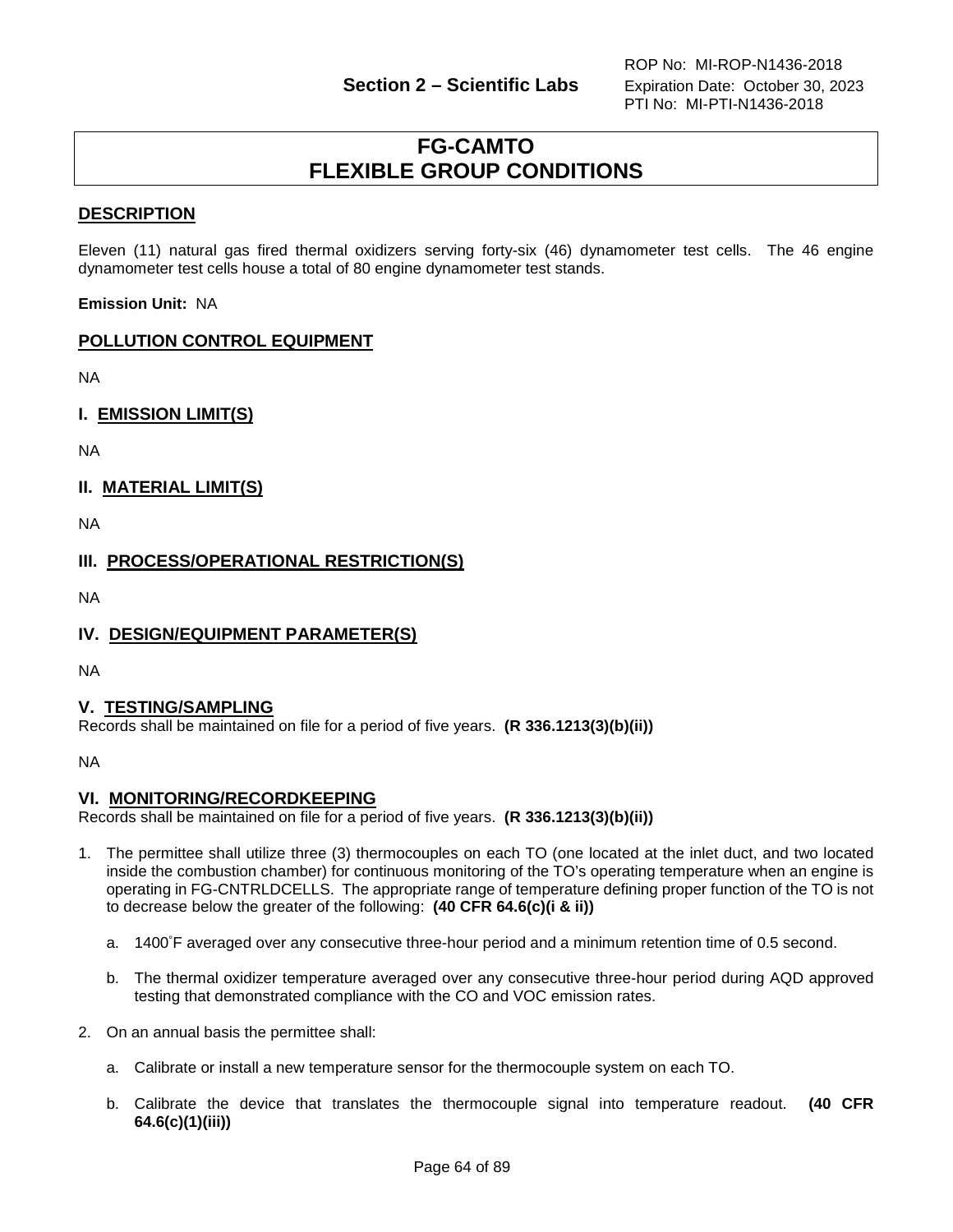# **FG-CAMTO FLEXIBLE GROUP CONDITIONS**

# **DESCRIPTION**

Eleven (11) natural gas fired thermal oxidizers serving forty-six (46) dynamometer test cells. The 46 engine dynamometer test cells house a total of 80 engine dynamometer test stands.

**Emission Unit:** NA

# **POLLUTION CONTROL EQUIPMENT**

NA

**I. EMISSION LIMIT(S)**

NA

# **II. MATERIAL LIMIT(S)**

NA

**III. PROCESS/OPERATIONAL RESTRICTION(S)**

NA

## **IV. DESIGN/EQUIPMENT PARAMETER(S)**

NA

## **V. TESTING/SAMPLING**

Records shall be maintained on file for a period of five years. **(R 336.1213(3)(b)(ii))**

NA

## **VI. MONITORING/RECORDKEEPING**

Records shall be maintained on file for a period of five years. **(R 336.1213(3)(b)(ii))**

- 1. The permittee shall utilize three (3) thermocouples on each TO (one located at the inlet duct, and two located inside the combustion chamber) for continuous monitoring of the TO's operating temperature when an engine is operating in FG-CNTRLDCELLS. The appropriate range of temperature defining proper function of the TO is not to decrease below the greater of the following: **(40 CFR 64.6(c)(i & ii))**
	- a. 1400° F averaged over any consecutive three-hour period and a minimum retention time of 0.5 second.
	- b. The thermal oxidizer temperature averaged over any consecutive three-hour period during AQD approved testing that demonstrated compliance with the CO and VOC emission rates.
- 2. On an annual basis the permittee shall:
	- a. Calibrate or install a new temperature sensor for the thermocouple system on each TO.
	- b. Calibrate the device that translates the thermocouple signal into temperature readout. **(40 CFR 64.6(c)(1)(iii))**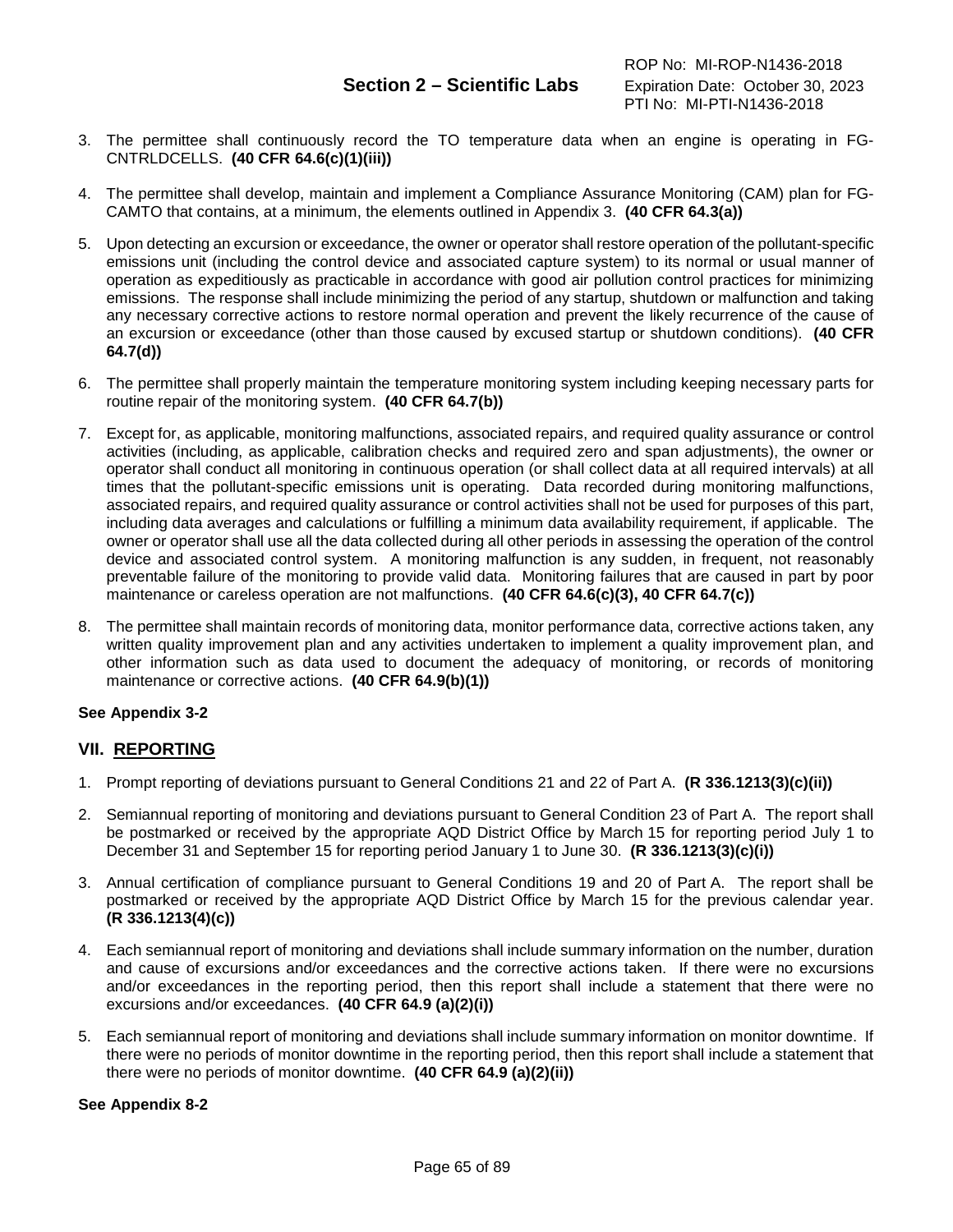- 3. The permittee shall continuously record the TO temperature data when an engine is operating in FG-CNTRLDCELLS. **(40 CFR 64.6(c)(1)(iii))**
- 4. The permittee shall develop, maintain and implement a Compliance Assurance Monitoring (CAM) plan for FG-CAMTO that contains, at a minimum, the elements outlined in Appendix 3. **(40 CFR 64.3(a))**
- 5. Upon detecting an excursion or exceedance, the owner or operator shall restore operation of the pollutant-specific emissions unit (including the control device and associated capture system) to its normal or usual manner of operation as expeditiously as practicable in accordance with good air pollution control practices for minimizing emissions. The response shall include minimizing the period of any startup, shutdown or malfunction and taking any necessary corrective actions to restore normal operation and prevent the likely recurrence of the cause of an excursion or exceedance (other than those caused by excused startup or shutdown conditions). **(40 CFR 64.7(d))**
- 6. The permittee shall properly maintain the temperature monitoring system including keeping necessary parts for routine repair of the monitoring system. **(40 CFR 64.7(b))**
- 7. Except for, as applicable, monitoring malfunctions, associated repairs, and required quality assurance or control activities (including, as applicable, calibration checks and required zero and span adjustments), the owner or operator shall conduct all monitoring in continuous operation (or shall collect data at all required intervals) at all times that the pollutant-specific emissions unit is operating. Data recorded during monitoring malfunctions, associated repairs, and required quality assurance or control activities shall not be used for purposes of this part, including data averages and calculations or fulfilling a minimum data availability requirement, if applicable. The owner or operator shall use all the data collected during all other periods in assessing the operation of the control device and associated control system. A monitoring malfunction is any sudden, in frequent, not reasonably preventable failure of the monitoring to provide valid data. Monitoring failures that are caused in part by poor maintenance or careless operation are not malfunctions. **(40 CFR 64.6(c)(3), 40 CFR 64.7(c))**
- 8. The permittee shall maintain records of monitoring data, monitor performance data, corrective actions taken, any written quality improvement plan and any activities undertaken to implement a quality improvement plan, and other information such as data used to document the adequacy of monitoring, or records of monitoring maintenance or corrective actions. **(40 CFR 64.9(b)(1))**

## **See Appendix 3-2**

## **VII. REPORTING**

- 1. Prompt reporting of deviations pursuant to General Conditions 21 and 22 of Part A. **(R 336.1213(3)(c)(ii))**
- 2. Semiannual reporting of monitoring and deviations pursuant to General Condition 23 of Part A. The report shall be postmarked or received by the appropriate AQD District Office by March 15 for reporting period July 1 to December 31 and September 15 for reporting period January 1 to June 30. **(R 336.1213(3)(c)(i))**
- 3. Annual certification of compliance pursuant to General Conditions 19 and 20 of Part A. The report shall be postmarked or received by the appropriate AQD District Office by March 15 for the previous calendar year. **(R 336.1213(4)(c))**
- 4. Each semiannual report of monitoring and deviations shall include summary information on the number, duration and cause of excursions and/or exceedances and the corrective actions taken. If there were no excursions and/or exceedances in the reporting period, then this report shall include a statement that there were no excursions and/or exceedances. **(40 CFR 64.9 (a)(2)(i))**
- 5. Each semiannual report of monitoring and deviations shall include summary information on monitor downtime. If there were no periods of monitor downtime in the reporting period, then this report shall include a statement that there were no periods of monitor downtime. **(40 CFR 64.9 (a)(2)(ii))**

### **See Appendix 8-2**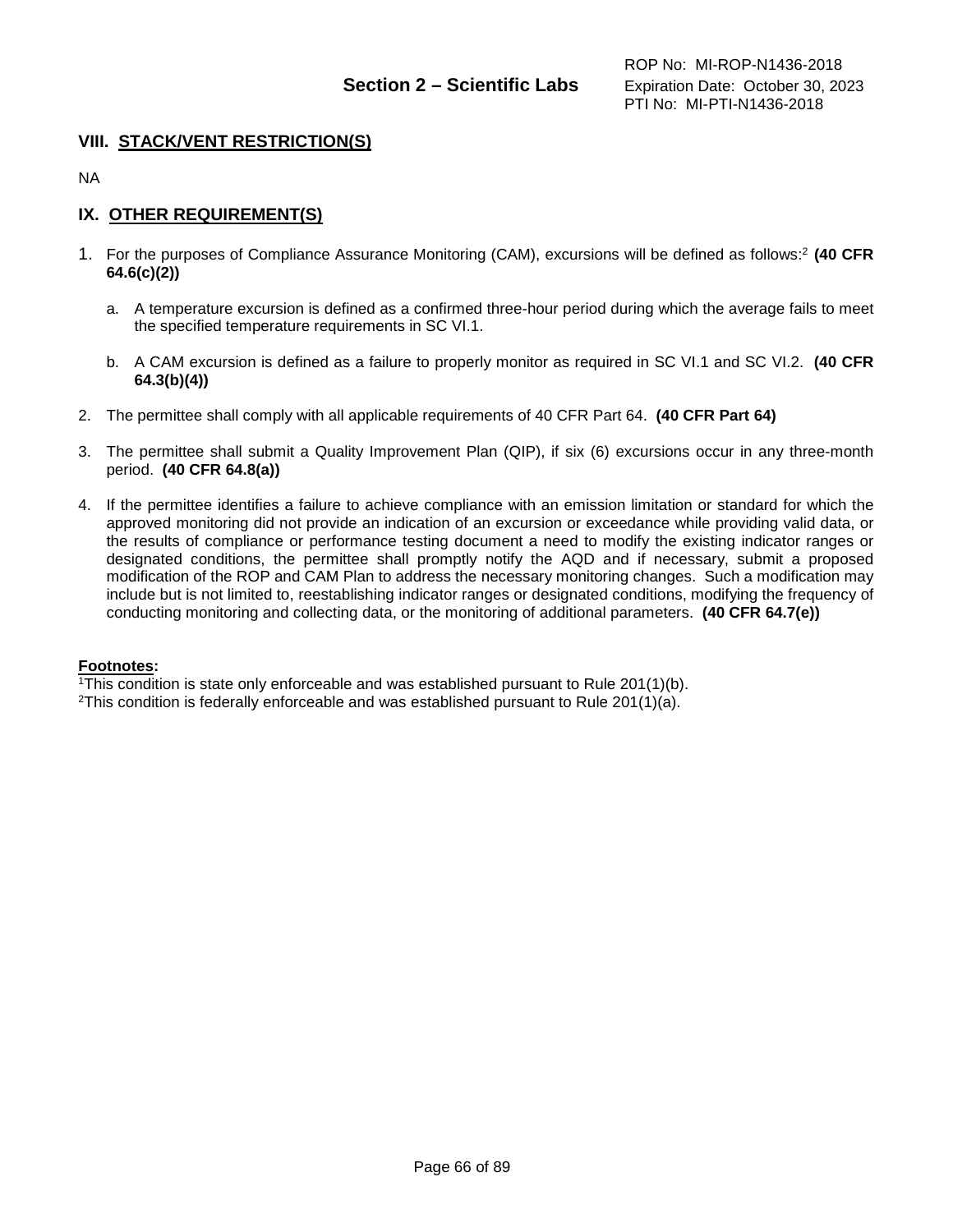# **VIII. STACK/VENT RESTRICTION(S)**

NA

# **IX. OTHER REQUIREMENT(S)**

- 1. For the purposes of Compliance Assurance Monitoring (CAM), excursions will be defined as follows: <sup>2</sup>**(40 CFR 64.6(c)(2))**
	- a. A temperature excursion is defined as a confirmed three-hour period during which the average fails to meet the specified temperature requirements in SC VI.1.
	- b. A CAM excursion is defined as a failure to properly monitor as required in SC VI.1 and SC VI.2. **(40 CFR 64.3(b)(4))**
- 2. The permittee shall comply with all applicable requirements of 40 CFR Part 64. **(40 CFR Part 64)**
- 3. The permittee shall submit a Quality Improvement Plan (QIP), if six (6) excursions occur in any three-month period. **(40 CFR 64.8(a))**
- 4. If the permittee identifies a failure to achieve compliance with an emission limitation or standard for which the approved monitoring did not provide an indication of an excursion or exceedance while providing valid data, or the results of compliance or performance testing document a need to modify the existing indicator ranges or designated conditions, the permittee shall promptly notify the AQD and if necessary, submit a proposed modification of the ROP and CAM Plan to address the necessary monitoring changes. Such a modification may include but is not limited to, reestablishing indicator ranges or designated conditions, modifying the frequency of conducting monitoring and collecting data, or the monitoring of additional parameters. **(40 CFR 64.7(e))**

### **Footnotes:**

1This condition is state only enforceable and was established pursuant to Rule 201(1)(b).

2This condition is federally enforceable and was established pursuant to Rule 201(1)(a).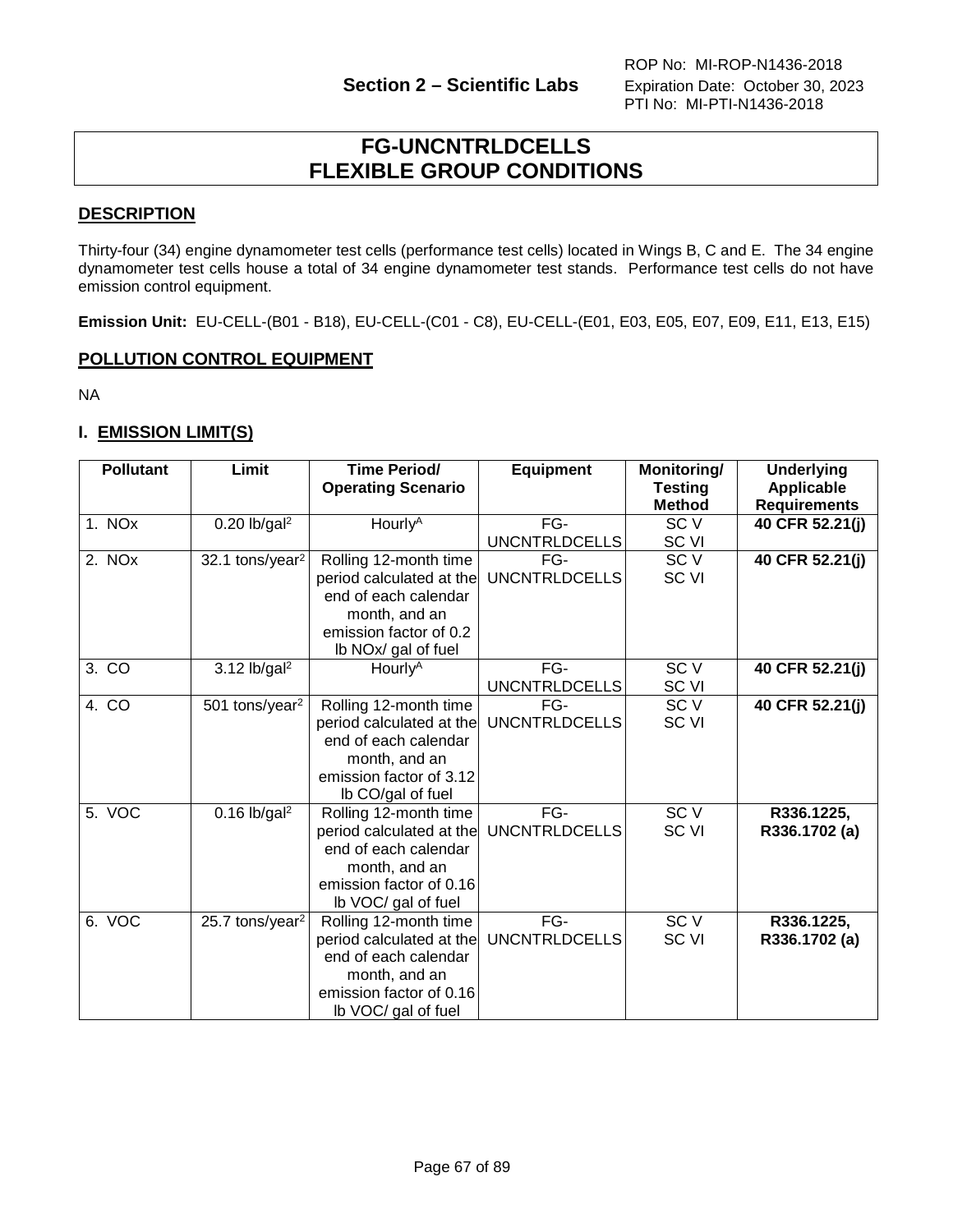# **FG-UNCNTRLDCELLS FLEXIBLE GROUP CONDITIONS**

# **DESCRIPTION**

Thirty-four (34) engine dynamometer test cells (performance test cells) located in Wings B, C and E. The 34 engine dynamometer test cells house a total of 34 engine dynamometer test stands. Performance test cells do not have emission control equipment.

**Emission Unit:** EU-CELL-(B01 - B18), EU-CELL-(C01 - C8), EU-CELL-(E01, E03, E05, E07, E09, E11, E13, E15)

# **POLLUTION CONTROL EQUIPMENT**

NA

# **I. EMISSION LIMIT(S)**

| <b>Pollutant</b> | Limit                                                                                                                                                                                    | <b>Time Period/</b><br><b>Operating Scenario</b>                                                                                             | <b>Equipment</b>            | <b>Monitoring/</b><br><b>Testing</b><br><b>Method</b> | <b>Underlying</b><br><b>Applicable</b><br><b>Requirements</b> |
|------------------|------------------------------------------------------------------------------------------------------------------------------------------------------------------------------------------|----------------------------------------------------------------------------------------------------------------------------------------------|-----------------------------|-------------------------------------------------------|---------------------------------------------------------------|
| 1. NOx           | $0.20$ lb/gal <sup>2</sup>                                                                                                                                                               | Hourly <sup>A</sup>                                                                                                                          | FG-<br>UNCNTRLDCELLS        | SC <sub>V</sub><br>SC VI                              | 40 CFR 52.21(j)                                               |
| 2. NOx           | 32.1 tons/year <sup>2</sup>                                                                                                                                                              | Rolling 12-month time<br>period calculated at the<br>end of each calendar<br>month, and an<br>emission factor of 0.2<br>Ib NOx/ gal of fuel  | FG-<br><b>UNCNTRLDCELLS</b> | SC <sub>V</sub><br>SC <sub>VI</sub>                   | 40 CFR 52.21(j)                                               |
| 3. CO            | $3.12$ lb/gal <sup>2</sup>                                                                                                                                                               | Hourly <sup>A</sup>                                                                                                                          | FG-<br>UNCNTRLDCELLS        | SC <sub>V</sub><br>SC VI                              | 40 CFR 52.21(j)                                               |
| 4. CO            | 501 tons/year <sup>2</sup>                                                                                                                                                               | Rolling 12-month time<br>period calculated at the<br>end of each calendar<br>month, and an<br>emission factor of 3.12<br>Ib CO/gal of fuel   | FG-<br><b>UNCNTRLDCELLS</b> | SC <sub>V</sub><br><b>SC VI</b>                       | 40 CFR 52.21(j)                                               |
| 5. VOC           | $0.16$ lb/gal <sup>2</sup><br>Rolling 12-month time<br>period calculated at the UNCNTRLDCELLS<br>end of each calendar<br>month, and an<br>emission factor of 0.16<br>Ib VOC/ gal of fuel |                                                                                                                                              | FG-                         | SC <sub>V</sub><br><b>SC VI</b>                       | R336.1225,<br>R336.1702 (a)                                   |
| 6. VOC           | 25.7 tons/year <sup>2</sup>                                                                                                                                                              | Rolling 12-month time<br>period calculated at the<br>end of each calendar<br>month, and an<br>emission factor of 0.16<br>Ib VOC/ gal of fuel | FG-<br><b>UNCNTRLDCELLS</b> | SC <sub>V</sub><br>SC <sub>VI</sub>                   | R336.1225,<br>R336.1702 (a)                                   |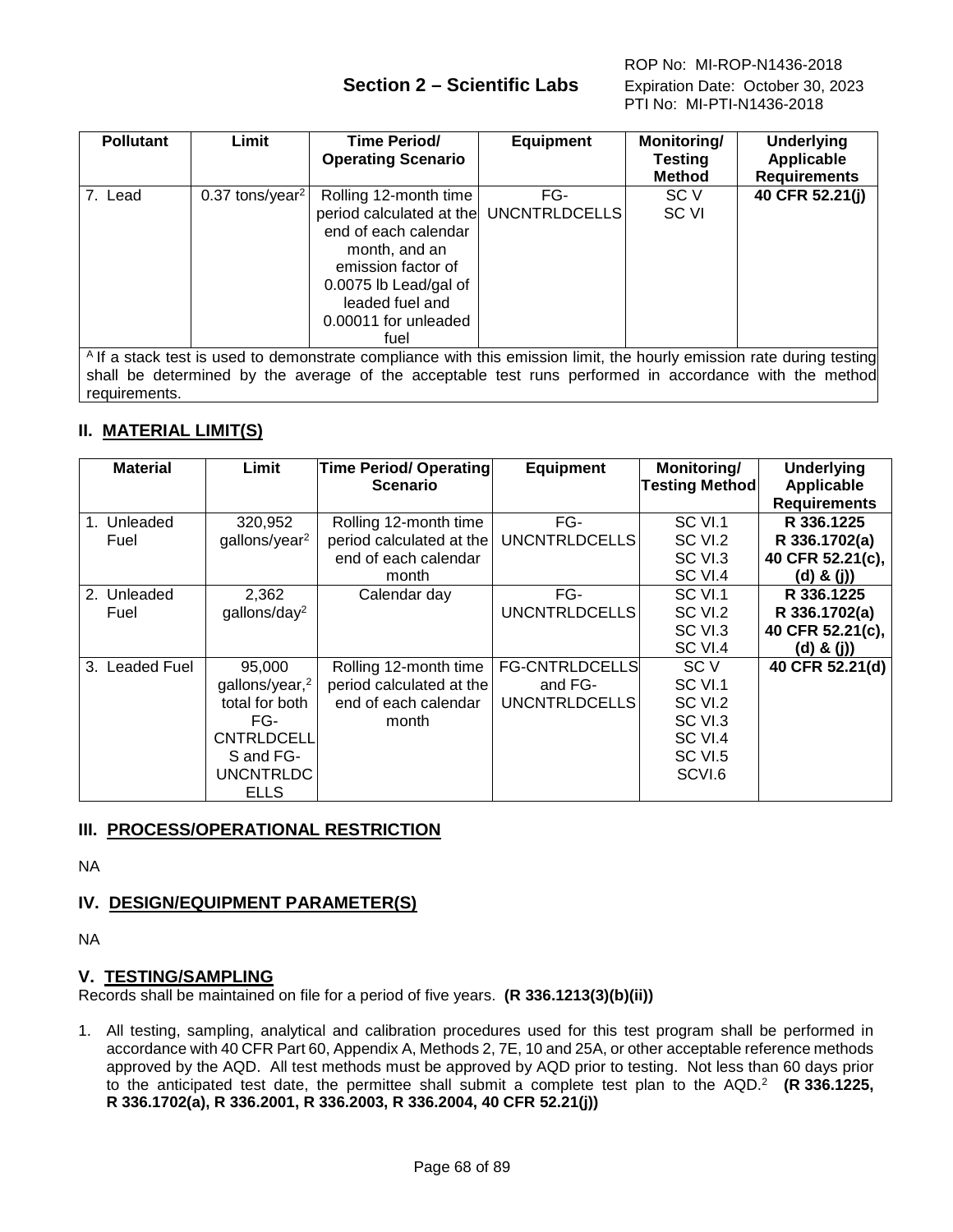# **Section 2 – Scientific Labs** Expiration Date: October 30, 2023

| <b>Pollutant</b>                                                                                                                                                                                                                                    | Limit                         | <b>Time Period/</b><br><b>Operating Scenario</b>                                                                                                                                                           | <b>Equipment</b> | Monitoring/<br><b>Testing</b><br><b>Method</b> | <b>Underlying</b><br>Applicable<br><b>Requirements</b> |  |
|-----------------------------------------------------------------------------------------------------------------------------------------------------------------------------------------------------------------------------------------------------|-------------------------------|------------------------------------------------------------------------------------------------------------------------------------------------------------------------------------------------------------|------------------|------------------------------------------------|--------------------------------------------------------|--|
| 7. Lead                                                                                                                                                                                                                                             | $0.37$ tons/year <sup>2</sup> | Rolling 12-month time<br>period calculated at the UNCNTRLDCELLS<br>end of each calendar<br>month, and an<br>emission factor of<br>0.0075 lb Lead/gal of<br>leaded fuel and<br>0.00011 for unleaded<br>fuel | FG-              | SC V<br>SC VI                                  | 40 CFR 52.21(j)                                        |  |
| <sup>A</sup> If a stack test is used to demonstrate compliance with this emission limit, the hourly emission rate during testing<br>aball be clemanical bis the economic of the expendable toot anno a afondable a considered in the theory all all |                               |                                                                                                                                                                                                            |                  |                                                |                                                        |  |

shall be determined by the average of the acceptable test runs performed in accordance with the method requirements.

# **II. MATERIAL LIMIT(S)**

| <b>Material</b>          | Limit                      | <b>Time Period/ Operating</b><br><b>Scenario</b> | <b>Equipment</b>      | Monitoring/<br><b>Testing Method</b> | <b>Underlying</b><br><b>Applicable</b> |
|--------------------------|----------------------------|--------------------------------------------------|-----------------------|--------------------------------------|----------------------------------------|
|                          |                            |                                                  |                       |                                      | <b>Requirements</b>                    |
| 1. Unleaded              | 320,952                    | Rolling 12-month time                            | FG-                   | SC VI.1                              | R 336.1225                             |
| Fuel                     | gallons/year <sup>2</sup>  | period calculated at the                         | <b>UNCNTRLDCELLS</b>  | SC VI.2                              | R 336.1702(a)                          |
|                          |                            | end of each calendar                             |                       | SC VI.3                              | 40 CFR 52.21(c),                       |
|                          |                            | month                                            |                       | SC VI.4                              | $(d)$ & $(j)$                          |
| Unleaded<br>2.           | 2,362                      | Calendar day                                     | FG-                   | SC VI.1                              | R 336.1225                             |
| Fuel                     | gallons/day <sup>2</sup>   |                                                  | <b>UNCNTRLDCELLS</b>  | SC VI.2                              | R 336.1702(a)                          |
|                          |                            |                                                  |                       | SC VI.3                              | 40 CFR 52.21(c),                       |
|                          |                            |                                                  |                       | SC VI.4                              | $(d)$ & $(j)$                          |
| <b>Leaded Fuel</b><br>3. | 95,000                     | Rolling 12-month time                            | <b>FG-CNTRLDCELLS</b> | SC V                                 | 40 CFR 52.21(d)                        |
|                          | gallons/year, <sup>2</sup> | period calculated at the                         | and FG-               | SC VI.1                              |                                        |
|                          | total for both             | end of each calendar                             | <b>UNCNTRLDCELLS</b>  | SC VI.2                              |                                        |
|                          | FG-                        | month                                            |                       | SC VI.3                              |                                        |
|                          | CNTRLDCELL                 |                                                  |                       | SC VI.4                              |                                        |
|                          | S and FG-                  |                                                  |                       | <b>SC VI.5</b>                       |                                        |
|                          | <b>UNCNTRLDC</b>           |                                                  |                       | SCVI.6                               |                                        |
|                          | <b>ELLS</b>                |                                                  |                       |                                      |                                        |

# **III. PROCESS/OPERATIONAL RESTRICTION**

NA

# **IV. DESIGN/EQUIPMENT PARAMETER(S)**

NA

## **V. TESTING/SAMPLING**

Records shall be maintained on file for a period of five years. **(R 336.1213(3)(b)(ii))**

1. All testing, sampling, analytical and calibration procedures used for this test program shall be performed in accordance with 40 CFR Part 60, Appendix A, Methods 2, 7E, 10 and 25A, or other acceptable reference methods approved by the AQD. All test methods must be approved by AQD prior to testing. Not less than 60 days prior to the anticipated test date, the permittee shall submit a complete test plan to the AQD.2 **(R 336.1225, R 336.1702(a), R 336.2001, R 336.2003, R 336.2004, 40 CFR 52.21(j))**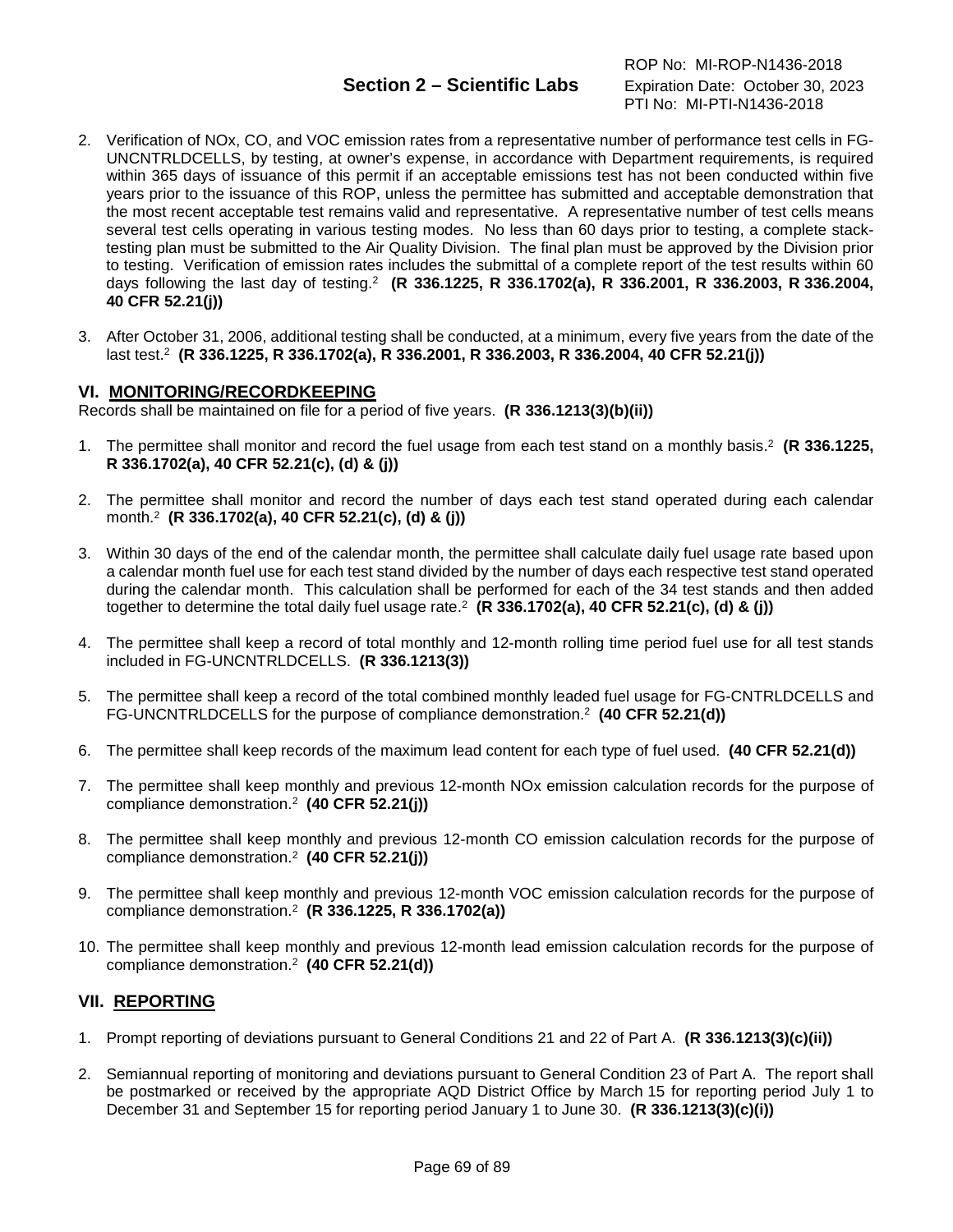- 2. Verification of NOx, CO, and VOC emission rates from a representative number of performance test cells in FG-UNCNTRLDCELLS, by testing, at owner's expense, in accordance with Department requirements, is required within 365 days of issuance of this permit if an acceptable emissions test has not been conducted within five years prior to the issuance of this ROP, unless the permittee has submitted and acceptable demonstration that the most recent acceptable test remains valid and representative. A representative number of test cells means several test cells operating in various testing modes. No less than 60 days prior to testing, a complete stacktesting plan must be submitted to the Air Quality Division. The final plan must be approved by the Division prior to testing. Verification of emission rates includes the submittal of a complete report of the test results within 60 days following the last day of testing.2 **(R 336.1225, R 336.1702(a), R 336.2001, R 336.2003, R 336.2004, 40 CFR 52.21(j))**
- 3. After October 31, 2006, additional testing shall be conducted, at a minimum, every five years from the date of the last test.2 **(R 336.1225, R 336.1702(a), R 336.2001, R 336.2003, R 336.2004, 40 CFR 52.21(j))**

## **VI. MONITORING/RECORDKEEPING**

Records shall be maintained on file for a period of five years. **(R 336.1213(3)(b)(ii))**

- 1. The permittee shall monitor and record the fuel usage from each test stand on a monthly basis. <sup>2</sup> **(R 336.1225, R 336.1702(a), 40 CFR 52.21(c), (d) & (j))**
- 2. The permittee shall monitor and record the number of days each test stand operated during each calendar month.2 **(R 336.1702(a), 40 CFR 52.21(c), (d) & (j))**
- 3. Within 30 days of the end of the calendar month, the permittee shall calculate daily fuel usage rate based upon a calendar month fuel use for each test stand divided by the number of days each respective test stand operated during the calendar month. This calculation shall be performed for each of the 34 test stands and then added together to determine the total daily fuel usage rate.2 **(R 336.1702(a), 40 CFR 52.21(c), (d) & (j))**
- 4. The permittee shall keep a record of total monthly and 12-month rolling time period fuel use for all test stands included in FG-UNCNTRLDCELLS. **(R 336.1213(3))**
- 5. The permittee shall keep a record of the total combined monthly leaded fuel usage for FG-CNTRLDCELLS and FG-UNCNTRLDCELLS for the purpose of compliance demonstration.2 **(40 CFR 52.21(d))**
- 6. The permittee shall keep records of the maximum lead content for each type of fuel used. **(40 CFR 52.21(d))**
- 7. The permittee shall keep monthly and previous 12-month NOx emission calculation records for the purpose of compliance demonstration.2 **(40 CFR 52.21(j))**
- 8. The permittee shall keep monthly and previous 12-month CO emission calculation records for the purpose of compliance demonstration.2 **(40 CFR 52.21(j))**
- 9. The permittee shall keep monthly and previous 12-month VOC emission calculation records for the purpose of compliance demonstration.2 **(R 336.1225, R 336.1702(a))**
- 10. The permittee shall keep monthly and previous 12-month lead emission calculation records for the purpose of compliance demonstration.2 **(40 CFR 52.21(d))**

## **VII. REPORTING**

- 1. Prompt reporting of deviations pursuant to General Conditions 21 and 22 of Part A. **(R 336.1213(3)(c)(ii))**
- 2. Semiannual reporting of monitoring and deviations pursuant to General Condition 23 of Part A. The report shall be postmarked or received by the appropriate AQD District Office by March 15 for reporting period July 1 to December 31 and September 15 for reporting period January 1 to June 30. **(R 336.1213(3)(c)(i))**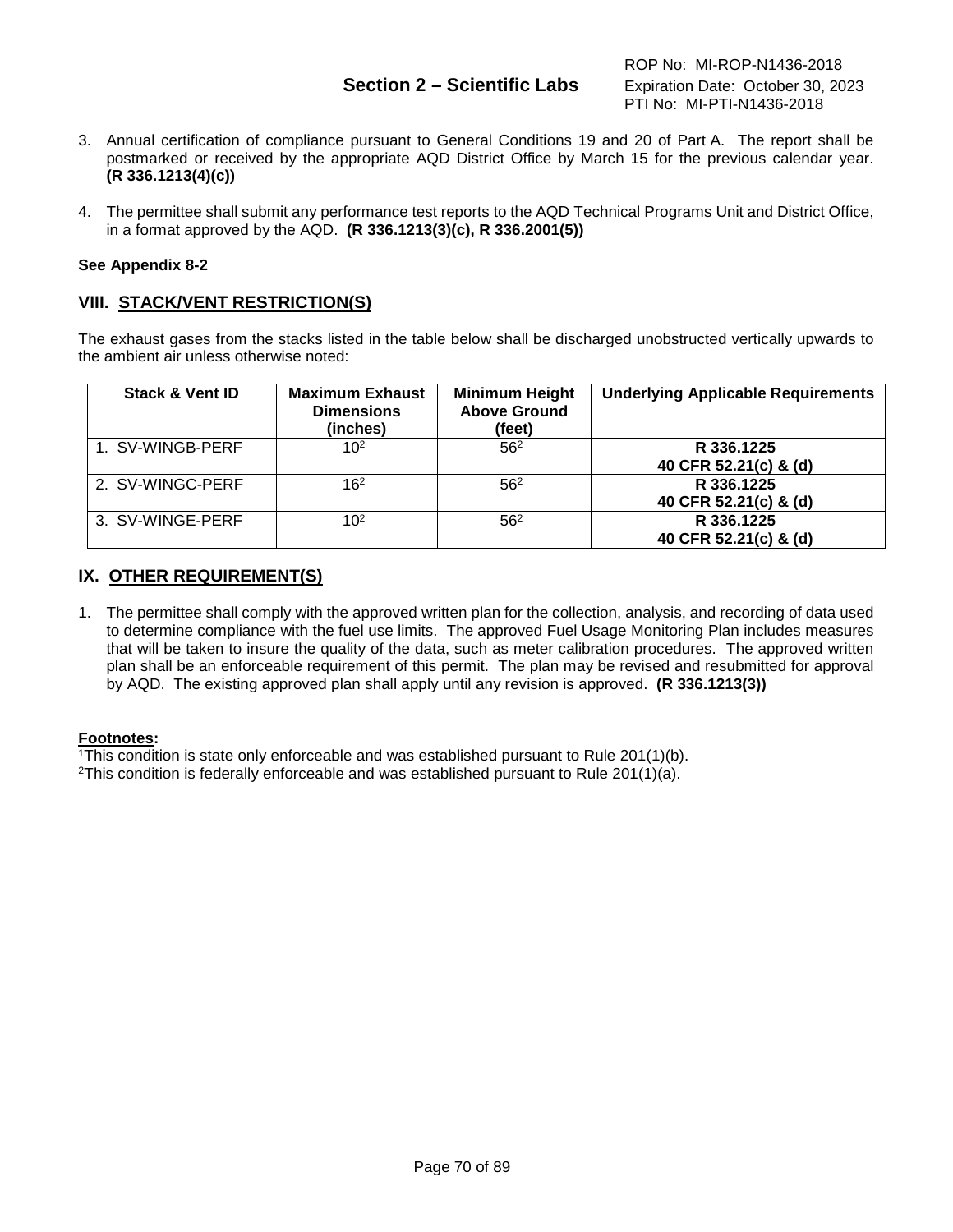# **Section 2 – Scientific Labs** Expiration Date: October 30, 2023

- 3. Annual certification of compliance pursuant to General Conditions 19 and 20 of Part A. The report shall be postmarked or received by the appropriate AQD District Office by March 15 for the previous calendar year. **(R 336.1213(4)(c))**
- 4. The permittee shall submit any performance test reports to the AQD Technical Programs Unit and District Office, in a format approved by the AQD. **(R 336.1213(3)(c), R 336.2001(5))**

## **See Appendix 8-2**

## **VIII. STACK/VENT RESTRICTION(S)**

The exhaust gases from the stacks listed in the table below shall be discharged unobstructed vertically upwards to the ambient air unless otherwise noted:

| <b>Stack &amp; Vent ID</b> | <b>Maximum Exhaust</b><br><b>Dimensions</b><br>(inches) | <b>Minimum Height</b><br><b>Above Ground</b><br>(feet) | <b>Underlying Applicable Requirements</b> |
|----------------------------|---------------------------------------------------------|--------------------------------------------------------|-------------------------------------------|
| 1. SV-WINGB-PERF           | 10 <sup>2</sup>                                         | 56 <sup>2</sup>                                        | R 336.1225<br>40 CFR 52.21(c) & (d)       |
| 2. SV-WINGC-PERF           | 16 <sup>2</sup>                                         | 56 <sup>2</sup>                                        | R 336.1225<br>40 CFR 52.21(c) & (d)       |
| 3. SV-WINGE-PERF           | 10 <sup>2</sup>                                         | 56 <sup>2</sup>                                        | R 336.1225<br>40 CFR 52.21(c) & (d)       |

## **IX. OTHER REQUIREMENT(S)**

1. The permittee shall comply with the approved written plan for the collection, analysis, and recording of data used to determine compliance with the fuel use limits. The approved Fuel Usage Monitoring Plan includes measures that will be taken to insure the quality of the data, such as meter calibration procedures. The approved written plan shall be an enforceable requirement of this permit. The plan may be revised and resubmitted for approval by AQD. The existing approved plan shall apply until any revision is approved. **(R 336.1213(3))**

### **Footnotes:**

1This condition is state only enforceable and was established pursuant to Rule 201(1)(b).

<sup>2</sup>This condition is federally enforceable and was established pursuant to Rule 201(1)(a).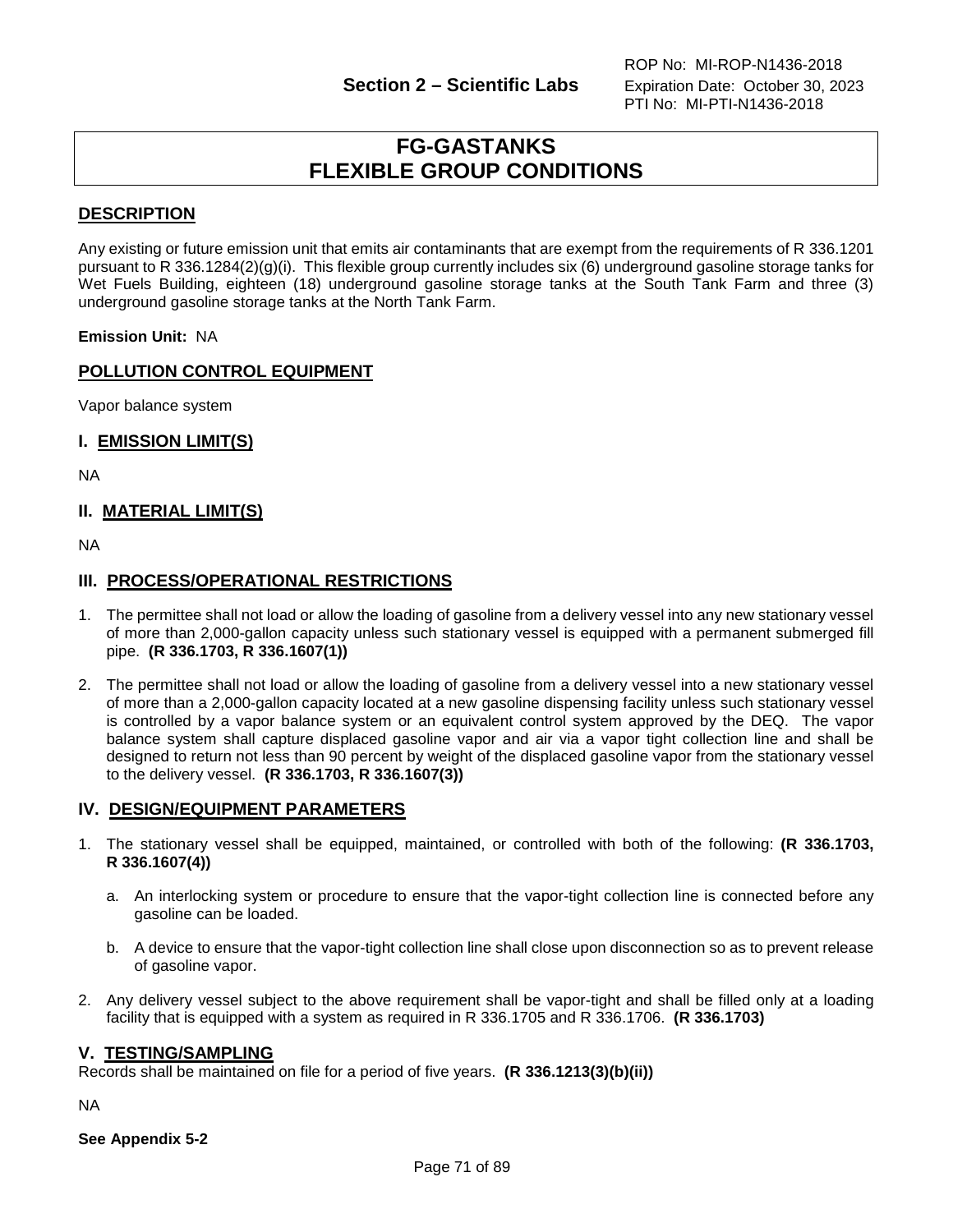# **FG-GASTANKS FLEXIBLE GROUP CONDITIONS**

# **DESCRIPTION**

Any existing or future emission unit that emits air contaminants that are exempt from the requirements of R 336.1201 pursuant to R 336.1284(2)(g)(i). This flexible group currently includes six (6) underground gasoline storage tanks for Wet Fuels Building, eighteen (18) underground gasoline storage tanks at the South Tank Farm and three (3) underground gasoline storage tanks at the North Tank Farm.

**Emission Unit:** NA

# **POLLUTION CONTROL EQUIPMENT**

Vapor balance system

## **I. EMISSION LIMIT(S)**

NA

## **II. MATERIAL LIMIT(S)**

NA

## **III. PROCESS/OPERATIONAL RESTRICTIONS**

- 1. The permittee shall not load or allow the loading of gasoline from a delivery vessel into any new stationary vessel of more than 2,000-gallon capacity unless such stationary vessel is equipped with a permanent submerged fill pipe. **(R 336.1703, R 336.1607(1))**
- 2. The permittee shall not load or allow the loading of gasoline from a delivery vessel into a new stationary vessel of more than a 2,000-gallon capacity located at a new gasoline dispensing facility unless such stationary vessel is controlled by a vapor balance system or an equivalent control system approved by the DEQ. The vapor balance system shall capture displaced gasoline vapor and air via a vapor tight collection line and shall be designed to return not less than 90 percent by weight of the displaced gasoline vapor from the stationary vessel to the delivery vessel. **(R 336.1703, R 336.1607(3))**

### **IV. DESIGN/EQUIPMENT PARAMETERS**

- 1. The stationary vessel shall be equipped, maintained, or controlled with both of the following: **(R 336.1703, R 336.1607(4))**
	- a. An interlocking system or procedure to ensure that the vapor-tight collection line is connected before any gasoline can be loaded.
	- b. A device to ensure that the vapor-tight collection line shall close upon disconnection so as to prevent release of gasoline vapor.
- 2. Any delivery vessel subject to the above requirement shall be vapor-tight and shall be filled only at a loading facility that is equipped with a system as required in R 336.1705 and R 336.1706. **(R 336.1703)**

### **V. TESTING/SAMPLING**

Records shall be maintained on file for a period of five years. **(R 336.1213(3)(b)(ii))**

NA

**See Appendix 5-2**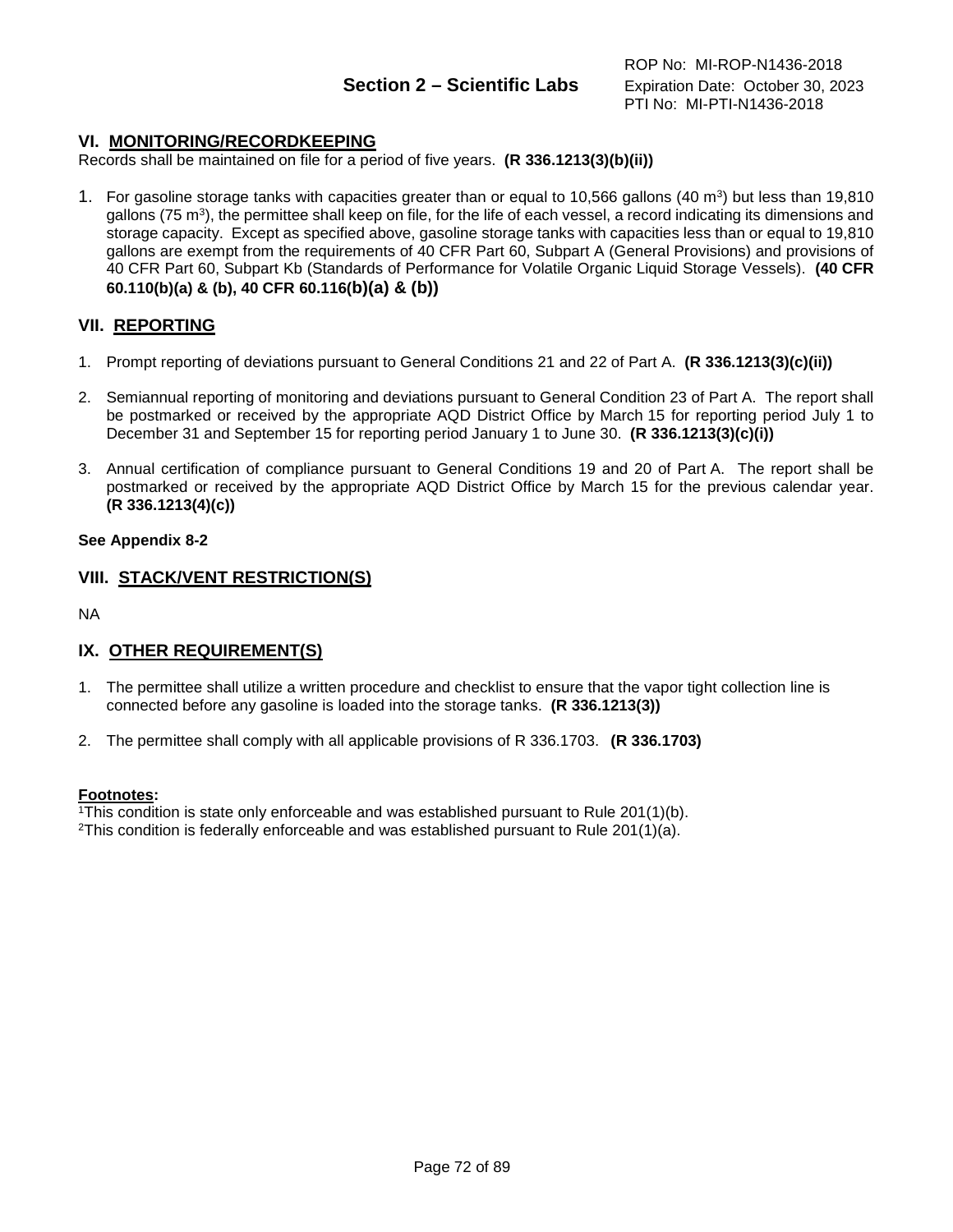# **VI. MONITORING/RECORDKEEPING**

Records shall be maintained on file for a period of five years. **(R 336.1213(3)(b)(ii))**

1. For gasoline storage tanks with capacities greater than or equal to 10,566 gallons (40 m3) but less than 19,810 gallons (75 m3), the permittee shall keep on file, for the life of each vessel, a record indicating its dimensions and storage capacity. Except as specified above, gasoline storage tanks with capacities less than or equal to 19,810 gallons are exempt from the requirements of 40 CFR Part 60, Subpart A (General Provisions) and provisions of 40 CFR Part 60, Subpart Kb (Standards of Performance for Volatile Organic Liquid Storage Vessels). **(40 CFR 60.110(b)(a) & (b), 40 CFR 60.116(b)(a) & (b))**

# **VII. REPORTING**

- 1. Prompt reporting of deviations pursuant to General Conditions 21 and 22 of Part A. **(R 336.1213(3)(c)(ii))**
- 2. Semiannual reporting of monitoring and deviations pursuant to General Condition 23 of Part A. The report shall be postmarked or received by the appropriate AQD District Office by March 15 for reporting period July 1 to December 31 and September 15 for reporting period January 1 to June 30. **(R 336.1213(3)(c)(i))**
- 3. Annual certification of compliance pursuant to General Conditions 19 and 20 of Part A. The report shall be postmarked or received by the appropriate AQD District Office by March 15 for the previous calendar year. **(R 336.1213(4)(c))**

## **See Appendix 8-2**

# **VIII. STACK/VENT RESTRICTION(S)**

NA

# **IX. OTHER REQUIREMENT(S)**

- 1. The permittee shall utilize a written procedure and checklist to ensure that the vapor tight collection line is connected before any gasoline is loaded into the storage tanks. **(R 336.1213(3))**
- 2. The permittee shall comply with all applicable provisions of R 336.1703. **(R 336.1703)**

### **Footnotes:**

1This condition is state only enforceable and was established pursuant to Rule 201(1)(b).

<sup>2</sup>This condition is federally enforceable and was established pursuant to Rule 201(1)(a).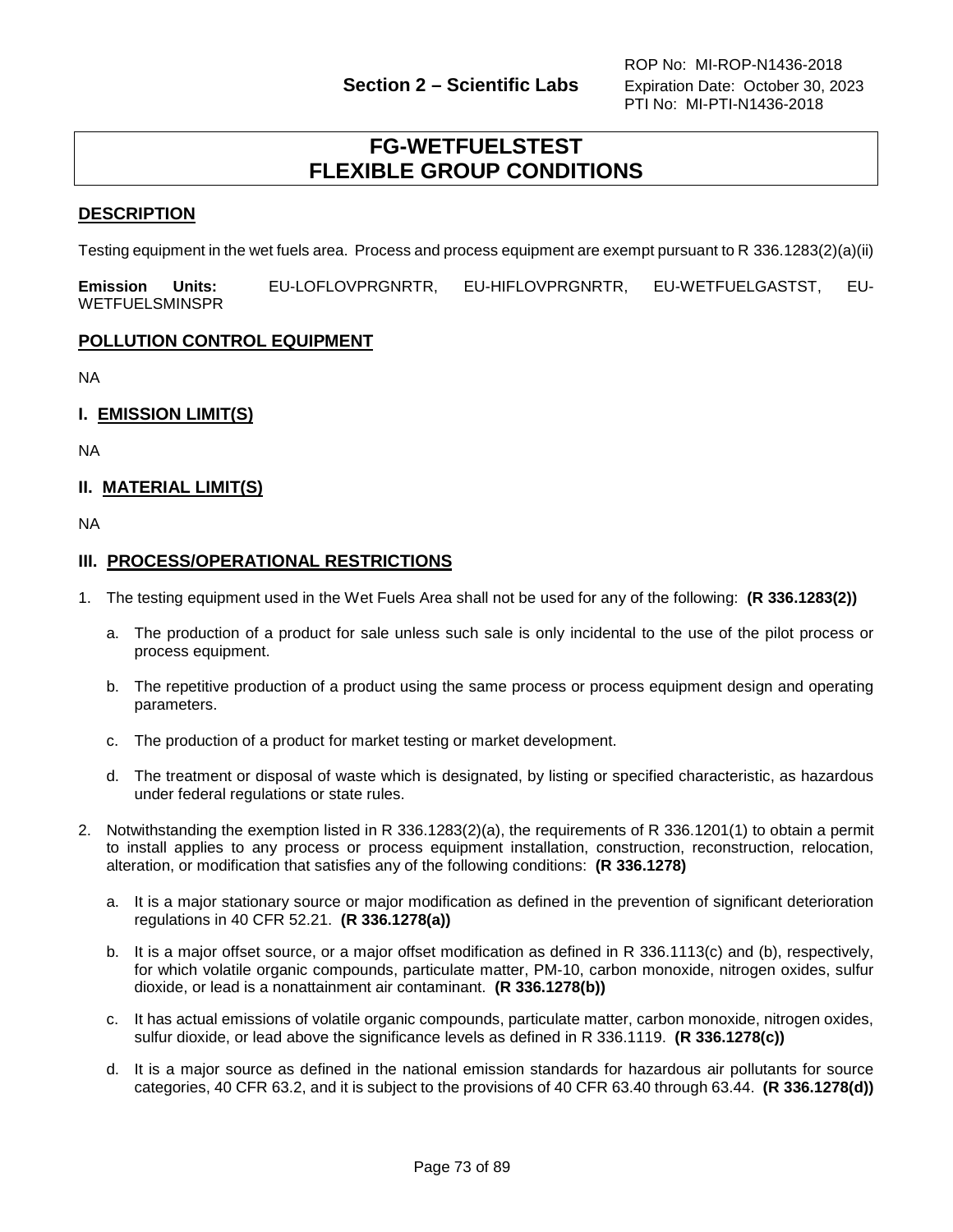# **FG-WETFUELSTEST FLEXIBLE GROUP CONDITIONS**

# **DESCRIPTION**

Testing equipment in the wet fuels area. Process and process equipment are exempt pursuant to R 336.1283(2)(a)(ii)

**Emission Units:** EU-LOFLOVPRGNRTR, EU-HIFLOVPRGNRTR, EU-WETFUELGASTST, EU-WETFUELSMINSPR

### **POLLUTION CONTROL EQUIPMENT**

NA

**I. EMISSION LIMIT(S)**

NA

### **II. MATERIAL LIMIT(S)**

NA

### **III. PROCESS/OPERATIONAL RESTRICTIONS**

- 1. The testing equipment used in the Wet Fuels Area shall not be used for any of the following: **(R 336.1283(2))**
	- a. The production of a product for sale unless such sale is only incidental to the use of the pilot process or process equipment.
	- b. The repetitive production of a product using the same process or process equipment design and operating parameters.
	- c. The production of a product for market testing or market development.
	- d. The treatment or disposal of waste which is designated, by listing or specified characteristic, as hazardous under federal regulations or state rules.
- 2. Notwithstanding the exemption listed in R 336.1283(2)(a), the requirements of R 336.1201(1) to obtain a permit to install applies to any process or process equipment installation, construction, reconstruction, relocation, alteration, or modification that satisfies any of the following conditions: **(R 336.1278)**
	- a. It is a major stationary source or major modification as defined in the prevention of significant deterioration regulations in 40 CFR 52.21. **(R 336.1278(a))**
	- b. It is a major offset source, or a major offset modification as defined in R 336.1113(c) and (b), respectively, for which volatile organic compounds, particulate matter, PM-10, carbon monoxide, nitrogen oxides, sulfur dioxide, or lead is a nonattainment air contaminant. **(R 336.1278(b))**
	- c. It has actual emissions of volatile organic compounds, particulate matter, carbon monoxide, nitrogen oxides, sulfur dioxide, or lead above the significance levels as defined in R 336.1119. **(R 336.1278(c))**
	- d. It is a major source as defined in the national emission standards for hazardous air pollutants for source categories, 40 CFR 63.2, and it is subject to the provisions of 40 CFR 63.40 through 63.44. **(R 336.1278(d))**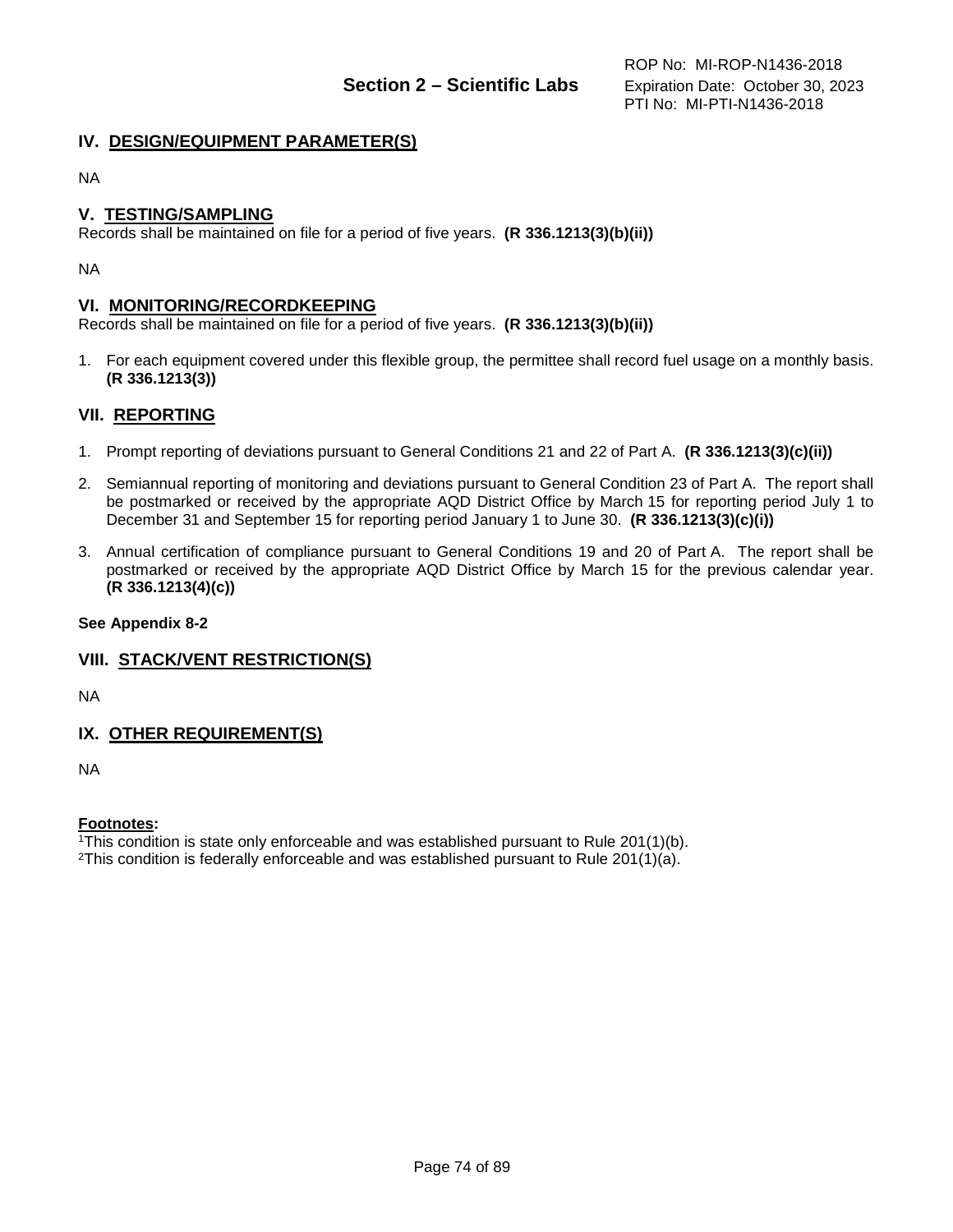# **IV. DESIGN/EQUIPMENT PARAMETER(S)**

NA

## **V. TESTING/SAMPLING**

Records shall be maintained on file for a period of five years. **(R 336.1213(3)(b)(ii))**

NA

#### **VI. MONITORING/RECORDKEEPING**

Records shall be maintained on file for a period of five years. **(R 336.1213(3)(b)(ii))**

1. For each equipment covered under this flexible group, the permittee shall record fuel usage on a monthly basis. **(R 336.1213(3))**

### **VII. REPORTING**

- 1. Prompt reporting of deviations pursuant to General Conditions 21 and 22 of Part A. **(R 336.1213(3)(c)(ii))**
- 2. Semiannual reporting of monitoring and deviations pursuant to General Condition 23 of Part A. The report shall be postmarked or received by the appropriate AQD District Office by March 15 for reporting period July 1 to December 31 and September 15 for reporting period January 1 to June 30. **(R 336.1213(3)(c)(i))**
- 3. Annual certification of compliance pursuant to General Conditions 19 and 20 of Part A. The report shall be postmarked or received by the appropriate AQD District Office by March 15 for the previous calendar year. **(R 336.1213(4)(c))**

#### **See Appendix 8-2**

### **VIII. STACK/VENT RESTRICTION(S)**

NA

### **IX. OTHER REQUIREMENT(S)**

NA

#### **Footnotes:**

1This condition is state only enforceable and was established pursuant to Rule 201(1)(b).

<sup>2</sup>This condition is federally enforceable and was established pursuant to Rule 201(1)(a).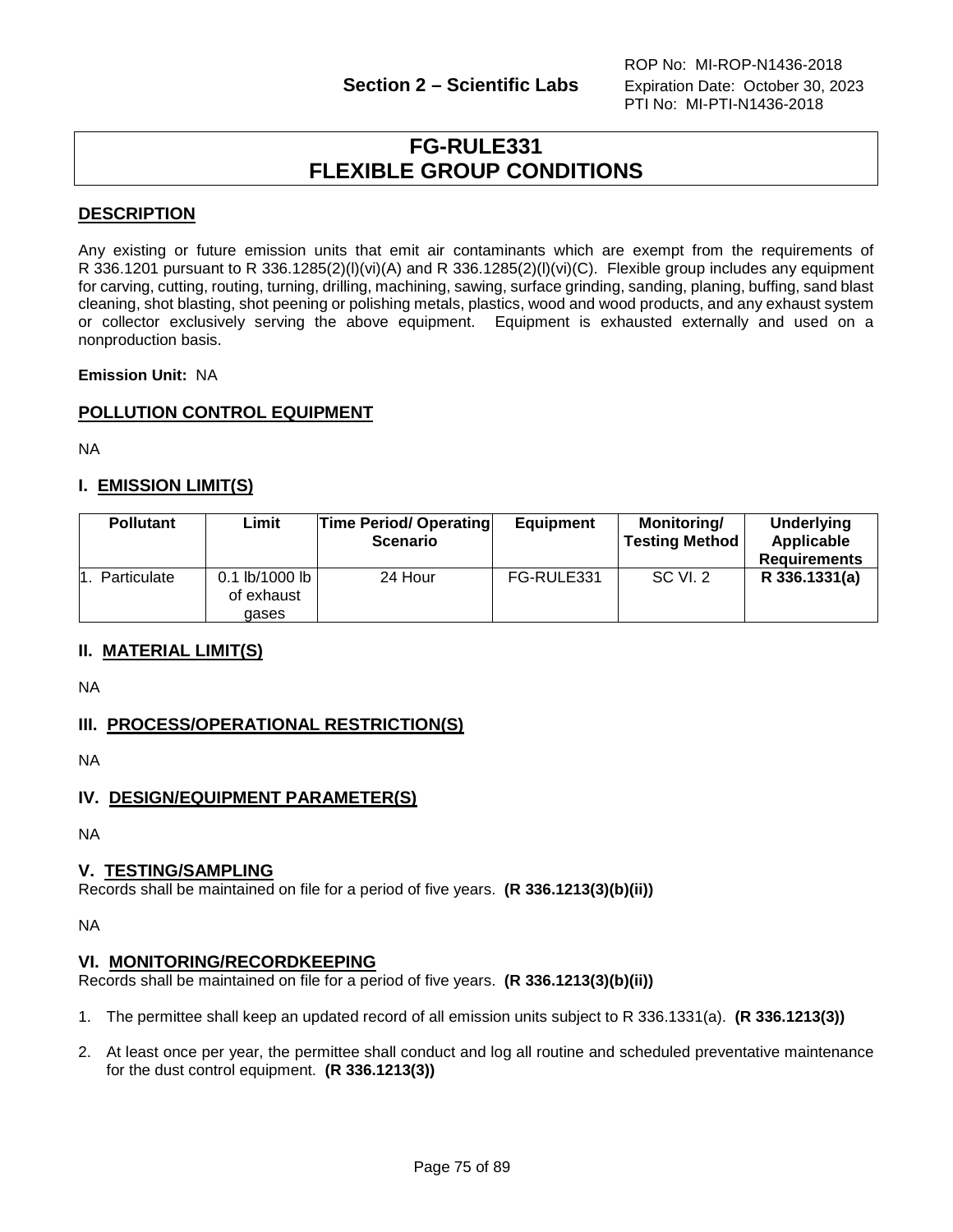# **FG-RULE331 FLEXIBLE GROUP CONDITIONS**

# **DESCRIPTION**

Any existing or future emission units that emit air contaminants which are exempt from the requirements of R 336.1201 pursuant to R 336.1285(2)(l)(vi)(A) and R 336.1285(2)(l)(vi)(C). Flexible group includes any equipment for carving, cutting, routing, turning, drilling, machining, sawing, surface grinding, sanding, planing, buffing, sand blast cleaning, shot blasting, shot peening or polishing metals, plastics, wood and wood products, and any exhaust system or collector exclusively serving the above equipment. Equipment is exhausted externally and used on a nonproduction basis.

**Emission Unit:** NA

# **POLLUTION CONTROL EQUIPMENT**

NA

# **I. EMISSION LIMIT(S)**

| <b>Pollutant</b> | Limit                                   | <b>Time Period/ Operating</b><br><b>Scenario</b> | <b>Equipment</b> | <b>Monitoring/</b><br><b>Testing Method</b> | <b>Underlying</b><br>Applicable<br><b>Requirements</b> |
|------------------|-----------------------------------------|--------------------------------------------------|------------------|---------------------------------------------|--------------------------------------------------------|
| Particulate      | $0.1$ lb/1000 lb<br>of exhaust<br>qases | 24 Hour                                          | FG-RULE331       | <b>SC VI. 2</b>                             | R 336.1331(a)                                          |

### **II. MATERIAL LIMIT(S)**

NA

# **III. PROCESS/OPERATIONAL RESTRICTION(S)**

NA

# **IV. DESIGN/EQUIPMENT PARAMETER(S)**

NA

# **V. TESTING/SAMPLING**

Records shall be maintained on file for a period of five years. **(R 336.1213(3)(b)(ii))**

NA

### **VI. MONITORING/RECORDKEEPING**

Records shall be maintained on file for a period of five years. **(R 336.1213(3)(b)(ii))**

- 1. The permittee shall keep an updated record of all emission units subject to R 336.1331(a). **(R 336.1213(3))**
- 2. At least once per year, the permittee shall conduct and log all routine and scheduled preventative maintenance for the dust control equipment. **(R 336.1213(3))**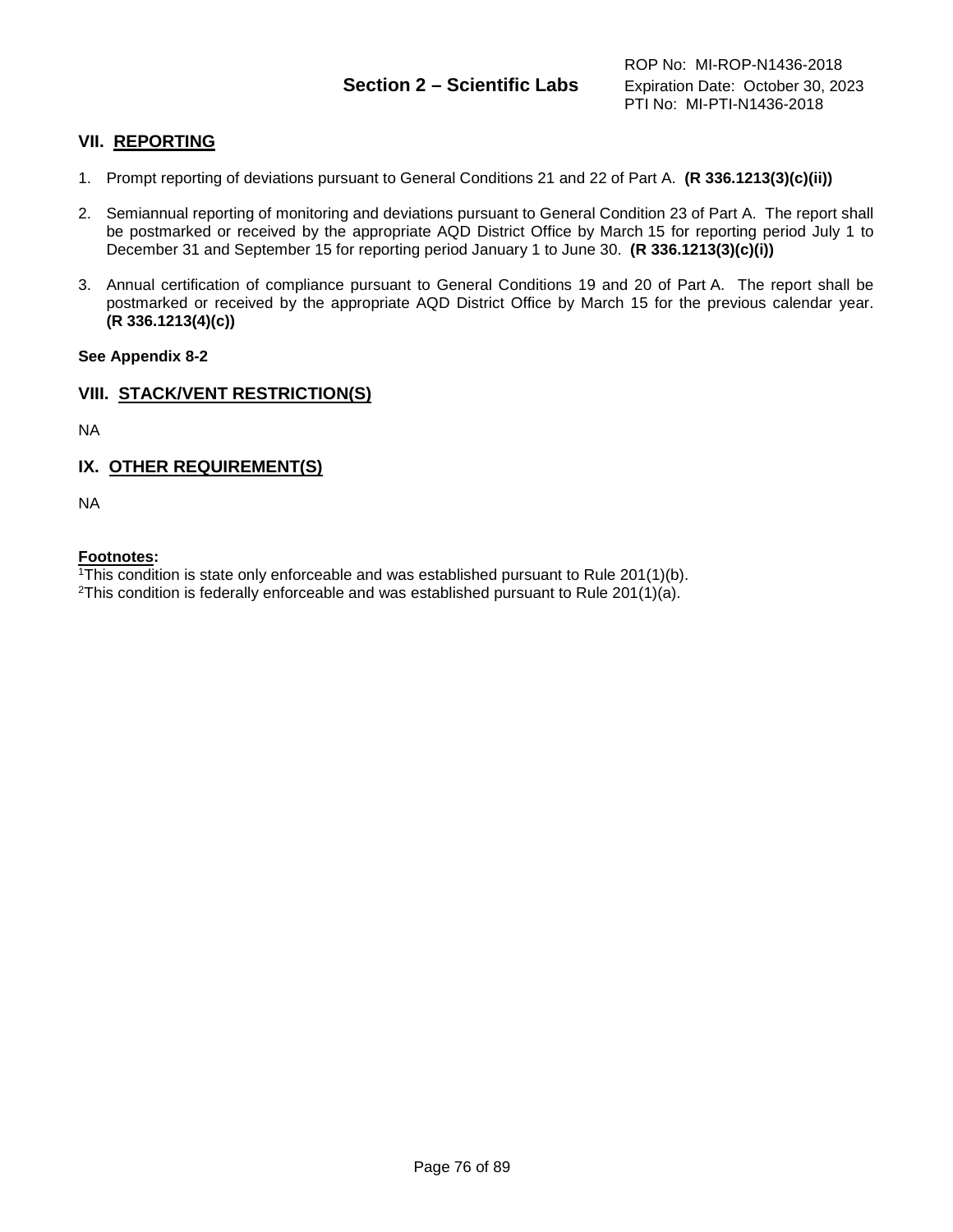# **Section 2 – Scientific Labs** Expiration Date: October 30, 2023

# **VII. REPORTING**

- 1. Prompt reporting of deviations pursuant to General Conditions 21 and 22 of Part A. **(R 336.1213(3)(c)(ii))**
- 2. Semiannual reporting of monitoring and deviations pursuant to General Condition 23 of Part A. The report shall be postmarked or received by the appropriate AQD District Office by March 15 for reporting period July 1 to December 31 and September 15 for reporting period January 1 to June 30. **(R 336.1213(3)(c)(i))**
- 3. Annual certification of compliance pursuant to General Conditions 19 and 20 of Part A. The report shall be postmarked or received by the appropriate AQD District Office by March 15 for the previous calendar year. **(R 336.1213(4)(c))**

#### **See Appendix 8-2**

## **VIII. STACK/VENT RESTRICTION(S)**

NA

# **IX. OTHER REQUIREMENT(S)**

NA

#### **Footnotes:**

1This condition is state only enforceable and was established pursuant to Rule 201(1)(b).

<sup>2</sup>This condition is federally enforceable and was established pursuant to Rule 201(1)(a).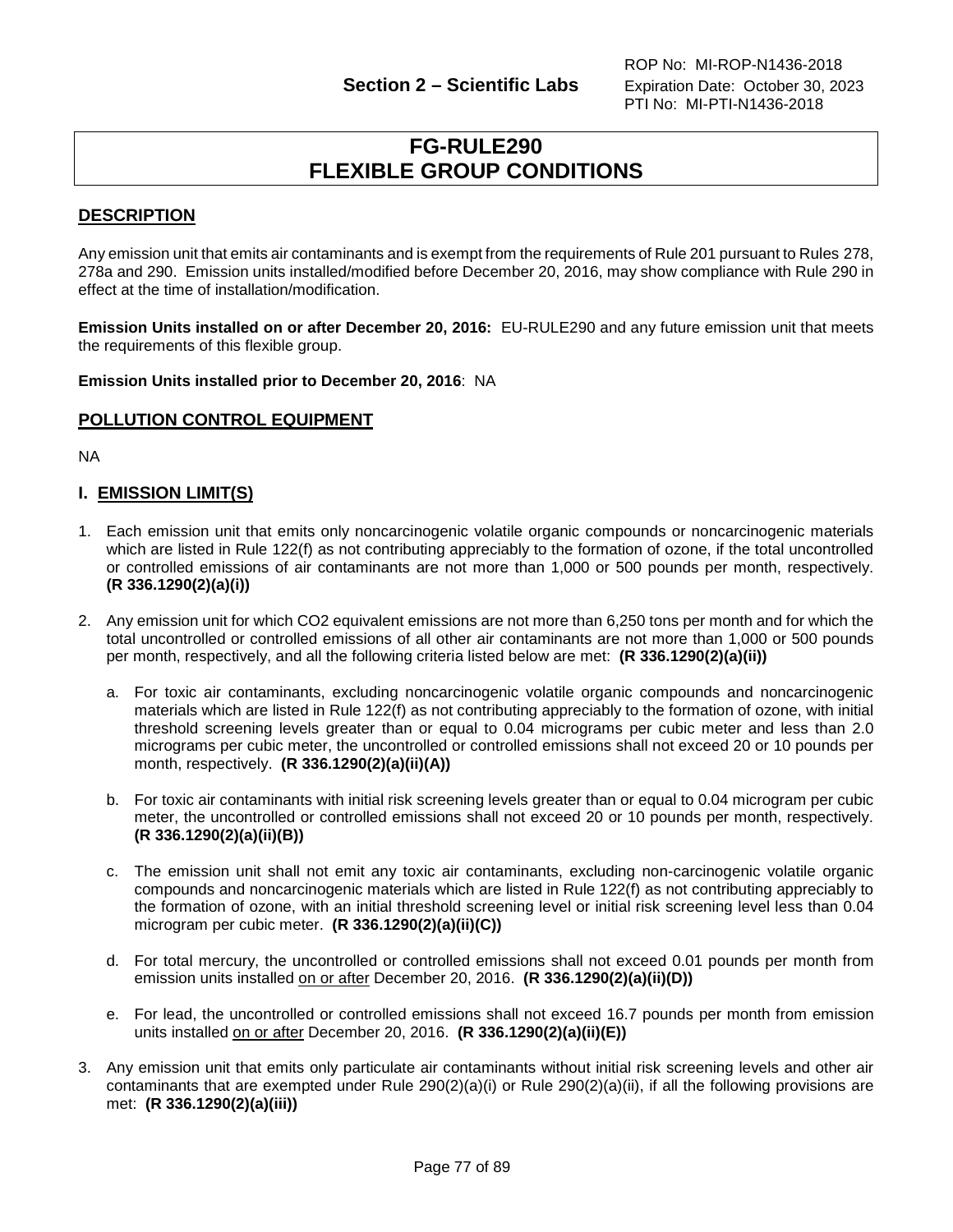# **FG-RULE290 FLEXIBLE GROUP CONDITIONS**

# **DESCRIPTION**

Any emission unit that emits air contaminants and is exempt from the requirements of Rule 201 pursuant to Rules 278, 278a and 290. Emission units installed/modified before December 20, 2016, may show compliance with Rule 290 in effect at the time of installation/modification.

**Emission Units installed on or after December 20, 2016:** EU-RULE290 and any future emission unit that meets the requirements of this flexible group.

**Emission Units installed prior to December 20, 2016**: NA

### **POLLUTION CONTROL EQUIPMENT**

NA

# **I. EMISSION LIMIT(S)**

- 1. Each emission unit that emits only noncarcinogenic volatile organic compounds or noncarcinogenic materials which are listed in Rule 122(f) as not contributing appreciably to the formation of ozone, if the total uncontrolled or controlled emissions of air contaminants are not more than 1,000 or 500 pounds per month, respectively. **(R 336.1290(2)(a)(i))**
- 2. Any emission unit for which CO2 equivalent emissions are not more than 6,250 tons per month and for which the total uncontrolled or controlled emissions of all other air contaminants are not more than 1,000 or 500 pounds per month, respectively, and all the following criteria listed below are met: **(R 336.1290(2)(a)(ii))**
	- a. For toxic air contaminants, excluding noncarcinogenic volatile organic compounds and noncarcinogenic materials which are listed in Rule 122(f) as not contributing appreciably to the formation of ozone, with initial threshold screening levels greater than or equal to 0.04 micrograms per cubic meter and less than 2.0 micrograms per cubic meter, the uncontrolled or controlled emissions shall not exceed 20 or 10 pounds per month, respectively. **(R 336.1290(2)(a)(ii)(A))**
	- b. For toxic air contaminants with initial risk screening levels greater than or equal to 0.04 microgram per cubic meter, the uncontrolled or controlled emissions shall not exceed 20 or 10 pounds per month, respectively. **(R 336.1290(2)(a)(ii)(B))**
	- c. The emission unit shall not emit any toxic air contaminants, excluding non-carcinogenic volatile organic compounds and noncarcinogenic materials which are listed in Rule 122(f) as not contributing appreciably to the formation of ozone, with an initial threshold screening level or initial risk screening level less than 0.04 microgram per cubic meter. **(R 336.1290(2)(a)(ii)(C))**
	- d. For total mercury, the uncontrolled or controlled emissions shall not exceed 0.01 pounds per month from emission units installed on or after December 20, 2016. **(R 336.1290(2)(a)(ii)(D))**
	- e. For lead, the uncontrolled or controlled emissions shall not exceed 16.7 pounds per month from emission units installed on or after December 20, 2016. **(R 336.1290(2)(a)(ii)(E))**
- 3. Any emission unit that emits only particulate air contaminants without initial risk screening levels and other air contaminants that are exempted under Rule 290(2)(a)(i) or Rule 290(2)(a)(ii), if all the following provisions are met: **(R 336.1290(2)(a)(iii))**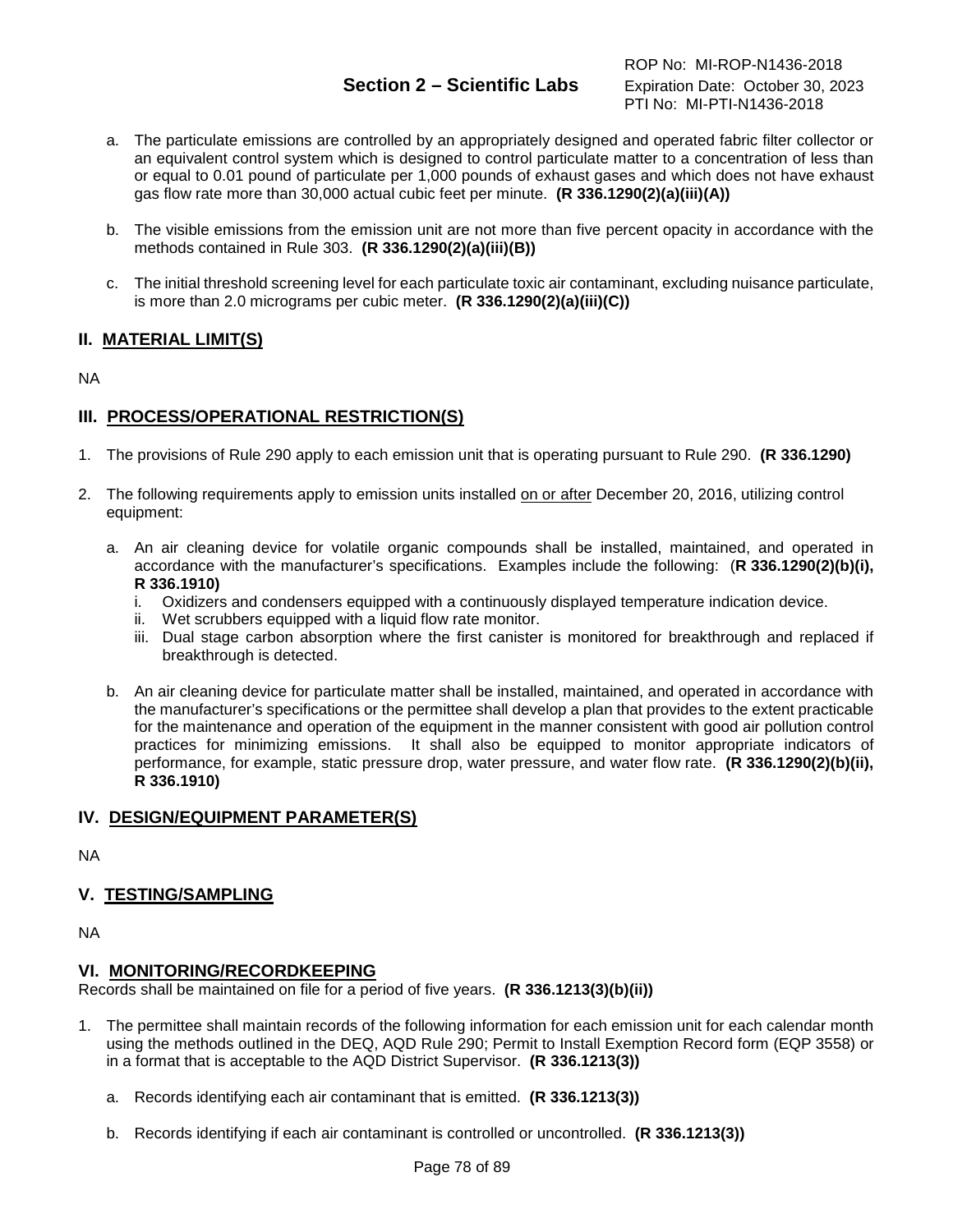# **Section 2 – Scientific Labs** Expiration Date: October 30, 2023

- a. The particulate emissions are controlled by an appropriately designed and operated fabric filter collector or an equivalent control system which is designed to control particulate matter to a concentration of less than or equal to 0.01 pound of particulate per 1,000 pounds of exhaust gases and which does not have exhaust gas flow rate more than 30,000 actual cubic feet per minute. **(R 336.1290(2)(a)(iii)(A))**
- b. The visible emissions from the emission unit are not more than five percent opacity in accordance with the methods contained in Rule 303. **(R 336.1290(2)(a)(iii)(B))**
- c. The initial threshold screening level for each particulate toxic air contaminant, excluding nuisance particulate, is more than 2.0 micrograms per cubic meter. **(R 336.1290(2)(a)(iii)(C))**

# **II. MATERIAL LIMIT(S)**

NA

# **III. PROCESS/OPERATIONAL RESTRICTION(S)**

- 1. The provisions of Rule 290 apply to each emission unit that is operating pursuant to Rule 290. **(R 336.1290)**
- 2. The following requirements apply to emission units installed on or after December 20, 2016, utilizing control equipment:
	- a. An air cleaning device for volatile organic compounds shall be installed, maintained, and operated in accordance with the manufacturer's specifications. Examples include the following: (**R 336.1290(2)(b)(i), R 336.1910)**
		- i. Oxidizers and condensers equipped with a continuously displayed temperature indication device.
		- ii. Wet scrubbers equipped with a liquid flow rate monitor.
		- iii. Dual stage carbon absorption where the first canister is monitored for breakthrough and replaced if breakthrough is detected.
	- b. An air cleaning device for particulate matter shall be installed, maintained, and operated in accordance with the manufacturer's specifications or the permittee shall develop a plan that provides to the extent practicable for the maintenance and operation of the equipment in the manner consistent with good air pollution control practices for minimizing emissions. It shall also be equipped to monitor appropriate indicators of performance, for example, static pressure drop, water pressure, and water flow rate. **(R 336.1290(2)(b)(ii), R 336.1910)**

# **IV. DESIGN/EQUIPMENT PARAMETER(S)**

NA

# **V. TESTING/SAMPLING**

NA

### **VI. MONITORING/RECORDKEEPING**

Records shall be maintained on file for a period of five years. **(R 336.1213(3)(b)(ii))**

- 1. The permittee shall maintain records of the following information for each emission unit for each calendar month using the methods outlined in the DEQ, AQD Rule 290; Permit to Install Exemption Record form (EQP 3558) or in a format that is acceptable to the AQD District Supervisor. **(R 336.1213(3))**
	- a. Records identifying each air contaminant that is emitted. **(R 336.1213(3))**
	- b. Records identifying if each air contaminant is controlled or uncontrolled. **(R 336.1213(3))**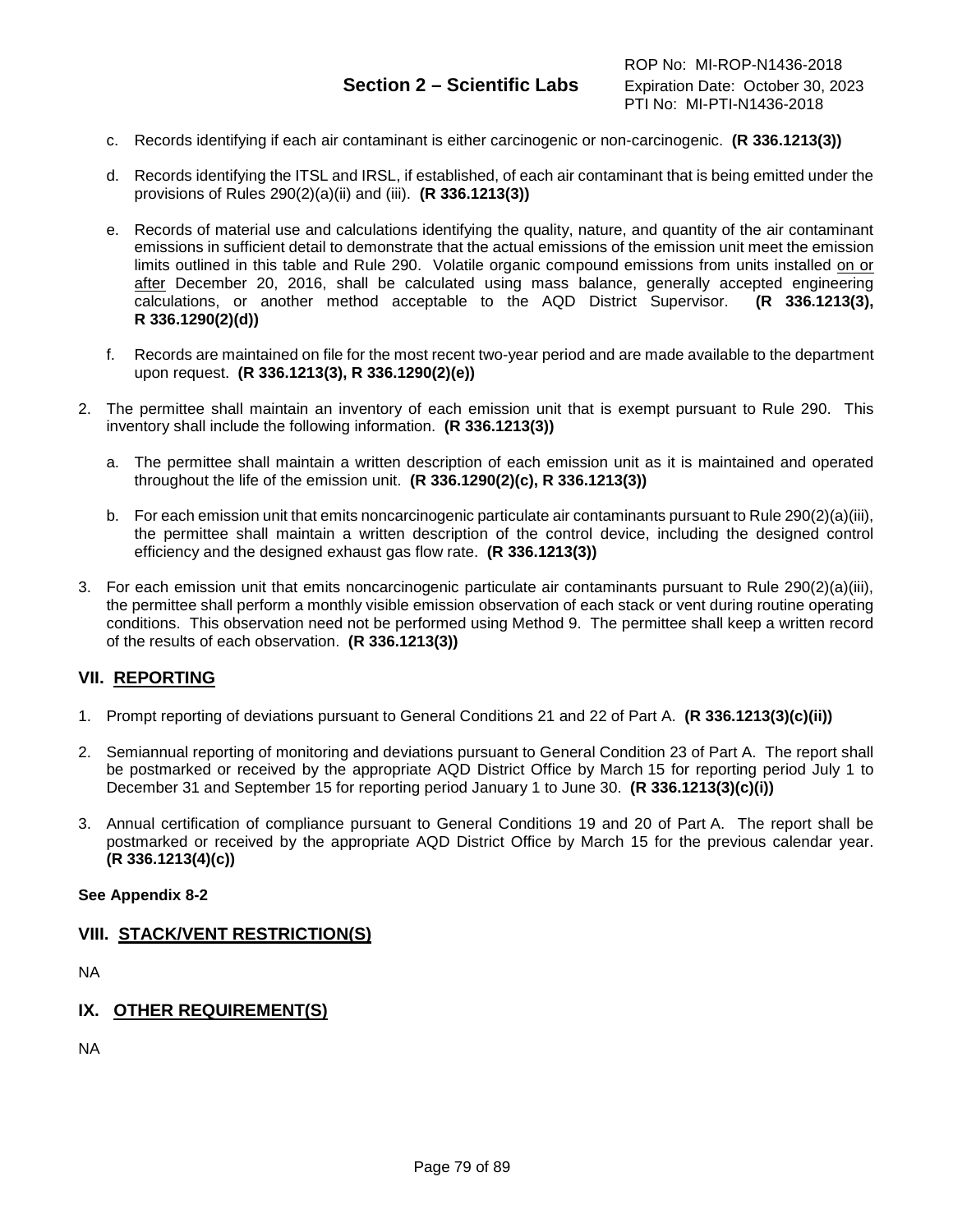- c. Records identifying if each air contaminant is either carcinogenic or non-carcinogenic. **(R 336.1213(3))**
- d. Records identifying the ITSL and IRSL, if established, of each air contaminant that is being emitted under the provisions of Rules 290(2)(a)(ii) and (iii). **(R 336.1213(3))**
- e. Records of material use and calculations identifying the quality, nature, and quantity of the air contaminant emissions in sufficient detail to demonstrate that the actual emissions of the emission unit meet the emission limits outlined in this table and Rule 290. Volatile organic compound emissions from units installed on or after December 20, 2016, shall be calculated using mass balance, generally accepted engineering calculations, or another method acceptable to the AQD District Supervisor. **(R 336.1213(3), R 336.1290(2)(d))**
- f. Records are maintained on file for the most recent two-year period and are made available to the department upon request. **(R 336.1213(3), R 336.1290(2)(e))**
- 2. The permittee shall maintain an inventory of each emission unit that is exempt pursuant to Rule 290. This inventory shall include the following information. **(R 336.1213(3))**
	- a. The permittee shall maintain a written description of each emission unit as it is maintained and operated throughout the life of the emission unit. **(R 336.1290(2)(c), R 336.1213(3))**
	- b. For each emission unit that emits noncarcinogenic particulate air contaminants pursuant to Rule 290(2)(a)(iii), the permittee shall maintain a written description of the control device, including the designed control efficiency and the designed exhaust gas flow rate. **(R 336.1213(3))**
- 3. For each emission unit that emits noncarcinogenic particulate air contaminants pursuant to Rule 290(2)(a)(iii), the permittee shall perform a monthly visible emission observation of each stack or vent during routine operating conditions. This observation need not be performed using Method 9. The permittee shall keep a written record of the results of each observation. **(R 336.1213(3))**

### **VII. REPORTING**

- 1. Prompt reporting of deviations pursuant to General Conditions 21 and 22 of Part A. **(R 336.1213(3)(c)(ii))**
- 2. Semiannual reporting of monitoring and deviations pursuant to General Condition 23 of Part A. The report shall be postmarked or received by the appropriate AQD District Office by March 15 for reporting period July 1 to December 31 and September 15 for reporting period January 1 to June 30. **(R 336.1213(3)(c)(i))**
- 3. Annual certification of compliance pursuant to General Conditions 19 and 20 of Part A. The report shall be postmarked or received by the appropriate AQD District Office by March 15 for the previous calendar year. **(R 336.1213(4)(c))**

#### **See Appendix 8-2**

### **VIII. STACK/VENT RESTRICTION(S)**

NA

# **IX. OTHER REQUIREMENT(S)**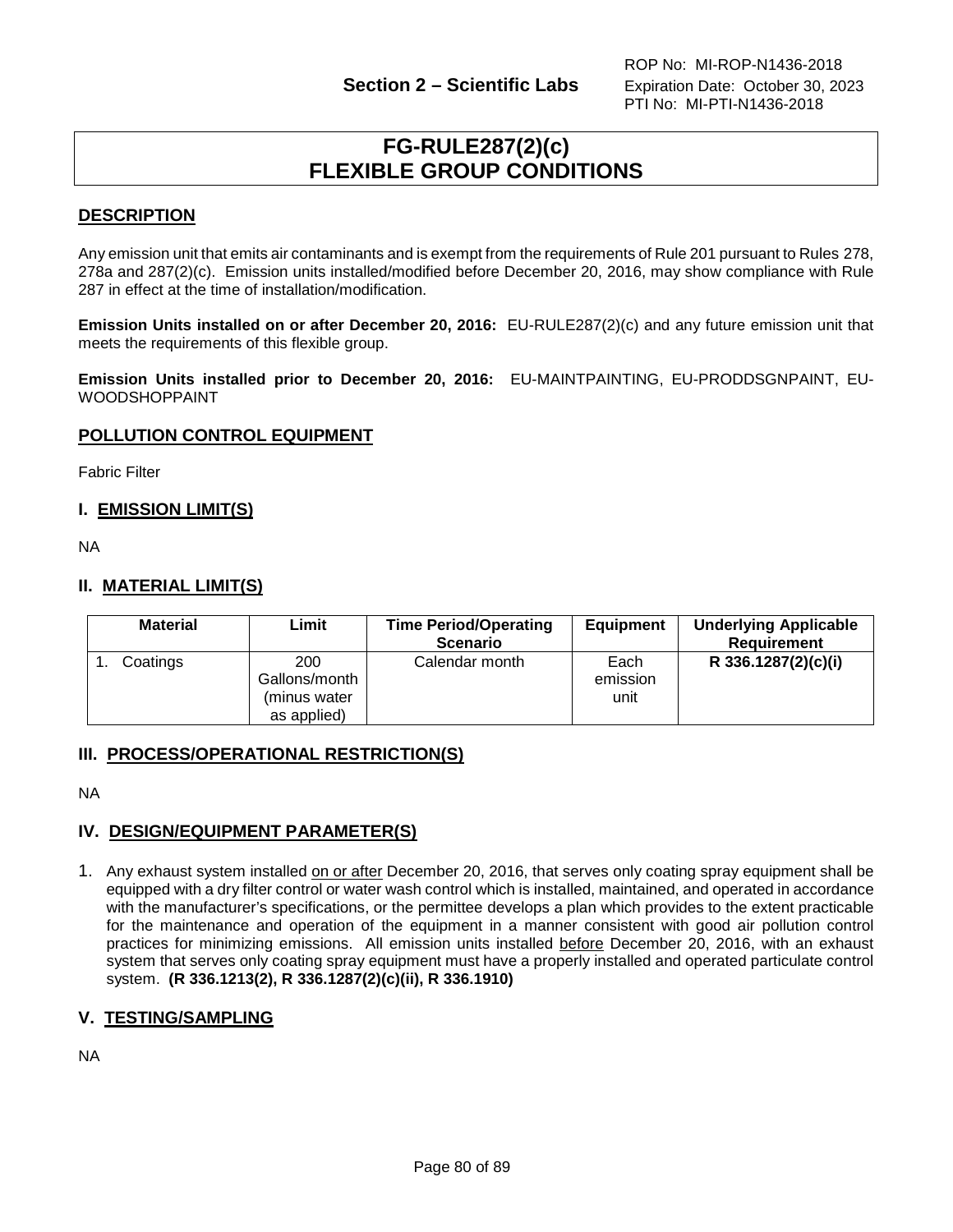# **FG-RULE287(2)(c) FLEXIBLE GROUP CONDITIONS**

### **DESCRIPTION**

Any emission unit that emits air contaminants and is exempt from the requirements of Rule 201 pursuant to Rules 278, 278a and 287(2)(c). Emission units installed/modified before December 20, 2016, may show compliance with Rule 287 in effect at the time of installation/modification.

**Emission Units installed on or after December 20, 2016:** EU-RULE287(2)(c) and any future emission unit that meets the requirements of this flexible group.

**Emission Units installed prior to December 20, 2016:** EU-MAINTPAINTING, EU-PRODDSGNPAINT, EU-WOODSHOPPAINT

# **POLLUTION CONTROL EQUIPMENT**

Fabric Filter

# **I. EMISSION LIMIT(S)**

NA

# **II. MATERIAL LIMIT(S)**

| <b>Material</b> | Limit                                               | <b>Time Period/Operating</b><br><b>Scenario</b> | <b>Equipment</b>         | <b>Underlying Applicable</b><br><b>Requirement</b> |
|-----------------|-----------------------------------------------------|-------------------------------------------------|--------------------------|----------------------------------------------------|
| Coatings        | 200<br>Gallons/month<br>(minus water<br>as applied) | Calendar month                                  | Each<br>emission<br>unit | R 336.1287(2)(c)(i)                                |

### **III. PROCESS/OPERATIONAL RESTRICTION(S)**

NA

### **IV. DESIGN/EQUIPMENT PARAMETER(S)**

1. Any exhaust system installed on or after December 20, 2016, that serves only coating spray equipment shall be equipped with a dry filter control or water wash control which is installed, maintained, and operated in accordance with the manufacturer's specifications, or the permittee develops a plan which provides to the extent practicable for the maintenance and operation of the equipment in a manner consistent with good air pollution control practices for minimizing emissions. All emission units installed before December 20, 2016, with an exhaust system that serves only coating spray equipment must have a properly installed and operated particulate control system. **(R 336.1213(2), R 336.1287(2)(c)(ii), R 336.1910)**

### **V. TESTING/SAMPLING**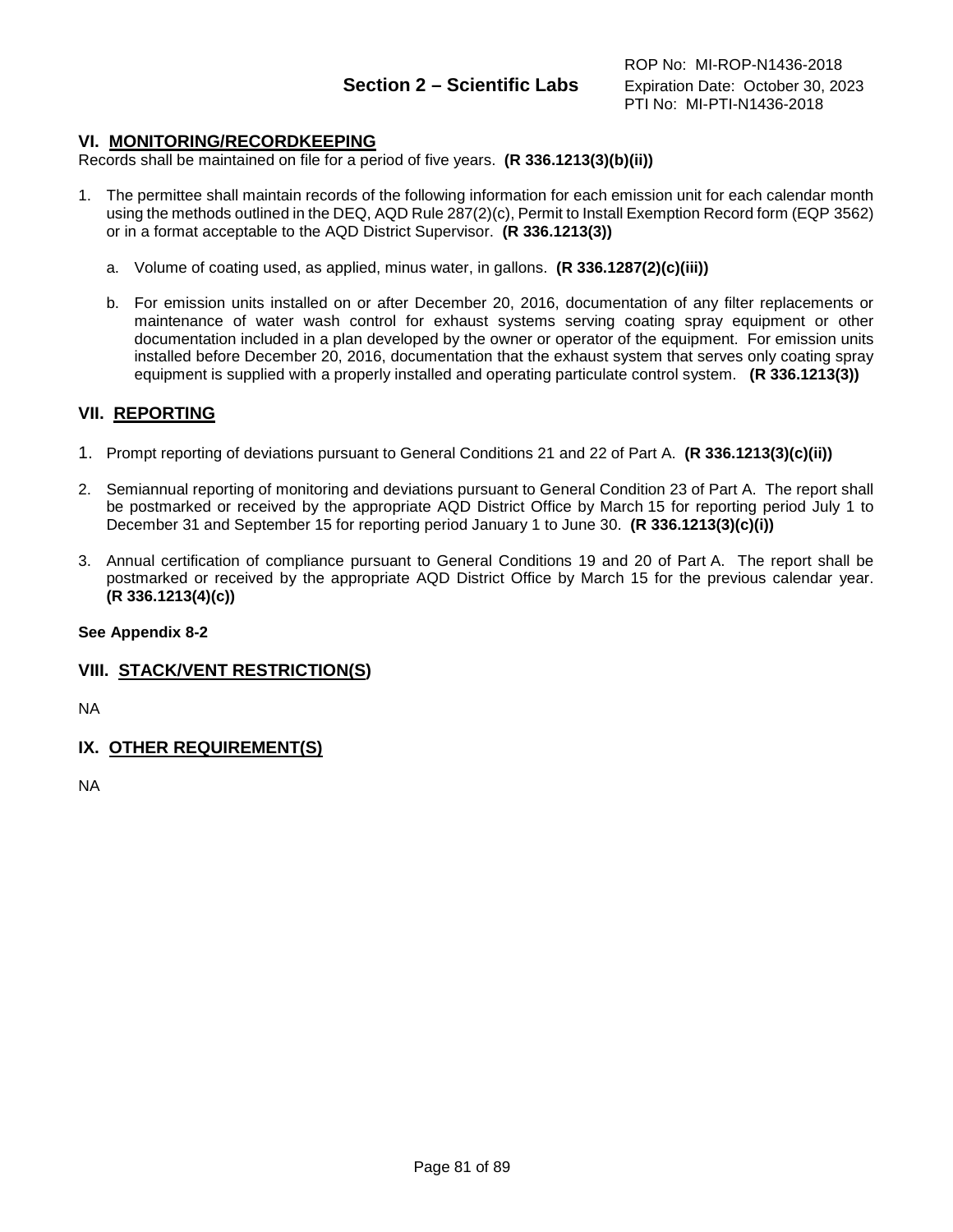### **VI. MONITORING/RECORDKEEPING**

Records shall be maintained on file for a period of five years. **(R 336.1213(3)(b)(ii))**

- 1. The permittee shall maintain records of the following information for each emission unit for each calendar month using the methods outlined in the DEQ, AQD Rule 287(2)(c), Permit to Install Exemption Record form (EQP 3562) or in a format acceptable to the AQD District Supervisor. **(R 336.1213(3))**
	- a. Volume of coating used, as applied, minus water, in gallons. **(R 336.1287(2)(c)(iii))**
	- b. For emission units installed on or after December 20, 2016, documentation of any filter replacements or maintenance of water wash control for exhaust systems serving coating spray equipment or other documentation included in a plan developed by the owner or operator of the equipment. For emission units installed before December 20, 2016, documentation that the exhaust system that serves only coating spray equipment is supplied with a properly installed and operating particulate control system. **(R 336.1213(3))**

#### **VII. REPORTING**

- 1. Prompt reporting of deviations pursuant to General Conditions 21 and 22 of Part A. **(R 336.1213(3)(c)(ii))**
- 2. Semiannual reporting of monitoring and deviations pursuant to General Condition 23 of Part A. The report shall be postmarked or received by the appropriate AQD District Office by March 15 for reporting period July 1 to December 31 and September 15 for reporting period January 1 to June 30. **(R 336.1213(3)(c)(i))**
- 3. Annual certification of compliance pursuant to General Conditions 19 and 20 of Part A. The report shall be postmarked or received by the appropriate AQD District Office by March 15 for the previous calendar year. **(R 336.1213(4)(c))**

#### **See Appendix 8-2**

#### **VIII. STACK/VENT RESTRICTION(S)**

NA

### **IX. OTHER REQUIREMENT(S)**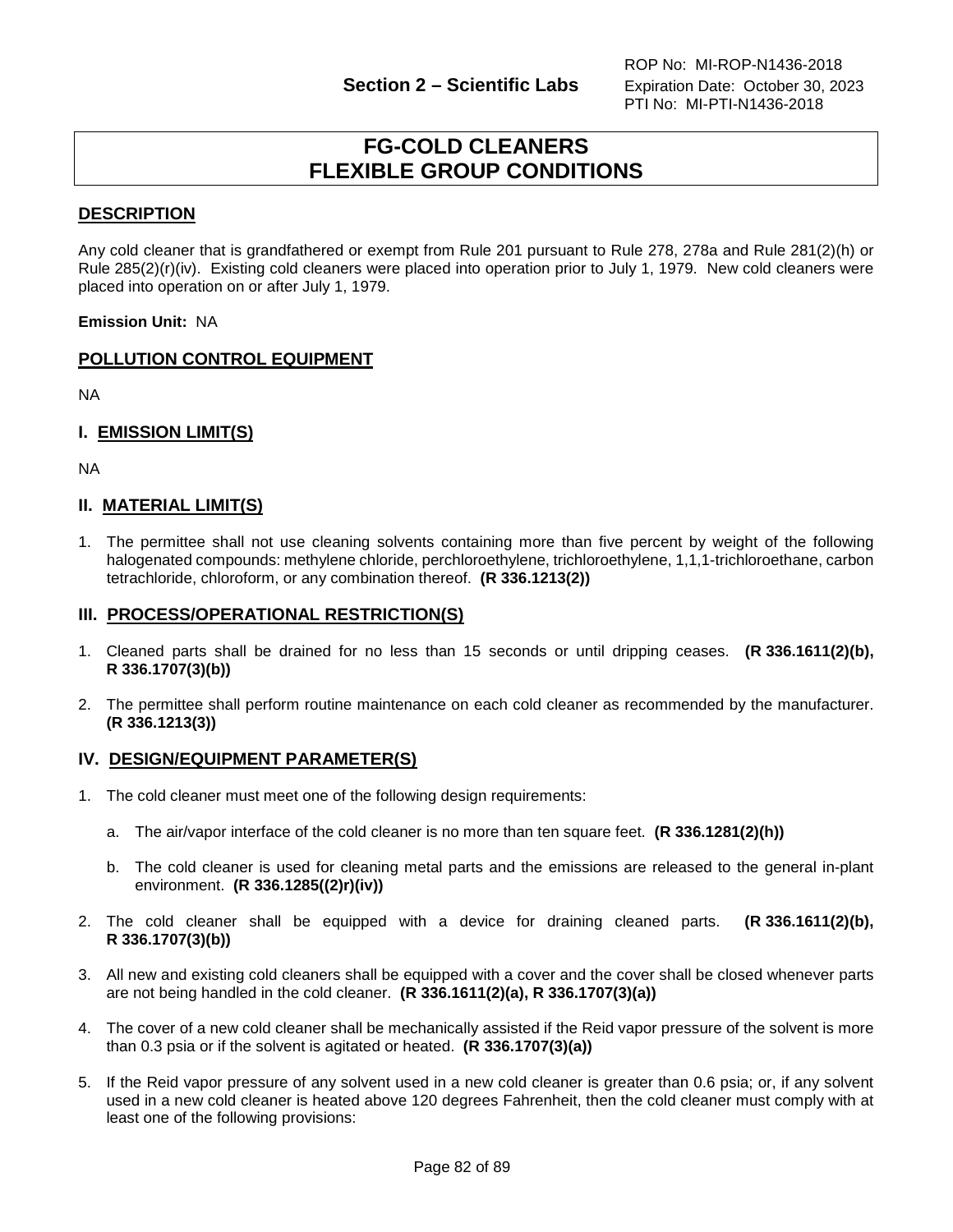# **FG-COLD CLEANERS FLEXIBLE GROUP CONDITIONS**

# **DESCRIPTION**

Any cold cleaner that is grandfathered or exempt from Rule 201 pursuant to Rule 278, 278a and Rule 281(2)(h) or Rule 285(2)(r)(iv). Existing cold cleaners were placed into operation prior to July 1, 1979. New cold cleaners were placed into operation on or after July 1, 1979.

**Emission Unit:** NA

# **POLLUTION CONTROL EQUIPMENT**

NA

### **I. EMISSION LIMIT(S)**

NA

# **II. MATERIAL LIMIT(S)**

1. The permittee shall not use cleaning solvents containing more than five percent by weight of the following halogenated compounds: methylene chloride, perchloroethylene, trichloroethylene, 1,1,1-trichloroethane, carbon tetrachloride, chloroform, or any combination thereof. **(R 336.1213(2))**

#### **III. PROCESS/OPERATIONAL RESTRICTION(S)**

- 1. Cleaned parts shall be drained for no less than 15 seconds or until dripping ceases. **(R 336.1611(2)(b), R 336.1707(3)(b))**
- 2. The permittee shall perform routine maintenance on each cold cleaner as recommended by the manufacturer. **(R 336.1213(3))**

### **IV. DESIGN/EQUIPMENT PARAMETER(S)**

- 1. The cold cleaner must meet one of the following design requirements:
	- a. The air/vapor interface of the cold cleaner is no more than ten square feet. **(R 336.1281(2)(h))**
	- b. The cold cleaner is used for cleaning metal parts and the emissions are released to the general in-plant environment. **(R 336.1285((2)r)(iv))**
- 2. The cold cleaner shall be equipped with a device for draining cleaned parts. **(R 336.1611(2)(b), R 336.1707(3)(b))**
- 3. All new and existing cold cleaners shall be equipped with a cover and the cover shall be closed whenever parts are not being handled in the cold cleaner. **(R 336.1611(2)(a), R 336.1707(3)(a))**
- 4. The cover of a new cold cleaner shall be mechanically assisted if the Reid vapor pressure of the solvent is more than 0.3 psia or if the solvent is agitated or heated. **(R 336.1707(3)(a))**
- 5. If the Reid vapor pressure of any solvent used in a new cold cleaner is greater than 0.6 psia; or, if any solvent used in a new cold cleaner is heated above 120 degrees Fahrenheit, then the cold cleaner must comply with at least one of the following provisions: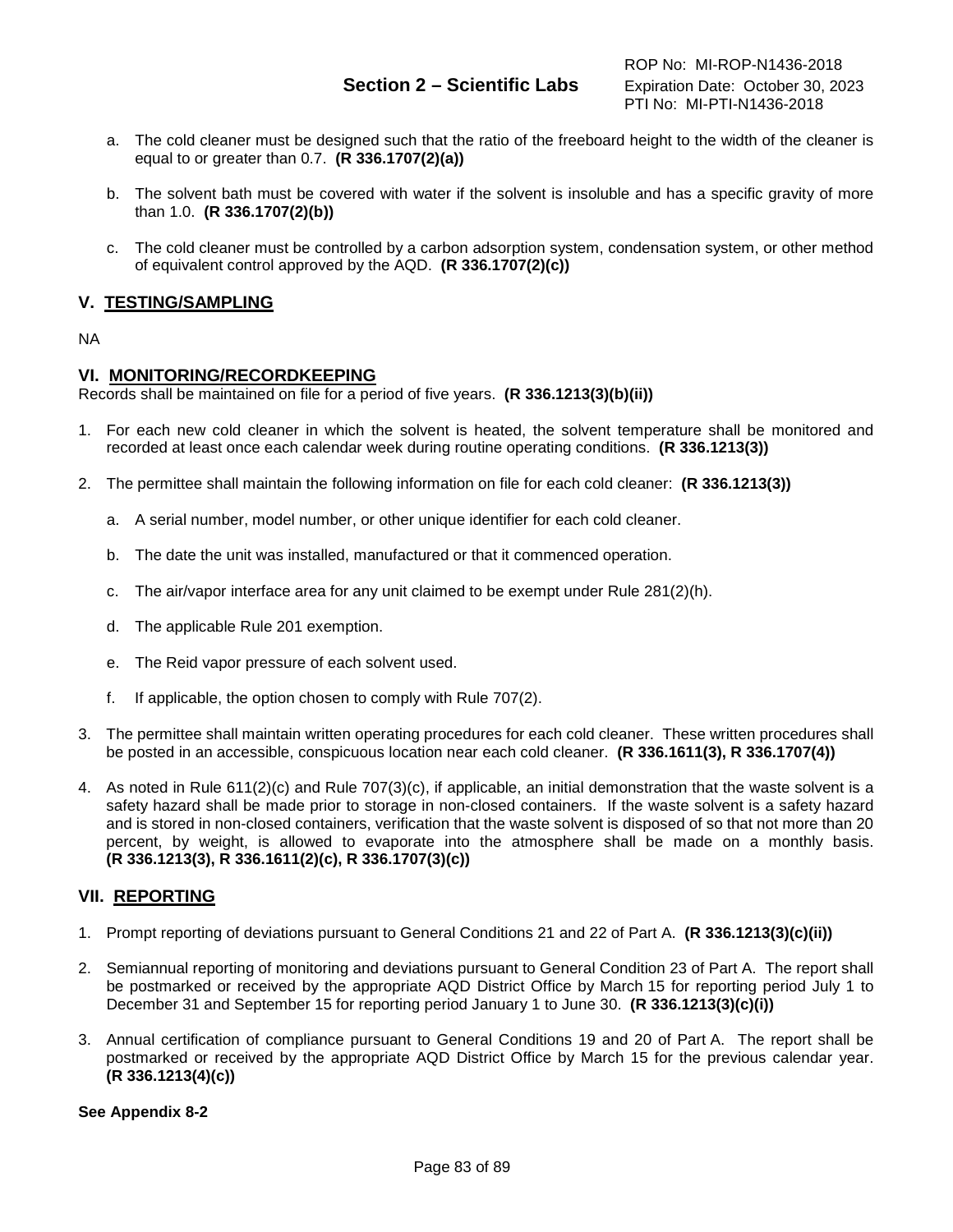- a. The cold cleaner must be designed such that the ratio of the freeboard height to the width of the cleaner is equal to or greater than 0.7. **(R 336.1707(2)(a))**
- b. The solvent bath must be covered with water if the solvent is insoluble and has a specific gravity of more than 1.0. **(R 336.1707(2)(b))**
- c. The cold cleaner must be controlled by a carbon adsorption system, condensation system, or other method of equivalent control approved by the AQD. **(R 336.1707(2)(c))**

# **V. TESTING/SAMPLING**

#### NA

#### **VI. MONITORING/RECORDKEEPING**

Records shall be maintained on file for a period of five years. **(R 336.1213(3)(b)(ii))**

- 1. For each new cold cleaner in which the solvent is heated, the solvent temperature shall be monitored and recorded at least once each calendar week during routine operating conditions. **(R 336.1213(3))**
- 2. The permittee shall maintain the following information on file for each cold cleaner: **(R 336.1213(3))**
	- a. A serial number, model number, or other unique identifier for each cold cleaner.
	- b. The date the unit was installed, manufactured or that it commenced operation.
	- c. The air/vapor interface area for any unit claimed to be exempt under Rule  $281(2)(h)$ .
	- d. The applicable Rule 201 exemption.
	- e. The Reid vapor pressure of each solvent used.
	- f. If applicable, the option chosen to comply with Rule 707(2).
- 3. The permittee shall maintain written operating procedures for each cold cleaner. These written procedures shall be posted in an accessible, conspicuous location near each cold cleaner. **(R 336.1611(3), R 336.1707(4))**
- 4. As noted in Rule 611(2)(c) and Rule 707(3)(c), if applicable, an initial demonstration that the waste solvent is a safety hazard shall be made prior to storage in non-closed containers. If the waste solvent is a safety hazard and is stored in non-closed containers, verification that the waste solvent is disposed of so that not more than 20 percent, by weight, is allowed to evaporate into the atmosphere shall be made on a monthly basis. **(R 336.1213(3), R 336.1611(2)(c), R 336.1707(3)(c))**

### **VII. REPORTING**

- 1. Prompt reporting of deviations pursuant to General Conditions 21 and 22 of Part A. **(R 336.1213(3)(c)(ii))**
- 2. Semiannual reporting of monitoring and deviations pursuant to General Condition 23 of Part A. The report shall be postmarked or received by the appropriate AQD District Office by March 15 for reporting period July 1 to December 31 and September 15 for reporting period January 1 to June 30. **(R 336.1213(3)(c)(i))**
- 3. Annual certification of compliance pursuant to General Conditions 19 and 20 of Part A. The report shall be postmarked or received by the appropriate AQD District Office by March 15 for the previous calendar year. **(R 336.1213(4)(c))**

#### **See Appendix 8-2**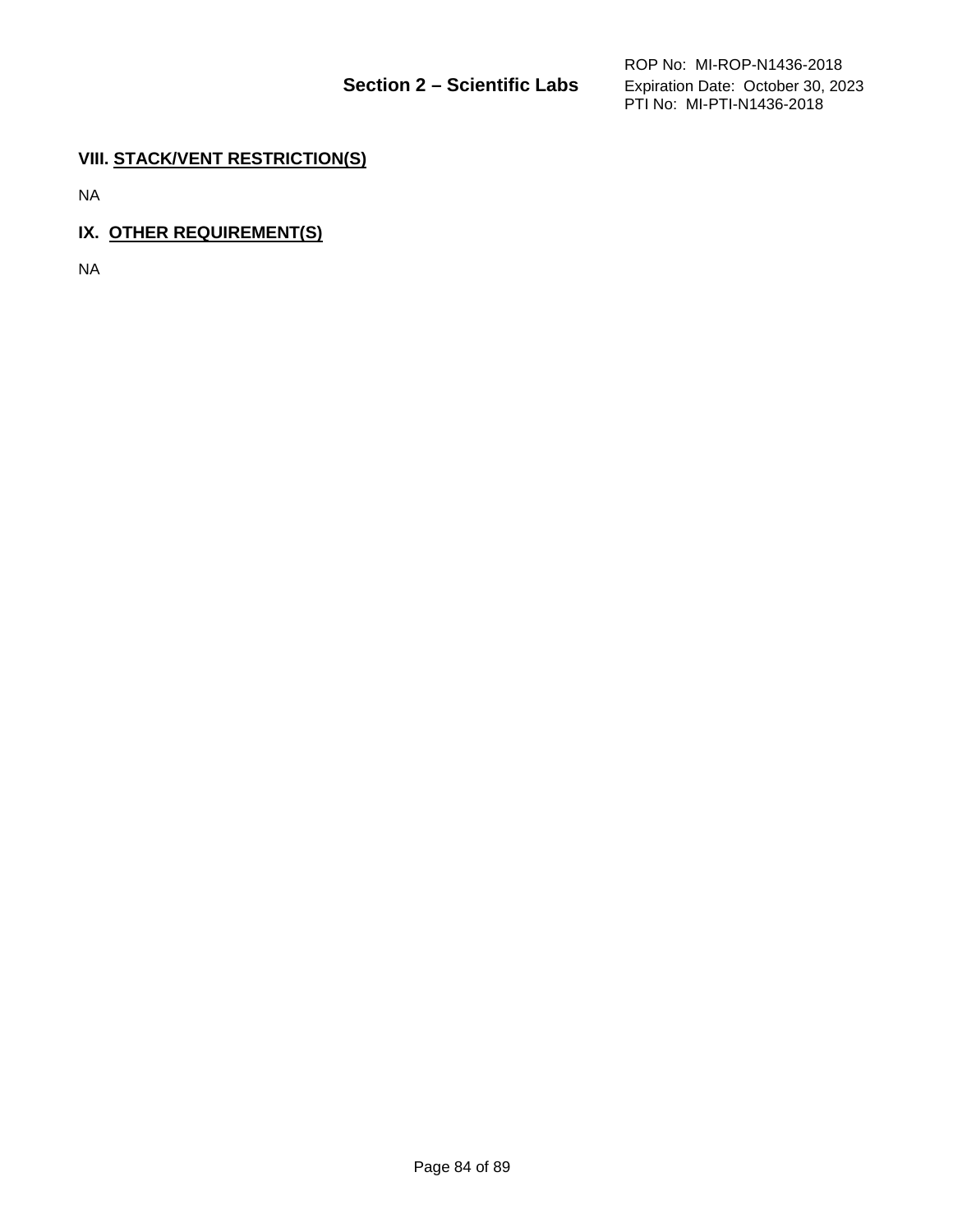# **VIII. STACK/VENT RESTRICTION(S)**

NA

# **IX. OTHER REQUIREMENT(S)**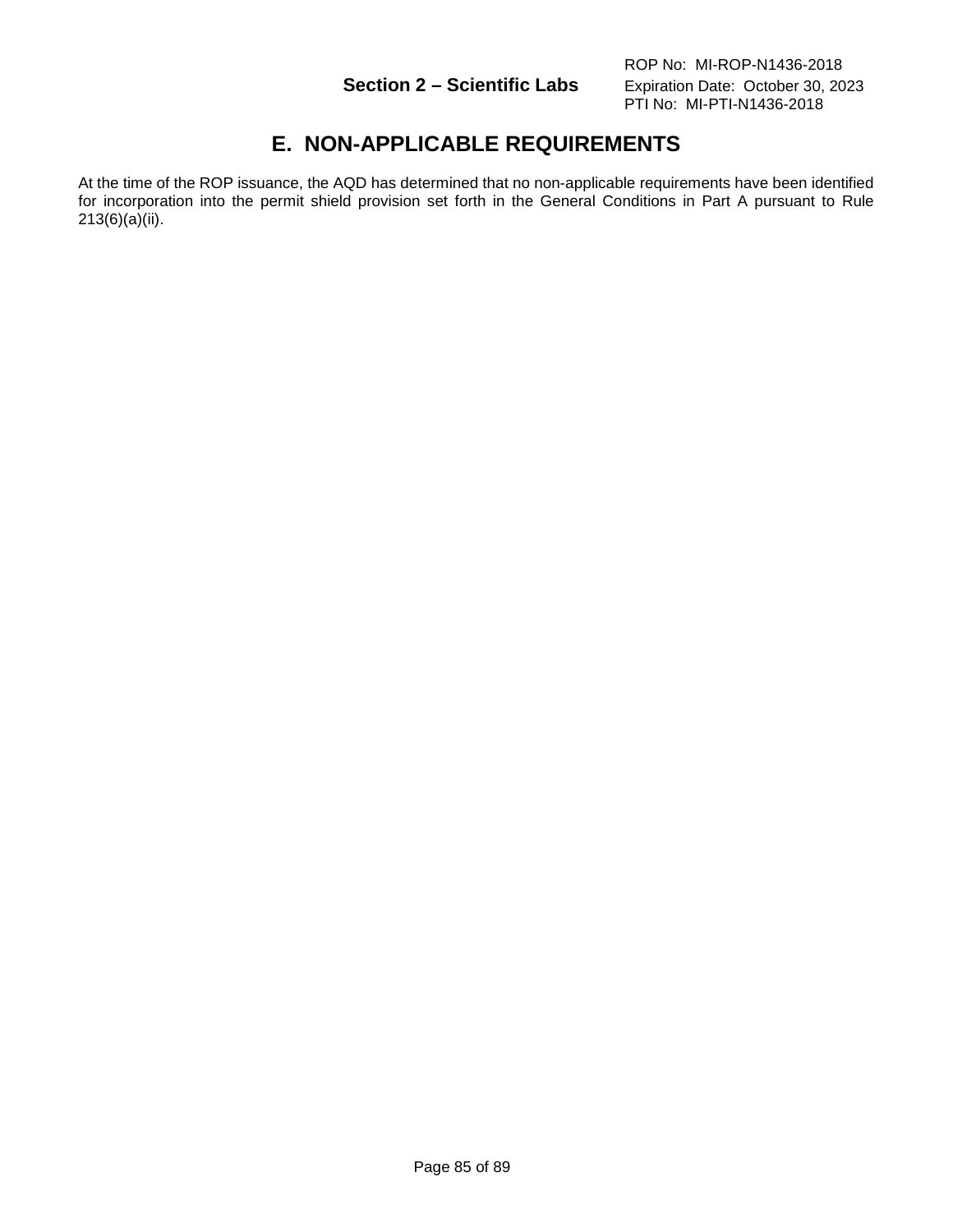# **E. NON-APPLICABLE REQUIREMENTS**

At the time of the ROP issuance, the AQD has determined that no non-applicable requirements have been identified for incorporation into the permit shield provision set forth in the General Conditions in Part A pursuant to Rule 213(6)(a)(ii).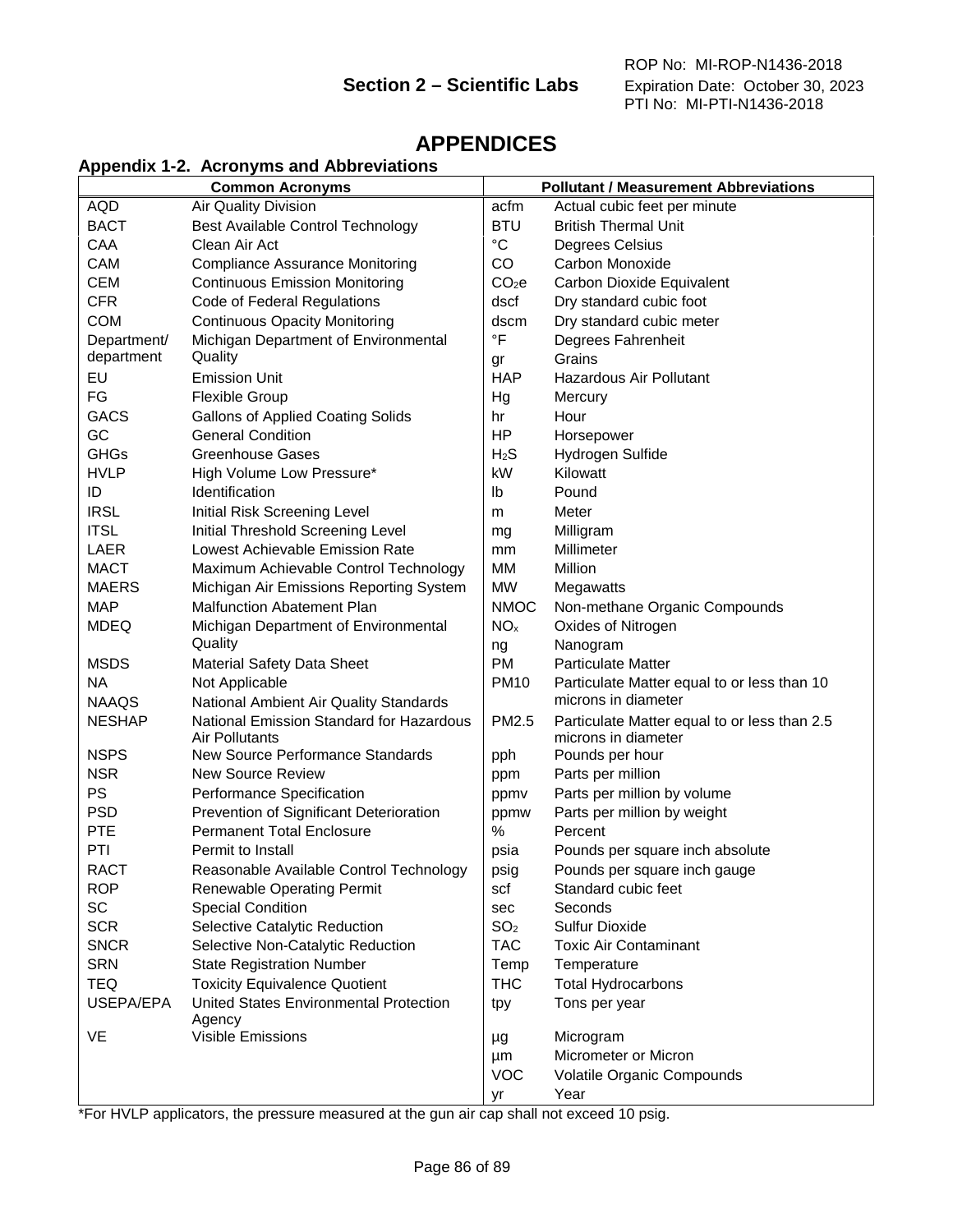# **APPENDICES**

# **Appendix 1-2. Acronyms and Abbreviations**

| <b>Common Acronyms</b> |                                                  |                   | <b>Pollutant / Measurement Abbreviations</b> |  |  |
|------------------------|--------------------------------------------------|-------------------|----------------------------------------------|--|--|
| AQD                    | Air Quality Division                             | acfm              | Actual cubic feet per minute                 |  |  |
| <b>BACT</b>            | Best Available Control Technology                | <b>BTU</b>        | <b>British Thermal Unit</b>                  |  |  |
| CAA                    | Clean Air Act                                    | $^{\circ}C$       | Degrees Celsius                              |  |  |
| <b>CAM</b>             | <b>Compliance Assurance Monitoring</b>           | CO                | Carbon Monoxide                              |  |  |
| <b>CEM</b>             | <b>Continuous Emission Monitoring</b>            | CO <sub>2</sub> e | Carbon Dioxide Equivalent                    |  |  |
| <b>CFR</b>             | Code of Federal Regulations                      | dscf              | Dry standard cubic foot                      |  |  |
| <b>COM</b>             | <b>Continuous Opacity Monitoring</b>             | dscm              | Dry standard cubic meter                     |  |  |
| Department/            | Michigan Department of Environmental             | $\circ$ F         | Degrees Fahrenheit                           |  |  |
| department             | Quality                                          | gr                | Grains                                       |  |  |
| EU                     | <b>Emission Unit</b>                             | <b>HAP</b>        | <b>Hazardous Air Pollutant</b>               |  |  |
| FG                     | <b>Flexible Group</b>                            | Hg                | Mercury                                      |  |  |
| <b>GACS</b>            | <b>Gallons of Applied Coating Solids</b>         | hr                | Hour                                         |  |  |
| GC                     | <b>General Condition</b>                         | HP                | Horsepower                                   |  |  |
| <b>GHGs</b>            | <b>Greenhouse Gases</b>                          | H <sub>2</sub> S  | Hydrogen Sulfide                             |  |  |
| <b>HVLP</b>            | High Volume Low Pressure*                        | kW                | Kilowatt                                     |  |  |
| ID                     | Identification                                   | Ib                | Pound                                        |  |  |
| <b>IRSL</b>            | Initial Risk Screening Level                     | m                 | Meter                                        |  |  |
| <b>ITSL</b>            | Initial Threshold Screening Level                | mg                | Milligram                                    |  |  |
| <b>LAER</b>            | Lowest Achievable Emission Rate                  | mm                | Millimeter                                   |  |  |
| <b>MACT</b>            | Maximum Achievable Control Technology            | MM                | Million                                      |  |  |
| <b>MAERS</b>           | Michigan Air Emissions Reporting System          | <b>MW</b>         | Megawatts                                    |  |  |
| <b>MAP</b>             | <b>Malfunction Abatement Plan</b>                | <b>NMOC</b>       | Non-methane Organic Compounds                |  |  |
| <b>MDEQ</b>            | Michigan Department of Environmental             | NO <sub>x</sub>   | Oxides of Nitrogen                           |  |  |
|                        | Quality                                          | ng                | Nanogram                                     |  |  |
| <b>MSDS</b>            | Material Safety Data Sheet                       | <b>PM</b>         | <b>Particulate Matter</b>                    |  |  |
| <b>NA</b>              | Not Applicable                                   | <b>PM10</b>       | Particulate Matter equal to or less than 10  |  |  |
| <b>NAAQS</b>           | National Ambient Air Quality Standards           |                   | microns in diameter                          |  |  |
| <b>NESHAP</b>          | National Emission Standard for Hazardous         | PM2.5             | Particulate Matter equal to or less than 2.5 |  |  |
|                        | Air Pollutants                                   |                   | microns in diameter                          |  |  |
| <b>NSPS</b>            | New Source Performance Standards                 | pph               | Pounds per hour                              |  |  |
| <b>NSR</b>             | <b>New Source Review</b>                         | ppm               | Parts per million                            |  |  |
| <b>PS</b>              | Performance Specification                        | ppmv              | Parts per million by volume                  |  |  |
| <b>PSD</b>             | Prevention of Significant Deterioration          | ppmw              | Parts per million by weight                  |  |  |
| <b>PTE</b>             | <b>Permanent Total Enclosure</b>                 | %                 | Percent                                      |  |  |
| PTI                    | Permit to Install                                | psia              | Pounds per square inch absolute              |  |  |
| <b>RACT</b>            | Reasonable Available Control Technology          | psig              | Pounds per square inch gauge                 |  |  |
| <b>ROP</b>             | Renewable Operating Permit                       | scf               | Standard cubic feet                          |  |  |
| SC                     | <b>Special Condition</b>                         | sec               | Seconds                                      |  |  |
| <b>SCR</b>             | Selective Catalytic Reduction                    | SO <sub>2</sub>   | Sulfur Dioxide                               |  |  |
| <b>SNCR</b>            | Selective Non-Catalytic Reduction                | <b>TAC</b>        | <b>Toxic Air Contaminant</b>                 |  |  |
| <b>SRN</b>             | <b>State Registration Number</b>                 | Temp              | Temperature                                  |  |  |
| <b>TEQ</b>             | <b>Toxicity Equivalence Quotient</b>             | <b>THC</b>        | <b>Total Hydrocarbons</b>                    |  |  |
| USEPA/EPA              | United States Environmental Protection<br>Agency | tpy               | Tons per year                                |  |  |
| VE                     | Visible Emissions                                | μg                | Microgram                                    |  |  |
|                        |                                                  | μm                | Micrometer or Micron                         |  |  |
|                        |                                                  | <b>VOC</b>        | Volatile Organic Compounds                   |  |  |
|                        |                                                  | yr                | Year                                         |  |  |

\*For HVLP applicators, the pressure measured at the gun air cap shall not exceed 10 psig.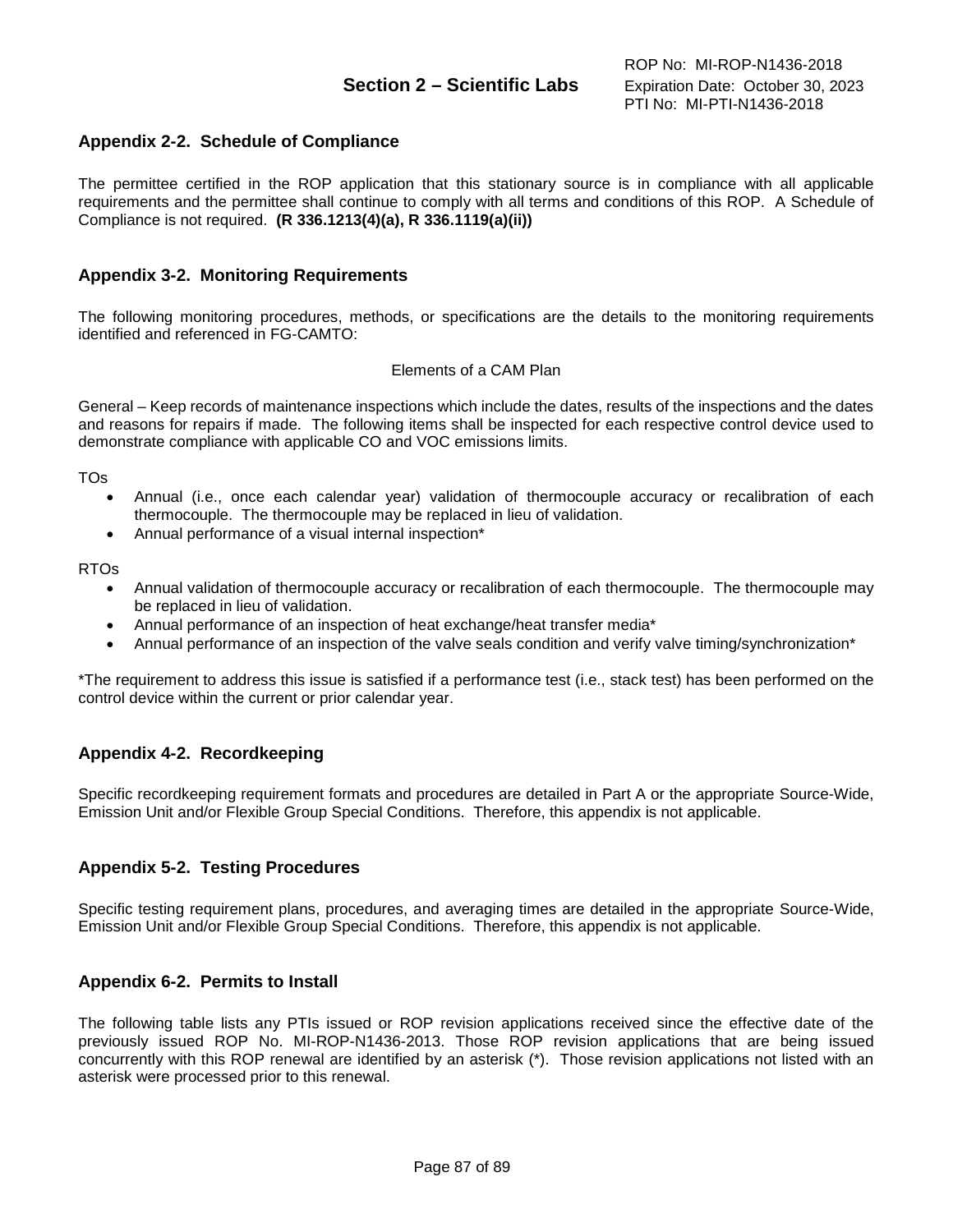# **Appendix 2-2. Schedule of Compliance**

The permittee certified in the ROP application that this stationary source is in compliance with all applicable requirements and the permittee shall continue to comply with all terms and conditions of this ROP. A Schedule of Compliance is not required. **(R 336.1213(4)(a), R 336.1119(a)(ii))**

#### **Appendix 3-2. Monitoring Requirements**

The following monitoring procedures, methods, or specifications are the details to the monitoring requirements identified and referenced in FG-CAMTO:

#### Elements of a CAM Plan

General – Keep records of maintenance inspections which include the dates, results of the inspections and the dates and reasons for repairs if made. The following items shall be inspected for each respective control device used to demonstrate compliance with applicable CO and VOC emissions limits.

TOs

- Annual (i.e., once each calendar year) validation of thermocouple accuracy or recalibration of each thermocouple. The thermocouple may be replaced in lieu of validation.
- Annual performance of a visual internal inspection\*

RTOs

- Annual validation of thermocouple accuracy or recalibration of each thermocouple. The thermocouple may be replaced in lieu of validation.
- Annual performance of an inspection of heat exchange/heat transfer media\*
- Annual performance of an inspection of the valve seals condition and verify valve timing/synchronization\*

\*The requirement to address this issue is satisfied if a performance test (i.e., stack test) has been performed on the control device within the current or prior calendar year.

### **Appendix 4-2. Recordkeeping**

Specific recordkeeping requirement formats and procedures are detailed in Part A or the appropriate Source-Wide, Emission Unit and/or Flexible Group Special Conditions. Therefore, this appendix is not applicable.

### **Appendix 5-2. Testing Procedures**

Specific testing requirement plans, procedures, and averaging times are detailed in the appropriate Source-Wide, Emission Unit and/or Flexible Group Special Conditions. Therefore, this appendix is not applicable.

#### **Appendix 6-2. Permits to Install**

The following table lists any PTIs issued or ROP revision applications received since the effective date of the previously issued ROP No. MI-ROP-N1436-2013. Those ROP revision applications that are being issued concurrently with this ROP renewal are identified by an asterisk (\*). Those revision applications not listed with an asterisk were processed prior to this renewal.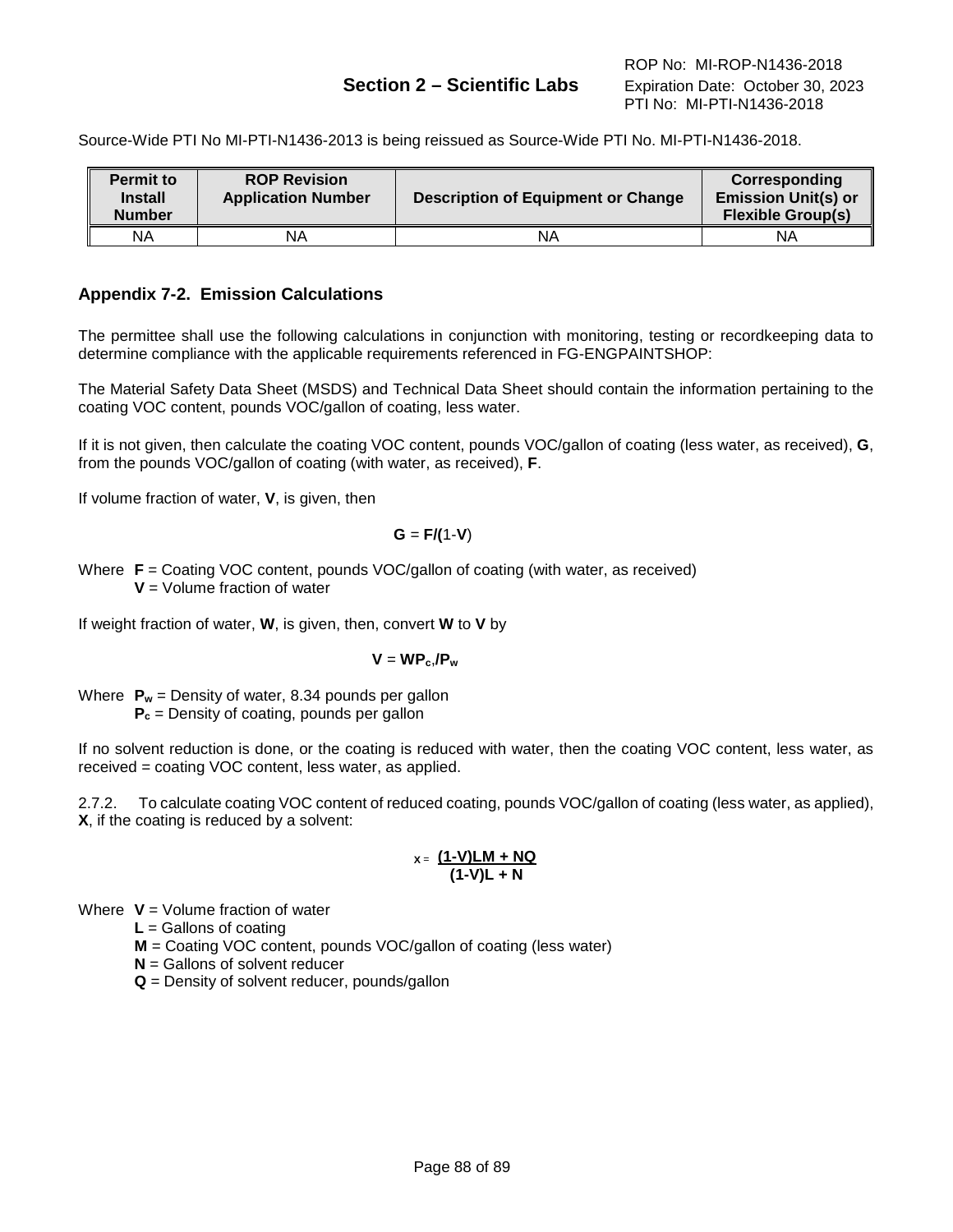# **Section 2 – Scientific Labs** Expiration Date: October 30, 2023

Source-Wide PTI No MI-PTI-N1436-2013 is being reissued as Source-Wide PTI No. MI-PTI-N1436-2018.

| <b>Permit to</b><br><b>Install</b><br><b>Number</b> | <b>ROP Revision</b><br><b>Application Number</b> | <b>Description of Equipment or Change</b> | Corresponding<br><b>Emission Unit(s) or</b><br><b>Flexible Group(s)</b> |
|-----------------------------------------------------|--------------------------------------------------|-------------------------------------------|-------------------------------------------------------------------------|
| ΝA                                                  | ΝA                                               | ΝA                                        | ΝA                                                                      |

# **Appendix 7-2. Emission Calculations**

The permittee shall use the following calculations in conjunction with monitoring, testing or recordkeeping data to determine compliance with the applicable requirements referenced in FG-ENGPAINTSHOP:

The Material Safety Data Sheet (MSDS) and Technical Data Sheet should contain the information pertaining to the coating VOC content, pounds VOC/gallon of coating, less water.

If it is not given, then calculate the coating VOC content, pounds VOC/gallon of coating (less water, as received), **G**, from the pounds VOC/gallon of coating (with water, as received), **F**.

If volume fraction of water, **V**, is given, then

$$
G = F/(1-V)
$$

Where **F** = Coating VOC content, pounds VOC/gallon of coating (with water, as received) **V** = Volume fraction of water

If weight fraction of water, **W**, is given, then, convert **W** to **V** by

$$
V = WP_c/P_w
$$

Where  $P_w$  = Density of water, 8.34 pounds per gallon **P<sub>c</sub>** = Density of coating, pounds per gallon

If no solvent reduction is done, or the coating is reduced with water, then the coating VOC content, less water, as received = coating VOC content, less water, as applied.

2.7.2. To calculate coating VOC content of reduced coating, pounds VOC/gallon of coating (less water, as applied), **X**, if the coating is reduced by a solvent:

$$
x = \frac{(1 - V)LM + NQ}{(1 - V)L + N}
$$

Where **V** = Volume fraction of water

**L** = Gallons of coating

- **M** = Coating VOC content, pounds VOC/gallon of coating (less water)
- **N** = Gallons of solvent reducer
- **Q** = Density of solvent reducer, pounds/gallon